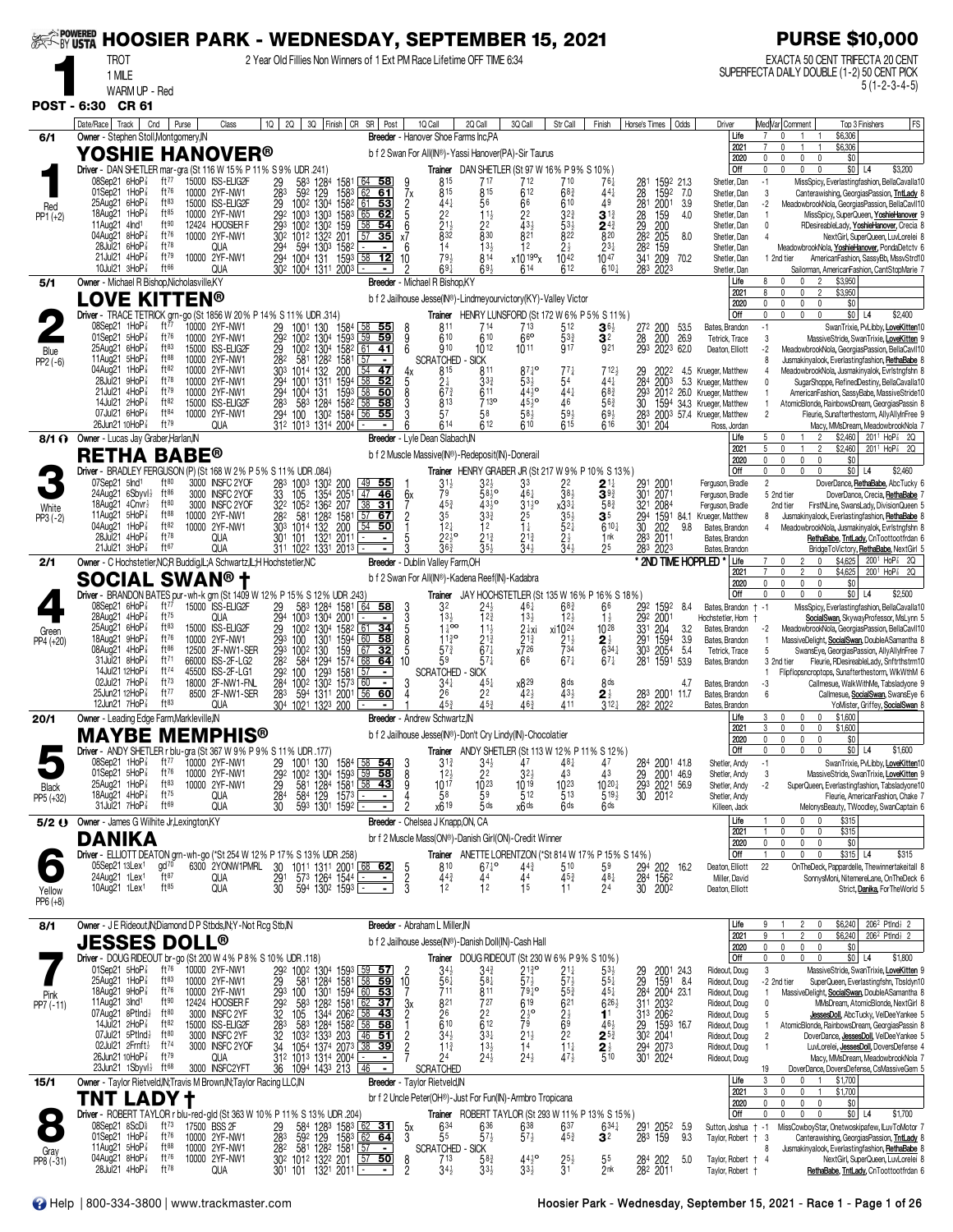| <b>EXTORY USTA</b> |                                                                                                      |                        |              | <b>HOOSIER PARK - WEDNESDAY, SEPTEMBER 15, 2021</b> |                                               |                                                                                                                                                                                                                                                                                                                                                                                                                               |                                |                                    |                |                                                                                            |                                       |                                                                                          |                                                      |                                                                         |                              |                                                           |            |                                                          | <b>PURSE \$10,000</b>                                                                                                                                              |
|--------------------|------------------------------------------------------------------------------------------------------|------------------------|--------------|-----------------------------------------------------|-----------------------------------------------|-------------------------------------------------------------------------------------------------------------------------------------------------------------------------------------------------------------------------------------------------------------------------------------------------------------------------------------------------------------------------------------------------------------------------------|--------------------------------|------------------------------------|----------------|--------------------------------------------------------------------------------------------|---------------------------------------|------------------------------------------------------------------------------------------|------------------------------------------------------|-------------------------------------------------------------------------|------------------------------|-----------------------------------------------------------|------------|----------------------------------------------------------|--------------------------------------------------------------------------------------------------------------------------------------------------------------------|
|                    | TROT<br>1 MILE                                                                                       |                        |              |                                                     |                                               |                                                                                                                                                                                                                                                                                                                                                                                                                               |                                |                                    |                | 2 Year Old Fillies Non Winners of 1 Ext PM Race Lifetime OFF TIME 6:34                     |                                       |                                                                                          |                                                      |                                                                         |                              |                                                           |            |                                                          | EXACTA 50 CENT TRIFECTA 20 CENT<br>SUPERFECTA DAILY DOUBLE (1-2) 50 CENT PICK                                                                                      |
|                    | WARM UP - Red                                                                                        |                        |              |                                                     |                                               |                                                                                                                                                                                                                                                                                                                                                                                                                               |                                |                                    |                |                                                                                            |                                       |                                                                                          |                                                      |                                                                         |                              |                                                           |            |                                                          | $5(1 - 2 - 3 - 4 - 5)$                                                                                                                                             |
|                    | POST - 6:30 CR 61                                                                                    |                        |              |                                                     |                                               |                                                                                                                                                                                                                                                                                                                                                                                                                               |                                |                                    |                |                                                                                            |                                       |                                                                                          |                                                      |                                                                         |                              |                                                           |            |                                                          |                                                                                                                                                                    |
| 6/1                | Date/Race   Track  <br>Cnd<br>Owner - Stephen Stoll, Montgomery, IN                                  |                        | Purse        | Class                                               | 1Q                                            | 2Q                                                                                                                                                                                                                                                                                                                                                                                                                            |                                | 3Q Finish CR SR Post               |                | 1Q Call<br>Breeder - Hanover Shoe Farms Inc.PA                                             | 2Q Call                               | 3Q Call                                                                                  | Str Call                                             | Finish                                                                  | Horse's Times                |                                                           | Odds       | Driver<br>Life                                           | Med Var  Comment<br>FS<br>Top 3 Finishers<br>\$6,306<br>$\overline{7}$                                                                                             |
|                    | YOSHIE HANOVER®                                                                                      |                        |              |                                                     |                                               |                                                                                                                                                                                                                                                                                                                                                                                                                               |                                |                                    |                | b f 2 Swan For All(IN®)-Yassi Hanover(PA)-Sir Taurus                                       |                                       |                                                                                          |                                                      |                                                                         |                              |                                                           |            | 2021<br>2020                                             | \$6,306<br>\$0<br>$\mathbf{0}$<br>0<br>$\mathbf{0}$                                                                                                                |
|                    | Driver - DAN SHETLER mar-gra (St 116 W 15% P 11% S 9% UDR .241)<br>08Sep21 6HoP                      | ft77                   |              | 15000 ISS-ELIG2F                                    |                                               |                                                                                                                                                                                                                                                                                                                                                                                                                               |                                |                                    |                |                                                                                            |                                       | Trainer DAN SHETLER (St 97 W 16% P 9% S 10%)                                             |                                                      |                                                                         |                              |                                                           |            | Off                                                      | \$3,200<br>$\mathbf{0}$<br>$\mathbf{0}$<br>$$0$ L4<br>$\mathbf{0}$                                                                                                 |
|                    | 01Sep21 1HoP                                                                                         | $ft^{76}$              |              | 10000 2YF-NW1                                       | 29<br>$\frac{28}{29}$                         | 583<br>1284<br>59 <sup>2</sup> 129 1583<br>100 <sup>2</sup> 130 <sup>4</sup> 158 <sup>2</sup>                                                                                                                                                                                                                                                                                                                                 | 1581                           | l 64<br>-58<br>62<br><u>61</u>     | 7x             | 815<br>815                                                                                 | 717<br>815                            | 712<br>612                                                                               | 710<br>$68\frac{3}{4}$                               | 761<br>441                                                              | :28                          | 1592 21.3<br>$\frac{1592}{2001}$                          | 7.0        | Shetler, Dan<br>Shetler, Dan                             | $-1$<br>MissSpicy, Everlastingfashion, BellaCavalla10<br>3<br>Canterawishing, GeorgiasPassion, TntLady 8                                                           |
| Red<br>$PP1 (+2)$  | 25Aug21 6HoP<br>18Aug21 1HoP                                                                         | ft83<br>ft85           |              | 15000 ISS-ELIG2F<br>10000 2YF-NW1                   | 292                                           | 1003 1303 1583                                                                                                                                                                                                                                                                                                                                                                                                                |                                | 53<br>61<br>65<br>62               |                | $44\frac{1}{4}$<br>22                                                                      | 56<br>$11\frac{1}{2}$                 | 66<br>22                                                                                 | 610<br>$3^{2^{3}}$                                   | 49<br>31                                                                | 28<br>28<br>28               | 159                                                       | 3.9<br>4.0 | Shetler, Dan<br>Shetler, Dan                             | $-2$<br>MeadowbrookNola, GeorgiasPassion, BellaCavII10<br>MissSpicy, SuperQueen, YoshieHanover 9<br>$\overline{1}$                                                 |
|                    | 11Aug21 4Ind <sup>1</sup><br>04Aug21 8HoP                                                            | ft90<br>ft76           |              | 12424 HOOSIER F<br>10000 2YF-NW1                    | 29 <sub>3</sub><br>30 <sup>2</sup>            | 100 <sup>2</sup> 130 <sup>2</sup> 159<br>101 <sup>2</sup> 132 <sup>2</sup> 201                                                                                                                                                                                                                                                                                                                                                |                                | $\overline{58}$<br>54<br>57<br>35  | $x^6$          | $\frac{2}{8}$ <sup>11</sup> / <sub>2</sub> <sup>1</sup>                                    | 22<br>$8^{30}$                        | $\bar{4}3\frac{1}{2}$<br>821                                                             | $\frac{531}{822}$                                    | $\frac{2^{43}}{8^{20}}$                                                 | $\frac{29}{282}$             | 200<br>205                                                | 8.0        | Shetler, Dan<br>Shetler, Dan                             | $\mathbf 0$<br>RDesireableLady, YoshieHanover, Crecia 8<br>NextGirl, SuperQueen, LuvLorelei 8                                                                      |
|                    | 28Jul21 6HoP<br>$21$ Jul $21$ 4HoP $\frac{7}{8}$                                                     | ft78<br>ft79           |              | QUA<br>10000 2YF-NW1                                | 294<br>294                                    | 1303 1582<br>594<br>1004<br>131                                                                                                                                                                                                                                                                                                                                                                                               | 1593                           | $58$ 12                            | 6<br>10        | 14<br>793                                                                                  | 13 <sub>3</sub><br>814                | 12<br>x10 19°x                                                                           | $2\frac{1}{2}$<br>1042                               | $2^{3}$<br>1047                                                         | 282<br>341                   | 159<br>209                                                | 70.2       | Shetler, Dan<br>Shetler, Dan                             | MeadowbrookNola, YoshieHanover, PondaDetctv 6<br>1 2nd tier<br>AmericanFashion, SassyBb, MssvStrd10                                                                |
| 5/1                | 10Jul21 3HoP <sup>3</sup><br>Owner - Michael R Bishop, Nicholasville, KY                             | ft66                   |              | QUA                                                 |                                               | 30 <sup>2</sup> 1004 1311 2003                                                                                                                                                                                                                                                                                                                                                                                                |                                |                                    |                | $69\frac{1}{4}$<br>Breeder - Michael R Bishop, KY                                          | 693                                   | 614                                                                                      | 612                                                  | $6^{10}$                                                                | 283                          | 2023                                                      |            | Shetler, Dan<br>Life                                     | Sailorman, AmericanFashion, CantStopMarie<br>\$3,950<br>8<br>$\overline{2}$                                                                                        |
|                    | <b>LOVE KITTEN®</b>                                                                                  |                        |              |                                                     |                                               |                                                                                                                                                                                                                                                                                                                                                                                                                               |                                |                                    |                | b f 2 Jailhouse Jesse(IN®)-Lindmeyourvictory(KY)-Valley Victor                             |                                       |                                                                                          |                                                      |                                                                         |                              |                                                           |            | 2021<br>2020                                             | $\overline{2}$<br>\$3,950<br>8<br>$\Omega$<br>0<br>\$0<br>0<br>0<br>$\theta$<br>0                                                                                  |
|                    | Driver - TRACE TETRICK grn-go (St 1856 W 20% P 14% S 11% UDR .314)<br>08Sep21 1HoP                   | ft $77$                |              | 10000 2YF-NW1                                       |                                               | 130<br>1001                                                                                                                                                                                                                                                                                                                                                                                                                   | 1584                           |                                    |                | Trainer<br>811                                                                             | 714                                   | 713                                                                                      | 512                                                  | HENRY LUNSFORD (St 172 W 6% P 5% S 11%)<br>$\mathbf{3}$ 6 $\frac{1}{2}$ |                              | 200                                                       | 53.5       | Off<br>Bates, Brandon                                    | $\mathbf 0$<br>$$0$ L4<br>$\mathbf{0}$<br>\$2,400<br>0<br>$\Omega$<br>$-1$                                                                                         |
|                    | 01Sep21 5HoP<br>25Aug21 6HoP                                                                         | ft76<br>ft83           |              | 10000 2YF-NW1                                       | 29<br>$\frac{29}{29}$                         | $130^{4}$<br>100 <sup>2</sup>                                                                                                                                                                                                                                                                                                                                                                                                 | 1304 1593<br>1304 1582         | <u>58 55</u><br>59<br>59           | 8<br>9<br>ĥ    | 610<br>910                                                                                 | 610                                   | 66                                                                                       | $\frac{533}{917}$                                    | 3 <sup>2</sup><br>921                                                   | 272<br>$\frac{28}{293}$      | 200 26.9<br>2023 62.0                                     |            | Tetrick, Trace                                           | SwanTrixie, PvLibby, LoveKitten10<br>3<br>MassiveStride, SwanTrixie, LoveKitten 9                                                                                  |
| Blue<br>$PP2(-6)$  | 11Aug21 5HoP                                                                                         | ft88                   | 15000        | <b>ISS-ELIG2F</b><br>10000 2YF-NW1                  | 282                                           | 1002<br>1282<br>581                                                                                                                                                                                                                                                                                                                                                                                                           | 1581                           | 61<br>41<br>57                     |                | <b>SCRATCHED</b>                                                                           | 1012<br><b>SICK</b>                   | 1011                                                                                     |                                                      |                                                                         |                              |                                                           |            | Deaton, Elliott                                          | $-2$<br>MeadowbrookNola, GeorgiasPassion, BellaCavII10<br>Jusmakinyalook, Everlastingfashion, RethaBabe 8<br>8                                                     |
|                    | 1HoP <sub>8</sub><br>04Aug21<br>28Jul21<br>9HoP∤                                                     | ft82<br>ft78           |              | 10000 2YF-NW1<br>10000 2YF-NW                       | 303<br>294                                    | 132<br>1014<br>1311 1594<br>1001                                                                                                                                                                                                                                                                                                                                                                                              | 200                            | 54<br>47<br>58<br>52               | 4х<br>5        | 815<br>$2\frac{1}{4}$                                                                      | 811<br>$3^{3}$                        | $87\frac{1}{4}$ o<br>$53\frac{1}{2}$                                                     | $77\frac{1}{4}$                                      | 712}<br>441                                                             | $\frac{29}{284}$             | 2022<br>2003                                              |            | 4.5 Krueger, Matthew<br>5.3 Krueger, Matthew             | MeadowbrookNola, Jusmakinyalok, Evrlstngfshn 8<br>$\mathbf{0}$<br>SugarShoppe, RefinedDestiny, BellaCavalla10                                                      |
|                    | $21$ Jul $21$ 4HoP $\frac{7}{8}$<br>14Jul21 2HoP3                                                    | ft79<br>ft82           |              | 10000 2YF-NW1<br>15000 ISS-ELIG2F                   | 294                                           | 1004 131<br>583                                                                                                                                                                                                                                                                                                                                                                                                               | 1593<br>1284 1582<br>1302 1584 | 58<br>50<br>$\overline{58}$<br>58  |                | $6^{73}$<br>813                                                                            | 611<br>7130                           | 443°<br>$45\frac{1}{2}$ o                                                                | $44\frac{1}{4}$<br>46                                | $68\frac{3}{4}$<br>$56\frac{3}{4}$                                      | 29 <sup>3</sup><br>30        |                                                           |            | 2012 26.0 Krueger, Matthew<br>1594 34.3 Krueger, Matthew | AmericanFashion, SassyBabe, MassiveStride10<br>AtomicBlonde, RainbowsDream, GeorgiasPassin 8<br>$\overline{1}$                                                     |
|                    | 07Jul21 6HoP<br>26Jun21 10HoP <sup>3</sup>                                                           | ft84<br>ft79           |              | 10000 2YF-NW1<br>QUA                                | 294 100                                       | 312 1013 1314 2004                                                                                                                                                                                                                                                                                                                                                                                                            |                                | 55<br>56                           |                | 57<br>614                                                                                  | 58<br>612                             | $58\frac{1}{2}$<br>610                                                                   | $59\frac{1}{2}$<br>615                               | $69\frac{1}{2}$<br>$6^{16}$                                             | 30 <sup>1</sup>              | 204                                                       |            | 283 2003 57.4 Krueger, Matthew<br>Ross, Jordan           | $\overline{2}$<br>Fleurie, Sunafterthestorm, AllyAllyInFree 9<br>Macy, MMsDream, MeadowbrookNola                                                                   |
|                    | 8/1 ? Owner - Lucas Jay Graber, Harlan, IN                                                           |                        |              |                                                     |                                               |                                                                                                                                                                                                                                                                                                                                                                                                                               |                                |                                    |                | Breeder - Lyle Dean Slabach, IN                                                            |                                       |                                                                                          |                                                      |                                                                         |                              |                                                           |            | Life<br>2021                                             | \$2,460 201 <sup>1</sup> HoP <sup>2</sup> 2Q<br>5<br>$\overline{2}$<br>$\mathsf{U}$<br>201 <sup>1</sup> HoP <sup>2</sup> 2Q<br>5<br>$\overline{c}$<br>\$2,460<br>1 |
|                    | RETHA<br>Driver - BRADLEY FERGUSON (P) (St 168 W 2% P 5% S 11% UDR .084)                             |                        | <b>BABE®</b> |                                                     |                                               |                                                                                                                                                                                                                                                                                                                                                                                                                               |                                |                                    |                | b f 2 Muscle Massive(IN®)-Redeposit(IN)-Donerail                                           |                                       |                                                                                          |                                                      | Trainer HENRY GRABER JR (St 217 W 9% P 10% S 13%)                       |                              |                                                           |            | 2020<br>Off                                              | $\mathbf 0$<br>$\mathbf 0$<br>$\mathbf 0$<br>\$0<br>0<br>$$0$ L <sub>4</sub><br>$\mathbf{0}$<br>0<br>0<br>$\mathbf{0}$<br>\$2,460                                  |
|                    | 07Sep21 5Ind <sup>1</sup><br>$24$ Aug $21$ 6Sbyvl $\frac{1}{2}$                                      | ft80<br>$ft^{86}$      |              | 3000 INSFC 2YOF<br>3000 INSFC 2YOF                  | 283<br>33                                     | 1003<br>1302 200<br>1354 2051                                                                                                                                                                                                                                                                                                                                                                                                 |                                | <u>55</u><br><u>49</u><br>46<br>47 |                | $3^{11}$<br>79                                                                             | 32}<br>$58\bar{3}$ <sup>o</sup>       | 33<br>461                                                                                | $\frac{2^2}{3^8}$                                    | $\mathbf{2}$ 1 $\ddagger$<br>$39\frac{3}{4}$                            | $\frac{291}{301}$            | 200 <sup>1</sup><br>2071                                  |            | Ferguson, Bradle                                         | $\overline{2}$<br>DoverDance, RethaBabe, AbcTucky 6                                                                                                                |
| White              | 18Aug21 $4$ Cnvr $\frac{1}{2}$                                                                       | ft $80$<br>ft88        |              | 3000 INSFC 2YOF                                     |                                               | 105<br>32 <sup>2</sup> 105 <sup>2</sup> 136 <sup>2</sup> 207<br>28 <sup>2</sup> 58 <sup>1</sup> 128 <sup>2</sup> 158 <sup>1</sup>                                                                                                                                                                                                                                                                                             |                                | 38<br>31                           | 6x             | $45\frac{3}{4}$                                                                            | $43^{10}$                             | 31 j o                                                                                   | $x33\frac{1}{4}$<br>35 <sup>1</sup>                  | $58\frac{3}{4}$                                                         | 32 <sup>1</sup>              | 2084                                                      |            | Ferguson, Bradle<br>Ferguson, Bradle                     | 5 2nd tier<br>DoverDance, Crecia, RethaBabe<br>FirstNLine, SwansLady, DivisionQueen 5<br>2nd tier                                                                  |
| $PP3 (-2)$         | 11Aug21<br>$5H$ o $P\frac{7}{8}$<br>04Aug21 1HoP                                                     | ft82                   |              | 10000 2YF-NW1<br>10000 2YF-NW1                      | 303                                           | 132<br>1014                                                                                                                                                                                                                                                                                                                                                                                                                   | 200                            | $57$ 67<br>$54$ 50                 | $\overline{c}$ | 35<br>12 <sub>1</sub>                                                                      | $3^{3^{3}_{4}}$<br>12                 | 25<br>Īł                                                                                 | $52\frac{1}{4}$                                      | 35<br>$610\frac{1}{4}$                                                  | $\frac{29}{30}$ <sup>4</sup> | 1591 84.1<br>202                                          | 9.8        | Krueger, Matthew<br>Bates, Brandon                       | Jusmakinyalook, Everlastingfashion, RethaBabe<br>8<br>MeadowbrookNola, Jusmakinyalok, Evrlstngfshn 8                                                               |
|                    | $28$ Jul $21$ 4HoP $\frac{7}{8}$<br>21Jul21 3HoP <sup>3</sup>                                        | ft78<br>ft67           |              | QUA<br>QUA                                          | 301                                           | 1321<br>101<br>311 1022 1331 2013                                                                                                                                                                                                                                                                                                                                                                                             | 2011                           | $\overline{\phantom{a}}$           |                | $2^{2^{10}}$<br>36 <sup>3</sup>                                                            | $21\frac{3}{4}$<br>$35\frac{1}{2}$    | 21}<br>34}                                                                               | $2\frac{1}{2}$<br>34 <sup>1</sup>                    | 1nk<br>2 <sup>5</sup>                                                   | 283<br>283                   | 2011<br>2023                                              |            | Bates, Brandon<br>Bates, Brandon                         | RethaBabe, TntLady, CnToottootfrdan 6<br>BridgeToVictory, RethaBabe, NextGirl 5                                                                                    |
| 2/1                | Owner - C Hochstetler, NC; R Buddig, IL; A Schwartz, IL; H Hochstetler, NC                           |                        |              |                                                     |                                               |                                                                                                                                                                                                                                                                                                                                                                                                                               |                                |                                    |                | Breeder - Dublin Valley Farm, OH                                                           |                                       |                                                                                          |                                                      |                                                                         |                              |                                                           |            | * 2ND TIME HOPPLED *<br>Life<br>2021                     | \$4,625<br>200 <sup>1</sup> HoP <sup>3</sup> 2Q<br>$\overline{c}$<br>0<br>$\overline{2}$<br>0<br>\$4,625<br>2001 HoP <sup>2</sup> 2Q<br>0                          |
|                    | <b>SOCIAL</b><br>Driver - BRANDON BATES pur-wh-k grn (St 1409 W 12% P 15% S 12% UDR .243)            |                        |              | <b>SWAN® t</b>                                      |                                               |                                                                                                                                                                                                                                                                                                                                                                                                                               |                                |                                    |                | b f 2 Swan For All(IN®)-Kadena Reef(IN)-Kadabra                                            |                                       |                                                                                          |                                                      | Trainer JAY HOCHSTETLER (St 135 W 16% P 16% S 18%)                      |                              |                                                           |            | 2020<br>Off                                              | 0<br>$\mathbf{0}$<br>\$0<br>$\mathbf{0}$<br>$$0$ L4<br>$\mathbf{0}$<br>\$2,500<br>0                                                                                |
|                    | 08Sep21 6HoP<br>28Aug21 4HoP <sup>3</sup>                                                            | ft $77$<br>$ft^{75}$   |              | 15000 ISS-ELIG2F<br>QUA                             | 29<br>294                                     | 583 1284 1581<br>1003 1304 2001                                                                                                                                                                                                                                                                                                                                                                                               |                                | 64<br>-58                          | <u>ვ</u><br>5  | 32<br>13 <sub>3</sub>                                                                      | 12 <sub>3</sub>                       | 46 <sup>1</sup><br>$13\frac{1}{2}$                                                       | $68\frac{3}{4}$<br>$12\frac{1}{2}$                   | 66<br>$1\frac{1}{2}$                                                    | 292<br>292                   | 1592<br>2001                                              | 8.4        | Bates, Brandon<br>Hochstetler, Hom                       | $† -1$<br>MissSpicy, Everlastingfashion, BellaCavalla10<br>SocialSwan, SkywayProfessor, MsLynn 5                                                                   |
| Green              | 25Aug21 6HoP<br>9HoP∤<br>18Aug21                                                                     | ft83<br>$ft^{76}$      |              | 15000 ISS-ELIG2F<br>10000 2YF-NW1                   | 29<br>293                                     | 1002 1304 1582<br>100<br>1301                                                                                                                                                                                                                                                                                                                                                                                                 | 1594                           | 61<br>34<br>60<br>58               |                | $1^{100}$<br>$1\frac{3}{4}$                                                                | $11\frac{1}{2}$                       | 2 ‡xi<br>$2^{1\frac{3}{4}}$                                                              | xi1024                                               | 1028                                                                    | 331                          | 204<br>1594                                               | 3.2<br>3.9 | Bates, Brandon<br>Bates, Brandon                         | MeadowbrookNola, GeorgiasPassion, BellaCavII10<br>$-2$<br>MassiveDelight, SocialSwan, DoubleASamantha 8                                                            |
| PP4 (+20)          | 4HoP<br>08Aug21<br>8HoP{<br>31Jul21                                                                  | ft86<br>ft71           |              | 12500 2F-NW1-SER<br>66000 ISS-2F-LG2                | 293<br>282                                    | 130<br>1002<br>584                                                                                                                                                                                                                                                                                                                                                                                                            | 159                            | 67<br>32<br>68                     | 10             | $57\frac{3}{4}$<br>59                                                                      | $2^{1\frac{3}{4}}$<br>$57\frac{1}{4}$ | $x^{726}$<br>66                                                                          | $\frac{2^{1\frac{1}{2}}}{7^{34}}$<br>$67\frac{1}{4}$ | $\frac{2}{6}^{\frac{1}{2}}$                                             | $\frac{291}{303}$            | 2054<br>1591 53.9                                         | 5.4        | Tetrick, Trace                                           | 5<br>SwansEye, GeorgiasPassion, AllyAllyInFree 7                                                                                                                   |
|                    | 14Jul21 12HoP                                                                                        | ft74<br>$ft^{73}$      |              | 45500 ISS-2F-LG1                                    | 292                                           | 1294<br>1293<br>100                                                                                                                                                                                                                                                                                                                                                                                                           | 1574<br>1581                   | 64                                 |                | <b>SCRATCHED</b>                                                                           | <b>SICK</b>                           |                                                                                          |                                                      | $67\frac{1}{4}$                                                         | 281                          |                                                           |            | Bates, Brandon                                           | Fleurie, RDesireableLady, Snftrthstrm10<br>3 2nd tier<br>Flipflopsncroptops, Sunafterthestorm, WlkWthM 6<br>$\mathbf{1}$                                           |
|                    | 02Jul21 7HoP<br>25Jun21 12HoP                                                                        | ft77                   |              | 18000 2F-NW1-FNL<br>8500 2F-NW1-SER                 | 284<br>283                                    | $100^2$ $130^2$ $157^3$<br>594<br>1311 2001                                                                                                                                                                                                                                                                                                                                                                                   |                                | 60<br>$\blacksquare$<br>60<br>56   |                | $34\frac{1}{4}$<br>26                                                                      | $45\frac{1}{4}$<br>22                 | x829<br>$42\frac{1}{2}$                                                                  | 8 <sub>ds</sub><br>$43\frac{1}{2}$                   | 8 <sub>ds</sub><br>$2\frac{1}{3}$<br>3 <sup>12</sup>                    |                              | 28 <sup>3</sup> 2001 11.7                                 | 4.7        | Bates, Brandon<br>Bates, Brandon                         | Callmesue, WalkWithMe, Tabsladyone 9<br>-3<br>6<br>Callmesue, SocialSwan, SwansEye 6                                                                               |
| 20/1               | 12Jun21 7HoP<br>Owner - Leading Edge Farm, Markleville, IN                                           | $ft^{83}$              |              | QUA                                                 |                                               | 304 1021 1323 200                                                                                                                                                                                                                                                                                                                                                                                                             |                                |                                    |                | 453<br>Breeder - Andrew Schwartz.IN                                                        | $\overline{4}5\frac{3}{4}$            | 463                                                                                      | $\overline{411}$                                     |                                                                         |                              | 282 2022                                                  |            | Bates, Brandon<br>Life                                   | YoMister, Griffey, SocialSwan 8<br>\$1,600<br>3<br>0<br>$\mathbf{0}$<br>0                                                                                          |
|                    | MAYBE MEMPHIS®                                                                                       |                        |              |                                                     |                                               |                                                                                                                                                                                                                                                                                                                                                                                                                               |                                |                                    |                | b f 2 Jailhouse Jesse(IN®)-Don't Cry Lindy(IN)-Chocolatier                                 |                                       |                                                                                          |                                                      |                                                                         |                              |                                                           |            | 2021<br>2020                                             | 3<br>$\mathbf{0}$<br>\$1.600<br>n.<br>\$0<br>0<br>$\mathbf 0$<br>$\theta$<br>0                                                                                     |
|                    | Driver - ANDY SHETLER r blu-gra (St 367 W 9% P 9% S 11% UDR .177)<br>08Sep21 1HoP <sup>7</sup>       | ft $77$                |              | 10000 2YF-NW1                                       |                                               |                                                                                                                                                                                                                                                                                                                                                                                                                               |                                | 1584 58 54                         |                | $3^{13}$                                                                                   | 34}                                   | 47                                                                                       | $48\frac{1}{4}$                                      | Trainer ANDY SHETLER (St 113 W 12% P 11% S 12%)<br>47                   |                              |                                                           |            | Off<br>Shetler, Andy                                     | $$0$ L4<br>\$1,600<br>0<br>0<br>0<br>$\mathbf{0}$<br>SwanTrixie, PvLibby, LoveKitten10<br>$-1$                                                                     |
|                    | 01Sep21 5HoP<br>25Aug21 1HoP <sup>3</sup>                                                            | $ft^{76}$<br>$ft^{83}$ |              | 10000 2YF-NW1<br>10000 2YF-NW1                      |                                               | 29 1001 130 1584<br>292 1002 1304 1593                                                                                                                                                                                                                                                                                                                                                                                        |                                | [59, 58]                           | 8              | 12 <sub>3</sub><br>$10^{17}$                                                               | 2 <sup>2</sup><br>1023                | 3 <sup>2</sup><br>10 19                                                                  | 43<br>1023                                           | 43<br>$10^{20}$                                                         |                              | 284 2001 41.8<br>29 2001 46.9<br>293 2021 56.9<br>30 2012 |            | Shetler, Andy<br>Shetler, Andy                           | 3<br>MassiveStride, SwanTrixie, LoveKitten 9<br>$-2$<br>SuperQueen, Everlastingfashion, Tabsladyone10                                                              |
| Black<br>PP5 (+32) | 18Aug21 4HoP <sup>3</sup><br>31Jul21 7HoP <sup>7</sup>                                               | $ft^{75}$<br>ft69      |              | QUA<br><b>QUA</b>                                   | $\frac{29}{284}$<br>30                        | $\frac{1581}{584}$ $\frac{1284}{1581}$ $\frac{158}{158}$ $\frac{43}{158}$<br>593 1301 1592                                                                                                                                                                                                                                                                                                                                    |                                |                                    |                | 58<br>x619                                                                                 | 59<br>$5$ ds                          | 512<br>x6 <sup>ds</sup>                                                                  | 513<br>6 <sup>ds</sup>                               | $5^{19}$<br>6 <sup>ds</sup>                                             |                              |                                                           |            | Shetler, Andy<br>Killeen, Jack                           | Fleurie, AmericanFashion, Chake 7<br>MelonysBeauty, TWoodley, SwanCaptain 6                                                                                        |
| $5/2$ $\Theta$     | Owner - James G Wilhite Jr, Lexington, KY                                                            |                        |              |                                                     |                                               |                                                                                                                                                                                                                                                                                                                                                                                                                               |                                |                                    |                | Breeder - Chelsea J Knapp, ON, CA                                                          |                                       |                                                                                          |                                                      |                                                                         |                              |                                                           |            | Life                                                     | \$315<br>0<br>$\mathbf{0}$                                                                                                                                         |
|                    | <b>DANIKA</b>                                                                                        |                        |              |                                                     |                                               |                                                                                                                                                                                                                                                                                                                                                                                                                               |                                |                                    |                | br f 2 Muscle Mass(ON®)-Danish Girl(ON)-Credit Winner                                      |                                       |                                                                                          |                                                      |                                                                         |                              |                                                           |            | 2021<br>2020                                             | \$315<br>0<br>\$0<br>0<br>0<br>0<br>$\mathbf{0}$                                                                                                                   |
|                    | Driver - ELLIOTT DEATON grn-wh-go (*St 254 W 12% P 17% S 13% UDR .258)<br>05Sep21 13Lex <sup>1</sup> | gd <sup>70</sup>       |              | 6300 2YONW1PMRL                                     |                                               | 1011 1311 2001 68 62                                                                                                                                                                                                                                                                                                                                                                                                          |                                |                                    | 5              | 810                                                                                        | $67\frac{1}{4}$ <sup>o</sup>          | $44\frac{3}{4}$                                                                          | 510                                                  | <b>Trainer</b> ANETTE LORENTZON (*St 814 W 17% P 15% S 14%)<br>59       |                              | 202                                                       | 16.2       | Off<br>Deaton, Elliott                                   | \$315 L4<br>\$315<br>$\mathbf{1}$<br>0<br>0<br>22<br>OnTheDeck, Pappardelle, Thewinnertakeitall 8                                                                  |
| $\bullet$          | 24Aug21 1Lex1<br>10Aug21 1Lex <sup>1</sup>                                                           | ft87<br>$ft^{85}$      |              | QUA<br>QUA                                          | $\begin{array}{c} 30 \\ 29 \\ 30 \end{array}$ | 573 1264 1544<br>594 1302 1593                                                                                                                                                                                                                                                                                                                                                                                                |                                | ╤                                  | $\frac{2}{3}$  | $44\frac{3}{4}$<br>12                                                                      | 44<br>12                              | 44<br>15                                                                                 | $45\frac{3}{4}$<br>11                                | 481<br>2 <sup>4</sup>                                                   | $\frac{29^4}{28^4}$<br>30    | 1562<br>2002                                              |            | Miller, David<br>Deaton, Elliott                         | SonnysMoni, NitemereLane, OnTheDeck 6<br>Strict, Danika, ForTheWorld 5                                                                                             |
| Yellow<br>PP6 (+8) |                                                                                                      |                        |              |                                                     |                                               |                                                                                                                                                                                                                                                                                                                                                                                                                               |                                |                                    |                |                                                                                            |                                       |                                                                                          |                                                      |                                                                         |                              |                                                           |            |                                                          |                                                                                                                                                                    |
| 8/1                | Owner - J E Rideout, IN; Diamond D P Stbds, IN; Y - Not Rcg Stb, IN                                  |                        |              |                                                     |                                               |                                                                                                                                                                                                                                                                                                                                                                                                                               |                                |                                    |                | Breeder - Abraham L Miller, IN                                                             |                                       |                                                                                          |                                                      |                                                                         |                              |                                                           |            | Life                                                     | 206 <sup>2</sup> Ptlnd <sub>2</sub> 2<br>\$6,240<br>9<br>$\overline{c}$<br>0<br>2                                                                                  |
|                    | <b>JESSES DOLL®</b>                                                                                  |                        |              |                                                     |                                               |                                                                                                                                                                                                                                                                                                                                                                                                                               |                                |                                    |                | b f 2 Jailhouse Jesse(IN®)-Danish Doll(IN)-Cash Hall                                       |                                       |                                                                                          |                                                      |                                                                         |                              |                                                           |            | 2021<br>2020                                             | $\mathbf 0$<br>\$6,240<br>206 <sup>2</sup> Ptlnd <sup>3</sup> 2<br>9<br>\$0<br>0<br>0<br>$\mathbf{0}$                                                              |
|                    | Driver - DOUG RIDEOUT br-go (St 200 W 4% P 8% S 10% UDR .118)<br>01Sep21 5HoP <sup>3</sup>           | ft76                   |              | 10000 2YF-NW1                                       |                                               |                                                                                                                                                                                                                                                                                                                                                                                                                               |                                |                                    |                | $34\frac{1}{2}$                                                                            | $343$<br>$581$                        | <b>Trainer</b> DOUG RIDEOUT (St 230 W 6% P 9% S 10%)<br>$2^{130}_{4}$<br>57 <sup>1</sup> |                                                      | $5^{3\frac{1}{2}}$<br>$5^{5\frac{1}{4}}$                                |                              |                                                           |            | Off<br>Rideout, Doug                                     | \$0 <br>0<br>$\mathbf{0}$<br>$\Omega$<br>\$1,800<br>$\Omega$<br>L4<br>3<br>MassiveStride, SwanTrixie, LoveKitten                                                   |
| Pink               | 25Aug21 1HoP <sup>3</sup><br>18Aug21 9HoP <sup>2</sup>                                               | $ft^{83}$<br>$ft^{76}$ |              | 10000 2YF-NW1<br>10000 2YF-NW1                      |                                               |                                                                                                                                                                                                                                                                                                                                                                                                                               |                                |                                    | $\frac{10}{7}$ | $56\frac{1}{4}$<br>711                                                                     | 811                                   | 79‡°                                                                                     | $2^{11}_{72}$<br>57 <sup>1</sup>                     | $45\frac{1}{4}$                                                         | $\frac{29}{29}$              | 2001 24.3<br>1591 8.4<br>2004 23.1                        |            | Rideout, Doug<br>Rideout, Doug                           | SuperQueen, Everlastingfshn, Tbsldyn10<br>-2 2nd tier<br>MassiveDelight, SocialSwan, DoubleASamantha 8<br>$\overline{1}$                                           |
| PP7 (-11)          | 11Aug21 $3nd1$<br>07Aug21 8Ptlnd}                                                                    | ft90<br>$ft^{80}$      |              | 12424 HOOSIER F<br>3000 INSFC 2YF                   |                                               |                                                                                                                                                                                                                                                                                                                                                                                                                               |                                |                                    | $\frac{3x}{2}$ | 821                                                                                        | 727<br>2 <sup>2</sup>                 | 619<br>$\frac{21}{29}$                                                                   | $\frac{621}{25}$<br>69                               | $6^{26}$<br>11                                                          | $\frac{284}{311}$            | 311 2032<br>313 2062                                      |            | Rideout, Doug<br>Rideout, Doug                           | 0<br>MMsDream, AtomicBlonde, NextGirl 8<br>$5\,$<br>JessesDoll, AbcTucky, VelDeeYankee 5                                                                           |
|                    | 14Jul 21 2HoP <sup>3</sup><br>07Jul21 5Ptlnd}                                                        | ft82<br>ft80           |              | 15000 ISS-ELIG2F<br>3000 INSFC 2YF                  |                                               |                                                                                                                                                                                                                                                                                                                                                                                                                               |                                |                                    |                | $\frac{26}{6}$ 10<br>$34\frac{1}{2}$                                                       | $\bar{6}^{12}$<br>$33\frac{1}{4}$     | $21\frac{1}{2}$                                                                          |                                                      | $46\frac{1}{2}$                                                         |                              | 29 1593 16.7                                              |            | Rideout, Doug<br>Rideout, Doug                           | AtomicBlonde, RainbowsDream, GeorgiasPassin 8<br>$\mathbf{1}$<br>$\overline{2}$<br>DoverDance, JessesDoll, VelDeeYankee 5                                          |
|                    | 02Jul21 $2$ Frnft $\frac{1}{2}$<br>26Jun21 10HoP <sup>3</sup>                                        | ft74<br>ft79           |              | 3000 INSFC 2YOF<br>QUA                              |                                               |                                                                                                                                                                                                                                                                                                                                                                                                                               |                                |                                    | $\frac{2}{2}$  | $11\frac{3}{4}$<br>24                                                                      | 13 <sub>3</sub><br>$24\frac{1}{2}$    | $\overline{1}4$<br>$24\frac{1}{2}$                                                       | $\frac{2}{11}$<br>47 <sub>3</sub>                    | $\frac{2^{5\frac{5}{4}}}{2^{1\frac{1}{2}}}$                             |                              | 294 2073<br>301 2024                                      |            | Rideout, Doug<br>Rideout, Doug                           | LuvLorelei, JessesDoll, DoversDefense 4<br>$\overline{1}$<br>Macy, MMsDream, MeadowbrookNola 7                                                                     |
|                    | 23Jun21 $1$ Sbyv $\frac{1}{2}$                                                                       | $ft^{68}$              |              | 3000 INSFC2YFT                                      |                                               | $\begin{array}{r} \n \text{130}^{\text{1}} \quad \text{159}^{\text{1}} \quad \text{59}^{\text{1}} \quad \text{59} \\ \n \text{128}^{\text{1}} \quad \text{158}^{\text{1}} \quad \text{158}^{\text{1}} \quad \text{158}^{\text{1}} \\ \n \text{159}^{\text{1}} \quad \text{158}^{\text{2}} \quad \text{158}^{\text{1}} \quad \text{159} \\ \n \text{105} \quad \text{105}^{\text{2}} \quad \text{128}^{\text{2}} \quad \text{$ |                                |                                    |                | <b>SCRATCHED</b>                                                                           |                                       |                                                                                          |                                                      |                                                                         |                              |                                                           |            | Life                                                     | 19<br>DoverDance, DoversDefense, CsMassiveGem 5<br>\$1,700<br>3<br>$\mathbf{0}$<br>$\overline{1}$<br>0                                                             |
| 15/1               | Owner - Taylor Rietveld, IN; Travis M Brown, IN; Taylor Racing LLC, IN<br>TNT LADY †                 |                        |              |                                                     |                                               |                                                                                                                                                                                                                                                                                                                                                                                                                               |                                |                                    |                | Breeder - Taylor Rietveld, IN<br>br f 2 Uncle Peter(OH®)-Just For Fun(IN)-Armbro Tropicana |                                       |                                                                                          |                                                      |                                                                         |                              |                                                           |            | 2021                                                     | \$1,700<br>0<br>3<br>0<br>$\mathbf{1}$<br>$\mathbf{0}$                                                                                                             |
|                    | Driver - ROBERT TAYLOR r blu-red-gld (St 363 W 10% P 11% S 13% UDR .204)                             |                        |              |                                                     |                                               |                                                                                                                                                                                                                                                                                                                                                                                                                               |                                |                                    |                |                                                                                            |                                       |                                                                                          |                                                      | Trainer ROBERT TAYLOR (St 293 W 11% P 13% S 15%)                        |                              |                                                           |            | 2020<br>Off                                              | \$0<br>$\mathbf{0}$<br>$\mathbf 0$<br>$\mathbf 0$<br>$$0$ L4<br>\$1,700<br>0<br>0<br>0                                                                             |
|                    | $08$ Sep21 $8$ ScD $\frac{5}{8}$<br>01Sep21 1HoP                                                     | ft $^{73}$<br>ft76     |              | 17500 BSS 2F<br>10000 2YF-NW1                       | $\frac{29}{283}$                              | 584 1283 1583<br>$59^2$ 129                                                                                                                                                                                                                                                                                                                                                                                                   | 1583                           | $62$ 31<br>62<br>64                | 5x<br>3        | 634<br>55                                                                                  | 636<br>$57\frac{1}{2}$                | 638<br>$57\frac{1}{2}$                                                                   | 637<br>$45\frac{3}{4}$                               | $634\frac{1}{4}$<br>3 <sup>2</sup>                                      | 291                          | 291 2052<br>283 159                                       | 5.9<br>9.3 | Sutton, Joshua<br>Taylor, Robert + 3                     | MissCowboyStar, Onetwoskipafew, LuvToMotor<br>$+ -1$<br>Canterawishing, GeorgiasPassion, TntLady 8                                                                 |
| Gray<br>PP8 (-31)  | 11Aug21 $5H_0P_8^7$<br>04Aug21 8HoP <sup>3</sup>                                                     | ft88<br>$ft^{76}$      |              | 10000 2YF-NW1<br>10000 2YF-NW1                      |                                               | 28 <sup>2</sup> 58 <sup>1</sup> 128 <sup>2</sup> 158 <sup>1</sup> 57 -<br>30 <sup>2</sup> 101 <sup>2</sup> 132 <sup>2</sup> 201 57 50                                                                                                                                                                                                                                                                                         |                                |                                    | 8              | <b>SCRATCHED</b><br>713                                                                    | - SICK<br>$58\frac{3}{4}$             | 443 <sup>o</sup>                                                                         | $2^{5}\frac{1}{2}$                                   | 55                                                                      |                              | 284 202                                                   | 5.0        | Taylor, Robert + 4                                       | Jusmakinyalook, Everlastingfashion, RethaBabe 8<br>8<br>NextGirl, SuperQueen, LuvLorelei 8                                                                         |
|                    | 28Jul21 4HoP <sup>3</sup>                                                                            | $ft^{78}$              |              | QUA                                                 |                                               | 301 101 1321 2011                                                                                                                                                                                                                                                                                                                                                                                                             |                                | l -<br>$\blacksquare$              | $\overline{2}$ | $34\frac{1}{2}$                                                                            | $33\frac{1}{2}$                       | $33\frac{1}{2}$                                                                          | 3 <sup>1</sup>                                       | 2nk                                                                     |                              | 282 2011                                                  |            | Taylor, Robert †                                         | RethaBabe, TntLady, CnToottootfrdan 6                                                                                                                              |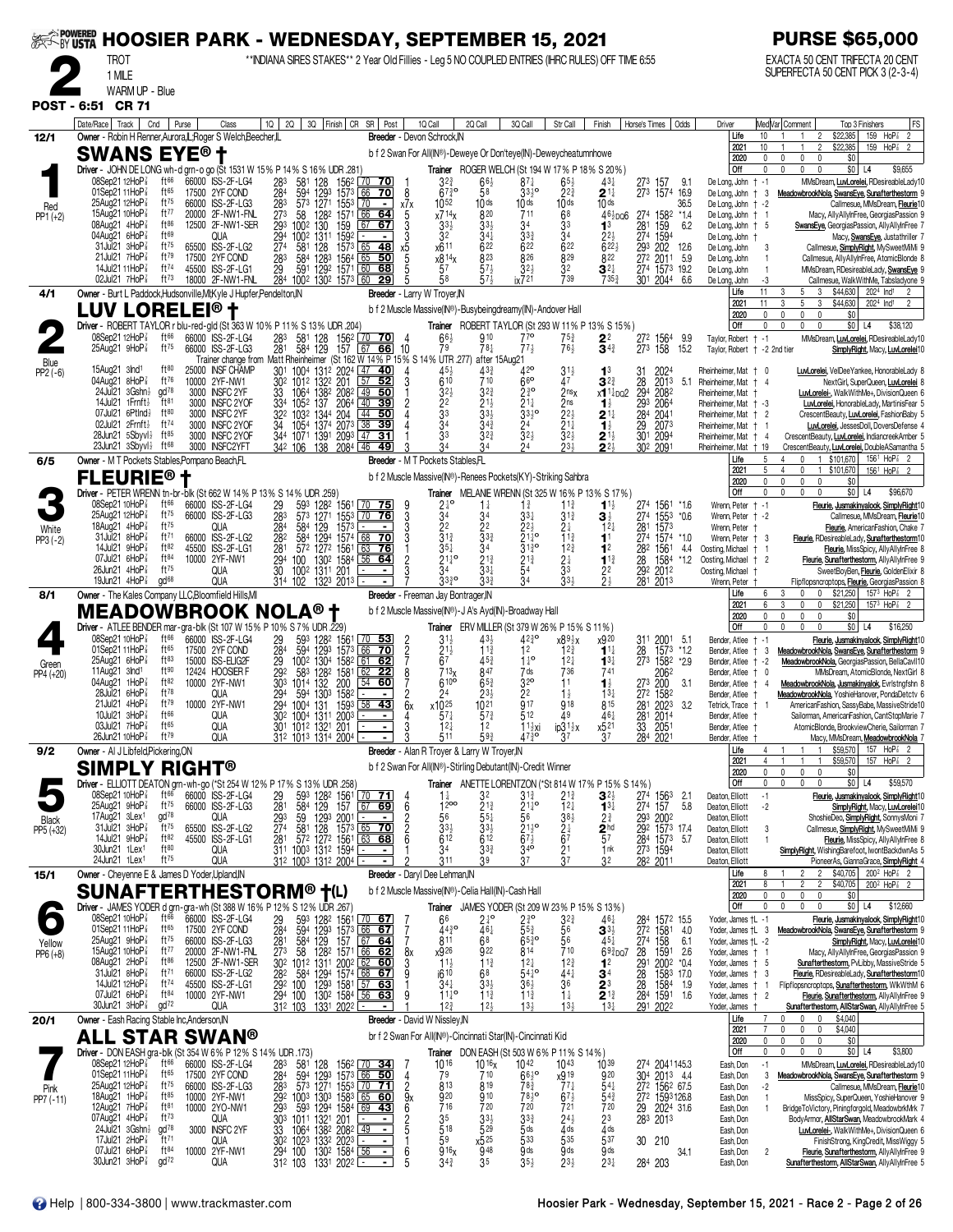|                     | SEPTEMBER 15, 2021 NOOSIER PARK - WEDNESDAY, SEPTEMBER 15, 2021                                                   |                                                           |                                                          |       |                                                           |                                                                                |                                                                                                                                           |                                              |                                                                                                             |                                                                        |                                                                                          |                                                                   |                                                                          |                                    |                                                                 |               |                                                                  |                        | <b>PURSE \$65,000</b>                                                                                                        |                                                                                                                                                |
|---------------------|-------------------------------------------------------------------------------------------------------------------|-----------------------------------------------------------|----------------------------------------------------------|-------|-----------------------------------------------------------|--------------------------------------------------------------------------------|-------------------------------------------------------------------------------------------------------------------------------------------|----------------------------------------------|-------------------------------------------------------------------------------------------------------------|------------------------------------------------------------------------|------------------------------------------------------------------------------------------|-------------------------------------------------------------------|--------------------------------------------------------------------------|------------------------------------|-----------------------------------------------------------------|---------------|------------------------------------------------------------------|------------------------|------------------------------------------------------------------------------------------------------------------------------|------------------------------------------------------------------------------------------------------------------------------------------------|
|                     | <b>TROT</b><br>1 MILE                                                                                             |                                                           |                                                          |       |                                                           |                                                                                | ** INDIANA SIRES STAKES** 2 Year Old Fillies - Leg 5 NO COUPLED ENTRIES (IHRC RULES) OFF TIME 6:55                                        |                                              |                                                                                                             |                                                                        |                                                                                          |                                                                   |                                                                          |                                    |                                                                 |               |                                                                  |                        | EXACTA 50 CENT TRIFECTA 20 CENT<br>SUPERFECTA 50 CENT PICK 3 (2-3-4)                                                         |                                                                                                                                                |
|                     | WARM UP - Blue<br>POST - 6:51 CR 71                                                                               |                                                           |                                                          |       |                                                           |                                                                                |                                                                                                                                           |                                              |                                                                                                             |                                                                        |                                                                                          |                                                                   |                                                                          |                                    |                                                                 |               |                                                                  |                        |                                                                                                                              |                                                                                                                                                |
|                     | Date/Race   Track                                                                                                 | Cnd                                                       | Purse                                                    | Class | 10 <sup>1</sup><br>2Q                                     |                                                                                | 3Q Finish CR SR Post                                                                                                                      |                                              | 1Q Call                                                                                                     | 2Q Call                                                                | 3Q Call                                                                                  | Str Call                                                          | Finish                                                                   | Horse's Times                      | Odds                                                            |               | Driver                                                           |                        | Med Var Comment                                                                                                              | FS<br>Top 3 Finishers                                                                                                                          |
| 12/1                | Owner - Robin H Renner, Aurora, IL; Roger S Welch, Beecher, IL<br>SWANS EYE®†                                     |                                                           |                                                          |       |                                                           |                                                                                |                                                                                                                                           |                                              | Breeder - Devon Schrock, IN<br>b f 2 Swan For All(IN®)-Deweye Or Don'teye(IN)-Deweycheatumnhowe             |                                                                        |                                                                                          |                                                                   |                                                                          |                                    |                                                                 |               | Life<br>2021<br>2020                                             | 10<br>10<br>0          | \$22,385<br>$\overline{2}$<br>\$22,385<br>$\overline{2}$<br>0<br>0<br>0                                                      | 159 HoP <sup>7</sup><br>$\overline{2}$<br>159 HoP <sup>7</sup><br>\$0                                                                          |
|                     | Driver - JOHN DE LONG wh-d grn-o go (St 1531 W 15% P 14% S 16% UDR 281)<br>08Sep21 12HoP <sup>7</sup>             | ft 66                                                     | 66000 ISS-2F-LG4                                         |       | 581                                                       |                                                                                | 1562 70<br>-70                                                                                                                            |                                              | $3^{2^{3}}$                                                                                                 | $66\frac{1}{2}$                                                        | $87\frac{1}{4}$                                                                          | $65\frac{1}{2}$                                                   | Trainer ROGER WELCH (St 194 W 17% P 18% S 20%)<br>$43\frac{1}{4}$        | 273 157                            | 9.1                                                             |               | Off<br>De Long, John † -1                                        | $\Omega$               | $\mathbf{0}$<br>$\mathbf 0$<br>$\mathbf{0}$                                                                                  | $$0$ L4<br>\$9,655<br>MMsDream, LuxLorelei, RDesireableLady10                                                                                  |
| Red                 | 01Sep21 11HoP <sup>3</sup><br>25Aug21 12HoP                                                                       | ft65<br>ft $^{75}$                                        | 17500 2YF COND<br>66000 ISS-2F-LG3                       |       | 28 <sup>3</sup><br>28 <sup>4</sup><br>283<br>594<br>573   | $\frac{128}{1293}$<br>1271<br>1553                                             | 1573 66<br><u>70</u><br>$\sqrt{70}$<br>$\sim$                                                                                             | 8<br>x7x                                     | $67\frac{3}{4}$ <sup>o</sup><br>1052                                                                        | 58<br>10 <sub>ds</sub>                                                 | $33^{10}$<br>10 <sub>ds</sub>                                                            | $2^{2^{3}}$<br>10 <sub>ds</sub>                                   | $\mathbf{2}$ 1 $\ddagger$<br>10 <sub>ds</sub>                            |                                    | 273 1574 16.9<br>36.5                                           |               | De Long, John<br>De Long, John † -2                              | $+3$                   |                                                                                                                              | MeadowbrookNola, SwansEye, Sunafterthestorm 9<br>Callmesue, MMsDream, Fleurie10                                                                |
| $PP1 (+2)$          | 15Aug21 10HoP <sup>7</sup><br>08Aug21 4HoP <sup>3</sup><br>04Aug21 6HoP3                                          | ft $77$<br>$ft^{86}$<br>ft69                              | 20000 2F-NW1-FNL<br>12500 2F-NW1-SER<br>QUA              |       | 273<br>58<br>293<br>1002<br>294                           | 1282<br>130<br>159<br>1592<br>1002 1311                                        | $1571$ 66<br>64<br>67<br>67<br>$\blacksquare$<br>$\blacksquare$                                                                           | 5<br>3<br>3                                  | x714x<br>$33\frac{1}{2}$<br>3 <sup>2</sup>                                                                  | 820<br>$33\frac{1}{2}$<br>$34\frac{1}{4}$                              | 711<br>34<br>$3^{3}$                                                                     | 68<br>3 <sup>3</sup><br>34                                        | $46\frac{1}{2}$ po6<br>1 <sup>3</sup><br>$2^{2}$                         | 281<br>274 1594                    | 274 1582<br>*14<br>159                                          | 6.2           | De Long, John † 1<br>De Long, John $+ 5$<br>De Long, John †      |                        |                                                                                                                              | Macy, AllyAllyInFree, GeorgiasPassion 9<br>SwansEye, GeorgiasPassion, AllyAllyInFree 7<br>Macy, SwansEye, Justathriller 7                      |
|                     | 31Jul21 3HoP<br>21Jul21 7HoP <sup>3</sup>                                                                         | ft75<br>$ft^{79}$                                         | 65500 ISS-2F-LG2<br>17500 2YF COND                       |       | 274<br>581                                                | 128                                                                            | $157^3$ 65<br>$-48$<br>$\overline{65}$                                                                                                    | х5<br>$\overline{5}$                         | x611<br>x814x                                                                                               | 622<br>823                                                             | 622<br>$8^{26}$                                                                          | 622<br>829                                                        | $622\frac{1}{2}$<br>822                                                  |                                    | 293 202<br>272 2011                                             | 12.6<br>5.9   | De Long, John<br>De Long, John                                   | -3<br>$\overline{1}$   |                                                                                                                              | Callmesue, SimplyRight, MySweetMiMi 9<br>Callmesue, AllyAllyInFree, AtomicBlonde &                                                             |
|                     | 14Jul21 11HoP <sup>3</sup><br>02Jul21 $7H_0P_8^T$                                                                 | $ft^{74}$<br>$ft^{73}$                                    | 45500 ISS-2F-LG1<br>18000 2F-NW1-FNL                     |       |                                                           |                                                                                | 283 584 1283 1564 65 50<br>29 591 1292 1571 60 68<br>284 1002 1302 1573 60 29                                                             |                                              | 57<br>58                                                                                                    | 57 <sub>3</sub><br>573                                                 | 32 <sub>7</sub><br>ix721                                                                 | 32<br>739                                                         | $3^{2\ddagger}$<br>7353                                                  |                                    | 274 1573 19.2<br>301 2044                                       | 6.6           | De Long, John<br>De Long, John                                   | -1<br>-3               |                                                                                                                              | MMsDream, RDesireableLady, SwansEye 9<br>Callmesue, WalkWithMe, Tabsladyone 9                                                                  |
| 4/1                 | Owner - Burt L Paddock, Hudsonville, MI; Kyle J Hupfer, Pendelton, IN<br>LUV LOREI                                |                                                           | .EI® †                                                   |       |                                                           |                                                                                |                                                                                                                                           |                                              | Breeder - Larry W Troyer, IN<br>b f 2 Muscle Massive(IN®)-Busybeingdreamy(IN)-Andover Hall                  |                                                                        |                                                                                          |                                                                   |                                                                          |                                    |                                                                 |               | Life<br>2021                                                     | 11<br>11<br>0          | 5 <sub>1</sub><br>$\mathbf{3}$<br>3<br>5<br>\$44,630<br>3<br>3<br>0<br>$\mathbf 0$                                           | \$44,630 2024 Ind1<br>$\overline{2}$<br>2024 Ind1<br>\$0                                                                                       |
|                     | Driver - ROBERT TAYLOR r blu-red-gld (St 363 W 10% P 11% S 13% UDR 204)<br>08Sep21 12HoP 3                        | ft $66$                                                   | 66000 ISS-2F-LG4                                         |       |                                                           | 1562                                                                           | $70$ 70                                                                                                                                   | -4                                           | $66\frac{1}{2}$                                                                                             | 910                                                                    | 77 <sup>o</sup>                                                                          | 75}                                                               | <b>Trainer</b> ROBERT TAYLOR (St 293 W 11% P 13% S 15%)<br>22            |                                    |                                                                 | 9.9           | 2020<br>l Off<br>Taylor, Robert + -1                             | 0                      | $\mathbf 0$<br>0<br>$^{\circ}$<br>0                                                                                          | $$0$ L4<br>\$38,120<br>MMsDream, LuxLorelei, RDesireableLady10                                                                                 |
| Blue                | 25Aug21 9HoP <sup>3</sup>                                                                                         | ft $^{75}$                                                | 66000 ISS-2F-LG3                                         |       | 581<br>584<br>$\frac{283}{281}$                           | 128<br>129<br>157                                                              | 66<br>l 67<br>Trainer change from Matt Rheinheimer (St 162 W 14% P 15% S 14% UTR 277)                                                     | - 10                                         | 79                                                                                                          | $78\frac{1}{4}$<br>after 15Aug21                                       | $77\frac{1}{2}$                                                                          | 761                                                               | $\mathbf{\bar{3}}^{4\frac{3}{4}}$                                        |                                    | 27 <sup>2</sup> 156 <sup>4</sup><br>27 <sup>3</sup> 158<br>15.2 |               | Taylor, Robert + -2 2nd tier                                     |                        |                                                                                                                              | SimplyRight, Macy, LuvLorelei10                                                                                                                |
| $PP2(-6)$           | 15Aug21 3Ind <sup>1</sup><br>04Aug21 8HoP                                                                         | ft80<br>ft76                                              | 25000 INSF CHAMP<br>10000 2YF-NW1                        |       | 301 1004<br>302 1012                                      | 1322 201                                                                       | 1312 2024 47 40<br>57<br>52                                                                                                               |                                              | 610                                                                                                         | 710                                                                    | $42^{\circ}$<br>66                                                                       | Ă7                                                                | 1 <sup>3</sup><br>$3^{2^{3}}$                                            | 31<br>28                           | 2013                                                            | 5.1           | Rheinheimer, Mat † 0<br>Rheinheimer. Mat + 4                     |                        |                                                                                                                              | LuvLorelei, VelDee Yankee, HonorableLady &<br>NextGirl, SuperQueen, LuvLorelei 8                                                               |
|                     | $24$ Jul $21$ $3Gshn\frac{1}{2}$<br>14Jul21 1Frnft}<br>07Jul21 6Ptlnd}                                            | gd78<br>ft81<br>ft80                                      | 3000 INSFC 2YF<br>3000 INSFC 2YOF<br>3000 INSFC 2YF      |       | 1064<br>33<br>334 1052 137                                | 1382 2082<br>2064<br>322 1032 1344 204                                         | 49<br>50<br>$\boxed{40}$<br>39<br>$\sqrt{44}$<br>50                                                                                       |                                              | 32 <sub>3</sub><br>$\frac{2^2}{3^3}$                                                                        | $3^{2^{3}}$<br>$2^{11}_{33}$                                           | $2^{30}_{4}$<br>$21\frac{1}{4}$<br>$\bar{3}3\bar{3}$ $^{\circ}$                          | 2 <sub>nsx</sub><br>2 <sub>ns</sub><br>$\frac{5}{2}$ <sup>2</sup> | x1 <sup>11</sup> <sub>00</sub> 2<br>$\mathbf{1}_{2}^{1}$                 | 294<br>293<br>284                  | 2082<br>2064<br>2041                                            |               | Rheinheimer, Mat<br>Rheinheimer, Mat + -3                        |                        |                                                                                                                              | LuvLorelei-, WalkWithMe+, DivisionQueen 6<br>LuvLorelei, HonorableLady, MartinisFear 5                                                         |
|                     | 02Jul21 $2F$ mft $\frac{1}{2}$<br>28Jun21 $5$ Sbyvl $\frac{1}{2}$                                                 | ft74<br>$ft^{85}$                                         | 3000 INSFC 2YOF<br>3000 INSFC 2YOF                       |       | 34                                                        | 1054 1374 2073 38<br>344 1071 1391 2093 47                                     | 39<br>31                                                                                                                                  |                                              | 34                                                                                                          | $3^{2^{3}}$                                                            | 24                                                                                       | $21\frac{1}{4}$<br>$3^{21}$                                       | $2^{1\frac{1}{4}}$<br>$1\frac{1}{2}$                                     | $\overline{29}$<br>30 <sup>1</sup> | 2073<br>2094                                                    |               | Rheinheimer, Mat † 2<br>Rheinheimer, Mat<br>Rheinheimer, Mat + 4 |                        |                                                                                                                              | CrescentBeauty, LuvLorelei, FashionBaby 5<br>LuvLorelei, JessesDoll, DoversDefense 4<br>CrescentBeauty, LuvLorelei, IndiancreekAmber 5         |
| 6/5                 | 23Jun21 3Sbyvl}<br>Owner - M T Pockets Stables, Pompano Beach, FL                                                 | ft68                                                      | 3000 INSFC2YFT                                           |       | 342 106                                                   | 138                                                                            | 208 <sup>4</sup> L46<br>49                                                                                                                |                                              | Breeder - M T Pockets Stables, FL                                                                           |                                                                        |                                                                                          | 23 <sup>1</sup>                                                   | $2^{11}_{22}$                                                            | 30 <sup>2</sup>                    | 2091                                                            |               | Rheinheimer, Mat + 19<br>l Life                                  | 5                      | 4<br>$\mathbf 0$<br>1 \$101,670                                                                                              | CrescentBeauty, LuvLorelei, DoubleASamantha 5<br>$156^{\frac{1}{2}}$ HoP $\frac{7}{8}$ 2                                                       |
|                     | <b>FLEURIE®</b>                                                                                                   |                                                           |                                                          |       |                                                           |                                                                                |                                                                                                                                           |                                              | b f 2 Muscle Massive(IN®)-Renees Pockets(KY)-Striking Sahbra                                                |                                                                        |                                                                                          |                                                                   |                                                                          |                                    |                                                                 |               | 2021<br>2020                                                     |                        | $\overline{4}$<br>0<br>1 \$101,670<br>$\mathbf{0}$<br>0<br>0                                                                 | $156^1$ HoP $_8^7$<br>\$0                                                                                                                      |
|                     | Driver - PETER WRENN tn-br-blk (St 662 W 14% P 13% S 14% UDR .259)<br>08Sep21 10HoP <sup>7</sup><br>25Aug21 12HoP | ft66<br>$ft^{75}$                                         | 66000 ISS-2F-LG4<br>66000 ISS-2F-LG3                     |       | 29<br>593<br>283<br>573                                   | 1282<br>1561<br>1271<br>1553                                                   | 70 75<br>$\sqrt{70}$<br><u>76 </u>                                                                                                        | 9                                            | $2\frac{1}{4}$ <sup>o</sup><br>34                                                                           | $1\frac{1}{4}$<br>34                                                   | $1\frac{3}{4}$<br>$33\frac{1}{4}$                                                        | $11\frac{3}{4}$<br>$31\frac{3}{4}$                                | Trainer MELANIE WRENN (St 325 W 16% P 13% S 17%)<br>$1^{11}$             |                                    | 274 1561 *1.6<br>274 1553                                       | $*0.6$        | Off<br>Wrenn, Peter + -1<br>Wrenn, Peter + -2                    | $\mathbf{0}$           | $\mathbf 0$<br>$\mathbb O$<br>$\mathbf{0}$                                                                                   | \$0 <br>\$96,670<br>L4<br>Fleurie, Jusmakinyalook, SimplyRight10                                                                               |
| White<br>$PP3 (-2)$ | 18Aug21 $4H_0P_8^2$<br>31Jul21 8HoP <sup>3</sup>                                                                  | ft75<br>ft71                                              | QUA<br>66000 ISS-2F-LG2                                  |       | 284<br>282<br>584                                         | 584 129<br>1573                                                                | 1294 1574 68 70                                                                                                                           | $\frac{3}{3}$<br>3                           | 2 <sup>2</sup><br>$\bar{3}^{13}$                                                                            | 22<br>$33\frac{3}{4}$                                                  | $2^{2\frac{1}{2}}$<br>21 <sup>1</sup>                                                    | 21<br>$11\frac{3}{4}$                                             | 3 ż<br>$12\frac{1}{4}$<br>1 <sup>1</sup>                                 | 281                                | 1573<br>274 1574                                                | $*1.0$        | Wrenn, Peter<br>Wrenn, Peter + 3                                 |                        |                                                                                                                              | Callmesue, MMsDream, Fleurie10<br>Fleurie, AmericanFashion, Chake 7<br>Fleurie, RDesireableLady, Sunafterthestorm10                            |
|                     | 14Jul21 9HoP3<br>$07$ Jul21 6HoP $\frac{7}{8}$                                                                    | ft82<br>ft84                                              | 45500 ISS-2F-LG1<br>10000 2YF-NW1                        |       | 281<br>294<br>100                                         | 572 1272<br>1561<br>130 <sup>2</sup> 1584                                      | 63<br><u>76</u><br>56<br>-64                                                                                                              | 2                                            | $35\frac{1}{4}$<br>$21\frac{1}{4}$ <sup>o</sup>                                                             | 34<br>$21\frac{3}{4}$                                                  | $31^{30}_{4}$<br>$\frac{2^{13}}{5^4}$                                                    | $12\frac{3}{4}$<br>$2\frac{1}{4}$                                 | 1 <sup>2</sup><br>$1^{13}$                                               | 282<br>28                          | 1561<br>1584                                                    | 4.4<br>$*1.2$ | Oosting, Michael + 1<br>Oosting, Michael + 2                     |                        |                                                                                                                              | <b>Fleurie</b> , MissSpicy, AllyAllyInFree 8<br>Fleurie, Sunafterthestorm, AllyAllyInFree 9                                                    |
|                     | 26Jun21 4HoP <sup>3</sup><br>19 $J$ un21 4Ho $P_{8}^{7}$                                                          | ft75<br>gd <sup>68</sup>                                  | <b>QUA</b><br>QUA                                        |       | 30                                                        | 1002 1311 201<br>$31^4$ 102 132 <sup>3</sup> 201 <sup>3</sup> -                |                                                                                                                                           | $\bar{3}$                                    | 34<br>3330                                                                                                  | $33\frac{1}{4}$<br>33 <sub>3</sub>                                     |                                                                                          | $\overline{3}3$<br>334                                            | 22                                                                       | 292 2012<br>281 2013               |                                                                 |               | Oosting, Michael<br>Wrenn, Peter                                 |                        |                                                                                                                              | SweetBoyBen, Fleurie, GoldenElixir &<br>Flipflopsncroptops, Fleurie, GeorgiasPassion &                                                         |
| 8/1                 | Owner - The Kales Company LLC, Bloomfield Hills, MI<br><b>MEADOWBROOK NOLA® †</b>                                 |                                                           |                                                          |       |                                                           |                                                                                |                                                                                                                                           |                                              | Breeder - Freeman Jay Bontrager, IN<br>b f 2 Muscle Massive(IN®)-J A's Ayd(IN)-Broadway Hall                |                                                                        |                                                                                          |                                                                   |                                                                          |                                    |                                                                 |               | Life<br>2021<br>2020                                             | 6<br>6                 | \$21,250<br>3<br>0<br>$\mathbf 0$<br>\$21,250<br>3<br>0<br>$\mathbf 0$<br>$\mathbb O$<br>0<br>$\mathbf{0}$                   | $157^3$ HoP $\frac{7}{8}$ 2<br>$157^3$ HoP <sup>7</sup><br>\$0                                                                                 |
|                     | Driver - ATLEE BENDER mar-gra-blk (St 107 W 15% P 10% S 7% UDR .229)<br>08Sep21 10HoP <sup>7</sup>                | ft $66$                                                   | 66000 ISS-2F-LG4                                         |       | 593<br>594                                                |                                                                                | 70<br>53                                                                                                                                  |                                              |                                                                                                             | Trainer ERV MILLER (St 379 W 26% P 15% S 11%)<br>$43\frac{1}{2}$       | $42\frac{3}{4}$ °                                                                        | x89½x                                                             | x920                                                                     |                                    | -5.1                                                            |               | l Off<br>Bender, Atlee                                           | $\mathbf{0}$<br>$+ -1$ | $\mathbf{0}$<br>$\mathbf{0}$<br>$\mathbf{0}$                                                                                 | $$0$ L4<br>\$16,250<br><u>Fleurie, Jusmakinyalook, SimplyRight</u> 10                                                                          |
| Green               | 01Sep21 11HoP <sup>3</sup><br>$25$ Aug $21$ 6HoP $\frac{7}{8}$                                                    | $ft^{65}$<br>ft83                                         | 17500 2YF COND<br>15000 ISS-ELIG2F                       |       | $^{29}_{284}$                                             | 128 <sup>2</sup><br>1293<br>1561<br>1573<br>1002 1304<br>1582                  | 66<br>$\overline{70}$<br>  61<br>-62                                                                                                      | $\frac{2}{2}$                                | $3^{11}_{21}$<br>67                                                                                         | $11\frac{3}{4}$<br>$45\frac{3}{4}$                                     | 12<br>$1^{10}$                                                                           | $12\frac{3}{4}$<br>$12\frac{1}{4}$                                | $1^{11}$<br>$1^{3}$                                                      |                                    | 31 <sup>1</sup> 2001<br>28 1573<br>1573 *1.2<br>273 1582        | $*2.9$        | Bender, Atlee<br>Bender, Atlee + -2                              | -3<br>Ť.               |                                                                                                                              | MeadowbrookNola, SwansEye, Sunafterthestorm 9<br>MeadowbrookNola, GeorgiasPassion, BellaCavII10                                                |
| PP4 (+20)           | 11Aug21 $3nd1$<br>04Aug21 1HoP<br>28Jul21 6HoP                                                                    | ft90<br>ft82<br>ft78                                      | 12424 HOOSIER F<br>10000 2YF-NW1<br>QUA                  |       | $\frac{29}{29}$<br>$\frac{29}{30}$ <sup>2</sup><br>294    | 1581<br>$\frac{58}{3}$ $\frac{128}{32}$<br>200<br>594 1303<br>1582             | 62<br>$\overline{22}$<br>54 60<br>$\overline{\phantom{a}}$                                                                                | 8<br>2                                       | 713 <sub>x</sub><br>$610^{\circ}$<br>24                                                                     | 847<br>$65\frac{3}{4}$<br>$2^{3}\frac{1}{2}$                           | 7 ds<br>32 <sup>o</sup>                                                                  | 736<br>11<br>$1\frac{1}{2}$                                       | 741<br>$\mathbf{1}_{2}^{1}$<br>$13\frac{1}{4}$                           | 273<br>272 1582                    | 2062<br>200                                                     | 3.1           | Bender, Atlee †<br>Bender, Atlee †<br>Bender, Atlee              | 0<br>$\overline{4}$    |                                                                                                                              | MMsDream, AtomicBlonde, NextGirl &<br>MeadowbrookNola, Jusmakinyalok, Evristngfshn &<br>MeadowbrookNola, YoshieHanover, PondaDetctv 6          |
|                     | $21$ Jul $21$ 4HoP $\frac{7}{8}$<br>10Jul21 3HoP <sup>3</sup>                                                     | ft79<br>ft66                                              | 10000 2YF-NW1<br>QUA                                     |       | 294                                                       | 1004 131<br>30 <sup>2</sup> 100 <sup>4</sup> 131 <sup>1</sup> 200 <sup>3</sup> | $1593$ 38 43<br>$\sim$<br>$\blacksquare$                                                                                                  | 6x                                           | $x10^{25}$<br>$57\frac{1}{4}$                                                                               | $10^{21}$<br>$5^{7}$                                                   | $\frac{2}{9}$ <sup>2</sup><br>512                                                        | 918<br>49                                                         | 815<br>$46\frac{1}{4}$                                                   | 281<br>281                         | 2023<br>2014                                                    | 3.2           | Tetrick, Trace †<br>Bender, Atlee †                              |                        |                                                                                                                              | AmericanFashion, SassyBabe, MassiveStride10<br>Sailorman, AmericanFashion, CantStopMarie 7                                                     |
|                     | $03$ Jul21 7HoP $\frac{1}{8}$<br>26Jun21 10HoP <sup>7</sup>                                                       | ft65<br>$ft^{79}$                                         | QUA<br><b>QUA</b>                                        |       |                                                           | 301 1012 1321 201<br>312 1013 1314 2004 $\overline{)}$                         |                                                                                                                                           |                                              | $12\frac{1}{4}$<br>511                                                                                      | 12<br>593                                                              | $1\frac{11}{2}x$ i<br>473∘                                                               | $ip31\frac{1}{2}x$<br>37                                          | x5 <sup>21</sup><br>37                                                   | 33<br>284                          | 2051<br>2021                                                    |               | Bender, Atlee<br>Bender, Atlee                                   |                        |                                                                                                                              | AtomicBlonde, BrookviewCherie, Sailorman 7<br>Macy, MMsDream, MeadowbrookNola 7                                                                |
| 9/2                 | Owner - Al J Libfeld, Pickering, ON<br><b>SIMPLY RIGHT®</b>                                                       |                                                           |                                                          |       |                                                           |                                                                                |                                                                                                                                           |                                              | Breeder - Alan R Troyer & Larry W Troyer, IN<br>b f 2 Swan For All(IN®)-Stirling Debutant(IN)-Credit Winner |                                                                        |                                                                                          |                                                                   |                                                                          |                                    |                                                                 |               | Life<br>2021<br>2020                                             | $\mathbf{0}$           | \$59,570<br>\$59,570<br>$\mathbf{0}$<br>$\pmb{0}$<br>$\Omega$                                                                | 157 $HoP_8^7$ 2<br>157<br>HoP <sup>3</sup><br>\$0                                                                                              |
|                     | Driver - ELLIOTT DEATON grn-wh-go (*St 254 W 12% P 17% S 13% UDR .258)<br>08Sep21 10HoP <sup>7</sup>              | ft $66$                                                   | 66000 ISS-2F-LG4                                         |       |                                                           | 593 1282 1561                                                                  | $\sqrt{70}$ 71                                                                                                                            | -4                                           | $1\frac{1}{4}$                                                                                              | 32                                                                     | $3^{12}$                                                                                 | 213                                                               | Trainer ANETTE LORENTZON (*St 814 W 17% P 15% S 14%)<br>$\mathbf{3}$     | 274                                | 1563                                                            | 2.1           | Off<br>Deaton, Elliott                                           | $\mathbf{0}$<br>$-1$   | $\mathbf{0}$<br>0                                                                                                            | $$0$ L4<br>\$59,570<br>Fleurie, Jusmakinyalook, SimplyRight10                                                                                  |
| Black               | 25Aug21 9HoP <sup>3</sup><br>17Aug21 3Lex1                                                                        | ft $^{75}$<br>gd <sup>78</sup>                            | 66000 ISS-2F-LG3<br>QUA                                  |       | $\frac{29}{281}$<br>$\frac{293}{274}$<br>$\frac{59}{581}$ | 584 129<br>157                                                                 | $67$ 69<br>$\frac{1293}{128}$ $\frac{2001}{1573}$ $\frac{65}{65}$ 70                                                                      | 6                                            | 1200<br>56                                                                                                  | $21\frac{3}{4}$<br>$\bar{5}^{5\frac{1}{4}}$<br>33 <sup>1</sup>         | $2^{11}_{4}$ o<br>56<br>21 <sup>1</sup> / <sub>2</sub><br>67 <sup>1</sup> / <sub>2</sub> | $12\frac{1}{4}$                                                   | $13\frac{1}{4}$<br>$2\frac{3}{4}$                                        | 274                                | 157<br>293 2002<br>292 1573 17.4                                | 5.8           | Deaton, Elliott<br>Deaton, Elliott                               | $-2$                   |                                                                                                                              | SimplyRight, Macy, LuvLorelei10<br>ShoshieDeo, SimplyRight, SonnysMoni 7                                                                       |
| PP5 (+32)           | 31Jul21 3HoP <sup>3</sup><br>14Jul21 $9H_0P_8^7$                                                                  | ft $^{75}$<br>ft82<br>ft80                                | 65500 ISS-2F-LG2<br>45500 ISS-2F-LG1                     |       |                                                           |                                                                                | <u>6368</u>                                                                                                                               | $\begin{array}{c}\n2 \\ 2 \\ 6\n\end{array}$ | $\frac{331}{612}$                                                                                           | 612                                                                    |                                                                                          | $38\frac{1}{2}$<br>2 <sup>4</sup><br>6 <sup>7</sup>               | $\frac{2}{5}$ <sup>hd</sup>                                              |                                    | 284 1573                                                        | 5.7           | Deaton, Elliott<br>Deaton, Elliott                               | 3                      |                                                                                                                              | Callmesue, SimplyRight, MySweetMiMi 9<br><b>Fleurie</b> , MissSpicy, AllyAllyInFree 8                                                          |
|                     | 30Jun21 1Lex <sup>1</sup><br>24Jun21 1Lex <sup>1</sup><br>Owner - Cheyenne E & James D Yoder, Upland, IN          | ft75                                                      | QUA<br>QUA                                               |       |                                                           | 281 572 1272 1561<br>311 1003 1312 1594<br>312 1003 1312 2004                  |                                                                                                                                           |                                              | 34<br>311                                                                                                   | $3^{3}$<br>39                                                          | $34\overline{9}$                                                                         | $\frac{21}{3}$                                                    | 1nk<br>32                                                                | 273 1594<br>282 2011               |                                                                 |               | Deaton, Elliott<br>Deaton, Elliott<br>Life                       |                        | \$40,705<br>$\overline{\phantom{a}}$                                                                                         | SimplyRight, WishingBarefoot, IwontBackdwnAs 5<br>PioneerAs, GiannaGrace, SimplyRight 4<br>$200^2$ HoP <sup><math>7\overline{8}</math></sup> 2 |
| 15/1                | <b>SUNAFTERTHESTORM®</b>                                                                                          |                                                           |                                                          |       |                                                           | $\dagger$ (L)                                                                  |                                                                                                                                           |                                              | Breeder - Daryl Dee Lehman, IN<br>b f 2 Muscle Massive(IN®)-Celia Hall(IN)-Cash Hall                        |                                                                        |                                                                                          |                                                                   |                                                                          |                                    |                                                                 |               | 2021<br>2020                                                     | $\mathbf{0}$           | \$40,705<br>2<br>0<br>0<br>0                                                                                                 | $200^2$ HoP $\frac{7}{8}$ 2<br>\$0                                                                                                             |
|                     | Driver - JAMES YODER d grn-gra-wh (St 388 W 16% P 12% S 12% UDR .267)<br>08Sep21 10HoP 3                          | $ft^{66}$                                                 | 66000 ISS-2F-LG4                                         |       |                                                           |                                                                                |                                                                                                                                           |                                              | 66                                                                                                          | $2\frac{1}{4}^{\circ}$ 46 <sup>1</sup>                                 | $2\frac{3}{4}$ <sup>o</sup>                                                              | $3^{2^{3}}$                                                       | <b>Trainer</b> JAMES YODER (St 209 W 23% P 15% S 13%)<br>$46\frac{1}{4}$ | 284<br>272                         | 1572 15.5                                                       |               | Off<br>Yoder, James †L -1                                        |                        | $\mathbf{0}$<br>$\mathbf{0}$<br>$\mathbf 0$                                                                                  | $$0$ L4<br>\$12,660<br>Fleurie, Jusmakinyalook, SimplyRight10                                                                                  |
| Yellow              | 01Sep21 11HoP <sup>3</sup><br>25Aug21 9HoP <sup>3</sup>                                                           | ft65<br>$ft^{75}$                                         | 17500 2YF COND<br>66000 ISS-2F-LG3                       |       | 29<br>28 <sup>4</sup><br>281<br>273                       |                                                                                | 593 1282 1561 70 67<br>594 1293 1573 66 67<br>584 129 157 67 64                                                                           |                                              | $44\frac{3}{4}$ <sup>o</sup><br>811                                                                         | 68                                                                     | $55\frac{3}{4}$<br>$65\frac{3}{4}$ <sup>o</sup>                                          | 56<br>56                                                          | $\mathbf{3}^{3\frac{1}{2}}$<br>$45\frac{1}{4}$                           | 27 <sup>4</sup>                    | 1581 4.0<br>158                                                 | 6.1           | Yoder, James +L 3<br>Yoder, James †L -2                          |                        |                                                                                                                              | MeadowbrookNola, SwansEye, Sunafterthestorm 9<br>SimplyRight, Macy, LuvLorelei10                                                               |
| $PP6 (+8)$          | 15Aug21 10HoP <sup>7</sup><br>08Aug21 2HoP<br>31Jul21 8HoP <sup>3</sup>                                           | ft $^{77}$<br>$ft^{86}$<br>ft71                           | 20000 2F-NW1-FNL<br>12500 2F-NW1-SER<br>66000 ISS-2F-LG2 |       |                                                           |                                                                                | 273 58 1282 1571 66 62<br>302 1012 1311 2002 62 60<br>282 584 1294 1574 68 67                                                             | 8x<br>3<br>ğ                                 | x926<br>$71\frac{1}{2}$<br>$i\dot{6}$ 10                                                                    | 922<br>$11\frac{3}{4}$<br>68                                           | 814<br>$12\frac{1}{4}$<br>$54^{10}$                                                      | 710<br>12 <sup>3</sup> / <sub>4</sub><br>$44\frac{1}{4}$          | $69^{3}_{4}$ po <sub>7</sub><br>1 <sup>2</sup><br>3 <sup>4</sup>         | $\frac{28}{291}$                   | 1591 2.6<br>2002 *0.4<br>1583 17.0                              |               | Yoder, James   1<br>Yoder, James † 5<br>Yoder, James † 3         |                        |                                                                                                                              | Macy, AllyAllyInFree, GeorgiasPassion 9<br>Sunafterthestorm, PvLibby, MassiveStride 5<br>Fleurie, RDesireableLady, Sunafterthestorm10          |
|                     | 14Jul21 12HoP <sup>7</sup><br>07Jul21 6HoP <sup>3</sup>                                                           | ft $^{74}$<br>$ft^{84}$                                   | 45500 ISS-2F-LG1<br>10000 2YF-NW1                        |       | 292 100<br>294 100                                        |                                                                                | 1293 1581 57 63<br>1302 1584 56 63                                                                                                        |                                              | $34\frac{1}{4}$<br>$11^{10}_{4}$                                                                            | $33\frac{1}{2}$<br>$11\frac{3}{4}$                                     | $36\frac{1}{2}$<br>$11\frac{3}{4}$                                                       | 36<br>$1\frac{1}{4}$                                              | 2 <sup>3</sup><br>$\frac{2^{13}}{1^{34}}$                                |                                    | 28 1584<br>284 1591                                             | 1.9<br>1.6    | Yoder, James † 1<br>Yoder, James + 2                             |                        |                                                                                                                              | Flipflopsncroptops, Sunafterthestorm, WIkWthM 6<br>Fleurie, Sunafterthestorm, AllyAllyInFree 9                                                 |
| 20/1                | 30Jun21 3HoP <sup>3</sup><br>Owner - Eash Racing Stable Inc, Anderson, IN                                         | gd <sub>72</sub>                                          | QUA                                                      |       | 312 103                                                   | $13312022 \equiv$                                                              |                                                                                                                                           |                                              | 12 <sub>3</sub><br>Breeder - David W Nissley, IN                                                            | 12 <sub>3</sub>                                                        | 13 <sub>3</sub>                                                                          | $13+$                                                             |                                                                          | 291 2022                           |                                                                 |               | Yoder, James<br>Life                                             |                        | \$4,040<br>$\mathbf 0$<br>$\mathbf 0$<br>$\mathbf 0$                                                                         | Sunafterthestorm, AllStarSwan, AllyAllyInFree 5                                                                                                |
|                     | ALL STAR SWAN®<br>Driver - DON EASH gra-blk (St 354 W 6% P 12% S 14% UDR .173)                                    |                                                           |                                                          |       |                                                           |                                                                                |                                                                                                                                           |                                              | br f 2 Swan For All(IN®)-Cincinnati Star(IN)-Cincinnati Kid                                                 |                                                                        |                                                                                          |                                                                   |                                                                          |                                    |                                                                 |               | 2021<br>2020<br>  Off                                            | $\mathbf{0}$<br>0      | $\mathbf 0$<br>$\mathbf 0$<br>\$4,040<br>$\mathbf 0$<br>0<br>0<br>$\mathbf{0}$<br>$\mathbf 0$<br>$\mathbf 0$<br>$\mathbf{0}$ | \$0<br>$$0$ L4<br>\$3,800                                                                                                                      |
|                     | 08Sep21 12HoP 3<br>01Sep21 11HoP                                                                                  | ft <sup>66</sup><br>ft65                                  | 66000 ISS-2F-LG4<br>17500 2YF COND                       |       | 581<br>28 <sup>3</sup><br>28 <sup>4</sup><br>283          | 128                                                                            | 156 <sup>2</sup> 70 34                                                                                                                    | 4                                            | $\frac{10^{16}}{7^9}$                                                                                       | <b>Trainer</b> DON EASH (St 503 W 6% P 11% S 14%)<br>$10^{16}x$<br>710 | 1042<br>$66^{10}$                                                                        | 1043                                                              | 1039<br>920                                                              | 274                                | 2041145.3<br>304 2013 4.4                                       |               | Eash, Don<br>Eash, Don                                           | $-1$<br>3              |                                                                                                                              | MMsDream, LuvLorelei, RDesireableLady10<br>MeadowbrookNola, SwansEye, Sunafterthestorm 9                                                       |
| Pink<br>PP7 (-11)   | 25Aug21 12HoP <sup>3</sup><br>18Aug21 1HoP <sup>3</sup>                                                           | $ft^{75}$<br>$ft^{85}$                                    | 66000 ISS-2F-LG3<br>10000 2YF-NW1                        |       | 292                                                       |                                                                                | 594 1293 1573 66 50<br>573 1271 1553 70 71<br>100 <sup>3</sup> 130 <sup>3</sup> 158 <sup>3</sup> 65 60<br>59 <sup>3</sup> 1294 1584 69 43 | $\dot{2}$<br>$\bar{9}$ x                     | 813<br>920                                                                                                  | 819<br>910                                                             | $78\bar{3}$<br>7810                                                                      | $x919$<br>$77\frac{1}{4}$<br>$67\frac{1}{2}$                      | $54\frac{1}{4}$<br>$54\frac{3}{4}$                                       |                                    | 272 1562 67.5<br>272 1593 126.8                                 |               | Eash, Don<br>Eash, Don                                           | $-2$                   |                                                                                                                              | Callmesue, MMsDream, Fleurie10<br>MissSpicy, SuperQueen, YoshieHanover 9                                                                       |
|                     | 12Aug21 7HoP<br>07Aug21 4HoP <sup>3</sup><br>24Jul21 3Gshn}                                                       | ft <sup>81</sup><br>$ft^{73}$<br>$\alpha$ d <sup>78</sup> | 10000 2YO-NW1<br>QUA                                     |       | $\frac{293}{303}$<br>1011                                 | 1321201<br>1382 2082 49                                                        | $\blacksquare$                                                                                                                            | 6<br>5                                       | 716<br>3 <sub>5</sub><br>518                                                                                | 720<br>$33\frac{1}{2}$<br>529                                          | 720<br>$33\frac{3}{4}$                                                                   | 721<br>$24\frac{1}{2}$<br>$4$ ds                                  | 720<br>2 <sup>3</sup><br>4 <sub>ds</sub>                                 | $^{29}_{283}$                      | 2024 31.6<br>2013                                               |               | Eash, Don<br>Eash, Don                                           |                        |                                                                                                                              | BridgeToVictory, Piningforgold, MeadowbrkMrk 7<br>BodyArmor, <b>AllStarSwan</b> , MeadowbrookMark 4                                            |
|                     | 17Jul21 2HoP3<br>07Jul21 6HoP <sup>3</sup>                                                                        | ft71<br>$ft^{84}$                                         | 3000 INSFC 2YF<br>QUA<br>10000 2YF-NW1                   |       | 33<br>1064<br>302<br>$\frac{102}{100}$<br>29 <sup>4</sup> | 1332 2023<br>1302 1584                                                         | 56                                                                                                                                        | 6                                            | 59<br>916 <sub>X</sub>                                                                                      | $x5^{25}$<br>948                                                       | $5$ ds<br>533<br>9 <sub>ds</sub>                                                         | 535<br>9 <sub>ds</sub>                                            | 537<br>9 <sub>ds</sub>                                                   | 30 210                             | 34.1                                                            |               | Eash, Don<br>Eash, Don<br>Eash, Don                              | $\overline{2}$         |                                                                                                                              | LuvLorelei-, WalkWithMe+, DivisionQueen 6<br>FinishStrong, KingCredit, MissWiggy 5<br>Fleurie, Sunafterthestorm, AllyAllyInFree 9              |
|                     | 30Jun21 3HoP <sup>3</sup>                                                                                         | $\alpha$ d <sup>72</sup>                                  | QUA                                                      |       | 312 103                                                   | 1331 2022                                                                      | $\blacksquare$                                                                                                                            |                                              | $34\frac{3}{4}$                                                                                             | 35                                                                     | $35\frac{1}{2}$                                                                          | $23\frac{1}{2}$                                                   | $2^{3}$                                                                  | 284 203                            |                                                                 |               | Eash, Don                                                        |                        |                                                                                                                              | Sunafterthestorm, AllStarSwan, AllyAllyInFree 5                                                                                                |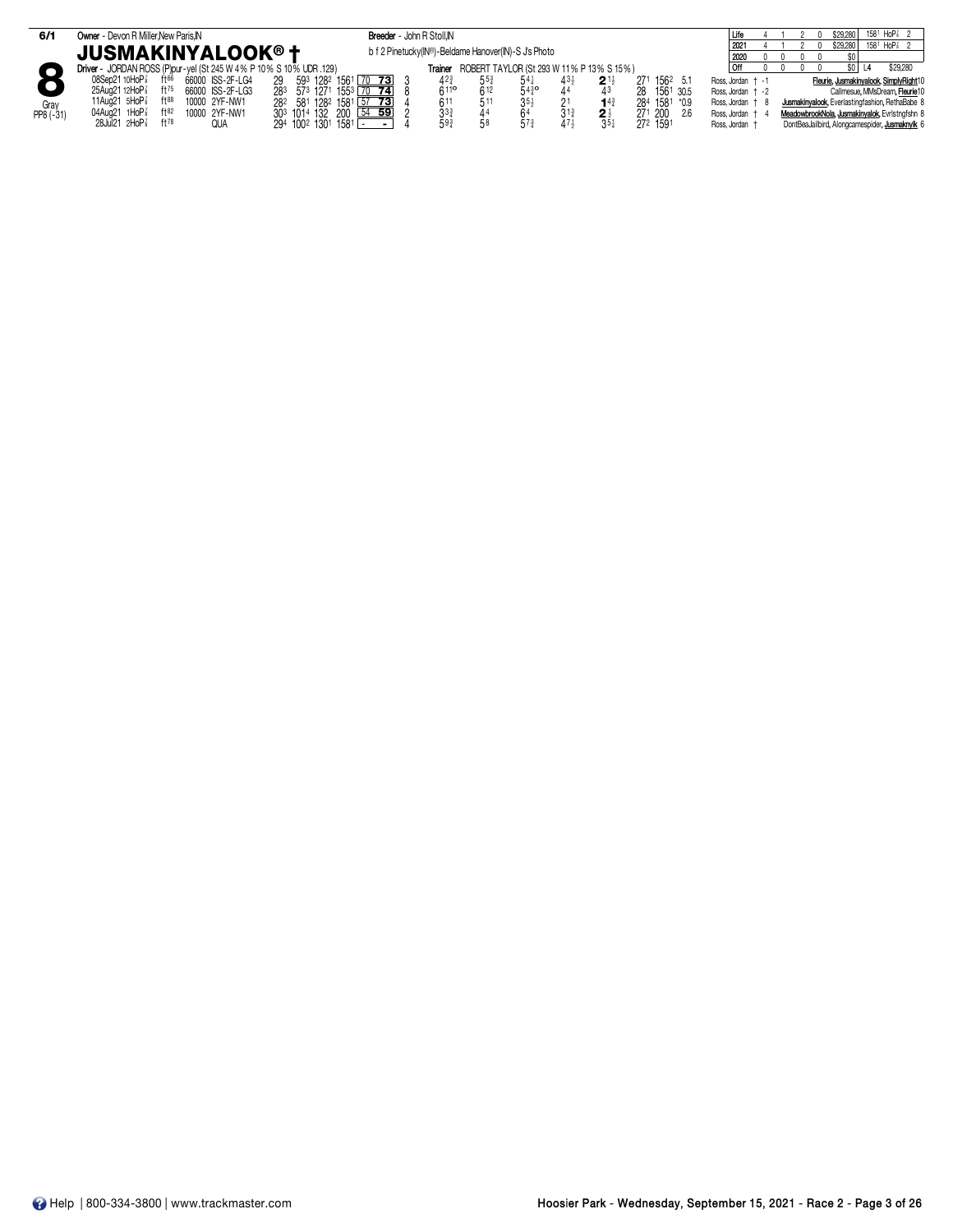| 6/1               | Owner - Devon R Miller, New Paris, IN                                                                                                                                                                                                                                                                      |                                                                                                                            | Breeder - John R Stoll, IN                           |                                                                       |                                    |                                               |                                                                 |                                                                                              |  | \$29,280                                       | $158^1$ HoP <sup><math>7\overline{3}</math></sup> 2                                                                                                                                       |
|-------------------|------------------------------------------------------------------------------------------------------------------------------------------------------------------------------------------------------------------------------------------------------------------------------------------------------------|----------------------------------------------------------------------------------------------------------------------------|------------------------------------------------------|-----------------------------------------------------------------------|------------------------------------|-----------------------------------------------|-----------------------------------------------------------------|----------------------------------------------------------------------------------------------|--|------------------------------------------------|-------------------------------------------------------------------------------------------------------------------------------------------------------------------------------------------|
|                   | <b>JUSMAKINYALOOK®†</b>                                                                                                                                                                                                                                                                                    |                                                                                                                            | b f 2 Pinetucky(IN®)-Beldame Hanover(IN)-S J's Photo |                                                                       |                                    |                                               |                                                                 | 2021                                                                                         |  | \$29,280                                       | $158^1$ HoP $_8^7$ 2                                                                                                                                                                      |
| Gray<br>PP8 (-31) | Driver - JORDAN ROSS (P)pur-yel (St 245 W 4% P 10% S 10% UDR .129)<br>ft66<br>08Sep21 10HoP <sup>7</sup><br>66000 ISS-2F-LG4<br>25Aug21 12HoP <sup>7</sup><br>$ft^{75}$<br>66000 ISS-2F-LG3<br>11Aug21 $5H_0P_8^7$<br>$ft^{88}$<br>10000 2YF-NW1<br>1HoP $\frac{7}{8}$<br>04Aug21<br>ft82<br>10000 2YF-NW1 | 593 1282 1561<br>$70$ 73<br>573 1271<br>283<br>1553<br>70, 74<br>581 1282 1581 57 73<br>282<br>54 59<br>303 1014 132 200 [ | Trainer<br>611<br>3 <sup>3</sup>                     | ROBERT TAYLOR (St 293 W 11% P 13% S 15%)<br>$5^{5^{3}}$<br>612<br>51' | $54\frac{1}{4}$<br>$5^{43}$<br>35, | $2^{11}$<br>$14\frac{3}{4}$<br>2 <sup>1</sup> | 1562 5.1<br>271<br>1561 30.5<br>284 1581 *0.9<br>271 200<br>2.6 | 2020<br>Off<br>Ross. Jordan + -1<br>Ross Jordan + -2<br>Ross. Jordan + 8<br>Ross, Jordan + 4 |  |                                                | \$29,280<br>Fleurie, Jusmakinyalook, SimplyRight10<br>Callmesue, MMsDream, Fleurie10<br>Jusmakinyalook, Everlastingfashion, RethaBabe 8<br>MeadowbrookNola, Jusmakinyalok, Evristngfshn 8 |
|                   | $28$ Jul $21$ $2H$ o $P_8^7$<br>ft78<br>QUA                                                                                                                                                                                                                                                                | 294 1002 1301 1581<br>$\blacksquare$                                                                                       | 593                                                  |                                                                       |                                    | $35\frac{1}{4}$                               | 272 1591                                                        | Ross, Jordan †                                                                               |  | DontBeaJailbird, Alongcamespider, Jusmaknylk 6 |                                                                                                                                                                                           |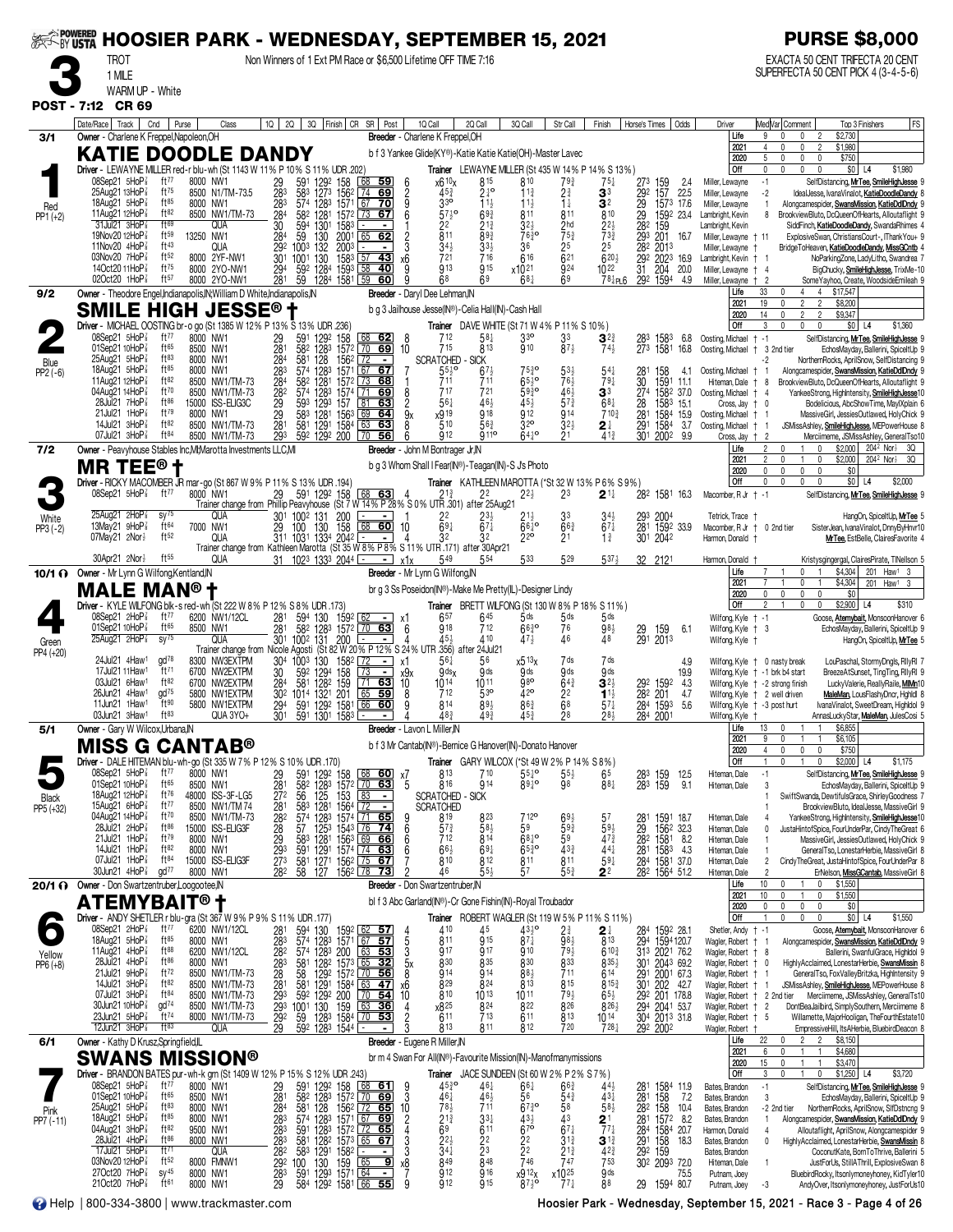|                    | ~BY <b>USTA</b><br><b>TROT</b>                                                       |                                               | <b>HOOSIER PARK - WEDNESDAY, SEPTEMBER 15, 2021</b>                                                    |                                                                                             | Non Winners of 1 Ext PM Race or \$6,500 Lifetime OFF TIME 7:16                                                                                                  |                                       |                                                                                                                 |                                                                     |                                                                                      |                                                               |                                                                    |                                                                              | <b>PURSE \$8,000</b><br>EXACTA 50 CENT TRIFECTA 20 CENT                                                                                                                                                            |
|--------------------|--------------------------------------------------------------------------------------|-----------------------------------------------|--------------------------------------------------------------------------------------------------------|---------------------------------------------------------------------------------------------|-----------------------------------------------------------------------------------------------------------------------------------------------------------------|---------------------------------------|-----------------------------------------------------------------------------------------------------------------|---------------------------------------------------------------------|--------------------------------------------------------------------------------------|---------------------------------------------------------------|--------------------------------------------------------------------|------------------------------------------------------------------------------|--------------------------------------------------------------------------------------------------------------------------------------------------------------------------------------------------------------------|
|                    | 1 MILE<br>WARM UP - White                                                            |                                               |                                                                                                        |                                                                                             |                                                                                                                                                                 |                                       |                                                                                                                 |                                                                     |                                                                                      |                                                               |                                                                    |                                                                              | SUPERFECTA 50 CENT PICK 4 (3-4-5-6)                                                                                                                                                                                |
| <b>POST - 7:12</b> | <b>CR 69</b>                                                                         |                                               |                                                                                                        |                                                                                             |                                                                                                                                                                 |                                       |                                                                                                                 |                                                                     |                                                                                      |                                                               |                                                                    |                                                                              |                                                                                                                                                                                                                    |
| 3/1                | Date/Race   Track  <br>Owner - Charlene K Freppel, Napoleon, OH                      | Cnd                                           | Purse<br>Class                                                                                         | 1Q  <br>2Q                                                                                  | 3Q Finish   CR SR   Post                                                                                                                                        | 1Q Call                               | 2Q Call<br>Breeder - Charlene K Freppel, OH                                                                     | 3Q Call                                                             | Str Call                                                                             | Finish                                                        | Odds<br>Horse's Times                                              | Driver<br>Life<br>2021                                                       | Med Var Comment<br>Top 3 Finishers<br>FS<br>9<br>\$2,730<br>$\mathbf 0$<br>\$1,980<br>4<br>$\mathbf{0}$<br>0<br>$\overline{\phantom{a}}$                                                                           |
|                    |                                                                                      |                                               | <b>KATIE DOODLE DANDY</b><br>Driver - LEWAYNE MILLER red-r blu-wh (St 1143 W 11% P 10% S 11% UDR .202) |                                                                                             |                                                                                                                                                                 |                                       | b f 3 Yankee Glide(KY®)-Katie Katie Katie(OH)-Master Lavec<br>Trainer LEWAYNE MILLER (St 435 W 14% P 14% S 13%) |                                                                     |                                                                                      |                                                               |                                                                    | 2020<br>Off                                                                  | \$750<br>5<br>0<br>$\mathbf{0}$<br>$\mathbf{0}$<br>\$0 <br>\$1,980<br>$\mathbf 0$<br>$\mathbf{0}$<br>$\mathbf 0$<br>0<br>L4                                                                                        |
|                    | 08Sep21 5HoP<br>25Aug21 13HoP 3<br>18Aug21 5HoP <sup>3</sup>                         | ft77<br>$ft^{75}$<br>$ft^{85}$                | 8000 NW1<br>8500 N1/TM-73.5                                                                            | 591<br>1292<br>29<br>28 <sup>3</sup><br>283<br>583 1273<br>574 1283                         | 158<br>68<br><u>59</u><br>156 <sup>2</sup><br>1571<br>74<br>69                                                                                                  | 6<br>$\frac{2}{9}$                    | x6 10 <sub>X</sub><br>815<br>$24^{\circ}$<br>$45\frac{3}{4}$<br>3 <sup>30</sup>                                 | 810<br>11 <sub>3</sub>                                              | $79\frac{3}{4}$<br>$2\frac{3}{4}$                                                    | $75\frac{1}{4}$<br>3 <sup>3</sup>                             | 273<br>159<br>157<br>2.4<br>22.5                                   | Miller, Lewayne<br>Miller, Lewavne                                           | $-1$<br>SelfDistancing, MrTee, SmileHighJesse<br>$-2$<br>IdealJesse, IvanaVinalot, KatieDoodleDandy                                                                                                                |
| Red<br>$PP1 (+2)$  | 11Aug21 12HoP <sup>3</sup><br>$31$ Jul21 $3$ HoP $\frac{7}{8}$                       | ft82<br>$f$ <sup>169</sup>                    | 8000 NW1<br>8500 NW1/TM-73<br>QUA                                                                      | 284<br>30<br>284<br>582<br>1301                                                             | 67<br>- 70<br>1281 1572 73<br>67<br>1583                                                                                                                        | 6                                     | $11\frac{1}{2}$<br>$57\frac{1}{2}$ <sup>o</sup><br>$69\frac{3}{4}$<br>$21\frac{3}{4}$                           | $11\frac{1}{2}$<br>811<br>$32\frac{1}{2}$                           | $1\frac{1}{4}$<br>811                                                                | 3 <sup>2</sup><br>810                                         | 292<br>282<br>282<br>1573 17.6<br>1592 23.4<br>159                 | Miller, Lewayne<br>Lambright, Kevin<br>Lambright, Kevin                      | Alongcamespider, SwansMission, KatieDdlDndy<br>BrookviewBluto, DcQueenOfHearts, Alloutaflight 9<br>8<br>SiddFinch, KatieDoodleDandy, SwandaRhimes                                                                  |
|                    | 19Nov20 12HoP <sup>3</sup><br>11Nov20 4HoP3                                          | ft59<br>ft43<br>ft52                          | 13250 NW1<br>QUA                                                                                       | $\frac{59}{59}$<br>130<br>1003<br>132                                                       | 2001<br>65 62<br>2003                                                                                                                                           | 3                                     | $\frac{2^{2}}{8^{11}}$<br>893<br>$34\frac{1}{2}$<br>$33\frac{1}{2}$                                             | $76^{30}_{4}$<br>36                                                 | $\frac{2}{7}$ <sub>5<sup>3</sup></sub><br>25                                         | $\frac{22}{7}$ <sup>3</sup><br>25                             | 293<br>201<br>16.7<br>282<br>2013                                  | Miller, Lewayne + 11<br>Miller, Lewayne                                      | ExplosiveSwan, ChristiansCourt-, IThankYou+ 9<br>BridgeToHeaven, KatieDoodleDandy, MissGCntb                                                                                                                       |
|                    | 03Nov20 7HoP <sup>3</sup><br>14Oct20 11HoP <sup>7</sup><br>02Oct20 1HoP <sup>3</sup> | ft75<br>ft57                                  | 8000 2YF-NW1<br>8000 2YO-NW1<br>8000 2YO-NW1                                                           | 292<br>301<br>294<br>130<br>$\frac{1001}{592}$<br>1284<br>281<br>59                         | $\sqrt{57}$<br>43<br>158 <sup>3</sup><br>1593<br>58<br>40<br>1284 1581 L59<br>60                                                                                | х6                                    | 721<br>716<br>913<br>915<br>68<br>69                                                                            | 616<br>x1021<br>$68\frac{1}{4}$                                     | $\bar{6}^{21}$<br>924<br>69                                                          | $620\frac{1}{2}$<br>$10^{22}$<br>781P16                       | $\frac{29}{31}$<br>2023<br>16.9<br>204<br>20.0<br>292 1594<br>4.9  | Lambright, Kevin<br>Miller, Lewayne<br>Miller, Lewayne                       | NoParkingZone, LadyLitho, Swandrea<br>BigChucky, SmileHighJesse, TrixMe-10<br>$\overline{4}$<br>SomeYayhoo, Create, WoodsideEmileah 9<br>$\overline{2}$                                                            |
| 9/2                |                                                                                      |                                               | Owner - Theodore Engel, Indianapolis, IN; William D White, Indianapolis, IN<br>SMILE HIGH JESSE® †     |                                                                                             |                                                                                                                                                                 |                                       | Breeder - Daryl Dee Lehman, IN<br>b g 3 Jailhouse Jesse(IN®)-Celia Hall(IN)-Cash Hall                           |                                                                     |                                                                                      |                                                               |                                                                    | Life<br>2021<br>2020                                                         | 33<br>4 \$17,547<br>$\overline{4}$<br>19<br>$\overline{2}$<br>$\mathfrak{D}$<br>\$8,200<br>$\overline{2}$<br>14<br>$\overline{2}$<br>\$9,347                                                                       |
|                    | 08Sep21 5HoP                                                                         | ft $77$                                       | Driver - MICHAEL OOSTING br-o go (St 1385 W 12% P 13% S 13% UDR .236)<br>8000 NW1                      |                                                                                             | <u>68 62</u>                                                                                                                                                    | 8                                     | Trainer DAVE WHITE (St 71 W 4% P 11% S 10%)<br>712<br>58‡                                                       | 3 <sup>3</sup>                                                      |                                                                                      |                                                               | 6.8                                                                | Off<br>Oosting, Michael                                                      | 0<br>$$0$ L <sub>4</sub><br>\$1,360<br>3<br>$\mathbf{0}$<br>$\mathbf{0}$<br>SelfDistancing, MrTee, SmileHighJesse<br>$+ -1$                                                                                        |
| Blue               | 01Sep21 10HoP<br>$25$ Aug $21$ $5$ HoP $\frac{7}{8}$                                 | ft65<br>$ft^{83}$                             | 8500 NW1<br>8000 NW1                                                                                   | $\frac{29}{281}$<br>591<br>582<br>129 <sup>2</sup><br>128 <sup>3</sup><br>284<br>581<br>128 | $\frac{158}{1572}$ $\frac{68}{10}$<br>69<br>1562<br>  72                                                                                                        | 10                                    | 813<br>715<br><b>SCRATCHED - SICK</b>                                                                           | $\mathfrak{g}_{10}$                                                 | $3^{3}_{8^{7}\frac{1}{2}}$                                                           | $3^{23}_{74}$                                                 | 158 <sup>3</sup><br>1581<br>28 <sup>3</sup><br>273<br>16.8         | Oosting, Michael + 3 2nd tier                                                | EchosMayday, Ballerini, SpiceltUp 9<br>-2<br>NorthernRocks, AprilSnow, SelfDistancing 9                                                                                                                            |
| $PP2(-6)$          | 18Aug21 5HoP <sup>3</sup><br>11Aug21 12HoP<br>04Aug21 14HoP <sup>7</sup>             | ft85<br>ft82<br>ft70                          | 8000 NW1<br>8500 NW1/TM-73<br>8500 NW1/TM-73                                                           | $\frac{283}{284}$<br>574<br>1283<br>1281<br>582<br>574 1283                                 | 1571 67<br>67<br>1572 73<br>68<br>1574 71<br><u>69</u>                                                                                                          | 8                                     | $\frac{551}{711}$<br>$67\frac{1}{2}$<br>711<br>717<br>721                                                       | $75\frac{3}{4}$ o<br>$65^{10}$<br>5930                              | $5^{3\frac{1}{2}}$<br>$7^{6\frac{1}{2}}$<br>$4^{6\frac{1}{2}}$<br>$5^{7\frac{3}{4}}$ | 54‡<br>$79\frac{1}{4}$<br>33                                  | 158<br>$\frac{28}{30}$<br>4.1<br>1591 11.1<br>1582 37.0<br>274     | Oosting, Michael †<br>Hiteman, Dale<br>Oosting, Michael                      | Alongcamespider, SwansMission, KatieDdlDndy<br>BrookviewBluto, DcQueenOfHearts, Alloutaflight 9<br>8<br>YankeeStrong, HighIntensity, SmileHighJesse1<br>-4                                                         |
|                    | 28Jul21 7HoP<br>21Jul21 1HoP <sup>3</sup>                                            | $ft^{86}$<br>$ft^{79}$                        | 15000 ISS-ELIG3C<br>8000 NW1                                                                           | 28 <sup>2</sup><br>281<br>281<br>593<br>583<br>1293<br>1281                                 | $\overline{81}$<br>157<br>63<br>1563<br>69<br>64                                                                                                                | $\frac{2}{9}$                         | 561<br>$46\frac{1}{2}$<br>x919<br>918                                                                           | $45\frac{1}{2}$<br>912                                              | <b>914</b>                                                                           | $68\frac{1}{4}$<br>710 <sub>3</sub>                           | 1583 15.1<br>$\frac{28}{281}$<br>1584 15.9                         | Cross, Jay<br>Oosting, Michael                                               | Bodelicious, AbcShowTime, MaylXplain 6<br>0<br>MassiveGirl, JessiesOutlawed, HolyChick 9                                                                                                                           |
| 7/2                | 14Jul21 3HoP <sup>3</sup><br>07Jul21 3HoP <sup>3</sup>                               | ft82<br>ft <sup>84</sup>                      | 8500 NW1/TM-73<br>8500 NW1/TM-73<br>Owner - Peavyhouse Stables Inc, MI; Marotta Investments LLC, MI    | 581<br>293                                                                                  | 1291 1584<br>63<br>63<br>592 1292 200 70 56                                                                                                                     | 8                                     | 510<br>$56\frac{3}{4}$<br>912<br>9 <sub>11</sub> °<br>Breeder - John M Bontrager Jr, IN                         | 32 <sup>o</sup><br>$64^{10}$                                        | $32\frac{1}{2}$                                                                      | 2 ∤<br>$4^{13}$                                               | 291<br>1584<br>3.7<br>301 2002 9.9                                 | Oosting, Michael<br>Cross, Jay<br>Life                                       | JSMissAshley, SmileHighJesse, MEPowerHouse 8<br>-1<br>Merciimeme, JSMissAshley, GeneralTso10<br>$\overline{2}$<br>$\mathfrak{p}$<br>$\mathbf{1}$<br>\$2,000<br>204 <sup>2</sup> Nor <sup>3</sup> 3Q<br>$\mathbf 0$ |
|                    | <b>MR TEE<sup>®</sup> t</b>                                                          |                                               |                                                                                                        |                                                                                             |                                                                                                                                                                 |                                       | b g 3 Whom Shall I Fear(IN®)-Teagan(IN)-S J's Photo                                                             |                                                                     |                                                                                      |                                                               |                                                                    | 2021<br>2020                                                                 | \$2,000<br>$\overline{2}$<br>$\mathbf{1}$<br>0<br>204 <sup>2</sup> Nor <sup>3</sup> 3Q<br>$\mathbf{0}$<br>$\mathbf 0$<br>0<br>\$0<br>0                                                                             |
|                    | 08Sep21 5HoP                                                                         | ft77                                          | Driver - RICKY MACOMBER JR mar-go (St 867 W 9% P 11% S 13% UDR .194)<br>8000 NW1                       | 29<br>591 1292                                                                              | 68 63<br>158<br>Trainer change from Phillip Peavyhouse (St 7 W 14% P 28% S 0% UTR 301) after 25Aug21                                                            |                                       | Trainer KATHLEEN MAROTTA (*St 32 W 13% P 6% S 9%)<br>21 <sub>3</sub><br>22                                      | $2^{2}$                                                             | 23                                                                                   | $2^{\scriptscriptstyle \frac{11}{4}}$                         | 282 1581 16.3                                                      | Off<br>Macomber, R Jr + -1                                                   | \$0<br>0<br>$\mathbf 0$<br>$\mathbf{0}$<br>0<br>L4<br>\$2,000<br>SelfDistancing, MrTee, SmileHighJesse                                                                                                             |
| White<br>PP3 (-2)  | $25$ Aug21 $2$ HoP $\frac{7}{8}$<br>13May21 $9H_0P_8^T$<br>07May21 2Nor <sup>1</sup> | $SV^{75}$<br>ft64<br>ft52                     | QUA<br>7000 NW1                                                                                        | 301 1002 131<br>29<br>130<br>100                                                            | 200<br>Г÷<br>$\overline{158}$<br>$68$ 60                                                                                                                        | 10                                    | 22<br>$\bar{6}9\frac{1}{2}$<br>$\bar{6}$ <sup>7<math>\bar{4}</math></sup>                                       | $66\overline{)}$<br>220                                             | 33<br>663<br>2 <sup>1</sup>                                                          | $3^{4}\frac{1}{2}$<br>67 $\frac{1}{4}$<br>$1\frac{3}{4}$      | $^{293}_{281}$<br>2004<br>1592 33.9<br>301<br>2042                 | Tetrick, Trace<br>Macomber, R Jr +<br>Harmon, Donald                         | HangOn, SpiceltUp, MrTee 5<br>0 2nd tier<br>SisterJean, IvanaVinalot, DnnyByHnvr10<br>MrTee, EstBelle, ClairesFavorite                                                                                             |
|                    | $30$ Apr21 $2$ Nor $\frac{1}{2}$                                                     | $ft^{55}$                                     | QUA                                                                                                    | 31 102 <sup>3</sup> 133 <sup>3</sup> 2044 $\equiv$                                          | QUA 311 1031 1334 2042 - 4 32 32<br>Trainer change from Kathleen Marotta (St 35 W 8% P 8% S 11% UTR 171) after 30Apr21<br>$-1$                                  | x1x                                   |                                                                                                                 | 533                                                                 | 529                                                                                  | 5374                                                          | 32 2121                                                            | Harmon, Donald                                                               | Kristysgingergal, ClairesPirate, TINellson                                                                                                                                                                         |
|                    | 10/1 O Owner - Mr Lynn G Wilfong, Kentland, IN<br><b>MALE MAN®</b>                   |                                               |                                                                                                        |                                                                                             |                                                                                                                                                                 |                                       | Breeder - Mr Lynn G Wilfong, IN<br>br g 3 Ss Poseidon(IN®)-Make Me Pretty(IL)-Designer Lindy                    |                                                                     |                                                                                      |                                                               |                                                                    | Life<br>2021<br>2020                                                         | $\mathbf{0}$<br>\$4,304<br>201 Haw <sup>1</sup> 3<br>\$4,304<br>0<br>201 Haw1 3<br>\$0<br>0<br>$\Omega$<br>$\mathbf 0$<br>$\mathbf{0}$                                                                             |
|                    | 08Sep21 2HoP <sup>3</sup>                                                            | ft $77$                                       | Driver - KYLE WILFONG blk-s red-wh (St 222 W 8% P 12% S 8% UDR .173)<br>6200 NW1/12CL                  | 281<br>594 130                                                                              | 1592                                                                                                                                                            | X1                                    | Trainer BRETT WILFONG (St 130 W 8% P 18% S 11%)<br>657<br>645                                                   | $5$ ds                                                              | $5$ ds                                                                               | 5ds                                                           |                                                                    | Off<br>Wilfong, Kyle + -1                                                    | \$2,900 L4<br>\$310<br>$\mathbf 0$<br>$\mathbf{0}$<br>Goose, Atemybait, MonsoonHanover 6                                                                                                                           |
| Green              | 01Sep21 10HoP <sup>7</sup><br>$25$ Aug21 $2$ HoP $\frac{7}{8}$                       | ft65<br>$SV^{75}$                             | 8500 NW1                                                                                               | 281<br>582<br>1283                                                                          | 1572 70<br>63<br>QUA 301 1002 131 200<br>Trainer change from Nicole Agosti (St 82 W 20% P 12% S 24% UTR 356) after 24Jul21                                      | -6                                    | 712<br>918                                                                                                      | $66^{30}$<br>473                                                    | 76<br>46                                                                             | $98\frac{1}{2}$<br>48                                         | $^{29}_{291}$<br>159<br>6.1<br>2013                                | Wilfong, Kyle + 3<br>Wilfong, Kyle †                                         | EchosMayday, Ballerini, SpiceltUp 9<br>HangOn, SpiceltUp, MrTee 5                                                                                                                                                  |
| PP4 (+20)          | 24Jul21 4Haw <sup>1</sup><br>17Jul21 11Haw <sup>1</sup>                              | gd <sup>78</sup><br>ft71                      | 8300 NW3EXTPM<br>6700 NW2EXTPM                                                                         | 304 1003 130<br>$\frac{30}{284}$<br>$\frac{592}{581}$<br>1294                               | 1582 172<br>  73<br>158<br>159                                                                                                                                  | x1<br>x9x<br>10                       | $56\frac{1}{4}$<br>56<br>$9$ ds $x$<br>9 <sub>ds</sub>                                                          | x513x<br>9 <sub>ds</sub>                                            | 7 ds<br>9 <sub>ds</sub>                                                              | 7 ds<br>9 <sub>ds</sub>                                       | 4.9<br>19.9                                                        |                                                                              | LouPaschal, StormyDngls, RilyRI<br>Wilfong, Kyle + 0 nasty break<br>Wilfong, Kyle + -1 brk b4 start<br>BreezeAtSunset, TingTing, RIIyRI 9                                                                          |
|                    | 03Jul21 6Haw <sup>1</sup><br>26Jun21 4Haw <sup>1</sup><br>11Jun21 1Haw1              | ft82<br>$\frac{1}{2}$<br>$\check{}$ ft $90$   | 6700 NW2EXTPM<br>5800 NW1EXTPM<br>5800 NW1EXTPM                                                        | 1282<br>30 <sup>2</sup> 1014 1321 201                                                       | $\overline{71}$ 63<br>$65$ 59<br>66 60                                                                                                                          |                                       | $10^{14}$<br>1011<br>712<br>530<br>$89\frac{1}{2}$<br>814                                                       | ğ80<br>42°<br>863                                                   | $64\frac{3}{4}$<br>2 <sup>2</sup><br>6 <sup>8</sup>                                  | $3^{21}$<br>$1^{11}$<br>$57\frac{1}{4}$                       | 292 1592<br>4.3<br>282 201<br>4.7<br>5.6                           | Wilfong, Kyle + -3 post hurt                                                 | Wilfong, Kyle + -2 strong finish<br>LuckyValerie, ReallyRaile, MIMn10<br>Wilfong, Kyle + 2 well driven<br>MaleMan, LousFlashyDncr, Hghldl 8<br>IvanaVinalot, SweetDream, Highldol 9                                |
| 5/1                | 03Jun21 3Haw <sup>1</sup><br>Owner - Gary W Wilcox, Urbana, IN                       | $ft^{83}$                                     | QUA 3YO+                                                                                               | 591 1292 1581<br>591 1301 1583<br>294<br>301                                                |                                                                                                                                                                 | - Lavon L Miller, IN                  | $48_{4}^{3}$<br>493                                                                                             |                                                                     |                                                                                      | 281                                                           | 284 1593<br>284 2001                                               | Wilfong, Kyle †<br>Life                                                      | AnnasLuckyStar, MaleMan, JulesCosi 5<br>1 \$6,855<br>13 0 1                                                                                                                                                        |
|                    | <b>MISS G CANTAB®</b>                                                                |                                               | Driver - DALE HITEMAN blu-wh-go (St 335 W 7% P 12% S 10% UDR .170)                                     |                                                                                             |                                                                                                                                                                 |                                       | b f 3 Mr Cantab(IN®)-Bernice G Hanover(IN)-Donato Hanover<br>Trainer GARY WILCOX (*St 49 W 2% P 14% S 8%)       |                                                                     |                                                                                      |                                                               |                                                                    | 2021<br>2020<br>Off                                                          | \$6,105<br>9<br>0<br>$\overline{1}$<br>$\pmb{0}$<br>$\mathbf{0}$<br>\$750<br>4<br>\$2,000<br>\$1,175<br>L4                                                                                                         |
|                    | 08Sep21 5HoP 3<br>01Sep21 10HoP <sup>7</sup>                                         | ft $77$<br>$ft^{65}$                          | 8000 NW1<br>8500 NW1                                                                                   | 29<br>281<br>272<br>591<br>1292<br>$\frac{582}{56}$                                         | $\begin{array}{r} 158 & 68 \\ 1572 & 70 \\ 153 & 68 \\ 1564 & 72 \\ 1574 & 74 \end{array}$<br><u>60  </u><br>63                                                 | χ7<br>5                               | 813<br>710<br>914<br>816                                                                                        | $55\frac{1}{4}$ <sup>o</sup><br>8910                                | $55\frac{1}{2}$<br>98                                                                | 65<br>881                                                     | 283<br>159<br>159<br>12.5<br>283<br>9.1                            | Hiteman, Dale<br>Hiteman, Dale                                               | $-1$<br>SelfDistancing, MrTee, SmileHighJesse<br>EchosMayday, Ballerini, SpiceltUp 9<br>3                                                                                                                          |
| Black<br>PP5 (+32) | 18Aug21 12HoP <sup>z</sup><br>15Aug21 6HoP3<br>04Aug21 14HoP <sup>7</sup>            | ft76<br>ft77<br>ft70                          | 48000 ISS-3F-LG5<br>8500 NW1/TM74                                                                      | $\frac{128}{125}$<br>$\frac{125}{128}$<br>583                                               | $\blacksquare$                                                                                                                                                  |                                       | - SICK<br><b>SCRATCHED</b><br><b>SCRATCHED</b><br>819                                                           | 7 12°                                                               |                                                                                      |                                                               |                                                                    | Hiteman, Dale                                                                | SwiftSwanda, DewtifulsGrace, ShirleyGoodness<br>BrookviewBluto, IdealJesse, MassiveGirl 9<br>YankeeStrong, HighIntensity, SmileHighJesse10                                                                         |
|                    | 28Jul 21 2HoP <sup>3</sup><br>21Jul21 1HoP <sup>3</sup>                              | $ft^{86}$<br>ft79                             | 8500 NW1/TM-73<br>15000 ISS-ELIG3F<br>8000 NW1                                                         | 281<br>282<br>293<br>293<br>273<br>$\frac{574}{57}$<br>$\frac{1283}{1253}$<br>583           | 1574 71 65<br>1543 76 74                                                                                                                                        | $\frac{9}{6}$                         | $8^{23}_{64}$<br>$57\frac{3}{4}$<br>814<br>712                                                                  | 59<br>$68^{10}_{4}$                                                 | $6^{9}\frac{1}{2}$<br>$5^{9}\frac{3}{4}$<br>59                                       | $5^7$<br>$5^{9}\frac{1}{2}$<br>$4^{7}\frac{3}{4}$             | 281<br>29<br>282<br>1591 18.7<br>156 <sup>2</sup> 32.3<br>1581 8.2 | Hiteman, Dale<br>Hiteman, Dale                                               | JustaHintofSpice, FourUnderPar, CindyTheGreat 6<br>MassiveGirl, JessiesOutlawed, HolyChick 9                                                                                                                       |
|                    | 14Jul21 $1H_0P_8^7$<br>07Jul21 1HoP <sup>3</sup><br>30Jun21 4HoP <sup>3</sup>        | ft82<br>$ft^{84}$<br>$\alpha$ d <sup>77</sup> | 8000 NW1<br>15000 ISS-ELIG3F<br>8000 NW1                                                               | 591<br>581<br>282<br>58<br>127                                                              | $\frac{1281}{1291}$ $\frac{1563}{1574}$ $\frac{69}{14}$ <b>66</b><br>$\frac{1291}{1271}$ $\frac{1562}{1562}$ $\frac{15}{129}$ <b>67</b><br>1562 78<br><u>73</u> | 6                                     | $6^{61}_{810}$<br>$69\frac{1}{4}$<br>$\check{8}$ <sup>12</sup><br>46<br>554                                     | $65\frac{3}{4}$ <sup>o</sup><br>811<br>57                           | $\frac{433}{811}$<br>553                                                             | $44\frac{1}{3}$<br>$59\frac{1}{4}$<br>2 <sup>2</sup>          | 281 1583 4.3<br>284 1581 37.0<br>282 1564 51.2                     | Hiteman, Dale<br>Hiteman, Dale<br>Hiteman, Dale                              | GeneralTso, LonestarHerbie, MassiveGirl 8<br>CindyTheGreat, JustaHintofSpice, FourUnderPar &<br>$\overline{2}$<br>$\overline{2}$<br>ErNelson, MissGCantab, MassiveGirl 8                                           |
| 20/1 ი             | Owner - Don Swartzentruber,Loogootee,IN                                              |                                               |                                                                                                        |                                                                                             |                                                                                                                                                                 |                                       | Breeder - Don Swartzentruber, IN<br>bl f 3 Abc Garland(IN®)-Cr Gone Fishin(IN)-Royal Troubador                  |                                                                     |                                                                                      |                                                               |                                                                    | Life<br>2021                                                                 | 10<br>\$1,550<br>$\Omega$<br>$\overline{1}$<br>$\mathbf{0}$<br>\$1,550<br>10<br>$\overline{1}$<br>0                                                                                                                |
|                    | <b>ATEMYBAIT® t</b><br>08Sep21 2HoP <sup>3</sup>                                     | $ft^{77}$                                     | Driver - ANDY SHETLER r blu-gra (St 367 W 9% P 9% S 11% UDR .177)                                      |                                                                                             |                                                                                                                                                                 |                                       | Trainer ROBERT WAGLER (St 119 W 5% P 11% S 11%)                                                                 |                                                                     |                                                                                      |                                                               |                                                                    | 2020<br>Off                                                                  | $\mathbf{0}$<br>$\pmb{0}$<br>\$0<br>0<br>0<br>\$0<br>$\mathbf 0$<br>$\mathbf 0$<br>\$1,550<br>$\Omega$<br>L4                                                                                                       |
| Yellow             | 18Aug21 5HoP <sup>3</sup><br>11Aug21 4HoP <sup>3</sup>                               | $ft^{85}$<br>ft88                             | 6200 NW1/12CL<br>8000 NW1<br>6200 NW1/12CL                                                             | 281<br>283<br>282<br>594<br>574<br>130<br>128 <sup>3</sup><br>574 1283 200                  | 159 <sup>2</sup> 62 57<br>1571 67 57                                                                                                                            | $\begin{array}{c} 4 \\ 5 \end{array}$ | $\frac{410}{811}$<br>45<br>915<br>917<br>9 <sup>17</sup>                                                        | $43\frac{1}{2}$ <sup>o</sup><br>8 <sup>7</sup> $\frac{1}{4}$<br>910 | $2\frac{3}{4}$<br>98 <sup>1</sup><br>$79\frac{1}{2}$                                 | $\frac{2}{8}^{\frac{1}{4}}$<br>$6^{10\frac{3}{4}}$            | 284<br>294<br>1592 28.1<br>1594 120.7<br>313 2021 76.2             | Shetler, Andy<br>Wagler, Robert<br>Wagler, Robert †                          | $+ -1$<br>Goose, Atemybait, MonsoonHanover 6<br>Alongcamespider, SwansMission, KatieDdlDndy<br>Ballerini, SwanfulGrace, Highldol 9<br>8                                                                            |
| PP6 (+8)           | 28Jul 21 4HoP <sup>7</sup><br>21Jul21 9HoP <sup>3</sup><br>14Jul21 3HoP <sup>3</sup> | $ft^{86}$<br>ft72<br>ft82                     | 8000 NW1<br>8500 NW1/TM-73                                                                             | 581<br>58                                                                                   | $\frac{63}{65}$ 32<br>128 <sup>2</sup> 157 <sup>3</sup> 65<br>129 <sup>2</sup> 157 <sup>2</sup> 70<br>$\frac{32}{56}$                                           | $\frac{3}{8}$                         | $8^{30}_{914}$<br>835<br><b>914</b><br>829<br>824                                                               | $8^{30}_{8^{31}_{2}}$<br>813                                        | $\frac{833}{711}$<br>815                                                             | $835\frac{1}{2}$<br>614                                       | 2043 69.2<br>301<br>291<br>2001 67.3                               | Wagler, Robert<br>Wagler, Robert                                             | HighlyAcclaimed, LonestarHerbie, SwansMissin<br>$\mathbf 0$<br>GeneralTso, FoxValleyBritzka, HighIntensity 9                                                                                                       |
|                    | 07Jul21 3HoP <sup>3</sup><br>30Jun21 10HoP <sup>3</sup>                              | $ft^{84}$<br>gd <sup>74</sup>                 | 8500 NW1/TM-73<br>8500 NW1/TM-73<br>8500 NW1/TM-73                                                     | 283<br>283<br>293<br>293<br>581<br>592 1292 200                                             | $1292 1572 116$<br>$1293 1584 163 41$<br>$1291 1584 163 41$<br>$1292 200 170 54$<br>$163 36$<br>$70 52$                                                         | х6<br>10                              | 810<br>1013<br>x825<br>824                                                                                      | 1011<br>822                                                         | $79\frac{1}{2}$<br>826                                                               | $8^{15\frac{3}{4}}$<br>$6^{5\frac{1}{2}}$<br>826 <sup>1</sup> | 301<br>202 42.7<br>201 178.8<br>$\frac{292}{294}$<br>2041 53.7     | Wagler, Robert †<br>Wagler, Robert<br>$\ddot{\phantom{1}}$<br>Wagler, Robert | JSMissAshley, SmileHighJesse, MEPowerHouse 8<br>Merciimeme, JSMissAshley, GeneralTs10<br>2 2nd tier<br>$\overline{2}$<br>DontBeaJailbird, SimplySouthern, Merciimeme 8                                             |
|                    | 23Jun21 5HoP <sup>3</sup><br>$12$ Jun $21$ $3$ HoP $\frac{7}{8}$                     | ft74<br>$ft^{83}$                             | 8000 NW1/TM-73<br>QUA                                                                                  | $\frac{29^2}{29}$                                                                           | 59 1283 1584 70<br>1283 1584 <u>L70</u><br>53                                                                                                                   |                                       | 611<br>713<br>813<br>811                                                                                        | 611<br>812                                                          | 813<br>720                                                                           | 1014<br>7281                                                  | 304 2013 31.8<br>292 2002                                          | Wagler, Robert †<br>Wagler, Robert                                           | 5<br>Willamette, MajorHooligan, TheFourthEstate10<br>EmpressiveHill, ItsAHerbie, BluebirdDeacon 8                                                                                                                  |
| 6/1                | Owner - Kathy D Krusz, Springfield, IL                                               |                                               | <b>SWANS MISSION®</b>                                                                                  |                                                                                             |                                                                                                                                                                 | Breeder - Eugene R Miller, IN         | br m 4 Swan For All(IN®)-Favourite Mission(IN)-Manofmanymissions                                                |                                                                     |                                                                                      |                                                               |                                                                    | Life<br>2021<br>2020                                                         | 22<br>$\overline{2}$<br>$\overline{2}$<br>\$8,150<br>0<br>6<br>\$4,680<br>$\mathbf{0}$<br>$\mathbf{1}$<br>$\mathbf{1}$<br>15<br>\$3,470<br>$\mathbf{1}$                                                            |
|                    | 08Sep21 5HoP                                                                         | ft77                                          | Driver - BRANDON BATES pur-wh-k grn (St 1409 W 12% P 15% S 12% UDR .243<br>8000 NW1                    | 591<br>591 1292<br>582 1283                                                                 | 158<br>68<br><u>_61</u>                                                                                                                                         | $\frac{9}{3}$                         | Trainer<br>$45\frac{3}{4}$ <sup>o</sup><br>46‡                                                                  | JACE SUNDEEN (St 60 W 2% P 2% S 7%)<br>$66\frac{1}{4}$              | $66\frac{3}{4}$                                                                      | 44}                                                           |                                                                    | Off<br>Bates, Brandon                                                        | \$3,720<br>\$1,250<br>3<br>L4<br>$-1$<br>SelfDistancing, MrTee, SmileHighJesse                                                                                                                                     |
| Pink<br>PP7 (-11)  | 01Sep21 10HoP <sup>7</sup><br>25Aug21 5HoP3<br>18Aug21 5HoP                          | ft65<br>$ft^{83}$<br>$ft^{85}$                | 8500 NW1<br>8000 NW1<br>8000 NW1                                                                       | 29<br>281<br>284<br>283<br>581 128<br>574 1283                                              | 1572 70 69<br>1562 72 65<br>1571 67 69                                                                                                                          | $\frac{10}{2}$                        | 461<br>46}<br>$78\frac{1}{2}$<br>711<br>$33\frac{1}{4}$                                                         | 56<br>$67\frac{3}{4}$ <sup>o</sup><br>$43\frac{1}{2}$               | $54\frac{3}{4}$<br>$\frac{58}{43}$                                                   | $43\frac{1}{4}$<br>58 <sub>2</sub>                            | 281 1584 11.9<br>281 158 7.2<br>282 158 10.4<br>281 1572 8.2       | Bates, Brandon<br>Bates, Brandon<br>Bates, Brandon                           | 3<br>EchosMayday, Ballerini, SpiceltUp 9<br>NorthernRocks, AprilSnow, SIfDstncng 9<br>-2 2nd tier<br>Alongcamespider, SwansMission, KatieDdlDndy 9                                                                 |
|                    | 04Aug21 3HoP <sup>7</sup><br>28Jul 21 4HoP                                           | ft82<br>$ft^{86}$                             | 9500 NW1<br>8000 NW1                                                                                   | 1283<br>591<br>581<br>1282                                                                  | 157 <sup>2</sup> 72 65<br>157 <sup>3</sup> 65 67                                                                                                                |                                       | $rac{213}{69}$<br>611<br>$\frac{2^{2\frac{1}{2}}}{3^{4\frac{1}{4}}}$<br>$\frac{2}{2}$ <sup>2</sup>              | $67$ <sup>o</sup><br>$\frac{22}{2^2}$<br>746                        | $67\frac{1}{4}$<br>31 $\frac{3}{4}$                                                  | $\sum_{77\frac{1}{4}}^{1}$<br>$\mathbf{3}^{13}$               | 1584 20.7<br>284<br>291<br>292<br>158<br>18.3                      | Harmon, Donald<br>Bates, Brandon                                             | Alloutaflight, AprilSnow, Alongcamespider 9<br>4<br>HighlyAcclaimed, LonestarHerbie, SwansMissin 8<br>0                                                                                                            |
|                    | 17Jul21 5HoP<br>03Nov20 12HoP <sup>7</sup><br>27Oct20 7HoP <sup>3</sup>              | ft71<br>ft <sup>52</sup><br>$SV^{45}$         | QUA<br>8000 FMNW1<br>8000 NW1                                                                          | 283<br>283<br>283<br>29<br>583<br>1291<br>130<br>100                                        | 1582<br>$\frac{159}{157}$ 65<br>9                                                                                                                               | х8                                    | 849<br>848<br>912<br>916                                                                                        | $x_8^{912}x_8^{712}$                                                | $21\frac{3}{4}$<br>747<br>$x10^{25}$<br>$77\frac{1}{4}$                              | $42\frac{3}{4}$<br>753<br>9ds                                 | 159<br>302 2093 72.0<br>75.5                                       | Bates, Brandon<br>Hiteman, Dale<br>Putnam, Joey                              | CoconutKate, BornToThrive, Ballerini 5<br>$\overline{1}$<br>JustForUs, StillAThrill, ExplosiveSwan 8<br>BluebirdRocky, Itsonlymoneyhoney, KidTyler10                                                               |
|                    | 21Oct20 7HoP <sup>3</sup>                                                            | ft61                                          | 8000 NW1                                                                                               |                                                                                             | 591 1293 1571 64 - 1<br>584 1292 1581 66 55                                                                                                                     | Ö                                     | 912<br><b>915</b>                                                                                               |                                                                     |                                                                                      | 88                                                            | 1594 80.7<br>29                                                    | Putnam, Joey                                                                 | -3<br>AndyOver, Itsonlymoneyhoney, JustForUs10                                                                                                                                                                     |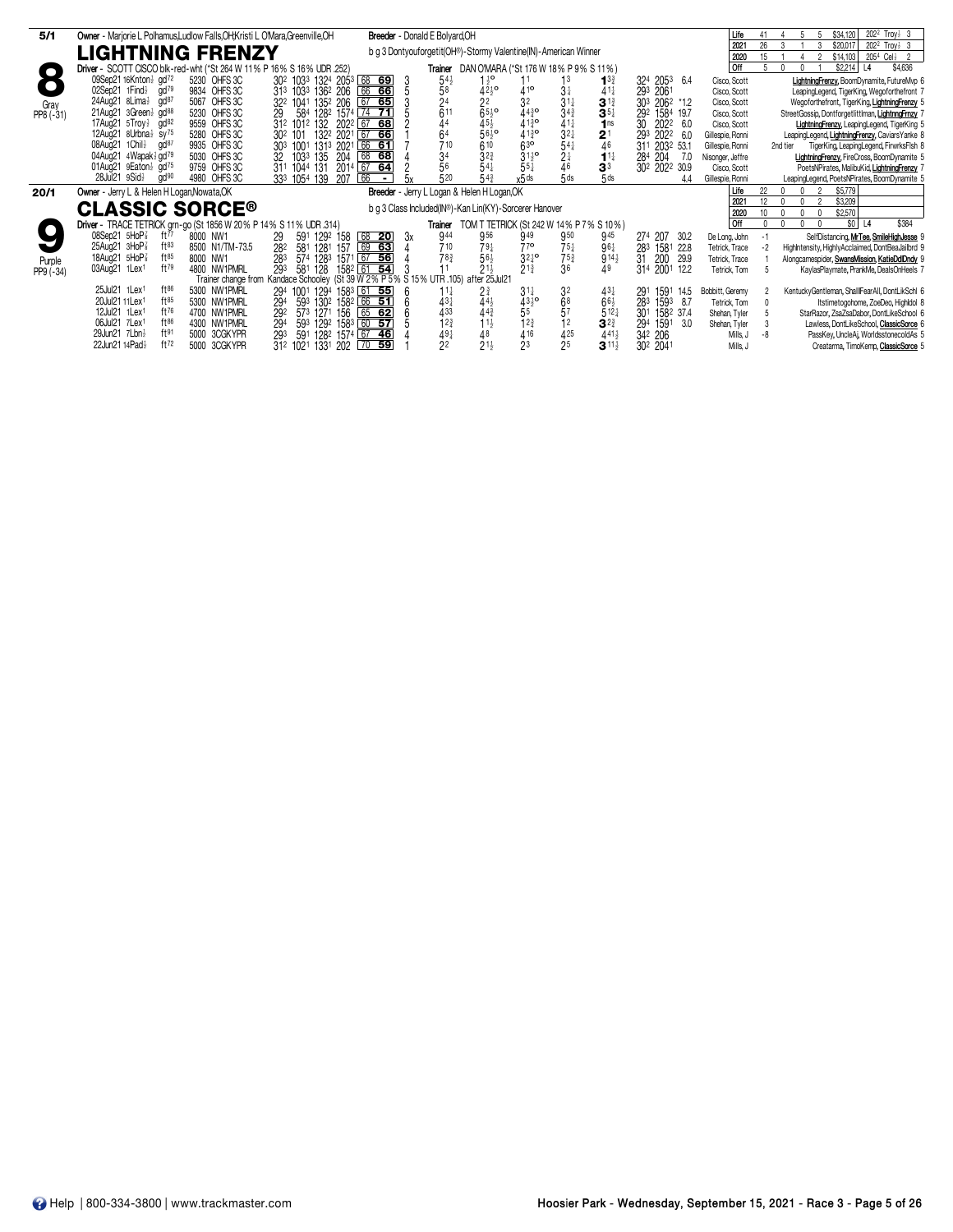| 5/1       | Owner - Marjorie L Polhamus, Ludlow Falls, OH, Kristi L O'Mara, Greenville, OH |                                                                                     | Breeder - Donald E Bolyard, OH                                  |                                                                 |                                       | Life             | $202^2$ Troy $\frac{1}{2}$ 3<br>\$34.120<br>41                                                          |
|-----------|--------------------------------------------------------------------------------|-------------------------------------------------------------------------------------|-----------------------------------------------------------------|-----------------------------------------------------------------|---------------------------------------|------------------|---------------------------------------------------------------------------------------------------------|
|           | LIGHTNING FRENZY                                                               |                                                                                     | b g 3 Dontyouforgetit(OH®)-Stormy Valentine(IN)-American Winner |                                                                 |                                       | 2021<br>2020     | \$20,017<br>$202^2$ Troy $\frac{1}{2}$ 3<br>26<br>205 <sup>4</sup> Cel <sub>2</sub> 2<br>15<br>\$14,103 |
|           |                                                                                |                                                                                     |                                                                 |                                                                 |                                       |                  |                                                                                                         |
| $\Box$    | Driver - SCOTT CISCO blk-red-wht (*St 264 W 11% P 16% S 16% UDR .252)          |                                                                                     |                                                                 | <b>Trainer</b> DAN O'MARA (*St 176 W 18% P 9% S 11%)            |                                       | l off            | \$2,214<br>\$4,636<br>$\mathsf{n}$<br> 4                                                                |
|           | 09Sep21 16Knton <sup>3</sup> gd <sup>72</sup><br>5230 OHFS 3C                  | 30 <sup>2</sup> 103 <sup>3</sup> 1324 205 <sup>3</sup> 68 69<br>-3                  | $54\frac{1}{2}$<br>$1\frac{1}{2}$ <sup>o</sup>                  | 13<br>$1^{3}$                                                   | 324 2053<br>6.4                       | Cisco, Scott     | LightningFrenzy, BoomDynamite, FutureMyp 6                                                              |
|           | gd <sup>79</sup><br>02Sep21 $1$ Find $\frac{1}{2}$<br>9834 OHFS 3C             | 313 1033 1362 206 66 66                                                             | $42^{10}_{2}$                                                   | $41^{\circ}$<br>$3\frac{1}{4}$                                  | 293 2061                              | Cisco, Scott     | LeapingLegend, TigerKing, Wegoforthefront 7                                                             |
| Grav      | gd <sup>87</sup><br>5067 OHFS 3C<br>24Aug21 8Lima <sup>1</sup>                 | 67 65<br>322 1041 1352 206                                                          | $\frac{5}{2}$ <sup>8</sup><br>$2^{2}$                           | $31\frac{1}{4}$<br>$3^{13}$                                     | 303 2062 *1.2                         | Cisco, Scott     | Wegoforthefront, TigerKing, LightningFrenzy 5                                                           |
| PP8 (-31) | 5230 OHFS 3C<br>21Aug21 3Green 3 gd88<br>29                                    | 584 1282 1574 74 71                                                                 | 611<br>$65\frac{1}{2}$ <sup>o</sup>                             | $44^{30}$<br>34 <sub>4</sub><br>$35\frac{1}{4}$                 | 1584 19.7<br>292                      | Cisco, Scott     | StreetGossip, Dontforgetlittlman, LightnngFmzy 7                                                        |
|           | 17Aug21 5Troy} gd <sup>82</sup><br>9559 OHFS 3C                                | 312 1012 132 2022 67 68                                                             |                                                                 | 4130<br>1 <sub>ns</sub>                                         | 2022<br>30<br>6.0                     | Cisco, Scott     | <b>LightningFrenzy, LeapingLegend, TigerKing 5</b>                                                      |
|           | 5280 OHFS 3C<br>12Aug21 8Urbna <sup>3</sup> sy <sup>75</sup>                   | 132 <sup>2</sup> 2021 67 66<br>30 <sup>2</sup> 101                                  | $45\frac{1}{2}$<br>56 <sup>1</sup> / <sub>2</sub><br>64         | $3^{11}_{21}$<br>$41\frac{3}{4}$ <sup>o</sup><br>2 <sup>1</sup> | 293<br>2022 6.0                       | Gillespie, Ronni | LeapingLegend, LightningFrenzy, CaviarsYanke &                                                          |
|           | 9935 OHFS 3C<br>08Aug21 1Chil}<br>gd <sup>87</sup>                             | 303 1001 1313 2021 66 61                                                            | 710                                                             | 63 <sup>o</sup><br>$54\frac{1}{4}$<br>46                        | 2032 53.1<br>311                      | Gillespie, Ronni | TigerKing, LeapingLegend, FirwrksFlsh 8<br>2nd tier                                                     |
|           | 04Aug21 4Wapak 3 gd79<br>5030 OHFS 3C                                          | 32 1033 135<br>204<br>68 68                                                         |                                                                 | $31\frac{1}{2}$ <sup>o</sup><br>$11\frac{1}{4}$                 | 204<br>284<br>- 7.0                   | Nisonger, Jeffre | LightningFrenzy, FireCross, BoomDynamite 5                                                              |
|           | 01Aug21 $9$ Eaton $\frac{1}{2}$ gd <sup>75</sup><br>9759 OHFS 3C               | 311 1044 131 2014 67 64                                                             | $6^{10}$<br>$3^{23}$<br>$5^{41}$<br>$3^{4}_{5^{6}}$             | $\frac{2}{4}$ <sup>1</sup><br>$55\frac{1}{4}$<br>3 <sup>3</sup> | 302 2022 30.9                         | Cisco, Scott     | PoetsNPirates, MalibuKid, LightningFrenzy 7                                                             |
|           | $28$ Jul $21$ $9$ Sid $\frac{1}{2}$<br>gd <sup>90</sup><br>4980 OHFS 3C        | 66<br>333 1054 139<br>207<br>$\sim$ $ \sim$                                         | 520<br>$54\frac{3}{4}$                                          | $\overline{5}$ ds<br>5 <sub>ds</sub><br>x5 ds                   | 4.4                                   | Gillespie, Ronni | LeapingLegend, PoetsNPirates, BoomDynamite 5                                                            |
| 20/1      | Owner - Jerry L & Helen H Logan, Nowata, OK                                    |                                                                                     | Breeder - Jerry L Logan & Helen H Logan, OK                     |                                                                 |                                       | Life             | \$5,779<br>22                                                                                           |
|           |                                                                                |                                                                                     |                                                                 |                                                                 |                                       | 2021             | \$3,209<br>12 <sup>°</sup>                                                                              |
|           | <b>CLASSIC SORCE®</b>                                                          |                                                                                     | b g 3 Class Included(IN®)-Kan Lin(KY)-Sorcerer Hanover          |                                                                 |                                       | 2020             | \$2.570                                                                                                 |
|           | Driver - TRACE TETRICK grn-go (St 1856 W 20% P 14% S 11% UDR .314)             |                                                                                     | Trainer                                                         | TOM T TETRICK (St 242 W 14% P 7% S 10%)                         |                                       | <b>Off</b>       | \$384<br>\$0 <br>L4                                                                                     |
|           | 08Sep21 5HoP<br>ft $^{77}$<br>8000 NW1<br>29                                   | 591 1292 158 68 <b>20</b><br>581 1281 157 69 63<br>3x                               | 944<br>956                                                      | 949<br>945<br>950                                               | 274 207 30.2                          | De Long, John    | SelfDistancing, MrTee, SmileHighJesse 9<br>$-1$                                                         |
|           | $25$ Aug $21$ $3$ HoP $\frac{7}{8}$<br>$ft^{83}$<br>8500 N1/TM-73.5            | 282                                                                                 | 710<br>$79\frac{1}{4}$                                          | 770<br>$75\frac{1}{4}$<br>$96\frac{1}{4}$                       | 283<br>1581 22.8                      | Tetrick. Trace   | Highlntensity, HighlyAcclaimed, DontBeaJailbrd 9<br>-2                                                  |
| Purple    | $ft^{85}$<br>18Aug21 5HoP <sup>3</sup><br>8000 NW1                             | 574 1283 1571 67 56<br>283                                                          | $56\frac{1}{2}$<br>78 <sub>3</sub>                              | $3^{24}$ <sup>o</sup><br>$75\frac{3}{4}$                        | $914\frac{1}{2}$<br>31<br>200<br>29.9 | Tetrick, Trace   | Alongcamespider, SwansMission, KatieDdlDndy 9                                                           |
| PP9 (-34) | ft79<br>03Aug21 1Lex <sup>1</sup><br>4800 NW1PMRL                              | 293<br>1582 61 54<br>581<br>128                                                     | $21\frac{1}{2}$                                                 | $21\frac{3}{4}$<br>36<br>49                                     | 314 2001 12.2                         | Tetrick, Tom     | KaylasPlaymate, PrankMe, DealsOnHeels 7                                                                 |
|           |                                                                                | Trainer change from Kandace Schooley (St 39 W 2% P 5% S 15% UTR .105) after 25Jul21 |                                                                 |                                                                 |                                       |                  |                                                                                                         |
|           | 25Jul21 1Lex1<br>$ft^{86}$<br>5300 NW1PMRL                                     | 294 1001 1294 1583 61 55<br>-6                                                      | 11}<br>$2\frac{3}{4}$                                           | 3 <sup>2</sup><br>$31\frac{1}{4}$<br>$43\frac{1}{4}$            | 1591<br>291<br>14.5                   | Bobbitt, Geremy  | KentuckyGentleman, ShallIFearAll, DontLikSchl 6                                                         |
|           | 20Jul21 11 Lex <sup>1</sup><br>$ft^{85}$<br>5300 NW1PMRL                       | 593 1302 1582 66 51<br>294                                                          | $44\frac{1}{2}$<br>$43\frac{1}{4}$                              | $43^{10}_{2}$<br>68<br>$66\frac{1}{2}$                          | 283<br>1593 8.7                       | Tetrick, Tom     | Itstimetogohome, ZoeDeo, Highldol &                                                                     |
|           | ft76<br>12Jul21 1Lex1<br>4700 NW1PMRL                                          | 573 1271 156<br>292<br>$65$ 62                                                      | 433<br>$44\frac{3}{4}$                                          | 57                                                              | $5^{12}$<br>301<br>1582 37.4          | Shehan, Tyler    | StarRazor, ZsaZsaDabor, DontLikeSchool 6                                                                |
|           | 06Jul21 7Lex1<br>ft86<br>4300 NW1PMRL                                          | 593 1292 1583 60 57<br>294                                                          | 12 <sub>3</sub><br>$11\frac{1}{2}$                              | 12 <sup>3</sup><br>$3^{2^{3}}$<br>12                            | 294<br>1591<br>3.0                    | Shehan, Tyler    | Lawless, DontLikeSchool, ClassicSorce 6                                                                 |
|           | ft91<br>29Jun21 7Lbn}<br>5000 3CGKYPR                                          | 591 1282 1574 67 46<br>293                                                          | $49\frac{1}{4}$                                                 | 416<br>425                                                      | $441\frac{1}{2}$<br>342 206           | Mills, J         | PassKey, UncleAi, WorldsstonecoldAs 5                                                                   |
|           | ft72<br>22Jun21 14Pad}<br>5000 3CGKYPR                                         | 31 <sup>2</sup> 102 <sup>1</sup> 133 <sup>1</sup> 202 70 59                         | $\frac{48}{21}$<br>2 <sup>2</sup>                               | 2 <sub>3</sub><br>25<br>$3^{11\frac{1}{2}}$                     | 30 <sup>2</sup> 2041                  | Mills, J         | Creatarma, TimoKemp, ClassicSorce 5                                                                     |
|           |                                                                                |                                                                                     |                                                                 |                                                                 |                                       |                  |                                                                                                         |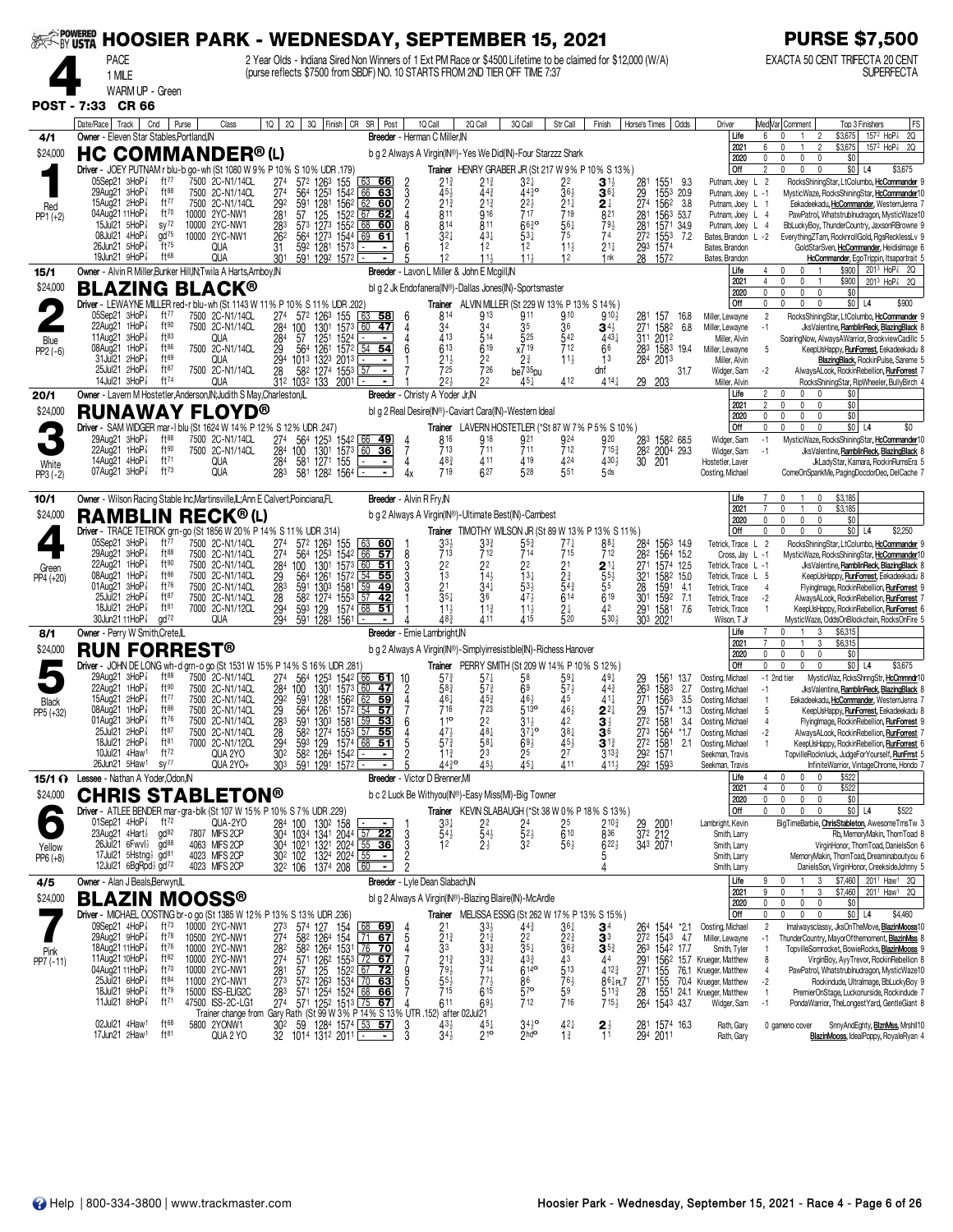|                     | SER TO ME POOSIER PARK - WEDNESDAY, SEPTEMBER 15, 2021                                                                                                                                                                                                                       |                                                                                                        |                                                                                                                                                          |                                                                                                                                       |                                                                                                                                                                                                                                                                                                                                                                                             |                                                                                                                                                                      |                                                                                                                                                                                                                       |                                                                                                                                           |                                                                                                             |                                                                                                                             |                                                                                                                                                           |                                                                       |                                                                                                                                                                                         | <b>PURSE \$7,500</b>                                                                                                                                                                                                                                                                                                                                                                                                                                                                                                                 |
|---------------------|------------------------------------------------------------------------------------------------------------------------------------------------------------------------------------------------------------------------------------------------------------------------------|--------------------------------------------------------------------------------------------------------|----------------------------------------------------------------------------------------------------------------------------------------------------------|---------------------------------------------------------------------------------------------------------------------------------------|---------------------------------------------------------------------------------------------------------------------------------------------------------------------------------------------------------------------------------------------------------------------------------------------------------------------------------------------------------------------------------------------|----------------------------------------------------------------------------------------------------------------------------------------------------------------------|-----------------------------------------------------------------------------------------------------------------------------------------------------------------------------------------------------------------------|-------------------------------------------------------------------------------------------------------------------------------------------|-------------------------------------------------------------------------------------------------------------|-----------------------------------------------------------------------------------------------------------------------------|-----------------------------------------------------------------------------------------------------------------------------------------------------------|-----------------------------------------------------------------------|-----------------------------------------------------------------------------------------------------------------------------------------------------------------------------------------|--------------------------------------------------------------------------------------------------------------------------------------------------------------------------------------------------------------------------------------------------------------------------------------------------------------------------------------------------------------------------------------------------------------------------------------------------------------------------------------------------------------------------------------|
|                     | <b>PACE</b><br>1 MILE<br>WARM UP - Green                                                                                                                                                                                                                                     |                                                                                                        |                                                                                                                                                          |                                                                                                                                       | 2 Year Olds - Indiana Sired Non Winners of 1 Ext PM Race or \$4500 Lifetime to be claimed for \$12,000 (W/A)<br>(purse reflects \$7500 from SBDF) NO. 10 STARTS FROM 2ND TIER OFF TIME 7:37                                                                                                                                                                                                 |                                                                                                                                                                      |                                                                                                                                                                                                                       |                                                                                                                                           |                                                                                                             |                                                                                                                             |                                                                                                                                                           |                                                                       |                                                                                                                                                                                         | EXACTA 50 CENT TRIFECTA 20 CENT<br><b>SUPERFECTA</b>                                                                                                                                                                                                                                                                                                                                                                                                                                                                                 |
| <b>POST - 7:33</b>  | CR 66                                                                                                                                                                                                                                                                        |                                                                                                        |                                                                                                                                                          |                                                                                                                                       |                                                                                                                                                                                                                                                                                                                                                                                             |                                                                                                                                                                      |                                                                                                                                                                                                                       |                                                                                                                                           |                                                                                                             |                                                                                                                             |                                                                                                                                                           |                                                                       |                                                                                                                                                                                         |                                                                                                                                                                                                                                                                                                                                                                                                                                                                                                                                      |
| 4/1<br>\$24,000     | Date/Race   Track  <br>Cnd<br>Owner - Eleven Star Stables.Portland.IN<br>HC COMMANDER® (L)                                                                                                                                                                                   | Purse                                                                                                  | Class                                                                                                                                                    | 10 I<br><b>2Q</b>                                                                                                                     | 3Q Finish CR SR Post                                                                                                                                                                                                                                                                                                                                                                        | 10 Call<br>Breeder - Herman C Miller, IN<br>b g 2 Always A Virgin(IN®)-Yes We Did(IN)-Four Starzzz Shark                                                             | 2Q Call                                                                                                                                                                                                               | 3Q Call                                                                                                                                   | Str Call                                                                                                    | Finish                                                                                                                      | Horse's Times                                                                                                                                             | Odds                                                                  | Driver<br>Life<br>2021<br>2020                                                                                                                                                          | Med Var  Comment<br>FS<br>Top 3 Finishers<br>157 <sup>2</sup> HoP <sup>2</sup> 2Q<br>\$3,675<br>6<br>2<br>\$3,675<br>157 <sup>2</sup> HoP <sup>2</sup> 2Q<br>\$0<br>0<br>$\mathbf{0}$<br>0<br>$\mathbf{0}$                                                                                                                                                                                                                                                                                                                           |
| Red<br>PP1 (+2)     | Driver - JOEY PUTNAM r blu-b go-wh (St 1080 W 9% P 10% S 10% UDR .179)<br>05Sep21 3HoP <sup>7</sup><br>29Aug21 3HoP<br>15Aug21 $2H_0P_8^2$<br>04Aug21 11HoP <sup>3</sup><br>$15$ Jul21 $5$ HoP $\frac{7}{8}$<br>08Jul21 4HoP3<br>26Jun21 5HoP<br>19 $J$ un21 9 $H$ o $P_8^T$ | ft77<br>ft88<br>ft77<br>ft70<br>$sy^{72}$<br>$\frac{d}{d}$<br>ft75<br>ft <sup>68</sup>                 | 7500 2C-N1/14CL<br>7500 2C-N1/14CL<br>7500 2C-N1/14CL<br>10000 2YC-NW1<br>10000 2YC-NW1<br>10000 2YC-NW1<br>qua<br>qua                                   | 274<br>572 1263<br>$\frac{274}{292}$<br>564 1253<br>591<br>281<br>57<br>125<br>283<br>573 1273<br>262<br>564<br>31<br>30 <sup>1</sup> | 155<br>63 66<br>1542 66<br>63<br>1281<br>1562 62<br>60<br>1522 67 62<br>1552<br>68<br><u>60</u><br>1273<br>1544<br>69<br>61<br>592 1281 1573<br>$\blacksquare$<br>591 1292 1572                                                                                                                                                                                                             | 2<br>2<br>2<br>4<br>21}<br>45.<br>213<br>811<br>8<br>814<br>$32\frac{1}{4}$<br>12<br>12                                                                              | Trainer HENRY GRABER JR (St 217 W 9% P 10% S 13%)<br>$21\frac{3}{4}$<br>$44\frac{3}{4}$<br>$21\frac{3}{4}$<br>916<br>811<br>$43+$<br>12<br>$11\frac{1}{2}$                                                            | $3^{2}$<br>$44^{30}_{4}$<br>22}<br>717<br>6630<br>$53\frac{1}{4}$<br>12<br>114                                                            | 22<br>$36\frac{1}{2}$<br>$2^{1\frac{1}{4}}$<br>719<br>$\frac{561}{75}$<br>$11\frac{1}{2}$<br>12             | $\mathbf{3}^{11}$<br>$\mathbf{3}$ 6 $\ddagger$<br>2 ∤<br>821<br>$79\frac{1}{2}$<br>74<br>$21\frac{1}{4}$<br>1 <sub>nk</sub> | 1551<br>281<br>$\frac{29}{274}$<br>1562<br>281 1563 53.7<br>281<br>$\overline{272}$<br>1553<br>293 1574<br>28<br>1572                                     | 9.3<br>1553 20.9<br>3.8<br>1571 34.9<br>7.2                           | <b>Off</b><br>Putnam, Joey<br>Putnam, Joey L -1<br>Putnam, Joey L 1<br>Putnam, Joey L 4<br>Putnam, Joey L 4<br>Bates Brandon L -2<br>Bates, Brandon<br>Bates, Brandon                   | \$0 <br>$\mathbf{0}$<br>2<br>$\Omega$<br>$\Omega$<br>L4<br>\$3,675<br>RocksShiningStar, LtColumbo, HcCommander 9<br>$\overline{2}$<br>L<br>MysticWaze, RocksShiningStar, HcCommander10<br>Eekadeekadu, HcCommander, WesternJenna 7<br>PawPatrol, Whatstrublnudragon, MysticWaze10<br>BbLuckyBoy, ThunderCountry, JaxsonRBrowne 9<br>EverythingZTam, RocknrollGold, RgsRecklessLv 9<br>GoldStarSven, HcCommander, Heidislmage 6<br>HcCommander, EgoTrippin, Itsaportrait 5                                                            |
| 15/1                | Owner - Alvin R Miller, Bunker Hill, N; Twila A Harts, Amboy, IN                                                                                                                                                                                                             |                                                                                                        |                                                                                                                                                          |                                                                                                                                       |                                                                                                                                                                                                                                                                                                                                                                                             | Breeder - Lavon L Miller & John E Mcgill, IN                                                                                                                         |                                                                                                                                                                                                                       |                                                                                                                                           |                                                                                                             |                                                                                                                             |                                                                                                                                                           |                                                                       | Life<br>2021                                                                                                                                                                            | \$900<br>$201^3$ HoP <sup><math>7</math></sup> 2Q<br>n<br>$\mathsf{r}$<br>$\overline{4}$<br>0<br>\$900<br>2013 HoP <sup>2</sup> 2Q<br>0                                                                                                                                                                                                                                                                                                                                                                                              |
| \$24,000            | <b>BLAZING BLACK®</b><br>Driver - LEWAYNE MILLER red-r blu-wh (St 1143 W 11% P 10% S 11% UDR .202                                                                                                                                                                            |                                                                                                        |                                                                                                                                                          |                                                                                                                                       |                                                                                                                                                                                                                                                                                                                                                                                             | bl g 2 Jk Endofanera(IN®)-Dallas Jones(IN)-Sportsmaster                                                                                                              | <b>Trainer</b> ALVIN MILLER (St 229 W 13% P 13% S 14%)                                                                                                                                                                |                                                                                                                                           |                                                                                                             |                                                                                                                             |                                                                                                                                                           |                                                                       | 2020<br>Off                                                                                                                                                                             | $\mathbf{0}$<br>$\mathbf{0}$<br>\$0<br>$\mathbf{0}$<br>$\mathbf{0}$<br>\$0 L4<br>\$900<br>0<br>U<br>0<br>$\mathbf{0}$                                                                                                                                                                                                                                                                                                                                                                                                                |
| Blue<br>PP2 (-6)    | 05Sep21 3HoP <sup>3</sup><br>22Aug21 1HoP<br>11Aug21 3HoP<br>08Aug21 1HoP<br>31Jul21 2HoP<br>25Jul21 2HoP<br>14Jul21 3HoP <sup>3</sup>                                                                                                                                       | ft $77$<br>ft90<br>ft83<br>ft86<br>ft69<br>ft87<br>ft74                                                | 7500 2C-N1/14CL<br>7500 2C-N1/14CL<br>QUA<br>7500 2C-N1/14CL<br>qua<br>7500 2C-N1/14CL<br>QUA                                                            | 274<br>284<br>100<br>$^{284}_{29}$<br>57<br>564<br>294<br>28<br>312 1032 133 2001                                                     | 572 1263 155<br>  63<br>58<br>1301<br>47<br>1573<br>  60<br>1251<br>1261<br>1524  <br>1572  <br>54 54<br>1013 1323 2013<br>$\blacksquare$<br>582 1274 1553<br>57<br>$\overline{a}$                                                                                                                                                                                                          | 814<br>6<br>34<br>4<br>413<br>4<br>6<br>613<br>21}<br>725<br>$2^{2}$                                                                                                 | 913<br>34<br>514<br>619<br>22<br>726<br>22                                                                                                                                                                            | 911<br>35<br>525<br>x719<br>2 <sup>3</sup><br>$be735$ <sub>pu</sub><br>$45+$                                                              | 910<br>36<br>542<br>712<br>$11\frac{1}{2}$<br>412                                                           | $910\frac{1}{2}$<br>$34\frac{1}{2}$<br>$443\frac{1}{4}$<br>66<br>1 <sup>3</sup><br>dnf<br>$414\frac{1}{2}$                  | 281<br>271 1582<br>311 2012<br>283 1583 19.4<br>284 2013<br>29<br>203                                                                                     | 157 16.8<br>6.8<br>31.7                                               | Miller, Lewayne<br>Miller, Lewayne<br>Miller, Alvin<br>Miller, Lewayne<br>Miller, Alvin<br>Widger, Sam<br>Miller, Alvin                                                                 | $\overline{2}$<br>RocksShiningStar, LtColumbo, HcCommander 9<br>JksValentine, RamblinReck, BlazingBlack 8<br>-1<br>SoaringNow, AlwaysAWarrior, BrookviewCadillc 5<br>-5<br>KeepUsHappy, RunForrest, Eekadeekadu 8<br><b>BlazingBlack, RockinPulse, Sareme 5</b><br>AlwaysALook, RockinRebellion, RunForrest<br>$-2$<br>RocksShiningStar, RipWheeler, BullyBirch                                                                                                                                                                      |
| 20/1<br>\$24,000    | Owner - Lavern M Hostetler, Anderson, IN; Judith S May, Charleston, IL<br><b>RUNAWAY FLOYD®</b>                                                                                                                                                                              |                                                                                                        |                                                                                                                                                          |                                                                                                                                       |                                                                                                                                                                                                                                                                                                                                                                                             | Breeder - Christy A Yoder Jr, IN<br>bl g 2 Real Desire(IN®)-Caviart Cara(IN)-Western Ideal                                                                           |                                                                                                                                                                                                                       |                                                                                                                                           |                                                                                                             |                                                                                                                             |                                                                                                                                                           |                                                                       | Life<br>2021                                                                                                                                                                            | 2<br>$\Omega$<br>\$0<br>\$0<br>2<br>0<br>0<br>n                                                                                                                                                                                                                                                                                                                                                                                                                                                                                      |
| White<br>$PP3 (-2)$ | Driver - SAM WIDGER mar-1 blu (St 1624 W 14% P 12% S 12% UDR 247)<br>29Aug21 3HoP <sup>3</sup><br>22Aug21 1HoP<br>14Aug21 4HoP <sup>3</sup><br>07Aug21 3HoP <sup>3</sup>                                                                                                     | ft88<br>ft90<br>ft71<br>$ft^{73}$                                                                      | 7500 2C-N1/14CL<br>7500 2C-N1/14CL<br>QUA<br><b>QUA</b>                                                                                                  | 274<br>284<br>100<br>284<br>283                                                                                                       | 564 1253 1542 66<br><u>49</u><br>130 <sup>1</sup><br>157 <sup>3</sup><br><u>36 </u><br>581 1271 155<br>$\overline{\phantom{0}}$<br>581 1282 1564                                                                                                                                                                                                                                            | 816<br>713<br>7<br>48 <sup>3</sup><br>4<br>719                                                                                                                       | Trainer LAVERN HOSTETLER (*St 87 W 7% P 5% S 10%)<br>918<br>711<br>411<br>627                                                                                                                                         | 921<br>711<br>4 19<br>528                                                                                                                 | 924<br>712<br>424<br>551                                                                                    | 920<br>7153<br>4304<br>5 <sub>ds</sub>                                                                                      | 283 1582 68.5<br>28 <sup>2</sup><br>30<br>201                                                                                                             | 2004 29.3                                                             | 2020<br>Off<br>Widger, Sam<br>Widger, Sam<br>Hostetler, Laver<br>Oosting, Michael                                                                                                       | \$0<br>$\mathbf{0}$<br>0<br>$\mathbf{0}$<br>0<br>\$0 <br>\$0<br>0<br>$\mathbf{0}$<br>$\theta$<br>L4<br>MysticWaze, RocksShiningStar, HcCommander10<br>$-1$<br>$-1$<br>JksValentine, RamblinReck, BlazingBlack 8<br>JkLadyStar, Kamara, RockinRumsEra 5<br>ComeOnSpankMe, PagingDocdorDeo, DelCache 7                                                                                                                                                                                                                                 |
|                     | Owner - Wilson Racing Stable Inc, Martinsville, IL; Ann E Calvert, Poinciana, FL                                                                                                                                                                                             |                                                                                                        |                                                                                                                                                          |                                                                                                                                       |                                                                                                                                                                                                                                                                                                                                                                                             | <b>Breeder</b> - Alvin R Fry.IN                                                                                                                                      |                                                                                                                                                                                                                       |                                                                                                                                           |                                                                                                             |                                                                                                                             |                                                                                                                                                           |                                                                       | Life                                                                                                                                                                                    | \$3,185                                                                                                                                                                                                                                                                                                                                                                                                                                                                                                                              |
| 10/1<br>\$24,000    | <b>RAMBLIN RECK®(L)</b><br>Driver - TRACE TETRICK grn-go (St 1856 W 20 % P 14 % S 11 % UDR 314)                                                                                                                                                                              |                                                                                                        |                                                                                                                                                          |                                                                                                                                       |                                                                                                                                                                                                                                                                                                                                                                                             | b g 2 Always A Virgin(IN®)-Ultimate Best(IN)-Cambest                                                                                                                 | <b>Trainer</b> TIMOTHY WILSON JR (St 89 W 13% P 13% S 11%)                                                                                                                                                            |                                                                                                                                           |                                                                                                             |                                                                                                                             |                                                                                                                                                           |                                                                       | 2021<br>2020<br>Off                                                                                                                                                                     | \$3,185<br>0<br>$\mathbf{0}$<br>0<br>$\theta$<br>\$0<br>0<br>\$0<br>$\mathbf{0}$<br>\$2,250<br>$\theta$<br>L <sub>4</sub>                                                                                                                                                                                                                                                                                                                                                                                                            |
| Green<br>PP4 (+20)  | $05$ Sep21 $3$ HoP $\frac{7}{8}$<br>29Aug21 3HoP<br>22Aug21 1HoP<br>08Aug21 1HoP<br>01Aug21 3HoP<br>25Jul21 2HoPi<br>$18$ Jul21 $2H$ o $P_8^2$<br>30Jun21 11HoP <sup>3</sup>                                                                                                 | ft77<br>ft88<br>ft90<br>ft86<br>ft76<br>ft87<br>ft81<br>$\alpha$ d <sup>72</sup>                       | 7500 2C-N1/14CL<br>7500 2C-N1/14CL<br>7500 2C-N1/14CL<br>7500 2C-N1/14CL<br>7500 2C-N1/14CL<br>7500 2C-N1/14CL<br>7000 2C-N1/12CL<br>qua                 | $^{274}_{274}$<br>564<br>284<br>100<br>$\frac{29}{283}$<br>564 1261<br>591 1303<br>591<br>28<br>582<br>294<br>593<br>294              | 572 1263 155<br><u>60</u><br>66<br>1542<br>-57<br>1253<br>1301<br>$157^3$ 60 51<br>54<br>55<br>1572<br>59<br>49<br>1581<br>1274<br>1553<br>42<br>-57<br>129<br>1574<br>68<br>-51<br>591 1283 1561                                                                                                                                                                                           | $3^{31}_{2}$<br>7 13<br>8<br>3<br>22<br>1 <sup>3</sup><br>3<br>$\overline{3}$<br>$\frac{21}{35}$<br>11<br>483                                                        | 712<br>22<br>$14\frac{1}{2}$<br>$34\frac{1}{4}$<br>36<br>$11\frac{3}{4}$<br>411                                                                                                                                       | $5^{5}_{4}$<br>714<br>22<br>$13\frac{1}{4}$<br>$53\frac{1}{2}$<br>$47\frac{1}{2}$<br>$11\frac{1}{2}$<br>415                               | $77\frac{1}{4}$<br>715<br>21<br>$\frac{2\frac{3}{4}}{5^{4\frac{3}{4}}}$<br>614<br>2 <sup>1</sup><br>520     | 88}<br>712<br>$\mathbf{2}$ 1 $\ddagger$<br>$55\frac{1}{2}$<br>55<br>619<br>42<br>5304                                       | 284<br>282<br>271<br>32 <sup>1</sup><br>28<br>1591<br>30 <sup>1</sup><br>1592<br>1581<br>291<br>303<br>2021                                               | 1563 14.9<br>1564 15.2<br>1574 12.5<br>1582 15.0<br>4.1<br>7.1<br>7.6 | Tetrick, Trace L 2<br>Cross, Jay L -1<br>Tetrick, Trace L -1<br>Tetrick, Trace L 5<br>Tetrick, Trace<br>Tetrick, Trace<br>Tetrick, Trace<br>Wilson, T Jr                                | RocksShiningStar, LtColumbo, HcCommander 9<br>MysticWaze, RocksShiningStar, HcCommander10<br>JksValentine, RamblinReck, BlazingBlack 8<br>KeepUsHappy, RunForrest, Eekadeekadu 8<br>$\Delta$<br>FlyingImage, RockinRebellion, RunForrest<br>$-2$<br>AlwaysALook, RockinRebellion, RunForrest<br>$\mathbf{1}$<br>KeepUsHappy, RockinRebellion, RunForrest<br>MysticWaze, OddsOnBlockchain, RocksOnFire 5                                                                                                                              |
| 8/1                 | Owner - Perry W Smith, Crete, IL                                                                                                                                                                                                                                             |                                                                                                        |                                                                                                                                                          |                                                                                                                                       |                                                                                                                                                                                                                                                                                                                                                                                             | Breeder - Ernie Lambright, IN                                                                                                                                        |                                                                                                                                                                                                                       |                                                                                                                                           |                                                                                                             |                                                                                                                             |                                                                                                                                                           |                                                                       | Life<br>2021                                                                                                                                                                            | 3<br>\$6,315<br>$\overline{7}$<br>$\Omega$<br>3<br>\$6,315                                                                                                                                                                                                                                                                                                                                                                                                                                                                           |
| \$24,000            | <b>RUN FORREST®</b><br>Driver - JOHN DE LONG wh-d grn-o go (St 1531 W 15% P 14% S 16% UDR .281                                                                                                                                                                               |                                                                                                        |                                                                                                                                                          |                                                                                                                                       |                                                                                                                                                                                                                                                                                                                                                                                             | b g 2 Always A Virgin(IN®)-Simplyirresistible(IN)-Richess Hanover                                                                                                    | Trainer PERRY SMITH (St 209 W 14% P 10% S 12%)                                                                                                                                                                        |                                                                                                                                           |                                                                                                             |                                                                                                                             |                                                                                                                                                           |                                                                       | 2020<br>Off                                                                                                                                                                             | $\mathbf{0}$<br>$\Omega$<br>$\mathbf{0}$<br>\$0<br>0<br>\$0 <br>\$3,675<br>$\mathbf{0}$<br>$\mathbf{0}$<br>L4                                                                                                                                                                                                                                                                                                                                                                                                                        |
| Black<br>PP5 (+32)  | 29Aug21 3HoP<br>22Aug21 1HoP<br>15Aug21 2HoP <sup>3</sup><br>08Aug21 1HoP<br>01Aug21 3HoP3<br>25Jul 21 2HoP <sup>3</sup><br>18Jul21 2HoP <sup>3</sup><br>10Jul21 4Haw <sup>1</sup><br>26Jun21 5Haw1                                                                          | $ft^{88}$<br>ft90<br>ft77<br>ft86<br>ft76<br>$ft^{87}$<br>ft <sup>81</sup><br>ft72<br>SV <sup>77</sup> | 7500 2C-N1/14CL<br>7500 2C-N1/14CL<br>7500 2C-N1/14CL<br>7500 2C-N1/14CL<br>7500 2C-N1/14CL<br>7500 2C-N1/14CL<br>7000 2C-N1/12CL<br>QUA 2YO<br>QUA 2YO+ | 27 <sup>4</sup><br>284<br>100<br>$\frac{29}{29}$<br>$\frac{591}{564}$<br>283<br>591<br>$^{28}_{294}$<br>30 <sup>2</sup><br>303        | 564 1253 1542 66<br>61<br>1301<br>1573 60<br>47<br>1562 62<br>1281<br>1261<br>-59<br>57<br>1572<br>54<br>1303<br>1581 59<br>53<br>58 <sup>2</sup> 1274 1553 57 55<br>593 129 1574 68 51<br>58 <sup>2</sup> 1264 1542<br>$\overline{\phantom{0}}$<br>$\blacksquare$                                                                                                                          | $5^{73}$<br>10<br>2<br>$58\frac{3}{4}$<br>$\frac{4}{7}$<br>461<br>716<br>110<br>ĥ<br>$47\frac{1}{2}$<br>57 $\frac{3}{4}$<br>$\frac{4}{5}$<br>$11\frac{3}{4}$<br>4430 | $5^{7}$<br>$45\frac{3}{4}$<br>723<br>22<br>$48\frac{1}{6}$<br>58 <sup>1</sup><br>$\frac{23}{45}$                                                                                                                      | 58<br>6 <sup>9</sup><br>464<br>5130<br>$31\frac{1}{2}$<br>$3^{7\frac{1}{4}^{\circ}}$<br>6 <sup>91</sup> / <sub>2</sub><br>$\frac{25}{45}$ | $59\frac{1}{4}$<br>$57\frac{1}{2}$<br>45<br>464<br>42<br>$3^{8}\frac{1}{4}$<br>45 <sup>1</sup><br>27<br>411 | 494<br>443<br>$41\frac{1}{4}$<br>$2^{2}$<br>31<br>36<br>$\bar{3}^{13}$<br>$3^{13\frac{3}{4}}$<br>4114                       | 29<br>1561<br>1583<br>263<br>27 <sup>1</sup><br>1563<br>29<br>1574<br>272<br>1581<br>273 1564<br>272 1581<br>29 <sup>2</sup> 1571<br>29 <sup>2</sup> 1593 | 13.7<br>2.7<br>3.5<br>*1.3<br>3.4<br>*1.7<br>2.1                      | Oosting, Michael<br>Oosting, Michael<br>Oosting, Michael<br>Oosting, Michael<br>Oosting, Michael<br>Oosting, Michael<br>Oosting, Michael<br>Seekman, Travis<br>Seekman, Travis          | MysticWaz, RcksShnngStr, HcCmmndr10<br>-1 2nd tier<br>JksValentine, <b>RamblinReck, BlazingBlack</b> 8<br>-1<br>Eekadeekadu, HcCommander, WesternJenna 7<br>5<br>KeepUsHappy, RunForrest, Eekadeekadu 8<br>FlyingImage, RockinRebellion, RunForrest 9<br>4<br>$-2$<br>AlwaysALook, RockinRebellion, RunForrest<br>KeepUsHappy, RockinRebellion, RunForrest 6<br>1<br>TopvilleRocknluck, JudgeForYourself, RunFrrst 5<br>InfiniteWarrior, VintageChrome, Hondo                                                                        |
| \$24,000            | 15/1 ( Lessee - Nathan A Yoder, Odon, IN<br>CHRIS STABLETON®                                                                                                                                                                                                                 |                                                                                                        |                                                                                                                                                          |                                                                                                                                       |                                                                                                                                                                                                                                                                                                                                                                                             | Breeder - Victor D Brenner, MI<br>b c 2 Luck Be Withyou(IN®)-Easy Miss(MI)-Big Towner                                                                                |                                                                                                                                                                                                                       |                                                                                                                                           |                                                                                                             |                                                                                                                             |                                                                                                                                                           |                                                                       | Life<br>2021                                                                                                                                                                            | \$522<br>0<br>\$522<br>4<br>0<br>0<br>$\mathbf 0$<br>$\mathbf{0}$<br>$\mathbf{0}$<br>0<br>$\mathbf{0}$                                                                                                                                                                                                                                                                                                                                                                                                                               |
| Yellow<br>PP6 (+8)  | Driver - ATLEE BENDER mar-gra-blk (St 107 W 15% P 10% S 7% UDR .229)<br>01Sep21 4HoP <sup>7</sup><br>23Aug21 4Hart}<br>26Jul21 6Fwvl}<br>17Jul21 5Hstng $\frac{1}{2}$ gd <sup>81</sup>                                                                                       | $ft^{72}$<br>gd <sup>82</sup><br>gd <sup>88</sup>                                                      | QUA-2YO<br>7807 MIFS 2CP<br>4063 MIFS 2CP<br>4023 MIFS 2CP                                                                                               | 284 100 1302 158                                                                                                                      | $\blacksquare$<br>$\begin{array}{rrrrrr}\n & 26 & 104 & 104 & 104 & 104 \\  & 304 & 1034 & 1341 & 2044 & 157 & 222 \\  & 304 & 1021 & 1321 & 2024 & 155 & 369 \\  & 302 & 102 & 1324 & 2024 & 155 & - \\  & 322 & 106 & 1374 & 208 & 160 & - \\ \end{array}$                                                                                                                                | $3^{3}\frac{1}{2}$<br>3<br>$\frac{3}{2}$<br>12                                                                                                                       | Trainer KEVIN SLABAUGH (*St 38 W 0% P 18% S 13%)<br>$2^2$<br>54 <sup>3</sup><br>$2\frac{1}{2}$                                                                                                                        | $2^4$<br>5 <sup>2</sup><br>32                                                                                                             | $^{25}_{610}$<br>56}                                                                                        | $2^{10\frac{3}{4}}$<br>836<br>$622\frac{1}{2}$<br>5                                                                         | $\frac{29}{372}$<br>2001<br>212<br>343 2071                                                                                                               |                                                                       | 2020<br>Off<br>Lambright, Kevin<br>Smith, Larry<br>Smith, Larry<br>Smith, Larry                                                                                                         | \$0<br>\$0<br>\$522<br>$\mathbf{0}$<br>0<br>$\mathbf 0$<br>$\mathbf 0$<br>L4<br>BigTimeBarbie, ChrisStableton, AwesomeTmsTw 3<br>Rb, MemoryMakin, ThornToad 8<br>VirginHonor, ThornToad, DanielsSon 6<br>MemoryMakin, ThornToad, Dreaminaboutyou 6                                                                                                                                                                                                                                                                                   |
| 4/5                 | 12Jul21 6BgRpd} gd72<br>Owner - Alan J Beals, Berwyn, IL                                                                                                                                                                                                                     |                                                                                                        | 4023 MIFS 2CP                                                                                                                                            |                                                                                                                                       |                                                                                                                                                                                                                                                                                                                                                                                             | Breeder - Lyle Dean Slabach, IN                                                                                                                                      |                                                                                                                                                                                                                       |                                                                                                                                           |                                                                                                             | 4                                                                                                                           |                                                                                                                                                           |                                                                       | Smith, Larry<br>Life                                                                                                                                                                    | DanielsSon, VirginHonor, CreeksideJohnny 5<br>\$7,460<br>201 <sup>1</sup> Haw <sup>1</sup> 2Q<br>g<br>3<br>n                                                                                                                                                                                                                                                                                                                                                                                                                         |
| \$24,000            | <b>BLAZIN MOOSS®</b>                                                                                                                                                                                                                                                         |                                                                                                        |                                                                                                                                                          |                                                                                                                                       |                                                                                                                                                                                                                                                                                                                                                                                             | bl g 2 Always A Virgin(IN®)-Blazing Blaire(IN)-McArdle                                                                                                               |                                                                                                                                                                                                                       |                                                                                                                                           |                                                                                                             |                                                                                                                             |                                                                                                                                                           |                                                                       | 2021<br>2020                                                                                                                                                                            | 9<br>\$7,460<br>201 <sup>1</sup> Haw <sup>1</sup> 2Q<br>3<br>0<br>1<br>$\pmb{0}$<br>\$0<br>$\mathbf{0}$<br>0<br>$\mathbf 0$                                                                                                                                                                                                                                                                                                                                                                                                          |
| Pink<br>PP7 (-11)   | Driver - MICHAEL OOSTING br-o go (St 1385 W 12% P 13% S 13% UDR .236)<br>09Sep21 4HoP <sup>3</sup><br>29Aug21 9HoP <sup>7</sup><br>18Aug21 11HoP<br>11Aug21 10HoP <sup>3</sup><br>04Aug21 11HoP3<br>25Jul21 6HoP<br>18Jul21 9HoP <sup>3</sup><br>11Jul21 8HoP <sup>3</sup>   | $ft^{73}$<br>$ft^{78}$<br>$ft^{76}$<br>ft82<br>ft70<br>ft84<br>$ft^{79}$<br>ft71                       | 10000 2YC-NW1<br>10500 2YC-NW1<br>10000 2YC-NW1<br>10000 2YC-NW1<br>10000 2YC-NW<br>11000 2YC-NW1<br>15000 ISS-ELIG2C<br>47500 ISS-2C-LG1                | $\frac{273}{274}$<br>$282$<br>574 127<br>582 1264<br>582 1264<br>274<br>$\frac{281}{273}$<br>283<br>27 <sup>4</sup>                   | 154<br>$68$ 69<br>$\frac{154}{153}$<br>$71$ 67<br>$\boxed{76}$ 70<br>$571$ $1262$ $1553$ $\overline{72}$ $\overline{67}$<br>$57$ $126$ $152$ $\overline{67}$ $\overline{72}$<br>$57$ $125$ $1524$ $\overline{70}$ $\overline{63}$<br>$571$ $1254$ $\overline{152}$ $\overline{68}$ $\overline{66}$<br>$571$ $1254$ $\overline{152}$ $\overline{153}$ $\overline{72}$ $\overline{65}$<br>$5$ | $21$<br>$213$<br>$33$<br>$\overline{4}$<br>5<br>$\frac{4}{7}$<br>$2^{13}_{4}$<br>$7^{91}_{2}$<br>$5^{51}_{2}$<br>$\frac{9}{5}$<br>715<br>611                         | <b>Trainer</b> MELISSA ESSIG (St 262 W 17% P 13% S 15%)<br>$3^{3\frac{1}{2}}$<br>2 <sup>13</sup> / <sub>4</sub> 3<br>3 <sup>33</sup> / <sub>4</sub><br>$\frac{333}{714}$<br>$77\frac{1}{2}$<br>615<br>$69\frac{1}{2}$ | $443$<br>$22$<br>$35\frac{1}{4}$<br>433<br>$614$ o<br>86<br>57 <sup>o</sup><br>712                                                        | $36\frac{1}{4}$<br>$\frac{2^{23}}{3^{63}}$<br>43<br>$5^{13}$<br>$76\frac{1}{2}$<br>59<br>716                | 34<br>33<br>$3^{53}$<br>44<br>4123<br>861P17<br>$5^{11\frac{3}{4}}$<br>$715\frac{1}{2}$                                     | 264 1544<br>272 1543<br>263 1542 17.7<br>291<br>27 <sup>1</sup><br>155<br>155<br>271<br>28 1551 24.1<br>264 1543 43.7                                     | $*2.1$<br>4.7                                                         | Off<br>Oosting, Michael<br>Miller, Lewayne<br>Smith, Tyler<br>1562 15.7 Krueger, Matthew<br>76.1 Krueger, Matthew<br>70.4 Krueger, Matthew<br>1551 24.1 Krueger, Matthew<br>Widger, Sam | \$0 <br>$\mathbf 0$<br>\$4,460<br>0<br>$\Omega$<br>0<br>L4<br>$\overline{2}$<br>Imalwaysclassy, JksOnTheMove, BlazinMooss10<br>ThunderCountry, MayorOfthemoment, BlazinMss 8<br>$-1$<br>TopvilleSomrocket, BowieRocks, BlazinMooss 9<br>$\mathbf{1}$<br>VirginBoy, AyyTrevor, RockinRebellion 8<br>8<br>$\Delta$<br>PawPatrol, Whatstrublnudragon, MysticWaze10<br>$-2$<br>Rockindude, Ultralmage, BbLuckyBoy 9<br>PremierOnStage, Luckonurside, Rockindude 7<br>$\mathbf{1}$<br>$-1$<br>PondaWarrior, TheLongestYard, GentleGiant 8 |
|                     | 02Jul21 4Haw <sup>1</sup><br>17Jun21 2Haw <sup>1</sup>                                                                                                                                                                                                                       | $ft^{68}$<br>ft <sup>81</sup>                                                                          | Trainer change from<br>5800 2YONW1<br>QUA 2 YO                                                                                                           | 302<br>59<br>32 1014 1312 2011                                                                                                        | Gary Rath (St 99 W 3% P 14% S 13% UTR 152) after 02Jul21<br>1284 1574 53 57<br>$\sim$                                                                                                                                                                                                                                                                                                       | $\frac{3}{3}$<br>$43\frac{1}{2}$<br>34 <sup>1</sup>                                                                                                                  | $45\frac{1}{4}$<br>21 <sup>o</sup>                                                                                                                                                                                    | $34\frac{1}{2}$ <sup>o</sup><br>2hd <sup>o</sup>                                                                                          | 421<br>$1\frac{3}{4}$                                                                                       | $2\frac{1}{2}$<br>11                                                                                                        | 281 1574 16.3<br>294 2011                                                                                                                                 |                                                                       | Rath, Gary<br>Rath, Gary                                                                                                                                                                | SnnyAndEghty, <b>BlznMss</b> , Mrshll10<br>0 gameno cover<br>BlazinMooss, IdealPoppy, RoyaleRyan 4                                                                                                                                                                                                                                                                                                                                                                                                                                   |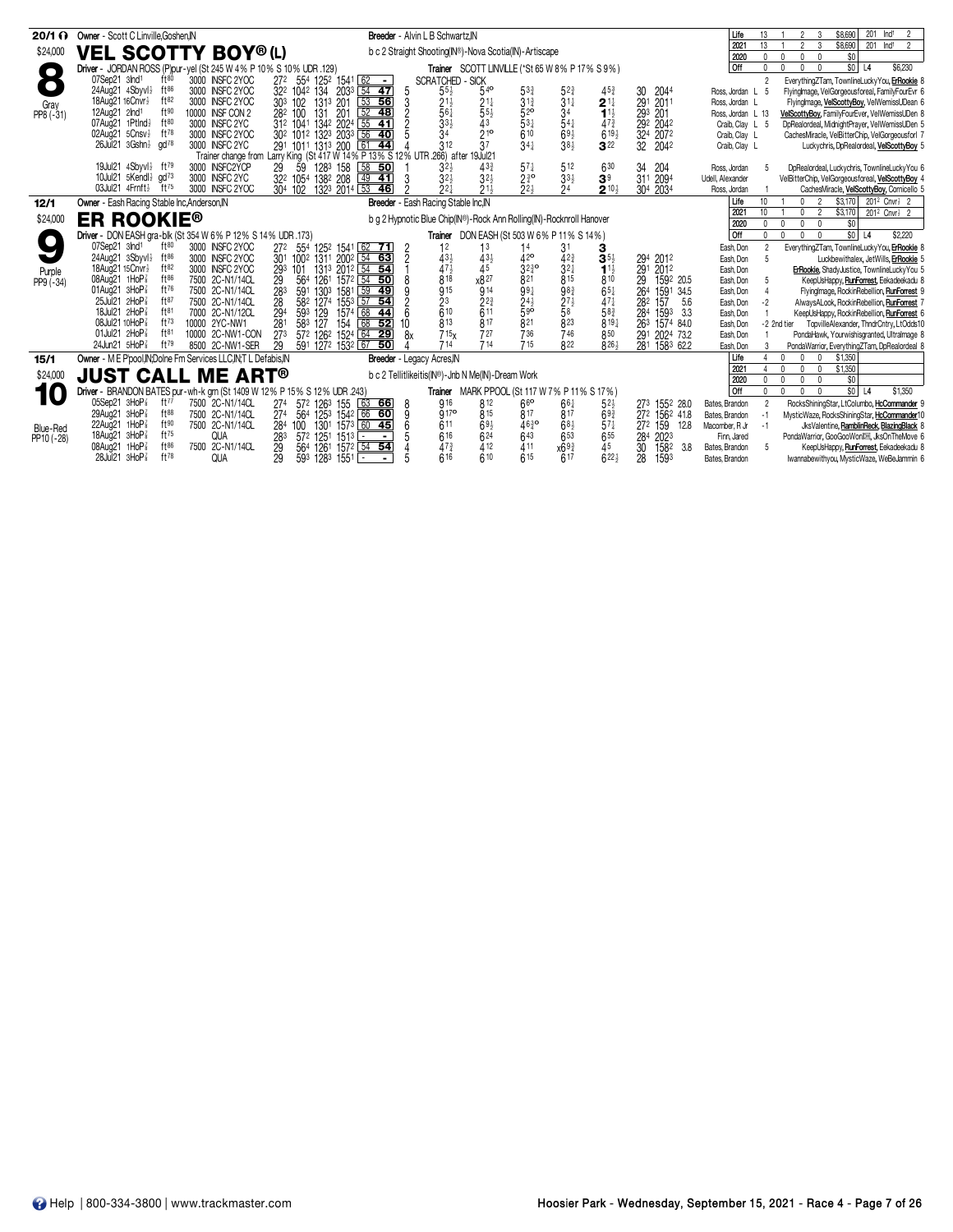| $20/1 \Omega$   | Owner - Scott C Linville.Goshen.IN                                                          |                                                                                  | Breeder - Alvin L B Schwartz, N                                      |                                            |                                                                              |                                     | Life<br>13                                      | 201<br>Ind <sup>1</sup><br>\$8,690<br>$\overline{2}$<br>2                                                                             |
|-----------------|---------------------------------------------------------------------------------------------|----------------------------------------------------------------------------------|----------------------------------------------------------------------|--------------------------------------------|------------------------------------------------------------------------------|-------------------------------------|-------------------------------------------------|---------------------------------------------------------------------------------------------------------------------------------------|
| \$24,000        | <b>VEL SCOTTY BOY®(L)</b>                                                                   |                                                                                  | b c 2 Straight Shooting(IN®)-Nova Scotia(IN)-Artiscape               |                                            |                                                                              |                                     | 13<br>2021<br>2020<br>0                         | $\overline{3}$<br>\$8,690<br>$\mathfrak{p}$<br>201 Ind <sup>1</sup><br>$\overline{2}$<br>\$0<br>$\Omega$<br>$\mathbf{0}$<br>$\Omega$  |
|                 | Driver - JORDAN ROSS (P)pur-yel (St 245 W 4% P 10% S 10% UDR .129)                          |                                                                                  |                                                                      |                                            | Trainer SCOTT LINVILLE (*St 65 W 8% P 17% S 9%)                              |                                     | l Off<br>$\mathbf{0}$                           | $$0$ L <sub>4</sub><br>\$6,230<br>$\mathbf{0}$<br>$\mathbf{0}$<br>$\overline{0}$                                                      |
|                 | ft80<br>07Sep21 3lnd1<br>3000 INSFC 2YOC                                                    | 272 554 1252 1541 62 -                                                           | <b>SCRATCHED - SICK</b>                                              |                                            |                                                                              |                                     | $\mathfrak{p}$                                  | EverythingZTam, TownlineLuckyYou, ErRookie 8                                                                                          |
| $\bullet$       | 24Aug21 4Sbyvl}<br>ft $86$<br>3000 INSFC 2YOC                                               | 32 <sup>2</sup> 104 <sup>2</sup> 134 203 <sup>3</sup> 54 47                      | 5<br>$55\frac{1}{2}$<br>$54^{\circ}$                                 | $5^{3}$                                    | $5^{2\frac{3}{4}}$<br>3 <sup>1</sup> <sup>4</sup><br>$45\frac{3}{4}$         | 2044<br>30                          | Ross Jordan L 5                                 | FlyingImage, VelGorgeousforeal, FamilyFourEvr 6                                                                                       |
| Gray            | $ft^{82}$<br>18Aug21 16Cnvr <sup>1</sup><br>3000 INSFC 2YOC                                 | $53$ 56<br>303 102<br>1313 201                                                   | Š.<br>$21\frac{1}{2}$<br>$21\frac{1}{4}$                             | $3^{13}$                                   | $2^{11}$                                                                     | 291<br>201                          | Ross, Jordan L                                  | Flyinglmage, VelScottyBoy, VelWemissUDean 6                                                                                           |
| PP8 (-31)       | ft90<br>12Aug21 2Ind1<br>10000 INSF CON 2<br>07Aug21 1Ptlnd}<br>$ft^{80}$<br>3000 INSFC 2YC | $52$ 48<br>282 100<br>131<br>201                                                 | $\bar{5}5\frac{1}{2}$<br>561                                         | 52 <sup>o</sup><br>$53\frac{1}{4}$         | 34<br>$11\frac{1}{2}$                                                        | 293<br>201                          | Ross, Jordan L 13                               | VelScottyBoy, FamilyFourEver, VelWemissUDen 8                                                                                         |
|                 | ft $78$<br>3000 INSFC 2YOC<br>02Aug21 5Cnsv <sup>1</sup>                                    |                                                                                  | $33\frac{1}{2}$<br>43<br>$2^{10}$<br>34                              | 610                                        | $54\frac{1}{4}$<br>$47\frac{3}{4}$<br>$69\frac{1}{2}$<br>$6^{19\frac{1}{2}}$ | 292 2042<br>32 <sup>4</sup><br>2072 | Craib, Clay L 5<br>Craib, Clay L                | DpRealordeal, MidnightPrayer, VelWemissUDen 5<br>CachesMiracle, VelBitterChip, VelGorgeousforl 7                                      |
|                 | $26$ Jul $21$ $3Gshn\frac{1}{2}$ $qd^{78}$<br>3000 INSFC 2YC                                | 312 1041 1342 2024 55 41<br>302 1012 1323 2033 56 40<br>291 1011 1313 200 61 44  | 37<br>312                                                            | 34 <sup>1</sup>                            | 38 <sup>1</sup><br>$3^{22}$                                                  | 32<br>2042                          | Craib, Clay L                                   | Luckychris, DpRealordeal, VelScottyBoy 5                                                                                              |
|                 |                                                                                             | Trainer change from Larry King (St 417 W 14% P 13% S 12% UTR 266) after 19Jul21  |                                                                      |                                            |                                                                              |                                     |                                                 |                                                                                                                                       |
|                 | 19Jul21 4Sbyvl} ft79<br>3000 INSFC2YCP                                                      | 59<br>29<br>128 <sup>3</sup> 158 58 50                                           | $3^{2}$<br>433                                                       | $57\frac{1}{4}$                            | 512<br>630                                                                   | 34<br>204                           | Ross, Jordan                                    | DpRealordeal, Luckychris, TownlineLuckyYou 6                                                                                          |
|                 | 10Jul21 5Kendl} gd73<br>3000 INSFC 2YC                                                      | 322 1054 1382 208<br>$49$ 41                                                     | $32\frac{1}{2}$<br>$32\frac{1}{2}$                                   | $2^{30}$                                   | $33\frac{1}{2}$<br>3 <sup>9</sup>                                            | 311<br>2094                         | Udell, Alexander                                | VelBitterChip, VelGorgeousforeal, VelScottyBoy 4                                                                                      |
|                 | 03Jul21 4Frnft}<br>$ft^{75}$<br>3000 INSFC 2YOC                                             | 132 <sup>3</sup> 2014 53<br>304 102<br>46                                        | $2^{2}$<br>$21\frac{1}{2}$                                           | 22 <sub>3</sub>                            | 24<br>$2^{10\frac{1}{2}}$                                                    | 30 <sup>4</sup><br>2034             | Ross, Jordan                                    | CachesMiracle, VelScottyBoy, Cornicello 5                                                                                             |
| 12/1            | Owner - Eash Racing Stable Inc, Anderson, IN                                                |                                                                                  | Breeder - Eash Racing Stable Inc.IN                                  |                                            |                                                                              |                                     | 10<br>Life                                      | 2<br>\$3.170<br>$201^2$ Cnvr $\frac{1}{2}$ 2                                                                                          |
| \$24,000        | <b>ER ROOKIE<sup>®</sup></b>                                                                |                                                                                  | b g 2 Hypnotic Blue Chip(IN®)-Rock Ann Rolling(IN)-Rocknroll Hanover |                                            |                                                                              |                                     | 10 <sup>1</sup><br>2021<br>$\mathbf{0}$<br>2020 | $\overline{2}$<br>\$3,170<br>0<br>201 <sup>2</sup> Cnvr <sup>1</sup> <sub>2</sub> 2<br>\$0<br>$\Omega$<br>$\mathbf 0$<br>$\mathbf{0}$ |
|                 | Driver - DON EASH gra-blk (St 354 W 6% P 12% S 14% UDR .173)                                |                                                                                  |                                                                      | Trainer DON EASH (St 503 W 6% P 11% S 14%) |                                                                              |                                     | <b>Off</b><br>0                                 | $$0$ L4<br>\$2,220<br>$\mathbf{0}$<br>$\mathbf{0}$<br>$\mathbf{0}$                                                                    |
|                 | 07Sep21 3Ind <sup>1</sup><br>ft $80$<br>3000 INSEC 2YOC                                     | 27 <sup>2</sup><br>554 1252 1541 62 71                                           | $\overline{2}$<br>12<br>1 <sup>3</sup>                               | 14                                         | 31                                                                           |                                     | Eash, Don                                       | EverythingZTam, TownlineLuckyYou, ErRookie 8                                                                                          |
|                 | 24Aug21 3Sbyvl}<br>ft $86$<br>3000 INSFC 2YOC                                               | 301 1002 1311 2002 54 63                                                         | $43\frac{1}{2}$<br>$43\frac{1}{2}$<br>$\overline{c}$                 | 42 <sup>o</sup>                            | $42\frac{3}{4}$<br>$3^{51}$                                                  | 294<br>2012                         | Eash, Don<br>-5                                 | Luckbewithalex, JetWills, ErRookie 5                                                                                                  |
| Purple          | 18Aua21 15Cnvr}<br>ft82<br>3000 INSFC 2YOC<br>$ft^{86}$<br>08Aug21 1HoP <sup>3</sup>        | 293 101<br>1313 2012 54 54                                                       | 47}<br>45                                                            | $3^{230}_{821}$                            | $3^{2}$<br>$1^{11}$<br>815                                                   | 291<br>2012                         | Eash, Don                                       | ErRookie, ShadyJustice, TownlineLuckyYou 5                                                                                            |
| $PP9(-34)$      | 7500 2C-N1/14CL<br>ft76<br>01Aug21 $3HOP\frac{7}{8}$<br>7500 2C-N1/14CL                     | 564<br>$157^2$ $\boxed{54}$ 50<br>29<br>1261<br>283<br>591<br>1303<br>1581 59 49 | x827<br>$8^{18}$<br>$\overline{9}15$<br>$\frac{1}{9}$ 14             | 991                                        | 810<br>983<br>$65\frac{1}{4}$                                                | 29<br>1592 20.5<br>264<br>1591 34.5 | Eash, Don<br>Eash, Don<br>$\overline{4}$        | KeepUsHappy, RunForrest, Eekadeekadu 8<br>FlyingImage, RockinRebellion, RunForrest 9                                                  |
|                 | ft87<br>25Jul21 $2HOP$ <sup>7</sup><br>7500 2C-N1/14CL                                      | 28<br>1553 57 54<br>582 1274                                                     | 2 <sup>3</sup><br>$2^{2^{3}}$                                        |                                            | $27\frac{1}{2}$<br>$47\frac{1}{4}$                                           | 282<br>157<br>5.6                   | $-2$<br>Eash, Don                               | AlwaysALook, RockinRebellion, RunForrest 7                                                                                            |
|                 | ft <sup>81</sup><br>18Jul21 2HoP<br>7000 2C-N1/12CL                                         | 294<br>1574 68 44                                                                | $\overline{6}10$<br>$\bar{6}^{11}$<br>6                              | $\frac{24}{5}$ <sup>42</sup>               | $\bar{5}8$<br>583                                                            | 284<br>1593<br>3.3                  | Eash, Don                                       | KeepUsHappy, RockinRebellion, RunForrest 6                                                                                            |
|                 | $ft^{73}$<br>08Jul21 10HoP <sup>3</sup><br>10000 2YC-NW1                                    | 593 129<br>583 127<br>154<br>68 52<br>281                                        | 817<br>813<br>10                                                     | 821                                        | 823<br>819 <sub>1</sub>                                                      | 263<br>1574 84.0                    | Eash, Don                                       | -2 2nd tier<br>TopvilleAlexander, ThndrCntry, LtOdds10                                                                                |
|                 | ft <sup>81</sup><br>01Jul21 2HoP <sup>3</sup><br>10000 2C-NW1-CON                           | 572 1262 1524 64 29<br>27 <sup>3</sup>                                           | 715 <sub>x</sub><br>727<br>8x                                        | 736                                        | 746<br>850                                                                   | 291<br>2024 73.2                    | Eash, Don                                       | PondaHawk, Yourwishisgranted, Ultralmage 8                                                                                            |
|                 | ft79<br>24Jun21 5HoP <sup>3</sup><br>8500 2C-NW1-SER                                        | 29<br>591 1272 1532 67 50                                                        | 714<br>714                                                           | 715                                        | R <sub>22</sub><br>$826\frac{1}{2}$                                          | 1583 62.2<br>281                    | Eash, Don<br>3                                  | PondaWarrior, EverythingZTam, DpRealordeal 8                                                                                          |
| 15/1            | Owner - M E P'pool, IN: Dolne Fm Services LLC, IN: T L Defabis, IN                          |                                                                                  | Breeder - Legacy Acres, IN                                           |                                            |                                                                              |                                     | Life                                            | \$1,350<br>$\Omega$<br>0                                                                                                              |
| \$24,000        | <b>JUST CALL ME ART®</b>                                                                    |                                                                                  | b c 2 Tellitlikeitis(IN®)-Jnb N Me(IN)-Dream Work                    |                                            |                                                                              |                                     | 2021<br>2020                                    | \$1,350<br>$\Omega$<br>$\mathbf{0}$<br>$\mathbf{0}$<br>\$0<br>$\Omega$<br>$\mathbf{0}$<br>$\mathbf{0}$                                |
|                 | Driver - BRANDON BATES pur-wh-k grn (St 1409 W 12% P 15% S 12% UDR 243)                     |                                                                                  |                                                                      |                                            | Trainer MARK PPOOL (St 117 W 7% P 11% S 17%)                                 |                                     | <b>Off</b><br>$\mathbf{0}$                      | $$0$ L4<br>$\Omega$<br>$\mathbf{0}$<br>$\mathbf{0}$<br>\$1,350                                                                        |
| 10              | 05Sep21 3HoP <sup>3</sup><br>ft $77$<br>7500 2C-N1/14CL                                     | 274<br>57 <sup>2</sup> 126 <sup>3</sup> 155 63 66                                | 916<br>812<br>8                                                      | 66                                         | $66\frac{1}{4}$<br>$5^{2}$                                                   | 273 1552 28.0                       | Bates, Brandon<br>2                             | RocksShiningStar, LtColumbo, HcCommander 9                                                                                            |
|                 | $ft^{88}$<br>29Aug21 $3HOP\frac{7}{8}$<br>7500 2C-N1/14CL                                   | 27 <sup>4</sup><br>564<br>1253 1542 66 60                                        | 9170<br>815<br>9                                                     | 817                                        | 817<br>$69\frac{3}{4}$                                                       | 272 1562 41.8                       | Bates, Brandon<br>$-1$                          | MysticWaze, RocksShiningStar, HcCommander10                                                                                           |
| <b>Blue-Red</b> | ft90<br>22Aug21 $1$ HoP $\frac{7}{8}$<br>7500 2C-N1/14CL                                    | 284<br>1301 1573 60 45<br>100                                                    | 611<br>693                                                           | $46\frac{3}{4}$ o                          | $57\frac{1}{4}$<br>$68\frac{1}{2}$                                           | 159<br>12.8<br>272                  | $-1$<br>Macomber, R Jr                          | JksValentine, RamblinReck, BlazingBlack 8                                                                                             |
| PP10 (-28)      | $ft^{75}$<br>18Aug21 3HoP <sup>3</sup><br>QUA                                               | 283<br>572 1251 1513 -<br>$\blacksquare$                                         | 616<br>624                                                           | 643                                        | 653<br>655                                                                   | 284<br>2023                         | Finn, Jared                                     | PondaWarrior, GooGooWonDH, JksOnTheMove 6                                                                                             |
|                 | $ft^{86}$<br>08Aug21 1HoP3<br>7500 2C-N1/14CL                                               | 1261<br>1572 54 54<br>29<br>564                                                  | $47\frac{3}{4}$<br>412                                               | 411                                        | 45<br>x693                                                                   | 30<br>1582<br>3.8                   | Bates, Brandon<br>- 5                           | KeepUsHappy, RunForrest, Eekadeekadu 8                                                                                                |
|                 | ft78<br>$28$ Jul $21$ $3H$ o $P_8^7$<br><b>QUA</b>                                          | 29<br>593 1283 1551<br>$\sim$                                                    | 610<br>616                                                           | 615                                        | $622\frac{1}{2}$<br>617                                                      | 28<br>1593                          | Bates, Brandon                                  | Iwannabewithyou, MysticWaze, WeBeJammin 6                                                                                             |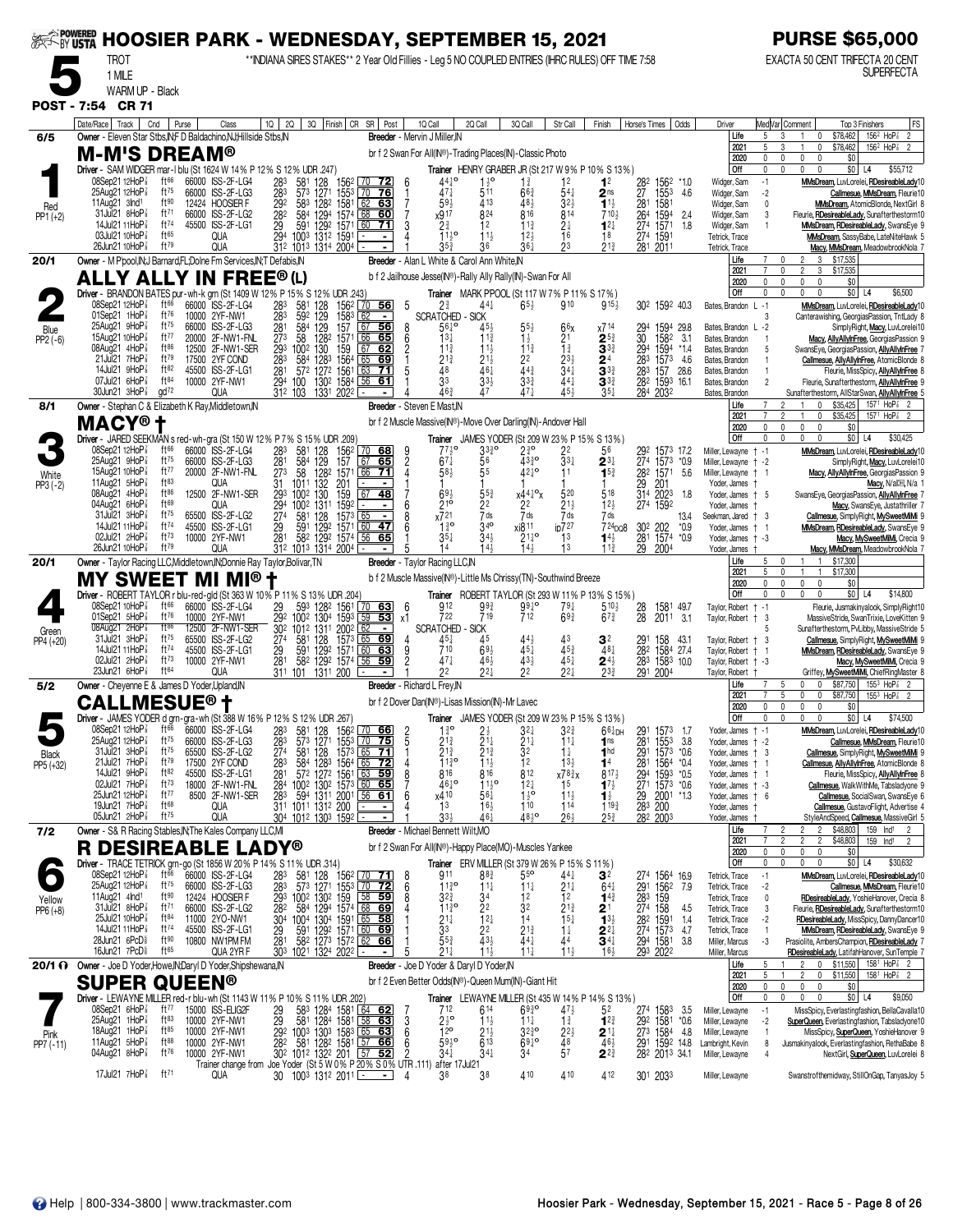| <b>EXAMPOWERED</b>  |                                                                                                                                                                                 |                               | <b>HOOSIER PARK - WEDNESDAY, SEPTEMBER 15, 2021</b>                                         |                                   |                                                                                                                                     |                                                                    |                                |                                          |                                                                 |                                                 |                                                                                           |                                                          |                                                                     |                                       |                                                                                    |                                          |                     | <b>PURSE \$65,000</b>                                                                                                                                     |
|---------------------|---------------------------------------------------------------------------------------------------------------------------------------------------------------------------------|-------------------------------|---------------------------------------------------------------------------------------------|-----------------------------------|-------------------------------------------------------------------------------------------------------------------------------------|--------------------------------------------------------------------|--------------------------------|------------------------------------------|-----------------------------------------------------------------|-------------------------------------------------|-------------------------------------------------------------------------------------------|----------------------------------------------------------|---------------------------------------------------------------------|---------------------------------------|------------------------------------------------------------------------------------|------------------------------------------|---------------------|-----------------------------------------------------------------------------------------------------------------------------------------------------------|
|                     | <b>TROT</b><br>1 MILE                                                                                                                                                           |                               |                                                                                             |                                   | ** INDIANA SIRES STAKES** 2 Year Old Fillies - Leg 5 NO COUPLED ENTRIES (IHRC RULES) OFF TIME 7:58                                  |                                                                    |                                |                                          |                                                                 |                                                 |                                                                                           |                                                          |                                                                     |                                       |                                                                                    |                                          |                     | EXACTA 50 CENT TRIFECTA 20 CENT<br><b>SUPERFECTA</b>                                                                                                      |
|                     | WARM UP - Black                                                                                                                                                                 |                               |                                                                                             |                                   |                                                                                                                                     |                                                                    |                                |                                          |                                                                 |                                                 |                                                                                           |                                                          |                                                                     |                                       |                                                                                    |                                          |                     |                                                                                                                                                           |
|                     | POST - 7:54 CR 71                                                                                                                                                               |                               |                                                                                             |                                   |                                                                                                                                     |                                                                    |                                |                                          |                                                                 |                                                 |                                                                                           |                                                          |                                                                     |                                       |                                                                                    |                                          |                     |                                                                                                                                                           |
| 6/5                 | Date/Race   Track  <br>Owner - Eleven Star Stbs.IN:F D Baldachino.NJ:Hillside Stbs.IN                                                                                           | Cnd                           | Purse<br>Class                                                                              |                                   | 10 20 30 Finish CR SR Post                                                                                                          |                                                                    |                                | 1Q Call<br>Breeder - Mervin J Miller, IN | 2Q Call                                                         |                                                 | 3Q Call                                                                                   | Str Call                                                 | Finish                                                              |                                       | Horse's Times   Odds                                                               | Driver<br>Life                           | 5                   | FS<br>Med Var  Comment<br>Top 3 Finishers<br>156 <sup>2</sup> HoP <sup>2</sup> 2<br>\$78,462<br>3<br>0<br>$\mathbf{1}$                                    |
|                     | <b>M-M'S DREAM®</b>                                                                                                                                                             |                               |                                                                                             |                                   |                                                                                                                                     |                                                                    |                                |                                          |                                                                 |                                                 | br f 2 Swan For All(IN®)-Trading Places(IN)-Classic Photo                                 |                                                          |                                                                     |                                       |                                                                                    | 2021<br>2020                             | 5<br>$\mathsf{0}$   | $156^2$ HoP $\frac{7}{8}$ 2<br>$\mathbf 0$<br>\$78,462<br>$\mathbf{0}$<br>0<br>$\mathbf{0}$<br>\$0                                                        |
|                     | Driver - SAM WIDGER mar-I blu (St 1624 W 14% P 12% S 12% UDR .247)<br>08Sep21 12HoP                                                                                             | ft <sup>66</sup>              | 66000 ISS-2F-LG4                                                                            | 283                               | 581<br>128                                                                                                                          | 156 <sup>2</sup> 70 72                                             |                                | - 6                                      | $44^{10}$                                                       | $1\frac{1}{2}$ <sup>o</sup>                     | $1\frac{3}{4}$                                                                            | 12                                                       | Trainer HENRY GRABER JR (St 217 W 9% P 10% S 13%)<br>1 <sup>2</sup> | 282                                   | 1562<br>*1.0                                                                       | Off<br>Widger, Sam                       | 0<br>$-1$           | $\Omega$<br>$\mathbf{0}$<br>\$0<br>$\mathbf{0}$<br>L4<br>\$55,712<br>MMsDream, LuvLorelei, RDesireableLady10                                              |
|                     | 25Aug21 12HoP <sup>7</sup><br>11Aug21 3Ind1                                                                                                                                     | $ft^{75}$<br>ft90             | 66000 ISS-2F-LG3<br>12424 HOOSIER F                                                         | $\frac{283}{3}$<br>292            | 1271<br>573<br>583 1282                                                                                                             | $\frac{1553}{1581}$ $\frac{70}{62}$ 63                             |                                |                                          | $47\frac{1}{4}$<br>$59\frac{1}{2}$                              | 511<br>413                                      | $66\frac{3}{4}$<br>48}                                                                    | 54‡<br>3 <sub>2</sub>                                    | 2 <sub>ns</sub><br>$1^{11}$                                         | 27 1553<br>281 1581                   | 1553<br>4.6                                                                        | Widger, Sam                              | $-2$<br>$\mathbf 0$ | Callmesue, MMsDream, Fleurie10<br>MMsDream, AtomicBlonde, NextGirl 8                                                                                      |
| Red<br>$PP1 (+2)$   | 31Jul21 8HoP3                                                                                                                                                                   | ft <sup>71</sup><br>ft 74     | 66000 ISS-2F-LG2                                                                            | 28 <sup>2</sup>                   | 584<br>1294                                                                                                                         | 1574 68                                                            | 60                             |                                          | x917                                                            | 824                                             | 816                                                                                       | 814                                                      | $710\frac{1}{2}$                                                    | 264                                   | 1594<br>2.4                                                                        | Widger, Sam<br>Widger, Sam               | 3                   | Fleurie, <b>RDesireableLady</b> , Sunafterthestorm10                                                                                                      |
|                     | 14Jul21 11HoP <sup>3</sup><br>03Jul21 10HoP <sup>3</sup>                                                                                                                        | ft65                          | 45500 ISS-2F-LG1<br>QUA                                                                     |                                   | 29 591 1292 1571<br>294 1003 1312 1591                                                                                              | 1571<br>60                                                         | <u>71</u><br>$\blacksquare$    | 3                                        | $2\frac{3}{4}$<br>$11\frac{1}{2}$ <sup>o</sup>                  | 12<br>$11\frac{1}{2}$                           | $11\frac{3}{4}$<br>12 <sub>3</sub>                                                        | $^{2\frac{1}{4}}$                                        | $12\frac{1}{4}$<br>18                                               | 274 1571<br>274 1591                  | 1571<br>1.8                                                                        | Widger, Sam<br>Tetrick, Trace            | $\overline{1}$      | MMsDream, RDesireableLady, SwansEye 9<br>MMsDream, SassyBabe, LateNiteHawk 5                                                                              |
| 20/1                | 26Jun21 10HoP <sup>3</sup><br>Owner - M P'pool, IN; J Barnard, FL; Dolne Fm Services, IN; T Defabis, IN                                                                         | $ft^{79}$                     | QUA                                                                                         |                                   | 312 1013 1314 2004                                                                                                                  |                                                                    |                                |                                          | 35 <sub>3</sub><br>Breeder - Alan L White & Carol Ann White, IN | 36                                              | 361                                                                                       | 23                                                       | $21\frac{3}{4}$                                                     | 281 2011                              |                                                                                    | Tetrick, Trace<br>Life                   |                     | Macy, MMsDream, MeadowbrookNola<br>$\mathbf{0}$<br>3 \$17,535<br>$^{2}$                                                                                   |
|                     | <b>ALLY ALLY IN FREE®(L)</b>                                                                                                                                                    |                               |                                                                                             |                                   |                                                                                                                                     |                                                                    |                                |                                          |                                                                 |                                                 | b f 2 Jailhouse Jesse(IN®)-Rally Ally Rally(IN)-Swan For All                              |                                                          |                                                                     |                                       |                                                                                    | 2021<br>2020                             |                     | 3<br>\$17,535<br>\$0<br>$\mathbf{0}$<br>$\mathbf{0}$<br>$\mathbf{0}$                                                                                      |
|                     | Driver - BRANDON BATES pur-wh-k grn (St 1409 W 12% P 15% S 12% UDR .243)<br>08Sep21 12HoP <sup>3</sup>                                                                          | ft66                          | 66000 ISS-2F-LG4                                                                            |                                   |                                                                                                                                     |                                                                    | $\frac{70}{56}$                | 5                                        | $2\frac{3}{4}$                                                  | 44                                              | <b>Trainer</b> MARK PPOOL (St 117 W 7% P 11% S 17%)<br>$65\frac{1}{2}$                    | 910                                                      | $915\frac{1}{2}$                                                    |                                       | 30 <sup>2</sup> 159 <sup>2</sup> 40.3                                              | Off<br>Bates, Brandon                    | 0<br>$L - 1$        | $\mathbf{0}$<br>$$0$ L <sub>4</sub><br>\$6,500<br>$\sqrt{ }$<br>0<br>MMsDream, LuvLorelei, RDesireableLady10                                              |
|                     | 01Sep21 1HoP<br>$25$ Aug $21$ 9HoP $\frac{7}{8}$                                                                                                                                | ft $76$<br>ft75               | 10000 2YF-NW1<br>66000 ISS-2F-LG3                                                           | 283<br>283<br>281<br>273<br>293   | 581<br>592<br>128<br>129<br>129<br>584                                                                                              | 156 <sup>2</sup><br>158 <sup>3</sup><br>67<br>157                  | $\overline{\phantom{a}}$<br>56 |                                          | <b>SCRATCHED - SICK</b><br>$56\frac{1}{4}$                      | 45,                                             |                                                                                           | 66x                                                      | x714                                                                | 294                                   | 1594<br>29.8                                                                       | Bates, Brandon L -2                      |                     | Canterawishing, GeorgiasPassion, TntLady 8<br>SimplyRight, Macy, LuvLorelei10                                                                             |
| Blue<br>$PP2(-6)$   | 15Aug21 10HoP<br>08Aug21 4HoP                                                                                                                                                   | ft77<br>$ft^{86}$             | 20000 2F-NW1-FNL<br>12500 2F-NW1-SER                                                        |                                   | 1282<br>58<br>1002<br>130                                                                                                           | $\frac{66}{67}$<br>1571<br>159                                     | 65<br>62                       | 6                                        | $13\frac{1}{4}$<br>$11\frac{3}{4}$                              | $11\frac{3}{4}$<br>$11\frac{1}{2}$              | $11\frac{3}{4}$                                                                           | $\frac{21}{12}$                                          | $2^{5\frac{3}{4}}$<br>3 $^{3\frac{3}{4}}$                           | $\frac{30}{294}$                      | 1582 3.1<br>1594 *1.4                                                              | Bates, Brandon                           |                     | Macy, AllyAllyInFree, GeorgiasPassion 9                                                                                                                   |
|                     | 21Jul21 7HoP3                                                                                                                                                                   | ft79                          | 17500 2YF COND                                                                              | 283                               | 584 1283                                                                                                                            | 1564<br>65                                                         | <u>69</u>                      |                                          | $2^{1\frac{3}{4}}$                                              | 21}                                             | $2^2$<br>44 <sup>3</sup>                                                                  |                                                          | $2^{4}_{3^{3}_{4}}$                                                 |                                       | 283 1573 4.6                                                                       | Bates, Brandon<br>Bates, Brandon         |                     | SwansEye, GeorgiasPassion, AllyAllyInFree<br>Callmesue, AllyAllyInFree, AtomicBlonde 8                                                                    |
|                     | 14Jul21 9HoP3<br>07Jul21 6HoP                                                                                                                                                   | ft82<br>ft <sup>84</sup>      | 45500 ISS-2F-LG1<br>10000 2YF-NW1                                                           |                                   | 281 572<br>294 100<br>572 1272 1561<br>130 <sup>2</sup>                                                                             | 63<br>1584<br>56                                                   | 71<br>61                       |                                          | $\overline{4}8$<br>33                                           | 461<br>$33\frac{1}{2}$                          | $3^{3}_{4}$                                                                               | $2^{3}\frac{1}{2}$<br>3 <sup>41</sup><br>4 <sup>41</sup> | $3^{3}$                                                             |                                       | 283 157 28.6<br>282 1593 16.1                                                      | Bates, Brandon<br>Bates, Brandon         |                     | Fleurie, MissSpicy, AllyAllyInFree 8<br>Fleurie, Sunafterthestorm, AllyAllyInFree                                                                         |
| 8/1                 | $30$ Jun21 $3$ HoP $\frac{7}{8}$<br>Owner - Stephan C & Elizabeth K Ray, Middletown, IN                                                                                         | $\frac{1}{2}$                 | QUA                                                                                         |                                   | 312 103 1331 2022 -                                                                                                                 |                                                                    |                                | Breeder - Steven E Mast, IN              | 463                                                             |                                                 | 47 <sup>1</sup>                                                                           | 454                                                      |                                                                     | 284 2032                              |                                                                                    | Bates, Brandon<br>Life                   |                     | Sunafterthestorm, AllStarSwan, AllyAllyInFree<br>$\overline{c}$<br>$\mathbf 0$<br>\$35,425<br>1571 HoP <sup>2</sup> <sub>8</sub> 2                        |
|                     | MACY®†                                                                                                                                                                          |                               |                                                                                             |                                   |                                                                                                                                     |                                                                    |                                |                                          |                                                                 |                                                 | br f 2 Muscle Massive(IN®)-Move Over Darling(IN)-Andover Hall                             |                                                          |                                                                     |                                       |                                                                                    | 2021<br>2020                             | 0                   | 1571 HoP <sup>2</sup> 2<br>0<br>\$35,425<br>$\mathbf{0}$<br>$\mathbf{0}$<br>0<br>\$0                                                                      |
|                     | Driver - JARED SEEKMAN s red-wh-gra (St 150 W 12% P 7% S 15% UDR .209)<br>08Sep21 12HoP <sup>7</sup>                                                                            | $ft^{66}$                     | 66000 ISS-2F-LG4                                                                            |                                   | 581<br>128                                                                                                                          | 1562                                                               | <u>70 68</u>                   | 9                                        | $77\frac{1}{2}$ <sup>o</sup>                                    | 33}°                                            | Trainer JAMES YODER (St 209 W 23% P 15% S 13%)                                            | 22                                                       | 56                                                                  |                                       |                                                                                    | Off<br>Miller, Lewayne                   | 0<br>$+ -1$         | 0<br>$\mathbf{0}$<br>\$0<br>0<br>\$30,425<br>L4<br>MMsDream, LuvLorelei, RDesireableLady10                                                                |
|                     | 25Aug21 9HoP<br>15Aug21 10HoP <sup>7</sup>                                                                                                                                      | $ft^{75}$<br>ft $^{77}$       | 66000 ISS-2F-LG3<br>20000 2F-NW1-FNL                                                        | $^{283}_{281}$<br>27 <sup>3</sup> | 584<br>129<br>58<br>1282                                                                                                            | 157<br>67<br>66<br>1571                                            | 65<br>71                       | 2<br>4                                   | $67\frac{1}{4}$<br>$58\frac{1}{2}$                              | 56                                              | $\frac{2\frac{3}{4}\mathbf{0}}{4\frac{33}{4}\mathbf{0}}$<br>$42\frac{1}{4}$ <sup>o</sup>  | $33\frac{1}{4}$<br>11                                    | $2^{3}{}^{1}$<br>$1^{5^3}$                                          |                                       | 29 <sup>2</sup> 157 <sup>3</sup> 17.2<br>274 157 <sup>3</sup> *0.9<br>282 1571 5.6 | Miller, Lewayne<br>Miller, Lewayne       | + -2                | SimplyRight, Macy, LuvLorelei10<br>Macy, AllyAllyInFree, GeorgiasPassion 9                                                                                |
| White<br>$PP3 (-2)$ | 11Aug21 5HoP                                                                                                                                                                    | ft83<br>$ft^{86}$             | QUA                                                                                         | 31                                | 1011<br>132                                                                                                                         | 201                                                                |                                |                                          |                                                                 |                                                 |                                                                                           |                                                          |                                                                     | 29 201<br>314 2023                    |                                                                                    | Yoder, James                             |                     | Macy, N/aDH, N/a                                                                                                                                          |
|                     | 08Aug21 4HoP<br>04Aug21 6HoP                                                                                                                                                    | ft69                          | 12500 2F-NW1-SER<br>QUA                                                                     | 293<br>294<br>274                 | 130<br>1002<br>1002<br>1311                                                                                                         | 159<br>67<br>1592                                                  | 48<br>$\overline{\phantom{0}}$ | 6                                        | $69\frac{1}{2}$<br>21 <sup>o</sup>                              | $5^{5^{3}_{4}}$<br>22                           | x44 <sup>1</sup> °x<br>$\frac{2^2}{7}$ ds                                                 | 520<br>$21\frac{1}{2}$                                   | 518<br>$12\frac{1}{2}$                                              | 274 1592                              | 1.8                                                                                | Yoder, James † 5<br>Yoder, James         |                     | SwansEye, GeorgiasPassion, AllyAllyInFree<br>Macy, SwansEye, Justathriller 7                                                                              |
|                     | 31Jul21 3HoP3<br>14Jul21 11HoP                                                                                                                                                  | ft75<br>$ft^{74}$             | 65500 ISS-2F-LG2<br>45500 ISS-2F-LG1                                                        | 29                                | 581<br>128<br>591<br>1292                                                                                                           | 65<br>1573<br>60<br>1571                                           | Ξ<br>47                        | 8                                        | $x\overline{7}$ 21<br>$1^{30}$                                  | 7 ds<br>34 <sup>o</sup>                         | xi811                                                                                     | 7 ds<br>ip727                                            | 7 ds<br>724 <sub>DQ</sub> 8                                         | 302 202                               | 13.4<br>*0.9                                                                       | Seekman, Jared + 3<br>Yoder, James       |                     | Callmesue, SimplyRight, MySweetMiMi 9<br><b>MMsDream, RDesireableLady, SwansEye 9</b>                                                                     |
|                     | 02Jul21 $2H_0P_8^7$<br>26Jun21 10HoP                                                                                                                                            | $ft^{73}$<br>ft79             | 10000 2YF-NW1<br>QUA                                                                        | 281                               | 312 1013 1314 2004 -                                                                                                                | 58 <sup>2</sup> 129 <sup>2</sup> 1574 56                           | 65                             |                                          | $35\frac{1}{4}$<br>14                                           | $34\frac{1}{2}$<br>143                          | $21\frac{1}{4}$ <sup>o</sup><br>144                                                       | 1 <sup>3</sup><br>13                                     | $14\frac{1}{2}$<br>$11\frac{3}{4}$                                  | 281 1574<br>29                        | *0.9<br>2004                                                                       | Yoder, James<br>Yoder, James             | $+ -3$              | Macy, MySweetMiMi, Crecia 9<br>Macy, MMsDream, MeadowbrookNola                                                                                            |
| 20/1                | Owner - Taylor Racing LLC, Middletown, IN; Donnie Ray Taylor, Bolivar, TN                                                                                                       |                               |                                                                                             |                                   |                                                                                                                                     |                                                                    |                                | Breeder - Taylor Racing LLC, IN          |                                                                 |                                                 |                                                                                           |                                                          |                                                                     |                                       |                                                                                    | Life<br>2021                             | 5<br>5              | 0<br>\$17,300<br>$\mathbf{1}$<br>$\overline{1}$<br>0<br>$\mathbf{1}$<br>\$17,300<br>$\mathbf{1}$                                                          |
|                     | <b>MY SWEET MI MI®</b><br>Driver - ROBERT TAYLOR r blu-red-gld (St 363 W 10% P 11% S 13% UDR .204)                                                                              |                               |                                                                                             | t                                 |                                                                                                                                     |                                                                    |                                |                                          |                                                                 |                                                 | b f 2 Muscle Massive(IN®)-Little Ms Chrissy(TN)-Southwind Breeze                          |                                                          | Trainer ROBERT TAYLOR (St 293 W 11% P 13% S 15%)                    |                                       |                                                                                    | 2020<br>Off                              | 0                   | 0<br>0<br>$\mathbf{0}$<br>\$0<br>\$0<br>L4<br>\$14,800                                                                                                    |
|                     | 08Sep21 10HoP<br>01Sep21 5HoP                                                                                                                                                   | ft $66$<br>ft76               | 66000 ISS-2F-LG4<br>10000 2YF-NW1                                                           | 29<br>292                         | 593 1282<br>1002<br>1304                                                                                                            | 1561                                                               | 63                             | 6                                        | 912<br>722                                                      | $\frac{993}{719}$                               | $\frac{9910}{712}$                                                                        | 79‡<br>$69\frac{3}{4}$                                   | $5^{10\frac{1}{2}}$<br>$67\frac{3}{4}$                              | 28<br>28                              | 1581<br>49.7<br>2011 3.1                                                           | Taylor, Robert                           | $+ -1$              | Fleurie, Jusmakinyalook, SimplyRight10                                                                                                                    |
| Green               | 08Aug21 2HoP<br>$31$ Jul21 $3H_0P_8^7$                                                                                                                                          | $ft^{86}$                     | 12500 2F-NW1-SER                                                                            |                                   | 302 1012 1311 2002                                                                                                                  | 1593<br>59<br>62                                                   | 53<br>$\overline{\phantom{a}}$ | x1                                       | <b>SCRATCHED - SICK</b>                                         |                                                 |                                                                                           |                                                          |                                                                     |                                       |                                                                                    | Taylor, Robert + 3                       |                     | MassiveStride, SwanTrixie, LoveKitten 9<br>Sunafterthestorm, PvLibby, MassiveStride 5                                                                     |
| PP4 (+20)           | 14Jul21 11HoP <sup>3</sup>                                                                                                                                                      | $ft^{75}$<br>$ft^{74}$        | 65500 ISS-2F-LG2<br>45500 ISS-2F-LG1                                                        | $^{274}_{29}$                     | 581<br>128<br>591<br>1292                                                                                                           | 1573 65<br>1571 60                                                 | <u>69 </u><br>63               | 9                                        | 45}<br>710                                                      | 45<br>$69\frac{1}{2}$                           | $45\frac{1}{4}$                                                                           | $45\frac{3}{4}$                                          | 3 <sup>2</sup><br>$48\frac{1}{4}$                                   |                                       | 291 158 43.1<br>28 <sup>2</sup> 1584 27.4                                          | Taylor, Robert † 3<br>Taylor, Robert + 1 |                     | Callmesue, SimplyRight, MySweetMiMi 9<br>MMsDream, RDesireableLady, SwansEye 9                                                                            |
|                     | 02Jul21 2HoP<br>23Jun21 $6H_0P_8^T$                                                                                                                                             | $ft^{73}$<br>ft <sup>64</sup> | 10000 2YF-NW1<br>QUA                                                                        | 281                               | 582 1292 1574<br>311 101 1311 200                                                                                                   | 56                                                                 | <u>59 </u>                     | $\overline{c}$                           | $47\frac{1}{4}$<br>22                                           | 46}<br>22 <sub>1</sub>                          | $43\frac{1}{2}$<br>22                                                                     | 451<br>22 <sub>1</sub>                                   | $2^{4\frac{1}{2}}$<br>23 <sub>3</sub>                               | 291 2004                              | 283 1583 10.0                                                                      | Taylor, Robert + -3<br>Taylor, Robert    |                     | Macy, MySweetMiMi, Crecia 9<br>Griffey, MySweetMiMi, ChiefRingMaster 8                                                                                    |
| 5/2                 | Owner - Cheyenne E & James D Yoder, Upland, IN                                                                                                                                  |                               |                                                                                             |                                   |                                                                                                                                     |                                                                    |                                | Breeder - Richard L Frey, IN             |                                                                 |                                                 |                                                                                           |                                                          |                                                                     |                                       |                                                                                    | Life<br>2021                             |                     | 5<br>0<br>0<br>\$87,750<br>$155^3$ HoP $\frac{7}{8}$<br>$\overline{2}$<br>5<br>0<br>0<br>\$87,750<br>1553 HoP <sup>2</sup> 2                              |
|                     | <b>CALLMESUE® t</b><br>Driver - JAMES YODER d grn-gra-wh (St 388 W 16% P 12% S 12% UDR 267)                                                                                     |                               |                                                                                             |                                   |                                                                                                                                     |                                                                    |                                |                                          | br f 2 Dover Dan(IN®)-Lisas Mission(IN)-Mr Lavec                |                                                 | Trainer JAMES YODER (St 209 W 23% P 15% S 13%)                                            |                                                          |                                                                     |                                       |                                                                                    | 2020<br>Off                              | 0                   | $\Omega$<br>0<br>$\Omega$<br>\$0<br>0<br>\$0<br>0<br>0<br>L4<br>\$74,500                                                                                  |
|                     | 08Sep21 12HoP 3<br>25Aug21 12HoP                                                                                                                                                | ft66<br>$ft^{75}$             | 66000 ISS-2F-LG4<br>66000 ISS-2F-LG3                                                        | 283<br>283                        | 581<br>128<br>573<br>1271                                                                                                           | $\frac{156^2}{155^3}$ $\frac{70}{79}$ 75                           |                                | $\frac{2}{5}$                            | $1\frac{3}{4}$ <sup>o</sup><br>$21\frac{3}{4}$                  | 2½<br>$2^{11}$                                  | $3^{2}$                                                                                   | $3^{2^{3}}$<br>$11\frac{1}{4}$                           | $664$ DH<br>1 <sub>ns</sub>                                         | 291 1573<br>281 1553                  | -1.7<br>3.8                                                                        | Yoder, James<br>Yoder, James             | $+ -1$<br>$+ -2$    | MMsDream, LuvLorelei, RDesireableLady10<br>Callmesue, MMsDream, Fleurie10                                                                                 |
| Black               | $31$ Jul21 $3$ HoP $\frac{7}{8}$<br>21Jul21 7HoP3                                                                                                                               | $ft^{75}$<br>$ft^{79}$        | 65500 ISS-2F-LG2<br>17500 2YF COND                                                          |                                   | 581<br>584<br>$\frac{128}{1283}$                                                                                                    |                                                                    |                                |                                          | $\frac{2}{10}$<br>$\frac{13}{4}$<br>$\frac{3}{4}$               | $21\frac{3}{4}$<br>$11\frac{1}{2}$              | $\frac{21\frac{1}{4}}{3\frac{2}{2}}$                                                      | $1\frac{1}{4}$                                           | 1 <sub>hd</sub>                                                     | 291 1573<br>281 1564                  | $*0.6$                                                                             | Yoder, James                             | -3                  | Callmesue, SimplyRight, MySweetMiMi 9                                                                                                                     |
| PP5 (+32)           | 14Jul21 9HoP<br>02Jul21 7HoP                                                                                                                                                    | ft82                          | 45500 ISS-2F-LG1                                                                            | 274<br>283<br>281                 | 572 1272                                                                                                                            | $\frac{1573}{1564}$ $\frac{65}{65}$ 71<br>1564 65 72               |                                | 8                                        | 816                                                             | 816                                             | 812                                                                                       | $13\frac{1}{2}$<br>$x78\frac{3}{4}x$                     | 1 <sup>4</sup><br>$8^{17}\frac{1}{2}$                               | 294                                   | $*0.4$<br>1593 *0.5                                                                | Yoder, James<br>Yoder, James             |                     | Callmesue, AllyAllyInFree, AtomicBlonde 8<br>Fleurie, MissSpicy, <b>AllyAllyInFree</b> 8                                                                  |
|                     | 25Jun21 12HoP <sup>3</sup>                                                                                                                                                      | $ft^{73}$<br>ft77             | 18000 2F-NW1-FNL<br>8500 2F-NW1-SER                                                         | $\frac{284}{283}$                 | 100 <sup>2</sup><br>594                                                                                                             | 130 <sup>2</sup> 1573 60 65<br>1311 2001 56 61                     |                                | հ                                        | $46\frac{1}{4}$ <sup>o</sup><br>x410                            | $11\frac{1}{2}$ <sup>o</sup><br>$56\frac{1}{4}$ | $12\frac{1}{4}$<br>$1\frac{1}{2}$                                                         | 1 <sup>5</sup><br>$11\frac{1}{2}$                        | $17\frac{1}{2}$<br>$\mathbf{1}_{2}^{1}$                             | $\frac{271}{29}$                      | 1573 *0.6<br>2001 *1.3                                                             | Yoder, James + -3<br>Yoder, James        | 6<br>$\pm$          | Callmesue, WalkWithMe, Tabsladyone 9<br>Callmesue, SocialSwan, SwansEye 6                                                                                 |
|                     | 19Jun21 7HoP3<br>05Jun21 2HoP <sup>3</sup>                                                                                                                                      | ft <sup>68</sup><br>ft75      | QUA<br>QUA                                                                                  |                                   | 311 1011 1312 200<br>304 1012 1303 1592                                                                                             | $\overline{\phantom{a}}$                                           | $\blacksquare$                 |                                          | 13<br>33 <sup>1</sup>                                           | 16 <sub>3</sub><br>461                          | 110<br>$48^{10}$                                                                          | 114<br>264                                               | $119\frac{3}{4}$<br>$2^{5^3}$                                       | 283 200<br>282 2003                   |                                                                                    | Yoder, James<br>Yoder, James             |                     | Callmesue, GustavoFlight, Advertise 4<br>StyleAndSpeed, Callmesue, MassiveGirl 5                                                                          |
| 7/2                 | Owner - S& R Racing Stables, IN; The Kales Company LLC, MI                                                                                                                      |                               |                                                                                             |                                   |                                                                                                                                     |                                                                    |                                |                                          | Breeder - Michael Bennett Wilt, MO                              |                                                 |                                                                                           |                                                          |                                                                     |                                       |                                                                                    | Life<br>2021                             |                     | $\overline{2}$<br>\$48,803<br>159 Ind <sup>1</sup><br>2<br>\$48,803<br>2<br>$\overline{2}$<br>$\overline{c}$<br>159<br>Ind <sup>1</sup><br>$\overline{2}$ |
|                     | <b>R DESIREABLE LADY®</b>                                                                                                                                                       |                               |                                                                                             |                                   |                                                                                                                                     |                                                                    |                                |                                          | Trainer                                                         |                                                 | br f 2 Swan For All(IN®)-Happy Place(MO)-Muscles Yankee<br>ERV MILLER (St 379 W 26% P 15% |                                                          | S 11%                                                               |                                       |                                                                                    | 2020<br>Off                              | $\Omega$<br>0       | $\mathbf{0}$<br>$\mathbf 0$<br>$\mathbf{0}$<br>\$0<br>$$0$ L4<br>\$30,632<br>0<br>0<br>0                                                                  |
|                     | Driver - TRACE TETRICK grn-go (St 1856 W 20 % P 14% S 11% UDR 314)<br>108Sep21 12HoP <sup>3</sup> ft <sup>66</sup> 66000 ISS-2F-LG4 283 581 128 1<br>25Aug21 12HoP <sup>3</sup> | $ft^{75}$                     | 66000 ISS-2F-LG3                                                                            | $\frac{283}{283}$                 | 581 128<br>573 1271                                                                                                                 | 156 <sup>2</sup> 70 71<br>$155^3$ $\sqrt{20}$                      | <u>72 </u>                     | $\begin{matrix} 8 \\ 6 \end{matrix}$     | 911<br>$11\frac{3}{4}$ <sup>o</sup>                             | 883<br>$11\frac{1}{4}$                          | 55 <sup>o</sup><br>$11\frac{1}{4}$                                                        | 44<br>$21\frac{1}{4}$                                    | 3 <sup>2</sup><br>$64\frac{1}{4}$                                   |                                       | 274 1564 16.9<br>1562 7.9                                                          | Tetrick, Trace<br>Tetrick, Trace         | $-1$<br>$-2$        | MMsDream, LuvLorelei, RDesireableLady10                                                                                                                   |
| Yellow<br>PP6 (+8)  | 11Aug21 4Ind <sup>1</sup><br>31Jul21 8HoP <sup>3</sup>                                                                                                                          | ft90<br>ft <sup>71</sup>      | 12424 HOOSIER F<br>66000 ISS-2F-LG2                                                         | $\frac{293}{282}$                 |                                                                                                                                     | 100 <sup>2</sup> 130 <sup>2</sup> 159 58 59<br>584 1294 1574 68 69 |                                | 8                                        | $3^{2^{3}}$<br>$1\frac{3}{4}$ <sup>o</sup>                      | $\frac{3^4}{2^2}$                               | 12                                                                                        | 12                                                       | $1^{4^3}$                                                           | 291<br>28 <sup>3</sup> 159<br>274 158 |                                                                                    | Tetrick, Trace                           | $\mathbf{0}$        | Callmesue, MMsDream, Fleurie10<br>RDesireableLady, YoshieHanover, Crecia 8                                                                                |
|                     | 25Jul21 10HoP                                                                                                                                                                   | $ft^{84}$                     | 11000 2YO-NW1                                                                               |                                   |                                                                                                                                     |                                                                    |                                |                                          | $21\frac{1}{4}$                                                 | $12\frac{1}{4}$                                 | 32<br>14                                                                                  | $2^{13}_{4}$<br>15 <sup>1</sup>                          | $2^{1}_{13\frac{1}{2}}$                                             | $\overline{28}^2$                     | 4.5<br>1591<br>1.4                                                                 | Tetrick, Trace<br>Tetrick, Trace         | 3<br>$-2$           | Fleurie, RDesireableLady, Sunafterthestorm10<br>RDesireableLady, MissSpicy, DannyDancer10                                                                 |
|                     | 14Jul21 11HoP <sup>3</sup><br>28Jun21 6PcD <sup>5</sup>                                                                                                                         | $ft^{74}$<br>ft90             | 45500 ISS-2F-LG1<br>10800 NW1PM FM                                                          |                                   | 304 1004 1304 1591 65 58<br>29 591 1292 1571 60 69<br>281 582 1273 1572 62 66                                                       |                                                                    |                                |                                          | 3 <sup>3</sup><br>$55\frac{3}{4}$                               | $\frac{2^2}{4^3}$                               | $2^{13}_{44}$                                                                             | $1\frac{1}{4}$<br>44                                     | $2^{2\frac{1}{4}}$<br>$34\frac{1}{4}$                               | 274 1573<br>294 1581                  | 4.7<br>3.8                                                                         | Tetrick, Trace<br>Miller, Marcus         | -3                  | MMsDream, RDesireableLady, SwansEye 9<br>Prasiolite, AmbersChampion, RDesireableLady 7                                                                    |
|                     | 16Jun21 7PcD <sup>§</sup><br>20/1 O Owner - Joe D Yoder, Howe, IN; Daryl D Yoder, Shipshewana, IN                                                                               | ft65                          | QUA 2YR F                                                                                   |                                   | 303 1021 1324 2022                                                                                                                  |                                                                    |                                | 5                                        | $21\frac{1}{4}$<br>Breeder - Joe D Yoder & Daryl D Yoder, IN    | 11.1                                            | $11\frac{1}{4}$                                                                           | $11+$                                                    | 16 <sub>3</sub>                                                     | 293 2022                              |                                                                                    | Miller, Marcus<br>Life                   | 5                   | RDesireableLady, LatifahHanover, SunTemple 7<br>0 $$11,550$ 158 <sup>1</sup> HoP <sup>3</sup> 2<br>$\overline{1}$<br>$\overline{2}$                       |
|                     | <b>SUPER QUEEN®</b>                                                                                                                                                             |                               |                                                                                             |                                   |                                                                                                                                     |                                                                    |                                |                                          |                                                                 |                                                 | br f 2 Even Better Odds(IN®)-Queen Mum(IN)-Giant Hit                                      |                                                          |                                                                     |                                       |                                                                                    | 2021<br>2020                             | 5<br>0              | $158^1$ HoP $\frac{7}{8}$ 2<br>0<br>\$11,550<br>2<br>$\mathbf{0}$<br>0<br>$\mathbf 0$<br>\$0                                                              |
|                     | Driver - LEWAYNE MILLER red-r blu-wh (St 1143 W 11% P 10% S 11% UDR .202)<br>08Sep21 6HoP                                                                                       | ft77                          | 15000 ISS-ELIG2F                                                                            |                                   |                                                                                                                                     |                                                                    |                                |                                          |                                                                 |                                                 | 6930                                                                                      |                                                          | Trainer LEWAYNE MILLER (St 435 W 14% P 14% S 13%)                   |                                       |                                                                                    | Off                                      | 0<br>$-1$           | $$0$ L4<br>$\mathbf{0}$<br>$\mathbf 0$<br>$\mathbf 0$<br>\$9,050<br>MissSpicy, Everlastingfashion, BellaCavalla10                                         |
|                     | 25Aug21 1HoP <sup>7</sup>                                                                                                                                                       | $ft^{83}$<br>$ft^{85}$        | 10000 2YF-NW1                                                                               |                                   |                                                                                                                                     |                                                                    |                                | 3                                        | $7^{12}_{2^0}$<br>$\overline{1}$ <sup>20</sup>                  | 614<br>$11\frac{1}{2}$                          | $11\frac{1}{4}$                                                                           | $47\frac{1}{2}$<br>$1\frac{3}{4}$                        | $5^{2}_{1^{2}\frac{3}{4}}$                                          | 274 1583<br>292 1581                  | 3.5<br>$*0.6$                                                                      | Miller, Lewayne<br>Miller, Lewayne       | $-2$                | SuperQueen, Everlastingfashion, Tabsladyone10                                                                                                             |
| Pink<br>PP7 (-11)   | 18Aug21 $1H_0P_8^T$<br>11Aug21 5HoP <sup>3</sup>                                                                                                                                | $ft^{88}$                     | 10000 2YF-NW1<br>10000 2YF-NW1                                                              |                                   | 29 583 1284 1581 64 62<br>29 581 1284 1581 64 62<br>29 1003 1303 1583 65 63<br>282 581 1282 1581 57 663<br>302 1012 1322 201 57 682 |                                                                    |                                | 6<br>6                                   | 5930                                                            | 21}<br>$\bar{6}^{13}$                           | $3^{230}$<br>$69^{10}$                                                                    | $2^{2}$<br>48<br>57                                      | $2^{11}$<br>$46\frac{1}{2}$                                         |                                       | 273 1584 4.8<br>291 1592 14.8<br>282 2013 34.1                                     | Miller, Lewayne<br>Lambright, Kevin      | 8                   | MissSpicy, SuperQueen, YoshieHanover 9<br>Jusmakinyalook, Everlastingfashion, RethaBabe 8                                                                 |
|                     | 04Aug21 8HoP                                                                                                                                                                    | ft76                          | 10000 2YF-NW1<br>Trainer change from Joe Yoder (St 5 W 0% P 20% S 0% UTR 111) after 17Jul21 |                                   |                                                                                                                                     |                                                                    |                                |                                          | $34\frac{1}{4}$                                                 | $34\frac{1}{4}$                                 | 34                                                                                        |                                                          | $2^{2^{3}}$                                                         |                                       |                                                                                    | Miller, Lewayne                          | $\overline{4}$      | NextGirl, SuperQueen, LuvLorelei 8                                                                                                                        |
|                     | 17Jul21 7HoP $\frac{7}{8}$                                                                                                                                                      | ft $^{71}$                    | QUA                                                                                         |                                   | $30$ 100 <sup>3</sup> 131 <sup>2</sup> 201 <sup>1</sup> -                                                                           |                                                                    |                                |                                          | 38                                                              | 38                                              | 410                                                                                       | 410                                                      | 412                                                                 | 301 2033                              |                                                                                    | Miller, Lewayne                          |                     | Swanstrofthemidway, StillOnGap, TanyasJoy 5                                                                                                               |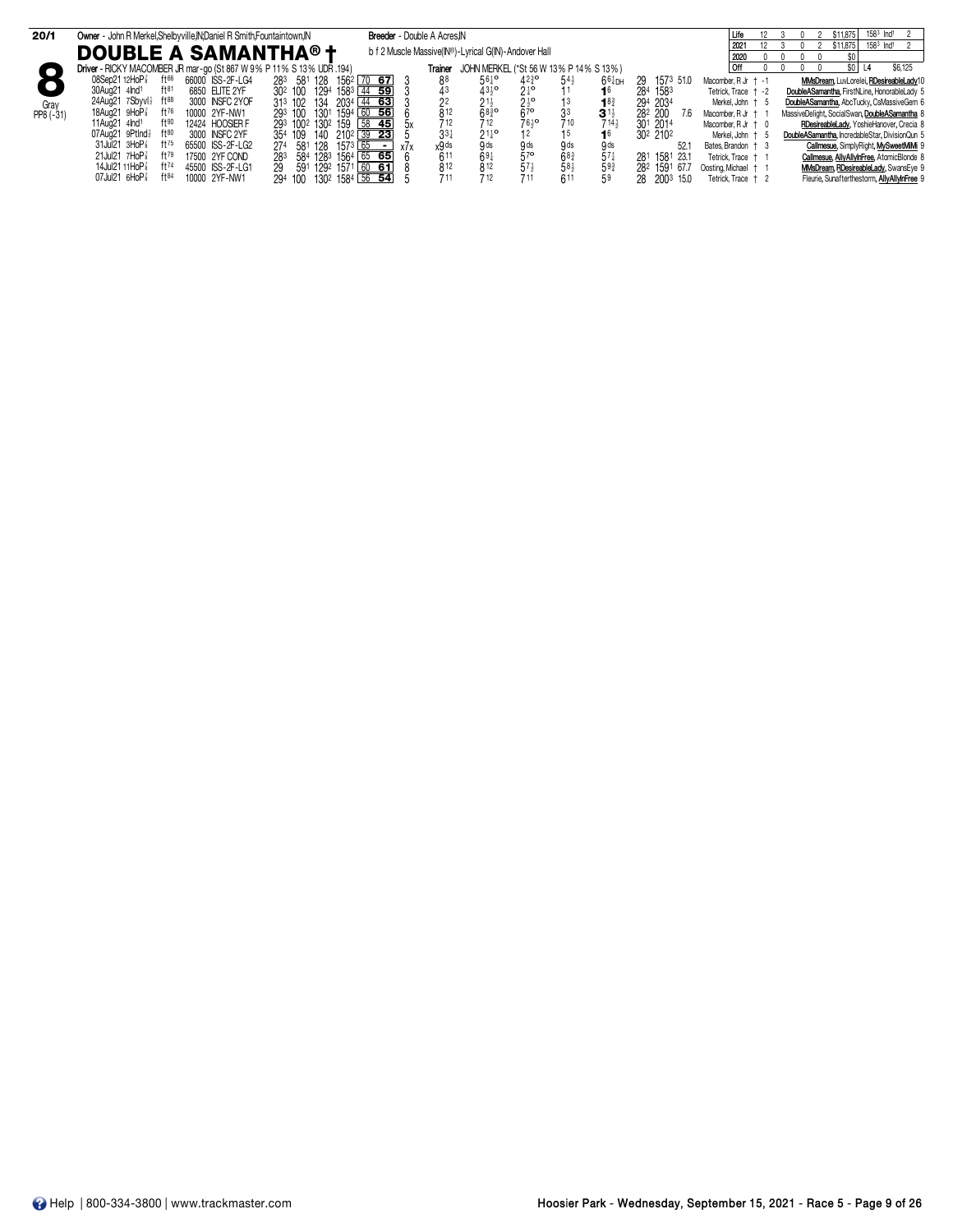| 20/1        | Owner - John R Merkel, Shelbyville, IN; Daniel R Smith, Fountaintown, IN |                  |                                     | Breeder - Double A Acres, IN                         |                 |                                                 |                                                      |                                        |                  |                 |                       | $158^3$ $\ln d$ <sup>1</sup><br>\$11,875       |
|-------------|--------------------------------------------------------------------------|------------------|-------------------------------------|------------------------------------------------------|-----------------|-------------------------------------------------|------------------------------------------------------|----------------------------------------|------------------|-----------------|-----------------------|------------------------------------------------|
|             | <b>DOUBLE A SAMANTHA® +</b>                                              |                  |                                     | b f 2 Muscle Massive(IN®)-Lyrical G(IN)-Andover Hall |                 |                                                 |                                                      |                                        |                  |                 | 2021<br>2020          | $158^3$ Ind <sup>1</sup><br>\$11,875<br>\$O    |
| $\Box$      | Driver - RICKY MACOMBER JR mar-go (St 867 W 9% P 11% S 13% UDR 194)      |                  |                                     |                                                      | Trainer         |                                                 |                                                      | JOHN MERKEL (*St 56 W 13% P 14% S 13%) |                  |                 | l Off<br>$^{\circ}$   | \$6,125<br>\$O I<br>$\Omega$                   |
|             | 08Sep21 12HoP <sup>3</sup><br>$ft^{66}$                                  | 66000 ISS-2F-LG4 | 283 581 128<br>1562                 | $70$ 67                                              | 88              | $56\frac{1}{4}$ <sup>o</sup>                    | $42^{36}$                                            | 54                                     | $664$ DH         | 1573 51.0<br>29 | Macomber, R Jr $+ -1$ | MMsDream, LuvLorelei, RDesireableLady10        |
|             | 30Aug21 4lnd <sup>1</sup><br>$ft^{81}$                                   | 6850 ELITE 2YF   | 30 <sup>2</sup> 100<br>1294<br>1583 | 44 59                                                | $\frac{43}{22}$ | $43^{10}_{2}$<br>21 <sup>1</sup> / <sub>2</sub> | $\frac{21}{25}$<br>$\frac{1}{27}$<br>67 <sup>o</sup> |                                        |                  | 1583<br>284     | Tetrick. Trace + -2   | DoubleASamantha, FirstNLine, HonorableLady 5   |
| Gray        | 24Aug21 7Sbyvl} ft88                                                     | 3000 INSFC 2YOF  | 313 102<br>2034<br>134              | 44 63                                                |                 |                                                 |                                                      |                                        | $18^{3}_{4}$     | 294 2034        | Merkel, John † 5      | DoubleASamantha, AbcTucky, CsMassiveGem 6      |
| $PP8 (-31)$ | 18Aug21 $9HOP$<br>ft $76$                                                | 10000 2YF-NW1    | 293 100<br>1301                     | $1594\overline{60}$ 56                               | 812             | $68\frac{3}{4}$ <sup>o</sup>                    |                                                      | 33<br>$3^{11}$                         |                  | 282 200<br>7.6  | Macomber, R Jr +      | MassiveDelight, SocialSwan, DoubleASamantha 8  |
|             | 11Aug21 $41$<br>$f$ † $90$                                               | 12424 HOOSIER F  | 293 1002 1302 159 58 45             | .hv                                                  |                 | 712                                             | 7610                                                 | 710                                    | $714\frac{1}{2}$ | 301 2014        | Macomber, $RJr + 0$   | RDesireableLady, YoshieHanover, Crecia 8       |
|             | 07Aug21 9PtInd}<br>$ft^{80}$                                             | 3000 INSFC 2YF   | 140<br>354 109                      | $210^2$ 39 23                                        | $3^{3}$         | $21\frac{1}{4}$ <sup>o</sup>                    |                                                      |                                        |                  | 302 2102        | Merkel, John † 5      | DoubleASamantha, IncredableStar, DivisionQun 5 |
|             | $31$ Jul21 $3H$ o $P_8^7$<br>$ft^{75}$                                   | 65500 ISS-2F-LG2 | 1573 <sub>1</sub><br>274<br>581 128 | 65<br>x7x<br>$\overline{\phantom{a}}$                | x9 ds           | 9 <sub>ds</sub>                                 | 9 ds                                                 | 9 <sub>ds</sub>                        | 9 <sub>ds</sub>  | 52.             | Bates Brandon + 3     | Callmesue, SimplyRight, MySweetMiMi 9          |
|             | 21Jul21 7HoP <sup>3</sup><br>$ft^{79}$                                   | 17500 2YF COND   | 584 1283 1564 65 65<br>283          |                                                      | 611             | 691                                             | 57 <sup>o</sup>                                      | 68 <sub>4</sub>                        | $57\frac{1}{4}$  | 281 1581 23.1   | Tetrick. Trace + 1    | Callmesue, AllyAllyInFree, AtomicBlonde 8      |
|             | 14Jul21 11HoP <sup>7</sup><br>ft74                                       | 45500 ISS-2F-LG1 | 29<br>1292 1571 60 61<br>591        |                                                      | 812             | 812                                             |                                                      | 58 <sub>2</sub>                        | $59^{3}$         | 282 1591 67.7   | Oosting Michael + 1   | MMsDream, RDesireableLady, SwansEye 9          |
|             | 07Jul21 6HoP <sup>3</sup><br>ft84                                        | 10000 2YF-NW1    | $130^2$ 1584 56 54<br>294 100       |                                                      |                 | 712                                             |                                                      | 611<br>59                              |                  | 28 2003 15.0    | Tetrick. Trace + 2    | Fleurie, Sunafterthestorm, AllyAllyInFree 9    |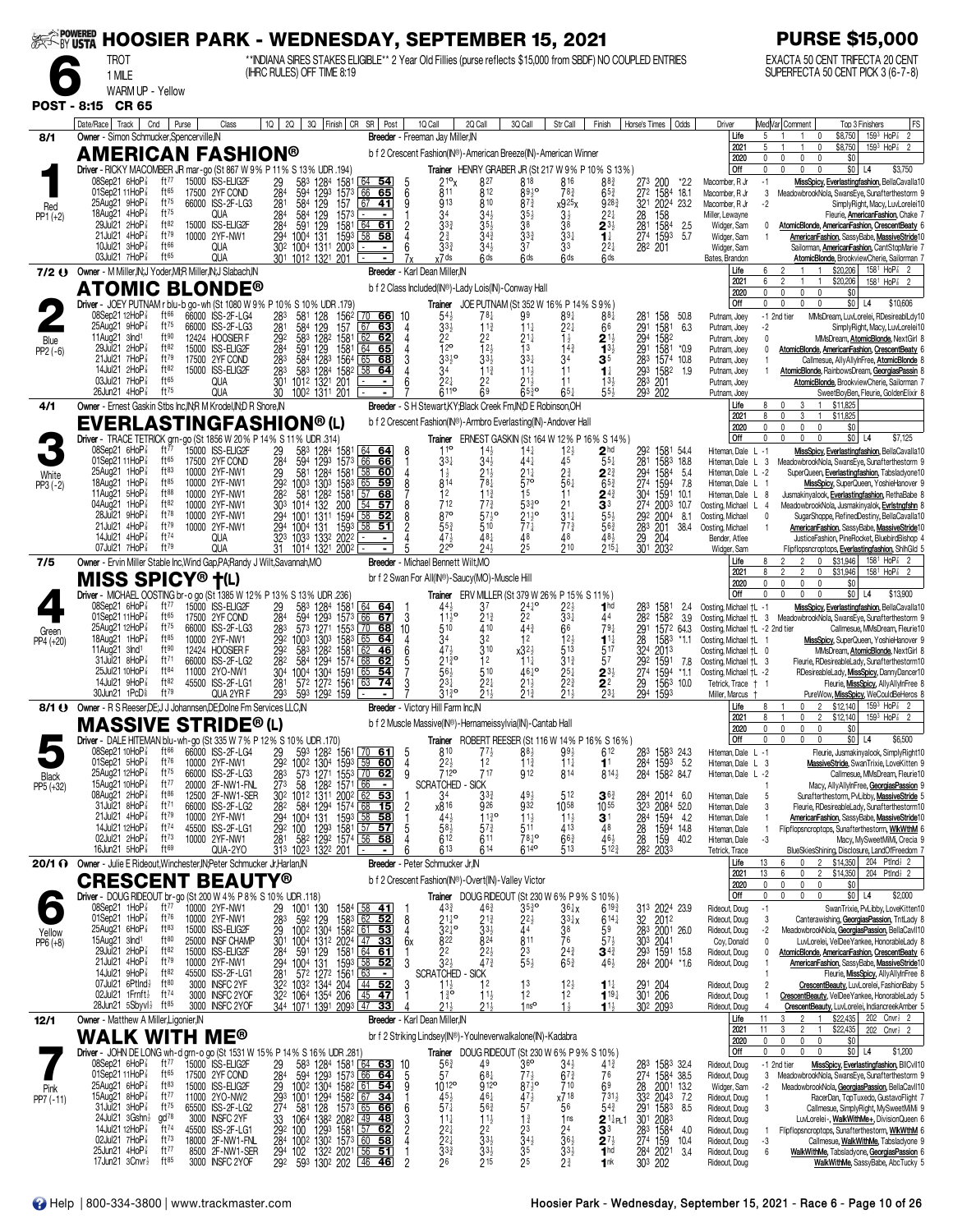| <b>EXAMPOWERED</b>   | <b>HOOSIER PARK - WEDNESDAY, SEPTEMBER 15, 2021</b><br><b>TROT</b><br>1 MILE                                           |                                 |                                                          |                                     |                                              | (IHRC RULES) OFF TIME 8:19                                                                             |                                                                                                                                                 |         | ** INDIANA SIRES STAKES ELIGIBLE** 2 Year Old Fillies (purse reflects \$15,000 from SBDF) NO COUPLED ENTRIES                       |                                                        |                                                      |                                                          |                                                                     |                                    |                                            |               |                                                            |                                    | <b>PURSE \$15,000</b><br>EXACTA 50 CENT TRIFECTA 20 CENT<br>SUPERFECTA 50 CENT PICK 3 (6-7-8)                                                                                        |
|----------------------|------------------------------------------------------------------------------------------------------------------------|---------------------------------|----------------------------------------------------------|-------------------------------------|----------------------------------------------|--------------------------------------------------------------------------------------------------------|-------------------------------------------------------------------------------------------------------------------------------------------------|---------|------------------------------------------------------------------------------------------------------------------------------------|--------------------------------------------------------|------------------------------------------------------|----------------------------------------------------------|---------------------------------------------------------------------|------------------------------------|--------------------------------------------|---------------|------------------------------------------------------------|------------------------------------|--------------------------------------------------------------------------------------------------------------------------------------------------------------------------------------|
| <b>POST - 8:15</b>   | WARM UP - Yellow<br><b>CR 65</b>                                                                                       |                                 |                                                          |                                     |                                              |                                                                                                        |                                                                                                                                                 |         |                                                                                                                                    |                                                        |                                                      |                                                          |                                                                     |                                    |                                            |               |                                                            |                                    |                                                                                                                                                                                      |
| 8/1                  | Date/Race   Track  <br>Owner - Simon Schmucker, Spencerville, IN                                                       | Cnd<br>Purse                    | Class                                                    |                                     |                                              |                                                                                                        | 10   20   30   Finish   CR SR   Post                                                                                                            |         | 1Q Call<br>Breeder - Freeman Jay Miller, IN                                                                                        | 2Q Call                                                | 3Q Call                                              | Str Call                                                 | Finish                                                              | Horse's Times                      |                                            | Odds          | Driver<br>Life<br>2021                                     | 5<br>5                             | Med Var Comment<br>FS<br>Top 3 Finishers<br>$159^3$ HoP <sup>2</sup><br>\$8,750<br>$\overline{2}$<br>$\mathbf{1}$<br>0<br>$159^3$ HoP $\frac{7}{8}$<br>\$8,750<br>0                  |
|                      | AMERICAN FASHION®<br>Driver - RICKY MACOMBER JR mar-go (St 867 W 9% P 11% S 13% UDR .194)<br>08Sep21 6HoP <sup>7</sup> | ft $77$                         | 15000 ISS-ELIG2F                                         | 29                                  | 583                                          | 1284                                                                                                   | 1581 64 54                                                                                                                                      |         | b f 2 Crescent Fashion(IN®)-American Breeze(IN)-American Winner<br>219 <sub>x</sub>                                                | 827                                                    | 818                                                  | 816                                                      | Trainer HENRY GRABER JR (St 217 W 9% P 10% S 13%)<br>88}            | 273                                | 200                                        | *2.2          | 2020<br>Off<br>Macomber, R Jr                              | $\mathbf{0}$<br>$\Omega$<br>$-1$   | $\mathbf 0$<br>\$0<br>0<br>$\mathbf{0}$<br>$\mathbf{0}$<br>$\mathbf 0$<br>$$0$ L4<br>\$3,750<br>MissSpicy, Everlastingfashion, BellaCavalla10                                        |
| Red                  | 01Sep21 11HoP <sup>3</sup><br>25Aug21 9HoP <sup>3</sup><br>18Aug21 4HoP3                                               | ft $65$<br>ft75<br>ft75         | 17500 2YF COND<br>66000 ISS-2F-LG3<br>QUA                | $\frac{28}{28}$ <sup>4</sup><br>284 | 594<br>584<br>584                            | 129 <sup>3</sup><br>129<br>129<br>1573                                                                 | $\frac{1573}{157}$ 66 65                                                                                                                        | 6       | 811<br>913<br>34                                                                                                                   | 812<br>810                                             | 8930<br>$87\frac{3}{4}$<br>$35\frac{1}{2}$           | $78\frac{3}{4}$<br>x925 <sub>X</sub><br>3½               | $65\frac{3}{4}$<br>$9^{28}$<br>$2^{2}$                              | $\overline{272}$<br>28             | 1584 18.1<br>321 2024 23.2<br>158          |               | Macomber, R Jr<br>Macomber, R Jr<br>Miller, Lewayne        | 3<br>-2                            | MeadowbrookNola, SwansEye, Sunafterthestorm 9<br>SimplyRight, Macy, LuvLorelei10<br>Fleurie, <b>AmericanFashion</b> , Chake 7                                                        |
| $PP1 (+2)$           | 29Jul21 2HoP<br>21Jul21 4HoP <sup>3</sup><br>10Jul21 3HoP3                                                             | ft82<br>ft79<br>ft66            | 15000 ISS-ELIG2F<br>10000 2YF-NW1<br>QUA                 | 28 <sup>4</sup><br>294              | 591 129<br>1004 131                          | 1581<br>1593<br>30 <sup>2</sup> 100 <sup>4</sup> 131 <sup>1</sup> 200 <sup>3</sup>                     | $\frac{64}{58}$ 58                                                                                                                              |         | 33 <sub>3</sub><br>$2\frac{3}{4}$<br>$3^{3^{3}}$                                                                                   | $34\frac{3}{4}$<br>$34\frac{1}{2}$                     | 38<br>$33\frac{3}{4}$<br>37                          | 38<br>$33\frac{1}{4}$<br>33                              | $2^{3}\frac{1}{2}$<br>$1\frac{1}{4}$<br>$2^{2}$                     | 282 201                            | 281 1584<br>274 1593                       | 2.5<br>5.7    | Widger, Sam<br>Widger, Sam<br>Widger, Sam                  | 0                                  | AtomicBlonde, AmericanFashion, CrescentBeaty 6<br>AmericanFashion, SassyBabe, MassiveStride10<br>Sailorman, <b>AmericanFashion</b> , CantStopMarie 7                                 |
|                      | 03Jul21 $7H_0P_8^7$<br>7/2 () Owner - M Miller, IN; J Yoder, MI; R Miller, IN; J Slabach, IN<br>ATOMIC BLONDE®         | ft65                            | QUA                                                      |                                     |                                              | 301 1012 1321 201                                                                                      | $\blacksquare$                                                                                                                                  |         | <sub>x</sub> 7 ds<br>Breeder - Karl Dean Miller, IN<br>b f 2 Class Included(IN®)-Lady Lois(IN)-Conway Hall                         | 6ds                                                    | fids                                                 | 6 <sub>ds</sub>                                          | 6ds                                                                 |                                    |                                            |               | Bates, Brandon<br>Life<br>2021                             | 6                                  | AtomicBlonde, BrookviewCherie, Sailorman 7<br>\$20,206<br>$158^{\frac{1}{2}}$ HoP $\frac{7}{8}$<br>\$20,206<br>$\mathfrak{p}$<br>158 <sup>1</sup> HoP <sup>2</sup><br>$\overline{2}$ |
|                      | Driver - JOEY PUTNAM r blu-b go-wh (St 1080 W 9% P 10% S 10% UDR .179)                                                 |                                 |                                                          |                                     |                                              |                                                                                                        |                                                                                                                                                 |         |                                                                                                                                    |                                                        | Trainer JOE PUTNAM (St 352 W 16% P 14% S 9%)         |                                                          |                                                                     |                                    |                                            |               | 2020<br><b>Off</b>                                         | $\mathbf{0}$<br>$\mathbf{0}$       | $\mathbf 0$<br>\$0<br>0<br>$\Omega$<br>0<br>$$0$   L4<br>\$10,606                                                                                                                    |
|                      | 08Sep21 12HoP∛<br>$25$ Aug $21$ 9HoP $\frac{7}{8}$<br>11Aug21 $3nd1$                                                   | ft 66<br>ft75<br>ft90           | 66000 ISS-2F-LG4<br>66000 ISS-2F-LG3<br>12424 HOOSIER F  | 283<br>281                          | 581<br>584<br>583 1282                       | 128<br>1562<br>129<br>157<br>1581                                                                      | 70 66<br>67<br><u>6З</u><br>62                                                                                                                  | -10     | $54\frac{1}{2}$<br>33}<br>22                                                                                                       | 781<br>$11\frac{3}{4}$<br>22                           | 99<br>11‡<br>$21\frac{1}{4}$                         | 89‡<br>22‡                                               | $88\frac{1}{4}$<br>66                                               | 281<br>291                         | 158<br>1581                                | 50.8<br>6.3   | Putnam, Joey<br>Putnam, Joey<br>Putnam, Joey               | -1 2nd tier<br>-2<br>$\mathbf{0}$  | MMsDream, LuvLorelei, RDesireablLdy10<br>SimplyRight, Macy, LuvLorelei10<br>MMsDream, AtomicBlonde, NextGirl 8                                                                       |
| Blue<br>$PP2(-6)$    | 29Jul21 2HoP <sup>3</sup><br>21Jul21 7HoP3<br>14Jul21 2HoP <sup>3</sup>                                                | ft82<br>ft79<br>ft82            | 15000 ISS-ELIG2F<br>17500 2YF COND<br>15000 ISS-ELIG2F   | $\frac{292}{284}$<br>283            | 591<br>584 1283                              | 129<br>1581<br>1564 65<br>583 1284 1582 58                                                             | $\frac{62}{64}$<br>65<br><u>68</u><br>64                                                                                                        |         | $\overline{1}$ 2 <sup>o</sup><br>$33^{10}_{2}$<br>34                                                                               | 12 <sub>3</sub><br>$33\frac{1}{2}$<br>$11\frac{3}{4}$  | 1 <sup>3</sup><br>$33\frac{1}{4}$<br>$11\frac{1}{2}$ | $\frac{1}{4}$ <sup>1</sup> $\frac{3}{4}$<br>34<br>11     | $2^{11}_{32}$<br>35<br>$1\frac{1}{4}$                               | 283<br>293                         | 294 1582<br>291 1581<br>1574 10.8<br>1582  | $*0.9$<br>1.9 | Putnam, Joey<br>Putnam, Joey<br>Putnam, Joey               |                                    | AtomicBlonde, AmericanFashion, CrescentBeaty 6<br>Callmesue, AllyAllyInFree, AtomicBlonde 8<br>AtomicBlonde, RainbowsDream, GeorgiasPassin 8                                         |
|                      | 03Jul21 7HoP<br>26Jun21 $4HOP\frac{7}{8}$                                                                              | ft65<br>ft75                    | QUA<br>QUA                                               | $\frac{28}{30}$ <sup>3</sup><br>30  | 1012 1321                                    | 201<br>1002 1311 201                                                                                   | $\blacksquare$                                                                                                                                  |         | 22}<br>6110                                                                                                                        | 22<br>69                                               | $21\frac{1}{2}$<br>65}°                              | 11<br>$65\frac{1}{4}$                                    | $13\frac{1}{2}$<br>$55\frac{1}{2}$                                  | 283                                | 201<br>293 202                             |               | Putnam, Joey<br>Putnam, Joey                               |                                    | AtomicBlonde, BrookviewCherie, Sailorman 7<br>SweetBoyBen, Fleurie, GoldenElixir 8                                                                                                   |
| 4/1                  | Owner - Ernest Gaskin Stbs Inc, IN; R M Krodel, IN; D R Shore, IN<br>EVERLASTINGFASHION®(L)                            |                                 |                                                          |                                     |                                              |                                                                                                        |                                                                                                                                                 |         | Breeder - S H Stewart, KY; Black Creek Fm, IN; D E Robinson, OH<br>b f 2 Crescent Fashion(IN®)-Armbro Everlasting(IN)-Andover Hall |                                                        |                                                      |                                                          |                                                                     |                                    |                                            |               | Life<br>2021<br>2020                                       | 8<br>8<br>$\mathbf{0}$             | 3<br>\$11,825<br>0<br>$\mathbf{0}$<br>3<br>$\mathbf{1}$<br>\$11,825<br>0<br>$\mathbf 0$<br>0<br>\$0                                                                                  |
|                      | Driver - TRACE TETRICK grn-go (St 1856 W 20 % P 14 % S 11 % UDR .314)<br>08Sep21 6HoP <sup>7</sup>                     | ft 77                           | 15000 ISS-ELIG2F                                         |                                     |                                              | 583 1284 1581                                                                                          |                                                                                                                                                 | 8       | $11^{\circ}$                                                                                                                       | $14\frac{1}{2}$                                        | $14\frac{1}{4}$                                      |                                                          | Trainer ERNEST GASKIN (St 164 W 12% P 16% S 14%)<br>$\mathbf{2}$ hd | 292                                | 1581 54.4                                  |               | Off<br>Hiteman, Dale L -1                                  | $\mathbf{0}$                       | $$0$ L <sub>4</sub><br>$\mathbf 0$<br>U.<br>$\Omega$<br>\$7,125<br>MissSpicy, Everlastingfashion, BellaCavalla10                                                                     |
| White                | 01Sep21 11HoP<br>$25$ Aug21 1HoP $\frac{7}{8}$                                                                         | ft65<br>$ft^{83}$               | 17500 2YF COND<br>10000 2YF-NW1                          | $\frac{29}{284}$                    | 594 1293                                     | 1573<br>581 1284 1581 58<br>1003 1303 1583 65                                                          | $\begin{array}{ c c c }\n\hline\n64 & 64 \\ \hline\n66 & 66\n\end{array}$<br>60                                                                 |         | $33\frac{1}{4}$<br>$1\frac{1}{2}$                                                                                                  | 21}                                                    | 441<br>$21\frac{1}{4}$                               | $\frac{1^{2}}{4^{5}}$<br>$2\frac{3}{4}$                  | $55\frac{1}{4}$<br>$2^{2^{3}}$                                      | 281<br>294<br>274                  | 1583 18.8<br>1584                          | 5.4           | Hiteman, Dale L 3<br>Hiteman, Dale L -2                    |                                    | MeadowbrookNola, SwansEye, Sunafterthestorm 9<br>SuperQueen, Everlastingfashion, Tabsladyone10                                                                                       |
| $PP3 (-2)$           | 18Aug21<br>1HoP <sub>8</sub><br>11Aug21 5HoP                                                                           | $ft^{85}$<br>$ft^{88}$<br>ft82  | 10000 2YF-NW1<br>10000 2YF-NW1                           |                                     | 29 581 1284<br>292 1003 1303<br>282 581 1282 | 1583<br>1581                                                                                           | 59<br>68<br>l 57                                                                                                                                |         | 814<br>12<br>712                                                                                                                   | 78‡<br>11 <sub>3</sub>                                 | $\bar{5}$ 70<br>Ī5                                   | $56\frac{1}{4}$<br>11                                    | $65\frac{3}{4}$<br>$\mathbf{2}^{4\frac{3}{4}}$                      | 304                                | 1594<br>1591                               | 7.8<br>10.1   | Hiteman, Dale L<br>Hiteman, Dale L 8                       |                                    | MissSpicy, SuperQueen, YoshieHanover 9<br>Jusmakinyalook, Everlastingfashion, RethaBabe 8                                                                                            |
|                      | 04Aug21 1HoP <sup>3</sup><br>28Jul21<br>9HoP <sub>8</sub><br>21Jul21 4HoP                                              | $ft^{78}$<br>$ft^{79}$          | 10000 2YF-NW1<br>10000 2YF-NW1<br>10000 2YF-NW1          | 303                                 | 1014 132<br>294 1001 1311<br>294 1004 131    | 200<br>1594<br>1593                                                                                    | l 54<br>57<br>$\overline{58}$<br>52<br>$\overline{58}$<br>51                                                                                    |         | 870<br>55}                                                                                                                         | $77\frac{3}{4}$<br>$57\frac{1}{2}$ <sup>o</sup><br>510 | $5^{330}$<br>$\frac{211}{774}$                       | 21<br>$\bar{3}^{1\frac{1}{4}}$<br>$77\frac{3}{4}$        | 33<br>$55\frac{1}{2}$<br>$56\frac{3}{4}$                            | 274<br>292<br>283                  | 2003 10.7<br>2004 8.1<br>201               | 38.4          | Oosting, Michael L<br>Oosting, Michael<br>Oosting, Michael | -4<br>0                            | MeadowbrookNola, Jusmakinyalok, Evristngfshn 8<br>SugarShoppe, RefinedDestiny, BellaCavalla10<br>AmericanFashion, SassyBabe, MassiveStride10                                         |
|                      | 14Jul 21 $4H_0P_8^7$<br>07Jul21 7HoP <sup>3</sup>                                                                      | ft74<br>ft79                    | QUA<br>QUA                                               | 31                                  |                                              | 323 1033 1332 2022<br>1014 1321 2002                                                                   |                                                                                                                                                 |         | 474<br>220                                                                                                                         | 481<br>243                                             | 48<br>25                                             | 48<br>210                                                | $48\frac{1}{2}$<br>$215\frac{1}{4}$                                 | 29<br>301                          | 204<br>2032                                |               | Bender, Atlee<br>Widger, Sam                               |                                    | JusticeFashion, PineRocket, BluebirdBishop 4<br>Flipflopsncroptops, Everlastingfashion, ShihGld 5                                                                                    |
| 7/5                  | Owner - Ervin Miller Stable Inc, Wind Gap, PA; Randy J Wilt, Savannah, MO<br><b>MISS SPICY® †</b> (L)                  |                                 |                                                          |                                     |                                              |                                                                                                        |                                                                                                                                                 |         | Breeder - Michael Bennett Wilt, MO<br>br f 2 Swan For All(IN®)-Saucy(MO)-Muscle Hill                                               |                                                        |                                                      |                                                          |                                                                     |                                    |                                            |               | Life<br>2021                                               | 8                                  | \$31,946<br>$158^1$ HoP <sup>2</sup> <sub>8</sub> 2<br>0<br>$\overline{c}$<br>$\overline{2}$<br>$\mathbf{0}$<br>\$31,946<br>158 <sup>1</sup> HoP <sup>2</sup> <sub>8</sub> 2         |
|                      | Driver - MICHAEL OOSTING br-o go (St 1385 W 12% P 13% S 13% UDR .236)<br>08Sep21 6HoP                                  | ft $77$                         | 15000 ISS-ELIG2F                                         |                                     |                                              |                                                                                                        | 64<br><u>64</u>                                                                                                                                 |         |                                                                                                                                    |                                                        | <b>Trainer</b> ERV MILLER (St 379 W 26% P 15% S 11%) |                                                          | 1 <sub>hd</sub>                                                     |                                    |                                            |               | 2020<br>Off                                                | $\mathbf{0}$                       | \$0<br>0<br>0<br>$\theta$<br>$$0$ L4<br>\$13,900<br>$\mathbf{0}$                                                                                                                     |
|                      | 01Sep21 11HoP $\frac{7}{8}$<br>25Aug21 12HoP                                                                           | ft $65$<br>ft75                 | 17500 2YF COND<br>66000 ISS-2F-LG3                       | $\frac{29}{284}$<br>283             | 583 1284<br>594                              | 1581<br>1293<br>1573<br>573 1271 1553                                                                  | 66<br>67<br>$\sqrt{70}$<br>68                                                                                                                   | 3<br>10 | $44\frac{1}{2}$<br>$1\frac{1}{2}$<br>510                                                                                           | 37<br>$21\frac{3}{4}$<br>410                           | $2^{41}_{2}$ <sup>o</sup><br>443                     | $2^{2\frac{1}{2}}_{3^{3\frac{1}{4}}}$<br>66              | 44<br>$79\frac{1}{4}$                                               | 282                                | 1581<br>1582<br>291 1572 64.3              | 2.4<br>3.9    | Oosting, Michael +L -1<br>Oosting, Michael +L -2 2nd tier  |                                    | MissSpicy, Everlastingfashion, BellaCavalla10<br>Oosting, Michael +L 3 MeadowbrookNola, SwansEye, Sunafterthestorm 9<br>Callmesue, MMsDream, Fleurie10                               |
| Green<br>PP4 (+20)   | 18Aug21 1HoP<br>11Aug21 $3nd1$                                                                                         | $ft^{85}$<br>ft90               | 10000 2YF-NW1<br>12424 HOOSIER F                         | 292                                 | 292 1003 1303<br>583 1282                    | 1583<br>1581 62                                                                                        | 65<br><u>64</u><br>46                                                                                                                           |         | 34<br>471                                                                                                                          | 32<br>310                                              | 12<br>$x32\frac{1}{2}$                               | $12\frac{1}{2}$<br>513                                   | $1^{11}$<br>517                                                     | $\frac{28}{324}$                   | 1583<br>2013                               | *1.1          | Oosting, Michael +L 1<br>Oosting, Michael +L 0             |                                    | MissSpicy, SuperQueen, YoshieHanover 9<br>MMsDream, AtomicBlonde, NextGirl 8                                                                                                         |
|                      | 31Jul21 8HoP3<br>25Jul21 10HoP                                                                                         | ft $71$<br>$ft^{84}$            | 66000 ISS-2F-LG2<br>11000 2YO-NW1                        | 282<br>304                          | 584 1294<br>1004 1304                        | 1574 68<br>1591                                                                                        | 62<br>65<br>54                                                                                                                                  |         | $21^{30}_{4}$<br>56}                                                                                                               | 12<br>510                                              | $11\frac{1}{4}$<br>$46\frac{1}{4}$ <sup>o</sup>      | $31\frac{3}{4}$<br>$2^{5\frac{1}{4}}$<br>22 <sup>3</sup> | 57<br>$2^{3}\frac{1}{2}$                                            | 292<br>274                         | 1591<br>1594 *1.1                          | 7.8           | Oosting, Michael +L 3<br>Oosting, Michael +L -2            |                                    | Fleurie, RDesireableLady, Sunafterthestorm10<br>RDesireableLady, MissSpicy, DannyDancer10                                                                                            |
|                      | 14Jul21 $9H_0P_8^T$<br>30Jun21 1PcD <sup>§</sup>                                                                       | ft82<br>ft79                    | 45500 ISS-2F-LG1<br>QUA 2YR F                            | 281<br>293                          |                                              | 572 1272 1561<br>593 1292 159                                                                          | 63<br>74                                                                                                                                        |         | 231                                                                                                                                | $2^{2}$                                                | $21\frac{1}{2}$                                      | 21}                                                      | $\overline{2}$ <sup>2</sup><br>$23\frac{1}{4}$                      | $\overline{29}$<br>294             | 1563 10.0<br>1593                          |               | Tetrick, Trace † 1<br>Miller, Marcus<br>Life               | 8                                  | Fleurie, MissSpicy, AllyAllyInFree 8<br>PureWow, MissSpicy, WeCouldBeHeros 8<br>\$12,140<br>$159^3$ HoP <sup>7</sup> <sub>8</sub> 2<br>$\mathbf 0$<br>$\overline{2}$                 |
|                      | 8/1 () Owner - R S Reeser, DE; J J Johannsen, DE; Dolne Fm Services LLC, N<br><b>MASSIVE STRIDE®(L)</b>                |                                 |                                                          |                                     |                                              |                                                                                                        |                                                                                                                                                 |         | Breeder - Victory Hill Farm Inc, IN<br>b f 2 Muscle Massive(IN®)-Hernameissylvia(IN)-Cantab Hall                                   |                                                        |                                                      |                                                          |                                                                     |                                    |                                            |               | 2021<br>2020                                               | 8<br>0                             | $\mathbf 0$<br>$\overline{2}$<br>\$12,140<br>$159^3$ HoP $\frac{7}{8}$<br>0<br>0<br>\$0                                                                                              |
|                      | Driver - DALE HITEMAN blu-wh-go (St 335 W 7% P 12% S 10% UDR .170)                                                     | ft $66$                         | 66000 ISS-2F-LG4                                         |                                     |                                              |                                                                                                        |                                                                                                                                                 |         | 810                                                                                                                                | 773                                                    | $88\frac{1}{2}$                                      | 993                                                      | Trainer ROBERT REESER (St 116 W 14% P 16% S 16%)<br>612             |                                    | 1583 24.3                                  |               | Off<br>Hiteman, Dale L -1                                  | 0                                  | $$0$ L4<br>\$6,500<br>0<br>$\mathbf 0$<br>Fleurie, Jusmakinyalook, SimplyRight10                                                                                                     |
| <b>Black</b>         | 01Sep21 5HoP <sup>3</sup><br>25Aug21 12HoP                                                                             | ft $^{76}$<br>$ft^{75}$         | 10000 2YF-NW1<br>66000 ISS-2F-LG3                        | 283                                 |                                              |                                                                                                        | 29 593 1282 1561 70 61<br>292 1002 1304 1593 59 60<br>573 1271 1553 70 62                                                                       | 9       | $22+$<br><b>712°</b>                                                                                                               | 12<br>717                                              | $11\frac{5}{4}$<br>912                               | $11\frac{1}{4}$<br>814                                   | $\ddot{\mathbf{1}}$<br>$814\frac{1}{2}$                             | 28 <sup>3</sup><br>28 <sup>4</sup> | 1593 5.2<br>284 1582 84.7                  |               | Hiteman, Dale L 3<br>Hiteman, Dale L -2                    |                                    | MassiveStride, SwanTrixie, LoveKitten 9<br>Callmesue, MMsDream, Fleurie10                                                                                                            |
| PP5 (+32)            | 15Aug21 10HoP <sup>7</sup><br>08Aug21 2HoP3<br>31Jul21 8HoP                                                            | ft $^{77}$<br>$ft^{86}$<br>ft71 | 20000 2F-NW1-FNL<br>12500 2F-NW1-SER<br>66000 ISS-2F-LG2 |                                     |                                              | 282 584 1294 1574 68                                                                                   | 273 58 1282 1571 66 -<br>302 1012 1311 2002 62 53<br>15                                                                                         |         | SCRATCHED -<br>34<br>x816                                                                                                          | SICK<br>$3^{3}_{4}$<br>926                             | $49\frac{1}{2}$<br>932                               | $5^{12}$<br>1058                                         | $\mathbf{3}$ 63<br>1055                                             |                                    | 284 2014 6.0<br>323 2084 52.0              |               | Hiteman, Dale<br>Hiteman, Dale                             | -5<br>3                            | Macy, AllyAllyInFree, GeorgiasPassion 9<br>Sunafterthestorm, PvLibby, MassiveStride 5<br>Fleurie, RDesireableLady, Sunafterthestorm10                                                |
|                      | 21Jul21 4HoP3<br>14Jul21 12HoP <sup>3</sup>                                                                            | ft <sup>79</sup><br>ft74        | 10000 2YF-NW1<br>45500 ISS-2F-LG1                        |                                     |                                              |                                                                                                        | 294 1004 131 1593 58 58<br>292 100 1293 1581 57 57                                                                                              | 5       | $44\frac{1}{2}$<br>58 <sup>1</sup>                                                                                                 | $11\frac{3}{4}$ <sup>o</sup><br>$5^{7}$                | $11\frac{1}{2}$<br>511                               | $\frac{11}{4}$<br>413                                    | 31<br>48                                                            | $\frac{28}{28}$                    | 1594<br>1594 14.8                          | 4.2           | Hiteman, Dale<br>Hiteman, Dale                             |                                    | AmericanFashion, SassyBabe, MassiveStride10<br>Flipflopsncroptops, Sunafterthestorm, WIkWthM 6                                                                                       |
|                      | 02Jul21 2HoP3<br>16Jun21 5HoP <sup>3</sup>                                                                             | $ft^{73}$<br>ft <sup>69</sup>   | 10000 2YF-NW1<br>QUA-2YO                                 |                                     |                                              | 313 1023 1322 201                                                                                      | 281 582 1292 1574 56 58                                                                                                                         |         | 612<br>613                                                                                                                         | 611<br>614                                             | 78 <sup>1</sup> °<br>6140                            | $66\frac{3}{4}$<br>513                                   | $46\frac{1}{2}$<br>512 <sup>3</sup>                                 | 28                                 | 159 40.2<br>282 2033                       |               | Hiteman, Dale<br>Tetrick, Trace                            | -3                                 | Macy, MySweetMiMi, Crecia 9<br>BlueSkiesShining, Disclosure, LandOfFreedom 7                                                                                                         |
| $20/1 \Omega$        | Owner - Julie E Rideout, Winchester, IN; Peter Schmucker Jr, Harlan, IN<br><b>CRESCENT BEAUTY®</b>                     |                                 |                                                          |                                     |                                              |                                                                                                        |                                                                                                                                                 |         | Breeder - Peter Schmucker Jr, IN<br>b f 2 Crescent Fashion(IN®)-Overt(IN)-Valley Victor                                            |                                                        |                                                      |                                                          |                                                                     |                                    |                                            |               | Life<br>2021                                               | 13<br>13                           | \$14,350 204 Ptlnd <sup>3</sup> 2<br>6<br>$\overline{2}$<br>0<br>6<br>\$14,350<br>204 Ptlnd <sup>3</sup> 2<br>0<br>$\overline{2}$                                                    |
|                      | Driver - DOUG RIDEOUT br-go (St 200 W 4% P 8% S 10% UDR .118)                                                          |                                 |                                                          |                                     |                                              |                                                                                                        |                                                                                                                                                 |         |                                                                                                                                    |                                                        | Trainer DOUG RIDEOUT (St 230 W 6% P 9% S 10%)        |                                                          |                                                                     |                                    |                                            |               | 2020<br>Off                                                | $\mathbf{0}$<br>0                  | \$0<br>$\mathbf{0}$<br>$\mathbf 0$<br>$\mathbf 0$<br>$\mathbf 0$<br>$$0$ L4<br>0<br>$\mathbf 0$<br>\$2,000                                                                           |
|                      | 08Sep21 1HoP <sup>3</sup><br>01Sep21 1HoP<br>$25$ Aug $21$ 6HoP $\frac{7}{8}$                                          | ft $^{77}$<br>ft76<br>ft $83$   | 10000 2YF-NW1<br>10000 2YF-NW1<br>15000 ISS-ELIG2F       | 29<br>28 <sup>3</sup>               | 1001 130<br>592 129                          |                                                                                                        | $158^4$ 58 41<br>$158^3$ 62 52                                                                                                                  | 8       | $43\frac{3}{4}$<br>$21^{10}$<br>$3^{210}$                                                                                          | 463<br>$21\frac{3}{4}$                                 | $35\substack{3}{4}$ °<br>22}<br>44                   | $36\frac{1}{4}$ x<br>$33\frac{1}{4}x$                    | $6^{19}$<br>$614\frac{1}{4}$<br>59                                  |                                    | 313 2024 23.9<br>32 2012                   |               | Rideout, Doug<br>Rideout, Doug                             | $-1$<br>-3                         | SwanTrixie, PvLibby, LoveKitten10<br>Canterawishing, GeorgiasPassion, TntLady 8                                                                                                      |
| Yellow<br>$PP6 (+8)$ | 15Aug21 3Ind1<br>29Jul21 2HoP3                                                                                         | ft80<br>$ft^{82}$               | 25000 INSF CHAMP<br>15000 ISS-ELIG2F                     |                                     |                                              |                                                                                                        |                                                                                                                                                 | 4<br>6x | 822<br>2 <sup>2</sup>                                                                                                              | $3^{3}$<br>$8^{24}$<br>$2^{2}$                         | 811<br>2 <sup>3</sup>                                | 3 <sup>8</sup><br>76<br>$24\frac{3}{4}$                  | $5^{7}$<br>$3^{4}$                                                  |                                    | 283 2001 26.0<br>303 2041<br>293 1591 15.8 |               | Rideout, Doug<br>Coy, Donald<br>Rideout, Doug              | $-2$<br>0<br>0                     | MeadowbrookNola, GeorgiasPassion, BellaCavII10<br>LuvLorelei, VelDeeYankee, HonorableLady 8<br>AtomicBlonde, AmericanFashion, CrescentBeaty 6                                        |
|                      | 21Jul21 $4H_0P_8^7$<br>14Jul21 9HoP <sup>3</sup>                                                                       | $ft^{79}$<br>ft82               | 10000 2YF-NW1<br>45500 ISS-2F-LG1                        |                                     |                                              |                                                                                                        | $29 \t301 \t1002 \t1304 \t1532 \t1533$<br>29 1002 1304 1532 61 533<br>284 591 129 1581 64 61<br>294 1004 131 1593 58 52<br>281 572 1272 1561 63 | 3       | 32}<br><b>SCRATCHED</b>                                                                                                            | 47 <sub>3</sub><br><b>SICK</b>                         | $\bar{5}5\frac{1}{2}$                                | $65\frac{3}{4}$                                          | $46\frac{1}{2}$                                                     |                                    | 284 2004 *1.6                              |               | Rideout, Doug                                              |                                    | AmericanFashion, SassyBabe, MassiveStride10<br>Fleurie, MissSpicy, AllyAllyInFree 8                                                                                                  |
|                      | 07Jul21 6Ptlnd}<br>02Jul21 1 $F$ rnft $\frac{1}{2}$                                                                    | $ft^{80}$<br>$ft^{74}$          | 3000 INSFC 2YF<br>3000 INSFC 2YOF<br>3000 INSFC 2YOF     |                                     |                                              | 322 1032 1344 204<br>32 <sup>2</sup> 106 <sup>4</sup> 135 <sup>4</sup> 206 45<br>344 1071 1391 2093 47 | $\frac{44}{4}$<br><u>52 </u><br>$\frac{47}{33}$                                                                                                 | 3       | $1\frac{11}{2}$<br>1 ∛°                                                                                                            | 12<br>$11\frac{1}{2}$<br>$11\frac{1}{2}$               | 1 <sup>3</sup><br>12                                 | $12\frac{1}{2}$<br>12                                    | $1^{11}$<br>$1^{19}$                                                |                                    | 291 204<br>301 206<br>302 2093             |               | Rideout, Doug<br>Rideout, Doug                             |                                    | CrescentBeauty, LuvLorelei, FashionBaby 5<br>CrescentBeauty, VelDeeYankee, HonorableLady 5                                                                                           |
| 12/1                 | 28Jun21 5Sbyvl} ft <sup>85</sup><br>Owner - Matthew A Miller, Ligonier, IN                                             |                                 |                                                          |                                     |                                              |                                                                                                        |                                                                                                                                                 |         | 21.5<br>Breeder - Karl Dean Miller, IN                                                                                             |                                                        | 1 <sub>ns</sub>                                      | $1\frac{1}{2}$                                           | $1^{11}$                                                            |                                    |                                            |               | Rideout, Doug<br>Life                                      | 11                                 | CrescentBeauty, LuvLorelei, IndiancreekAmber 5<br>\$22,435<br>202 Cnvr <sup>1</sup> <sub>2</sub> 2<br>3<br>$\overline{2}$<br>$\overline{1}$                                          |
|                      | <b>WALK WITH ME®</b><br>Driver - JOHN DE LONG wh-d grn-o go (St 1531 W 15% P 14% S 16% UDR .281)                       |                                 |                                                          |                                     |                                              |                                                                                                        |                                                                                                                                                 |         | br f 2 Striking Lindsey(IN®)-Youlneverwalkalone(IN)-Kadabra                                                                        |                                                        | <b>Trainer</b> DOUG RIDEOUT (St 230 W 6% P 9% S 10%) |                                                          |                                                                     |                                    |                                            |               | 2021<br>2020<br>Off                                        | 11<br>$\mathbf{0}$<br>$\mathbf{0}$ | \$22,435<br>202 Cnvr <sup>1</sup> <sub>2</sub> 2<br>3<br>$\overline{2}$<br>$\mathbf{1}$<br>0<br>$\mathbf 0$<br>\$0<br>0<br>0<br>$$0$ L4<br>\$1,200<br>$\mathbf{0}$<br>$\theta$       |
|                      | $08$ Sep21 6HoP $\frac{7}{8}$<br>01Sep21 11HoP <sup>7</sup>                                                            | ft77<br>ft65                    | 15000 ISS-ELIG2F<br>17500 2YF COND                       | $\frac{29}{28^4}$                   |                                              |                                                                                                        | 583 1284 1581 64 63 10                                                                                                                          | 5       | $56\frac{3}{4}$<br>57                                                                                                              | 49<br>$68\frac{1}{4}$                                  | 36°<br>$77\frac{1}{2}$                               | 34}<br>$67\frac{3}{4}$                                   | $4^{13}$<br>76                                                      | 283                                | 1583 32.4                                  |               | Rideout, Doug<br>Rideout, Doug                             | -1 2nd tier<br>3                   | MissSpicy, Everlastingfashion, BIICvII10<br>MeadowbrookNola, SwansEye, Sunafterthestorm 9                                                                                            |
| Pink<br>PP7 (-11)    | 25Aug21 6HoP <sup>3</sup><br>15Aug21 8HoP <sup>7</sup>                                                                 | $ft^{83}$<br>ft $77$            | 15000 ISS-ELIG2F<br>11000 2YO-NW2                        |                                     |                                              |                                                                                                        | 594 1293 1573 66 64<br>100 <sup>2</sup> 1304 1582 61 54<br>293 1001 1294 1582 67 34                                                             |         | $10^{120}$<br>$45\frac{1}{2}$                                                                                                      | 912 <sup>o</sup><br>461                                | $87\frac{1}{2}$ o<br>$47\frac{1}{2}$                 | 710<br>x718                                              | 6 <sup>9</sup><br>$731\frac{1}{2}$                                  |                                    | 274 1584 38.5<br>332 2043                  | 7.2           | Widger, Sam<br>Rideout, Doug                               | -2<br>-1                           | MeadowbrookNola, GeorgiasPassion, BellaCavII10<br>RacerDan, TopTuxedo, GustavoFlight 7                                                                                               |
|                      | 31Jul21 3HoP <sup>3</sup><br>24Jul21 $3Gshn\frac{1}{2}$                                                                | $ft^{75}$<br>$gd^{78}$          | 65500 ISS-2F-LG2<br>3000 INSFC 2YF                       | $\frac{274}{33}$                    | 581<br>1064                                  | $\frac{128}{138^2}$ $\frac{1573}{138^2}$ $\frac{65}{149}$                                              | 1573 65 66<br>48                                                                                                                                | 6       | $57\frac{1}{4}$<br>$11\frac{1}{4}$                                                                                                 | 563<br>$11\frac{1}{2}$                                 | 57<br>$1\frac{3}{4}$                                 | 56<br>1 <sub>ns</sub>                                    | $54\frac{3}{4}$<br>$211$ <sub>2</sub> n <sub>1</sub>                |                                    | 291 1583<br>301 2083<br>1583               | 8.5           | Rideout, Doug<br>Rideout, Doug                             | 3                                  | Callmesue, SimplyRight, MySweetMiMi 9<br>LuvLorelei-, WalkWithMe+, DivisionQueen 6                                                                                                   |
|                      | 14Jul21 12HoP <sup>3</sup><br>02Jul21 7HoP <sup>3</sup>                                                                | ft74<br>$ft^{73}$               | 45500 ISS-2F-LG1<br>18000 2F-NW1-FNL                     |                                     |                                              |                                                                                                        | 292 100 1293 1581 57 62<br>284 1002 1302 1573 60 58<br>294 102 1322 2021 56 51                                                                  |         | $2^{2}$<br>$\frac{2}{3}$ <sup>2</sup> $\frac{1}{3}$                                                                                | 22<br>$\bar{3}^{3\frac{1}{2}}$<br>$3^{3\frac{1}{2}}$   | $\frac{2^3}{3^{4^1}}$                                | 24<br>$\bar{3}6\frac{1}{2}$<br>$33\frac{1}{2}$           | 3 <sup>3</sup><br>$2^{7\frac{1}{2}}$                                |                                    | 283 1584<br>274 159<br>284 2021            | 4.0<br>10.4   | Rideout, Doug<br>Rideout, Doug                             | -3                                 | Flipflopsncroptops, Sunafterthestorm, WIkWthM 6<br>Callmesue, WalkWithMe, Tabsladyone 9                                                                                              |
|                      | 25Jun21 4HoP <sup>3</sup><br>17 Jun $21$ 3 Cnvr $\frac{1}{2}$                                                          | ft77<br>$ft^{85}$               | 8500 2F-NW1-SER<br>3000 INSFC 2YOF                       |                                     |                                              | 292 593 1302 202 16                                                                                    | <u>46</u>                                                                                                                                       |         | 26                                                                                                                                 | 215                                                    | 25                                                   | 2∛                                                       | 1nk                                                                 |                                    | 303 202                                    | 3.4           | Rideout, Doug<br>Rideout, Doug                             | 6                                  | WalkWithMe, Tabsladyone, GeorgiasPassion 6<br>WalkWithMe, SassyBabe, AbcTucky 5                                                                                                      |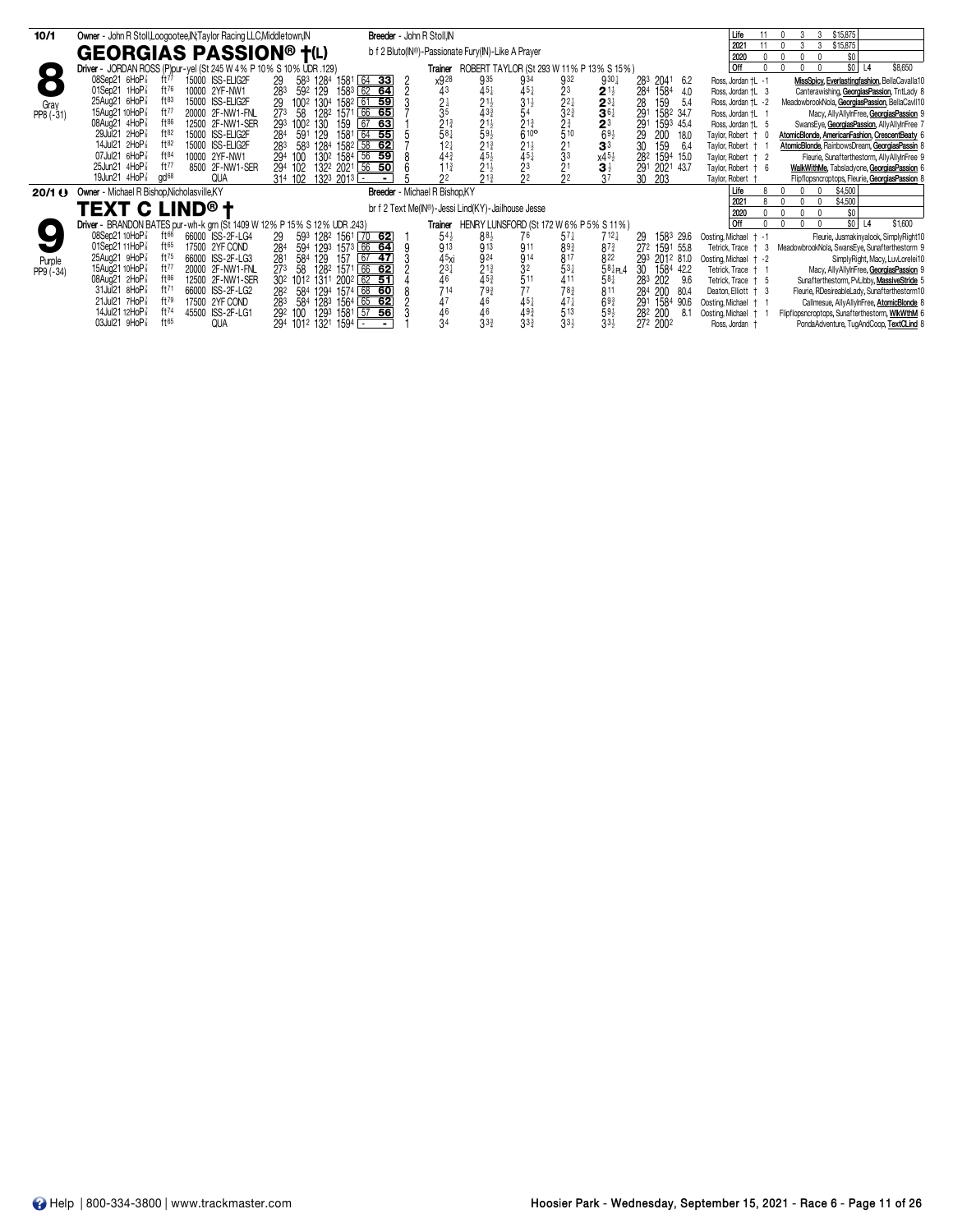| 10/1              | Owner - John R Stoll, Loogootee, IN; Taylor Racing LLC, Middletown, IN  | Breeder - John R Stoll, IN                                     |                                 |                                                                                                                                                                                                                                                   |                                                                  |                    | Life                    | \$15,875                                        |
|-------------------|-------------------------------------------------------------------------|----------------------------------------------------------------|---------------------------------|---------------------------------------------------------------------------------------------------------------------------------------------------------------------------------------------------------------------------------------------------|------------------------------------------------------------------|--------------------|-------------------------|-------------------------------------------------|
|                   |                                                                         |                                                                |                                 |                                                                                                                                                                                                                                                   |                                                                  |                    | 2021                    | \$15,875                                        |
|                   | <b>GEORGIAS PASSION® †(L)</b>                                           |                                                                |                                 | b f 2 Bluto(IN®)-Passionate Fury(IN)-Like A Prayer                                                                                                                                                                                                |                                                                  |                    | 2020                    | \$0                                             |
| $\Box$            | Driver - JORDAN ROSS (P) pur-yel (St 245 W 4 % P 10 % S 10 % UDR 129)   |                                                                | Trainer                         | ROBERT TAYLOR (St 293 W 11 % P 13 % S 15 %)                                                                                                                                                                                                       |                                                                  |                    | l Off                   | \$0 <br>\$8,650<br>L <sub>4</sub>               |
|                   | 08Sep21 6HoP <sup>3</sup><br>15000 ISS-ELIG2F<br>ft $77$                | 29<br>$64$ 33<br>583 1284 1581                                 | x928                            | 935<br>934                                                                                                                                                                                                                                        | 932<br>$9^{30}$ <sup>1</sup>                                     | 283 2041 6.2       | Ross, Jordan †L -1      | MissSpicy, Everlastingfashion, BellaCavalla10   |
|                   | ft76<br>01Sep21 1HoP<br>10000 2YF-NW1                                   | 283<br>$158^3$ 62 64<br>592 129                                | 43                              | $45\frac{1}{4}$                                                                                                                                                                                                                                   |                                                                  | 284<br>1584<br>4.0 | Ross, Jordan † L 3      | Canterawishing, GeorgiasPassion, TntLady 8      |
| Gray              | 25Aug21 6HoP <sup>3</sup><br>$ft^{83}$<br>15000 ISS-ELIG2F              | 100 <sup>2</sup> 130 <sup>4</sup> 158 <sup>2</sup> 61 59<br>29 |                                 |                                                                                                                                                                                                                                                   |                                                                  | 28<br>159<br>5.4   | Ross, Jordan †L -2      | MeadowbrookNola, GeorgiasPassion, BellaCavII10  |
| PP8 (-31)         | ft77<br>15Aug21 10HoP <sup>3</sup><br>20000 2F-NW1-FNL                  | 66 65<br>273 58<br>1282 1571                                   | $\frac{21}{35}$                 | $\frac{3}{5}$ <sup>1</sup> $\frac{1}{2}$                                                                                                                                                                                                          | $\frac{2^3}{2^2}$<br>32 <sup>3</sup><br>$2^{11}_{31}_{31}_{361}$ | 291<br>1582 34.7   | Ross, Jordan †L 1       | Macy, AllyAllyInFree, GeorgiasPassion 9         |
|                   | $ft^{86}$<br>08Aug21 4HoP <sup>3</sup><br>12500 2F-NW1-SER              | 67 63<br>293 1002 130<br>159                                   |                                 |                                                                                                                                                                                                                                                   | 2 <sup>3</sup>                                                   | 291<br>1593 45.4   | Ross, Jordan † L 5      | SwansEye, GeorgiasPassion, AllyAllyInFree 7     |
|                   | 29Jul21 2HoP <sup>3</sup><br>ft82<br>15000 ISS-ELIG2F                   | $64$ 55<br>591 129<br>1581<br>284                              | $2^{13}_{4}$<br>58 <sup>1</sup> | $\frac{2}{6}$ <sup>13</sup> <sub>40</sub>                                                                                                                                                                                                         | $\frac{23}{510}$<br>$69\frac{1}{2}$                              | 29<br>200<br>18.0  | Taylor, Robert + 0      | AtomicBlonde, AmericanFashion, CrescentBeaty 6  |
|                   | 14Jul21 2HoP <sup>3</sup><br>ft82<br>15000 ISS-ELIG2F                   | 283 583 1284 1582 58 62                                        | $12\frac{1}{4}$                 | $234\n\n243\n\n434\n\n143\n\n144\n\n145\n\n145\n\n145\n\n145\n\n145\n\n145\n\n145\n\n145\n\n145\n\n146\n\n147\n\n148\n\n149\n\n149\n\n149\n\n149\n\n149\n\n149\n\n149\n\n149\n\n149\n\n149\n\n149\n\n149\n\n149\n\n149\n\n149$<br>$21\frac{1}{2}$ | 3 <sup>3</sup>                                                   | 30<br>159<br>6.4   | Taylor, Robert + 1      | AtomicBlonde, RainbowsDream, GeorgiasPassin 8   |
|                   | 07Jul21 6HoP <sup>3</sup><br>ft84<br>10000 2YF-NW1                      | 130 <sup>2</sup> 1584 56 59<br>294 100                         |                                 |                                                                                                                                                                                                                                                   |                                                                  | 282<br>1594 15.0   | Taylor, Robert + 2      | Fleurie, Sunafterthestorm, AllyAllyInFree 9     |
|                   | ft77<br>25Jun21 4HoP <sup>3</sup><br>8500 2F-NW1-SER                    | 132 <sup>2</sup> 202 <sup>1</sup> 56 50<br>294 102             | $443$<br>$113$                  | $45\frac{1}{2}$<br>21 $\frac{1}{2}$<br>$\frac{4}{3}$ <sup>5</sup>                                                                                                                                                                                 | $\frac{21}{3^3}$                                                 | 291<br>2021 43.7   | Taylor, Robert + 6      | WalkWithMe, Tabsladyone, GeorgiasPassion 6      |
|                   | 19Jun21 4HoP <sup>3</sup><br>gd <sup>68</sup><br>QUA                    | 1323 2013 ⊡<br>314 102                                         | 22                              | $21\frac{3}{4}$                                                                                                                                                                                                                                   | $x^{45\frac{1}{2}}_{3^{7\frac{1}{2}}}$<br>2 <sup>2</sup>         | 30<br>203          | Taylor, Robert +        | Flipflopsncroptops, Fleurie, GeorgiasPassion 8  |
| 20/1 <sup>0</sup> | Owner - Michael R Bishop, Nicholasville, KY                             |                                                                | Breeder - Michael R Bishop, KY  |                                                                                                                                                                                                                                                   |                                                                  |                    | Life                    | \$4,500                                         |
|                   |                                                                         |                                                                |                                 | br f 2 Text Me(IN®)-Jessi Lind(KY)-Jailhouse Jesse                                                                                                                                                                                                |                                                                  |                    | 2021                    | \$4,500                                         |
|                   | <b>TEXT C LIND® t</b>                                                   |                                                                |                                 |                                                                                                                                                                                                                                                   |                                                                  |                    | 2020                    | \$0                                             |
|                   | Driver - BRANDON BATES pur-wh-k grn (St 1409 W 12% P 15% S 12% UDR 243) |                                                                | Trainer                         | HENRY LUNSFORD (St 172 W 6% P 5% S 11%)                                                                                                                                                                                                           |                                                                  |                    | l Off                   | so I<br>\$1,600<br> 4                           |
|                   | 08Sep21 10HoP <sup>7</sup><br>66000 ISS-2F-LG4<br>ft $66$               | 593 1282 1561 70 62<br>29                                      | 54                              | $88\frac{1}{2}$<br>76                                                                                                                                                                                                                             | $57\frac{1}{4}$<br>$712\frac{1}{4}$                              | 1583 29.6<br>29    | Oosting, Michael + -1   | Fleurie, Jusmakinyalook, SimplyRight10          |
|                   | ft65<br>01Sep2111HoP <sup>3</sup><br>17500 2YF COND                     | 594 1293 1573 66 64                                            | 913                             | $\bar{9}$ 13<br>911                                                                                                                                                                                                                               | $89\frac{3}{4}$<br>$87\frac{3}{4}$                               | 272 1591 55.8      | Tetrick. Trace + 3      | MeadowbrookNola, SwansEye, Sunafterthestorm 9   |
| Purple            | $ft^{75}$<br>25Aug21 9HoP <sup>3</sup><br>66000 ISS-2F-LG3              | $\frac{284}{281}$<br>$\sqrt{67}$<br>584 129<br>157<br>$-47$    | 45xi                            | 924<br>914                                                                                                                                                                                                                                        | 817<br>822                                                       | 293 2012 81.0      | Oosting, Michael + -2   | SimplyRight, Macy, LuvLorelei10                 |
| PP9 (-34)         | ft77<br>15Aug21 10HoP <sup>3</sup><br>20000 2F-NW1-FNL                  | 66 62<br>27 <sup>3</sup><br>1282 1571<br>58                    | $\frac{2^{3\frac{1}{4}}}{4^6}$  | $\frac{32}{511}$                                                                                                                                                                                                                                  | $53\frac{1}{4}$<br>584P14                                        | 30<br>1584 42.2    | Tetrick, Trace<br>$+$ 1 | Macy, AllyAllyInFree, GeorgiasPassion 9         |
|                   | $ft^{86}$<br>08Aug21 2HoP <sup>3</sup><br>12500 2F-NW1-SER              | 30 <sup>2</sup> 101 <sup>2</sup> 1311 200 <sup>2</sup> 62 51   |                                 | $2^{13}_{4}$<br>45 <sup>3</sup><br>79 <sup>3</sup>                                                                                                                                                                                                | $58\frac{1}{4}$                                                  | 283 202<br>9.6     | Tetrick, Trace + 5      | Sunafterthestorm, PvLibby, MassiveStride 5      |
|                   | 31Jul21 8HoP<br>ft71<br>66000 ISS-2F-LG2                                | 282 584 1294 1574 68 60                                        | 714                             | 77                                                                                                                                                                                                                                                | $78\frac{3}{4}$<br>811                                           | 284<br>200<br>80.4 | Deaton, Elliott + 3     | Fleurie, RDesireableLady, Sunafterthestorm10    |
|                   | 21Jul21 7HoP <sup>7</sup><br>ft79<br>17500 2YF COND                     | 584 1283 1564 65 62<br>283                                     | 47                              | $^{46}_{46}$<br>$45\frac{1}{4}$<br>49 <sup>3</sup>                                                                                                                                                                                                | $47\frac{1}{3}$<br>513<br>$69\frac{3}{4}$<br>$59\frac{1}{2}$     | 1584 90.6<br>291   | Oosting, Michael        | Callmesue, AllyAllyInFree, AtomicBlonde 8       |
|                   | ft74<br>14Jul21 12HoP <sup>3</sup><br>45500 ISS-2F-LG1                  | 1293 1581 57 56<br>292 100                                     | 46                              |                                                                                                                                                                                                                                                   |                                                                  | 282 200<br>8.1     | Oosting, Michael †      | Flipflopsncroptops, Sunafterthestorm, WIkWthM 6 |
|                   | 03Jul21 9HoP <sup>3</sup><br>ft65<br><b>QUA</b>                         | 294 1012 1321 1594 -                                           | 34                              | $3^{3}$<br>$3^{3}$                                                                                                                                                                                                                                | $3^{3}\frac{1}{2}$<br>$33\frac{1}{2}$                            | 272 2002           | Ross, Jordan +          | PondaAdventure, TugAndCoop, TextCLind 8         |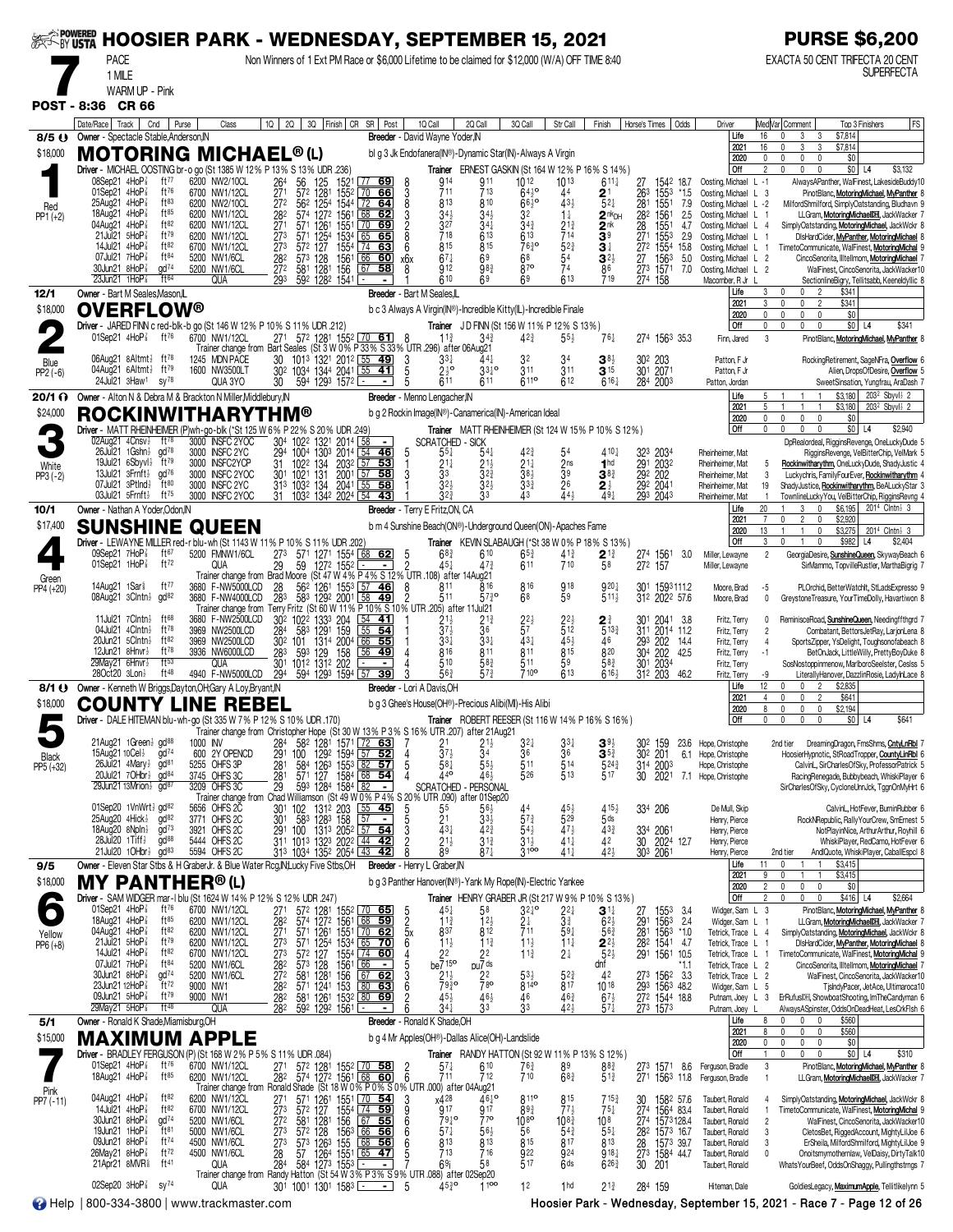|                           |                                                                                                                                                     |                                                     | &<ొ బొందు HOOSIER PARK - WEDNESDAY, SEPTEMBER 15, 2021                                                                                                                                                          |                                                                                                 |                                                                         |                                                                                     |                                                             |                                                                          |                                                                                | <b>PURSE \$6,200</b>                                                                                                                                            |
|---------------------------|-----------------------------------------------------------------------------------------------------------------------------------------------------|-----------------------------------------------------|-----------------------------------------------------------------------------------------------------------------------------------------------------------------------------------------------------------------|-------------------------------------------------------------------------------------------------|-------------------------------------------------------------------------|-------------------------------------------------------------------------------------|-------------------------------------------------------------|--------------------------------------------------------------------------|--------------------------------------------------------------------------------|-----------------------------------------------------------------------------------------------------------------------------------------------------------------|
|                           | <b>PACE</b><br>1 MILE                                                                                                                               |                                                     | Non Winners of 1 Ext PM Race or \$6,000 Lifetime to be claimed for \$12,000 (W/A) OFF TIME 8:40                                                                                                                 |                                                                                                 |                                                                         |                                                                                     |                                                             |                                                                          |                                                                                | EXACTA 50 CENT TRIFECTA 20 CENT<br><b>SUPERFECTA</b>                                                                                                            |
|                           | <b>WARM UP - Pink</b><br>POST - 8:36 CR 66                                                                                                          |                                                     |                                                                                                                                                                                                                 |                                                                                                 |                                                                         |                                                                                     |                                                             |                                                                          |                                                                                |                                                                                                                                                                 |
| $8/5$ $\Theta$            | Date/Race   Track   Cnd<br>Owner - Spectacle Stable, Anderson, IN                                                                                   | Purse<br>Class                                      | 2Q 3Q Finish CR SR Post<br>1Q                                                                                                                                                                                   | 1Q Call<br>Breeder - David Wayne Yoder, IN                                                      | 2Q Call<br>3Q Call                                                      | Str Call                                                                            | Finish                                                      | Odds<br>Horse's Times                                                    | Driver<br>Life<br>2021                                                         | FS<br>Med Var Comment<br>Top 3 Finishers<br>\$7,814<br>16<br>3<br>3<br>3<br>3<br>\$7,814<br>16<br>0                                                             |
| \$18,000                  | <b>MOTORING MICHAEL®(L)</b><br>Driver - MICHAEL OOSTING br-o go (St 1385 W 12% P 13% S 13% UDR .236)                                                |                                                     |                                                                                                                                                                                                                 | bl g 3 Jk Endofanera(IN®)-Dynamic Star(IN)-Always A Virgin                                      | Trainer ERNEST GASKIN (St 164 W 12% P 16% S 14%)                        |                                                                                     |                                                             |                                                                          | 2020<br>Off                                                                    | \$0<br>0<br>0<br>0<br>0<br>2<br>$$0$ L4<br>\$3,132<br>$\theta$                                                                                                  |
| Red                       | 08Sep21 4HoP3<br>ft $77$<br>01Sep21 4HoP<br>ft76<br>25Aug21 4HoP3<br>ft83                                                                           | 6200 NW2/10CL<br>6700 NW1/12CL<br>6200 NW2/10CL     | 56<br>264<br>1521<br>$\begin{vmatrix} 77 & 69 \end{vmatrix}$<br>125<br>$\frac{27}{27}$ <sup>1</sup><br>57 <sup>2</sup><br>$\frac{1281}{1254}$<br>$\boxed{70}$<br>$155^{2}$<br>$\overline{72}$ 64<br>562<br>1544 | 914<br>8<br>$\frac{3}{8}$<br>66<br>711<br>813                                                   | 911<br>713<br>810                                                       | 1012<br>1013<br>$64^{10}_{2}$<br>44<br>$\tilde{6}6\overline{3}$ <sup>o</sup><br>433 | $611\frac{1}{4}$<br>2 <sup>1</sup><br>$5^{2}$               | 27<br>1542 18.7<br>26 <sup>3</sup><br>281<br>1553<br>*1.5<br>1551<br>7.9 | Oosting, Michael L -1<br>Oosting, Michael L 3<br>Oosting, Michael L -2         | AlwaysAPanther, WalFinest, LakesideBuddy10<br>PinotBlanc, MotoringMichael, MyPanther 8<br>MilfordShmilford, SimplyOatstanding, Bludhavn 9                       |
| $PP1 (+2)$                | $ft^{85}$<br>18Aug21 4HoP3<br>ft82<br>04Aug21 $4H_0P_8^7$<br>21Jul21 5HoP <sup>3</sup><br>ft79                                                      | 6200 NW1/12CL<br>6200 NW1/12CL<br>6200 NW1/12CL     | 68<br>282<br>574 1272 1561<br>$\frac{27}{273}$<br>1551<br>1534 65<br>571<br>$\frac{126}{125^4}$<br>571                                                                                                          | 3<br>$34\frac{1}{2}$<br>62<br>$\frac{2}{8}$<br>$\frac{3^{27}}{7^{18}}$<br>69<br>65              | $34\frac{1}{2}$<br>341<br>613                                           | 32<br>$1\frac{1}{4}$<br>$34\frac{3}{4}$<br>$\frac{2^{13}}{7^{14}}$<br>613           | $2nk$ DH<br>2 <sup>nk</sup><br>3 <sup>9</sup>               | 282<br>1561<br>2.5<br>$\frac{28}{271}$<br>1551<br>4.7<br>1553<br>2.9     | Oosting, Michael L 1<br>Oosting, Michael<br>$\mathsf{L}$<br>Oosting, Michael L | LLGram, MotoringMichaelDH, JackWacker 7<br>SimplyOatstanding, MotoringMichael, JackWckr 8<br>-4<br>DisHardCider, MyPanther, MotoringMichael 8                   |
|                           | ft82<br>14Jul21 4HoP3<br>07Jul21 7HoP3<br>ft <sup>84</sup><br>$\alpha$ d $74$<br>30Jun21 8HoP <sup>3</sup>                                          | 6700 NW1/12CL<br>5200 NW1/6CL                       | 273<br>127<br>572<br>1554<br>  74<br>$\frac{28}{272}$<br>573<br>128<br>1561<br>156<br>$\frac{66}{67}$                                                                                                           | 815<br>6<br>63<br>60<br>$67\frac{1}{4}$<br>x6x<br>912                                           | 815<br>69                                                               | $52\frac{3}{4}$<br>7630<br>$\frac{54}{74}$<br>68<br>87°                             | $\mathbf{3}^{\ddagger}$<br>$3^{2\frac{1}{2}}$               | 272<br>1554<br>15.8<br>27 1563<br>273 1571<br>5.0                        | Oosting, Michael L<br>Oosting, Michael L 2                                     | TimetoCommunicate, WalFinest, MotoringMichal 9<br>CincoSenorita, Illtellmom, MotoringMichael 7                                                                  |
| 12/1                      | $23$ Jun $21$ 1HoP $\frac{7}{8}$<br>ft64<br>Owner - Bart M Seales, Mason, IL                                                                        | 5200 NW1/6CL<br><b>QUA</b>                          | 1281<br>581<br>293<br>592 1282 1541                                                                                                                                                                             | 58<br>8<br>610<br>Breeder - Bart M Seales, L                                                    | $98\frac{3}{4}$<br>69                                                   | 613<br>69                                                                           | 86<br>719                                                   | 7.0<br>274 158                                                           | Oosting, Michael L 2<br>Macomber, R Jr<br>Life                                 | WalFinest, CincoSenorita, JackWacker10<br>SectionlineBigry, Tellitsabb, Keeneldyllic 8<br>\$341<br>3<br>$\mathbf{0}$<br>0 <sub>2</sub>                          |
| \$18,000                  | <b>OVERFLOW®</b><br>Driver - JARED FINN c red-blk-b go (St 146 W 12% P 10% S 11% UDR .212)                                                          |                                                     |                                                                                                                                                                                                                 | b c 3 Always A Virgin(IN®)-Incredible Kitty(IL)-Incredible Finale                               | Trainer JD FINN (St 156 W 11% P 12% S 13%)                              |                                                                                     |                                                             |                                                                          | 2021<br>2020<br>Off                                                            | 3<br>$\mathbf{0}$<br>$\overline{2}$<br>\$341<br>$\mathbf 0$<br>\$0<br>0<br>$\mathbf 0$<br>0<br>$\mathbf 0$<br>$\mathbf 0$<br>$$0$ L4<br>\$341<br>0<br>$\Omega$  |
|                           | 01Sep21 4HoP <sup>3</sup> ft <sup>76</sup>                                                                                                          | 6700 NW1/12CL                                       | 271 572 1281 1552 70 61<br>Trainer change from Bart Seales (St 3 W 0% P 33% S 33% UTR 296) after 06Aug21                                                                                                        | $11\frac{3}{4}$                                                                                 | 343                                                                     | $4^{2^{3}}$<br>$55\frac{1}{2}$                                                      | $76\frac{1}{4}$                                             | 274 1563 35.3                                                            | Finn, Jared                                                                    | 3<br>PinotBlanc, MotoringMichael, MyPanther 8                                                                                                                   |
| Blue<br>PP2 (-6)          | 06Aug21 8Altmt} ft78<br>04Aug21 $6$ Altmt $\frac{1}{2}$ ft <sup>79</sup><br>24Jul21 3Haw <sup>1</sup><br>$sy^{78}$                                  | 1245 MDN PACE<br>1600 NW3500LT<br>QUA 3YO           | 101 <sup>3</sup> 1321 2012 55 49<br>1034 1344 2041 55 41<br>30<br>302<br>594 1293 1572<br>30                                                                                                                    | 3<br>$33\frac{1}{4}$<br>5<br>$\frac{216}{611}$<br>5                                             | $44\frac{1}{4}$<br>$33\frac{1}{4}$ °<br>611                             | 32<br>311<br>311<br>6110<br>612                                                     | $3^{8}$<br>$3^{15}$<br>$616\frac{1}{4}$                     | 30 <sup>2</sup> 203<br>301 2071<br>284 2003                              | Patton, F Jr<br>Patton, F Jr<br>Patton, Jordan                                 | RockingRetirement, SageNFra, Overflow 6<br>Alien, DropsOfDesire, Overflow 5<br>SweetSinsation, Yungfrau, AraDash 7                                              |
| $20/1 \Omega$<br>\$24,000 | Owner - Alton N & Debra M & Brackton N Miller, Middlebury, IN<br><b>ROCKINWITHARYTHM®</b>                                                           |                                                     |                                                                                                                                                                                                                 | Breeder - Menno Lengacher, IN<br>b g 2 Rockin Image(IN®)-Canamerica(IN)-American Ideal          |                                                                         |                                                                                     |                                                             |                                                                          | Life<br>2021                                                                   | \$3,180<br>203 <sup>2</sup> Sbyvl <sup>3</sup> 2<br>\$3,180<br>203 <sup>2</sup> Sbyvl} 2<br>5<br>1                                                              |
|                           | 02Aug21 $4$ Cnsv $\frac{1}{2}$<br>ft <sup>78</sup>                                                                                                  | 3000 INSFC 2YOC                                     | Driver - MATT RHEINHEIMER (P)wh-go-blk (*St 125 W 6% P 22% S 20% UDR .249)<br>304 1022 1321 2014 58                                                                                                             | $\overline{\phantom{a}}$                                                                        | Trainer MATT RHEINHEIMER (St 124 W 15% P 10% S 12%)<br>SCRATCHED - SICK |                                                                                     |                                                             |                                                                          | 2020<br>Off                                                                    | $\mathbf{0}$<br>$\mathbf{0}$<br>$\mathbf{0}$<br>\$0<br>$\mathbf{0}$<br>\$2,940<br>0<br>$$0$   L4<br>0<br>0<br>0<br>DpRealordeal, RigginsRevenge, OneLuckyDude 5 |
| White                     | $26$ Jul $21$ 1 Gshn $\frac{1}{2}$ ad <sup>78</sup><br>19Jul21 6Sbyvl} ft79<br>13Jul21 3Frnft} gd76                                                 | 3000 INSFC 2YC<br>3000 INSFC2YCP<br>3000 INSFC 2YOC | 294<br>1004<br>1303 2014<br><u>  54</u><br>2032 57 53<br>31<br>102 <sup>2</sup> 134<br>1021 131<br>3011021                                                                                                      | 5<br>46<br>$55\frac{1}{4}$<br>$\frac{21}{3}$<br>3                                               |                                                                         | $21\frac{1}{4}$<br>$\frac{2}{3}$ <sup>ns</sup><br>$38\frac{1}{2}$                   | 410 <sub>1</sub><br>1 <sup>hd</sup><br>$3^{8}$              | 323<br>2034<br>291 2032<br>292 202                                       | Rheinheimer, Mat<br>Rheinheimer, Mat                                           | RigginsRevenge, VelBitterChip, VelMark 5<br>Rockinwitharythm, OneLuckyDude, ShadyJustic 4<br>-5<br>3                                                            |
| $PP3(-2)$                 | 07Jul21 3Ptlnd}<br>$ft^{80}$<br>03Jul21 $5$ Frnft $\frac{1}{2}$<br>ft <sup>75</sup>                                                                 | 3000 INSFC 2YC<br>3000 INSFC 2YOC                   | 313 1032 134 2041 55<br>31 1032 1342 2024 54                                                                                                                                                                    | 32 <sub>3</sub><br>58<br>$3^{2^{3}}$<br>43                                                      | 3 <sub>2</sub><br>33                                                    | 26<br>33 <sub>2</sub><br>441<br>43                                                  | $2\frac{1}{2}$<br>$49\frac{1}{4}$                           | 292 2041<br>293 2043                                                     | Rheinheimer, Mat<br>Rheinheimer, Mat<br>Rheinheimer, Mat                       | Luckychris, FamilyFourEver, Rockinwitharythm 4<br>ShadyJustice, Rockinwitharythm, BeALuckyStar 3<br>19<br>TownlineLuckyYou, VelBitterChip, RigginsRevng 4       |
| 10/1<br>\$17,400          | Owner - Nathan A Yoder, Odon, IN<br><b>SUNSHINE QUEEN</b>                                                                                           |                                                     |                                                                                                                                                                                                                 | Breeder - Terry E Fritz, ON, CA<br>b m 4 Sunshine Beach(ON®)-Underground Queen(ON)-Apaches Fame |                                                                         |                                                                                     |                                                             |                                                                          | Life<br>2021<br>2020                                                           | 2014 Clntn} 3<br>20<br>\$6,195<br>0<br>\$2,920<br>0<br>$\overline{c}$<br>0<br>13<br>$\mathbf 0$<br>\$3,275<br>2014 Clntn} 3                                     |
|                           | 09Sep21 $7H$ o $P_8^7$<br>ft $67$                                                                                                                   | 5200 FMNW1/6CL                                      | Driver - LEWAYNE MILLER red-r blu-wh (St 1143 W 11% P 10% S 11% UDR 202)<br>273<br>571 1271 1554 68 62                                                                                                          | $68\frac{3}{4}$                                                                                 | Trainer KEVIN SLABAUGH (*St 38 W 0% P 18% S 13%)<br>610                 | $4^{13}_{4}$<br>710<br>$65\frac{3}{4}$                                              | $2^{13}_{58}$                                               | 274 1561<br>272 157<br>3.0                                               | Off<br>Miller, Lewayne                                                         | \$2,404<br>3<br>$\mathbf{0}$<br>\$982<br>L4<br>$\overline{2}$<br>GeorgiaDesire, SunshineQueen, SkywayBeach 6                                                    |
| Green<br>PP4 (+20)        | 01Sep21 $1HoP\bar{s}$<br>ft72<br>14Aug21 1Sar <sup>§</sup><br>ft $^{77}$                                                                            | QUA<br>3680 F-NW5000LCD                             | 29<br>59<br>1272 1552<br>Trainer change from Brad Moore (St 47 W 4% P 4% S 12% UTR 108) after 14Aug21<br>28<br>562<br>1553 57                                                                                   | $45+$<br>$\blacksquare$<br>46<br>8<br>811                                                       | 473<br>816                                                              | 611<br>816<br>918                                                                   | 920}                                                        | 301<br>1593111.2                                                         | Miller, Lewayne<br>Moore, Brad                                                 | SirMammo, TopvilleRustler, MarthaBigrig 7<br>$-5$<br>PLOrchid, BetterWatchlt, StLadsExpresso 9                                                                  |
|                           | 08Aug21 3Clntn <sup>3</sup> gd <sup>82</sup><br>11Jul21 $7$ Clntn $\frac{1}{2}$<br>ft $68$                                                          | 3680 F-NW4000LCD<br>3680 F-NW2500LCD                | 1261 1553<br>1292 2001<br>58<br>283<br>583<br>Trainer change from Terry Fritz (St 60 W 11% P 10% S 10% UTR .205) after 11Jul 21<br>302 1022<br>204<br>$54$ 41<br>1333                                           | 511<br>49                                                                                       | $57\frac{3}{4}$ <sup>o</sup>                                            | 59<br>68                                                                            | 511<br>2 <sup>3</sup>                                       | 312 2022 57.6<br>301 2041 3.8                                            | Moore, Brad<br>Fritz, Terry                                                    | 0<br>GreystoneTreasure, YourTimeDolly, Havartiwon 8<br>ReminisceRoad, SunshineQueen, Needingffthgrd 7                                                           |
|                           | $ft^{78}$<br>04Jul21 $4$ Clntn $\frac{1}{2}$<br>20Jun21 5Clntn}<br>ft82                                                                             | 3969 NW2500LCD<br>3969 NW2500LCD                    | 159<br>583<br>1291<br>284<br>55<br>1314 2004<br>$\begin{array}{ c c }\n\hline\n66 & \textbf{55} \\ \hline\n56 & \textbf{49}\n\end{array}$<br>302<br>101                                                         | $\bar{3}$ <sup>7</sup> $\frac{1}{2}$<br>54<br>$33\frac{1}{4}$                                   | $\frac{2^{13}}{3^6}$<br>$3^{3+}$                                        | $\frac{2^{2\frac{1}{2}}}{5^{7}}$<br>$2^{2\frac{1}{2}}$<br>512<br>431<br>45}         | $5^{13}$<br>46                                              | 311 2014 11.2<br>293 202<br>14.4                                         | Fritz, Terry<br>Fritz, Terry                                                   | $\overline{2}$<br>Combatant, BettorsJetRay, LarjonLena 8<br>$\overline{4}$<br>SportsZipper, YsDelight, Toughsonofabeach 8                                       |
|                           | $ft^{78}$<br>12Jun21 $8$ Hnvr $\frac{1}{2}$<br>ft <sub>53</sub><br>29May21 6Hnvr $\frac{1}{2}$<br>28Oct20 3Lon <sup>3</sup><br>$ft^{48}$            | 3936 NW6000LCD<br>QUA<br>4940 F-NW5000LCD           | 593<br>158<br>283<br>129<br>301 1012 1312 202<br>294 594 1293 1594 57 39                                                                                                                                        | 816<br>510<br>$56\frac{3}{4}$                                                                   | 811<br>583<br>$57\frac{3}{4}$                                           | 815<br>811<br>59<br>511<br>613<br>710 <sup>o</sup>                                  | 820<br>$58\frac{3}{4}$<br>6164                              | 304 202<br>42.5<br>301 2034<br>312 203<br>46.2                           | Fritz, Terry<br>Fritz, Terry<br>Fritz, Terry                                   | $-1$<br>BetOnJack, LittleWilly, PrettyBoyDuke 8<br>SosNostoppinmenow, MarlboroSeelster, Ceslss 5<br>-9<br>LiterallyHanover, DazzlinRosie, LadyInLace 8          |
| \$18,000                  | 8/1 O Owner - Kenneth W Briggs, Dayton, OH; Gary A Loy, Bryant, IN<br><b>COUNTY LINE REBEL</b>                                                      |                                                     |                                                                                                                                                                                                                 | Breeder - Lori A Davis, OH<br>b g 3 Ghee's House(OH®)-Precious Alibi(MI)-His Alibi              |                                                                         |                                                                                     |                                                             |                                                                          | Life<br>2021<br>2020                                                           | 12<br>\$2,835<br>$\mathbf 0$<br>$\overline{2}$<br>0<br>$\overline{2}$<br>\$641<br>0<br>0<br>8<br>\$2,194<br>0<br>0<br>0                                         |
|                           |                                                                                                                                                     |                                                     | DALE HITEMAN blu-wh-go (St 335 W 7% P 12% S 10% UDR .170)<br>Trainer change from Christopher Hope (St 30 W 13% P 3% S 16% UTR 207) after 21Aug21                                                                |                                                                                                 | Trainer ROBERT REESER (St 116 W 14% P 16% S 16%)                        |                                                                                     |                                                             |                                                                          | $\bigcap_{i=1}^{n}$                                                            | \$641<br>¢n I<br>$\sqrt{2}$                                                                                                                                     |
| Black                     | 21Aug21 1Green gd <sup>88</sup><br>15Aug21 10Cel <sup>1</sup><br>$\alpha$ d $^{74}$<br>26Jul 21 $4$ Mary $\frac{1}{2}$<br>gd <sup>81</sup>          | 1000 INV<br>600 2Y OPENCD<br>5255 OHFS 3P           | 284 582 1281 1571 72<br>291 100 1292 1594 57 <b>52</b><br>291 100 1292 1594 57 <b>52</b><br>281 584 1263 1553 82 <b>57</b><br>281 571 127 1584 88 54                                                            | $\frac{21}{37\frac{1}{2}}$<br>$58\frac{1}{4}$                                                   | 34                                                                      | $3^{2}$<br>$3^{3\frac{1}{4}}$<br>36<br>36<br>514<br>511                             | $\mathbf{3}$ $\frac{9}{2}$<br>$\mathbf{3}^{53}$<br>$5^{24}$ | 30 <sup>2</sup> 159<br>30 <sup>2</sup> 201<br>23.6<br>6.1<br>314 2003    | Hope, Christophe<br>Hope, Christophe<br>Hope, Christophe                       | DreamingDragon, FmsShms, CntyLnRbl 7<br>2nd tier<br>HoosierHypnotic, StRoadTropper, CountyLinRbl 6<br>CalvinL, SirCharlesOfSky, ProfessorPatrick 5              |
| PP5 (+32)                 | 20Jul21 $7$ OHbr $\frac{1}{2}$<br>gd <sup>84</sup><br>29Jun21 13Mrion 3 gd <sup>87</sup>                                                            | 3745 OHFS 3C<br>3209 OHFS 3C                        |                                                                                                                                                                                                                 | $\check{4}^{4\ddot{\circ}}$                                                                     | $5\frac{5}{2}$<br>46 <sup>1</sup><br>SCRATCHED - PERSONAL               | 513<br>526                                                                          | 517                                                         | 30<br>2021<br>7.1                                                        | Hope, Christophe                                                               | RacingRenegade, Bubbybeach, WhiskiPlayer 6<br>SirCharlesOfSky, CycloneUnnJck, TggnOnMyHrt 6                                                                     |
|                           | 01Sep20 1VnWrt} gd <sup>82</sup><br>25Aug20 $4$ Hick $\frac{1}{2}$<br>$qd^{82}$                                                                     | 5656 OHFS 2C<br>3771 OHFS 2C                        | Trainer change from Chad Williamson (St 49 W 0% P 4% S 20% UTR .090) after 01Sep20<br>301 102 1312 203 55 45<br>301 583 1283 158 57 -<br>291 100 1313 2052 57 54<br>311 1013 1323 2022 44 42                    | 5<br>5<br>2 <sup>1</sup>                                                                        | 33}                                                                     | 45}<br>529<br>$57\frac{3}{4}$                                                       | $4^{15}$<br>5 <sub>ds</sub>                                 | 334 206                                                                  | De Mull, Skip<br>Henry, Pierce                                                 | CalvinL, HotFever, BurninRubber 6<br>RockNRepublic, Rally YourCrew, SmErnest 5                                                                                  |
|                           | 18Aug20 $8$ Npln $\frac{1}{2}$<br>gd <sup>73</sup><br>28Jul20 $1$ Tiff $\frac{1}{2}$<br>gd <sup>88</sup><br>21 Jul 20 1 OH br $\frac{1}{2}$ gd $83$ | 3921 OHFS 2C<br>5444 OHFS 2C<br>5594 OHFS 2C        | 313 1034 1352 2054 43 42                                                                                                                                                                                        | $43\frac{1}{4}$<br>$21\frac{1}{2}$<br>8<br>89                                                   | $42\frac{3}{4}$<br>$3^{13}$<br>$87\frac{1}{4}$                          | $47\frac{1}{2}$<br>41 <sup>1</sup><br>$5^{41}_{311}$<br>3100<br>411                 | $43\frac{3}{4}$<br>42<br>42}                                | 334 2061<br>30 2024 12.7<br>303 2061                                     | Henry, Pierce<br>Henry, Pierce<br>Henry, Pierce                                | NotPlayinNice, ArthurArthur, Royhill 6<br>WhiskiPlayer, RedCamo, HotFever 6<br>AndlQuote, WhiskiPlayer, CaballEspcl 8<br>2nd tier                               |
| 9/5<br>\$18,000           | <b>MY PANTHER® (L)</b>                                                                                                                              |                                                     | Owner - Eleven Star Stbs & H GraberJr. & Blue Water Rcg, N.Lucky Five Stbs, OH                                                                                                                                  | Breeder - Henry L Graber, IN<br>b g 3 Panther Hanover(IN®)- Yank My Rope(IN)-Electric Yankee    |                                                                         |                                                                                     |                                                             |                                                                          | Life<br>2021                                                                   | \$3,415<br>11<br>0<br>$\mathbf{1}$<br>\$3,415<br>9<br>0<br>$\mathbf{1}$<br>$\mathbf{1}$                                                                         |
|                           | Driver - SAM WIDGER mar-I blu (St 1624 W 14% P 12% S 12% UDR 247)<br>01Sep21 4HoP<br>ft76                                                           | 6700 NW1/12CL                                       |                                                                                                                                                                                                                 | $45\frac{1}{4}$                                                                                 | Trainer HENRY GRABER JR (St 217 W 9% P 10% S 13%)<br>58                 |                                                                                     | $3^{11}$                                                    | 3.4<br>1553                                                              | 2020<br>Off<br>Widger, Sam L 3                                                 | 0<br>\$0<br>0<br>0<br>\$2,664<br>2<br>\$416<br>L4<br>0<br>PinotBlanc, MotoringMichael, MyPanther 8                                                              |
| Yellow                    | 18Aug21 4HoP <sup>3</sup><br>$ft^{85}$<br>04Aug21 4HoP<br>ft82<br>$ft^{79}$<br>21Jul21 $5H_0P_8^7$                                                  | 6200 NW1/12CL<br>6200 NW1/12CL                      | 271<br>282<br>57 <sup>2</sup> 128 <sup>1</sup> 155 <sup>2</sup> 70 65<br>57 <sup>4</sup> 127 <sup>2</sup> 156 <sup>1</sup> 68 59<br>271<br>571 1261 1551 70 62                                                  | $\frac{5}{2}$<br>5x<br>$11\frac{3}{4}$<br>837                                                   | $12\frac{1}{2}$<br>812                                                  | $3^{21}_{24}$ o<br>21<br>711<br>$^{2^{2\ddagger}}_{3^{3\ddagger}}$<br>591           | $62\frac{1}{2}$<br>$56\frac{3}{4}$                          | $^{27}_{291}$<br>1563<br>2.4<br>281 1563 *1.0                            | Widger, Sam L 1<br>Tetrick, Trace L 4                                          | LLGram, MotoringMichaelDH, JackWacker 7<br>SimplyOatstanding, MotoringMichael, JackWckr 8                                                                       |
| PP6 (+8)                  | ft82<br>14Jul 21 $4H_0P_8^7$<br>07Jul21 7HoP3<br>$ft^{84}$                                                                                          | 6200 NW1/12CL<br>6700 NW1/12CL<br>5200 NW1/6CL      | $\frac{273}{273}$<br>$\frac{1534}{1554} \frac{\overline{65} \ \overline{70}}{\overline{65} \ \overline{14} \ \overline{60}}$<br>1554 74 60<br>1561 66 -<br>571 1254<br>572 127<br>282<br>573 128                | 6<br>$11\frac{1}{2}$<br>2 <sup>2</sup><br>$be\overline{7}$ 15°<br>5                             | $11\frac{3}{4}$<br>2 <sup>2</sup><br>pu7 ds                             | $11\frac{1}{4}$<br>$11\frac{1}{2}$<br>$1^{1\frac{5}{4}}$<br>2 <sup>1</sup>          | $2^{2\frac{1}{2}}_{5^{2\frac{1}{2}}}$<br>dnf                | 1541 4.7<br>28 <sup>2</sup><br>291<br>1561 10.5<br>*1.1                  | Tetrick, Trace L 1<br>Tetrick, Trace L 1<br>Tetrick, Trace L 2                 | DisHardCider, MyPanther, MotoringMichael 8<br>TimetoCommunicate, WalFinest, MotoringMichal 9<br>CincoSenorita, Illtellmom, MotoringMichael 7                    |
|                           | 30Jun21 8HoP <sup>3</sup><br>gd <sup>74</sup><br>23Jun21 12HoP <sup>3</sup><br>ft72<br>09Jun21 5HoP3<br>ft79                                        | 5200 NW1/6CL<br>9000 NW1<br>9000 NW1                | $\frac{272}{282}$<br>581 1281 156<br>571 1241 153<br>$\begin{array}{ c c c }\hline 67 & \textbf{62} \\ \hline 80 & \textbf{63} \\ \hline \end{array}$<br>282<br>581 1261 1532 80 69                             | $21\frac{1}{2}$<br>79 <sup>3</sup> <sup>o</sup><br>45}                                          | $\frac{2^2}{78}$<br>46}                                                 | $5^{2\frac{3}{4}}$<br>8 <sup>17</sup><br>8140<br>46<br>$46\frac{3}{4}$              | 42<br>1018<br>$67\frac{1}{2}$                               | 273 1562 3.3<br>293 1563 48.2<br>1563 48.2<br>272 1544 18.8              | Tetrick, Trace L 2<br>Widger, Sam L 5<br>Putnam, Joey L 3                      | WalFinest, CincoSenorita, JackWacker10<br>TislndyPacer, JetAce, Ultimaroca10<br>ErRufus <sup>DH</sup> , ShowboatShooting, ImTheCandyman 6                       |
| 5/1                       | 29May21 5HoP <sup>3</sup><br>$ft^{48}$<br>Owner - Ronald K Shade, Miamisburg, OH                                                                    | QUA                                                 | 282<br>592 1292 1561 ∟                                                                                                                                                                                          | $34\frac{1}{4}$<br>Breeder - Ronald K Shade, OH                                                 | 33                                                                      | 3 <sup>3</sup><br>42 <sub>3</sub>                                                   | $57\frac{1}{4}$                                             | 273 1573                                                                 | Putnam, Joey L<br>Life                                                         | AlwaysASpinster, OddsOnDeadHeat, LesCrkFlsh 6<br>$\mathbf{0}$<br>$0\quad 0$<br>\$560<br>8                                                                       |
| \$15,000                  | <b>MAXIMUM APPLE</b><br>Driver - BRADLEY FERGUSON (P) (St 168 W 2% P 5% S 11% UDR .084)                                                             |                                                     |                                                                                                                                                                                                                 | b g 4 Mr Apples(OH®)-Dallas Alice(OH)-Landslide                                                 | <b>Trainer</b> RANDY HATTON (St 92 W 11 % P 13 % S 12 %)                |                                                                                     |                                                             |                                                                          | 2021<br>2020<br>  Off                                                          | 8<br>0<br>$\mathbf 0$<br>0<br>\$560<br>\$0<br>0<br>0<br>0<br>$$0$ L4<br>\$310<br>n<br>0<br>0                                                                    |
|                           | 01Sep21 4HoP 3<br>$ft^{76}$<br>18Aug21 4HoP <sup>7</sup><br>$ft^{85}$                                                                               | 6700 NW1/12CL<br>6200 NW1/12CL                      | 271 572 128 <sup>1</sup> 1552 70 <b>58</b><br>282 574 1272 1561 68 60<br>Trainer change from Ronald Shade (St 18 W 0% P 0% S 0% UTR .000) after 04Aug21                                                         | $57\frac{1}{4}$<br>$\frac{2}{6}$<br>711                                                         | 610<br>712                                                              | 89<br>$76\frac{3}{4}$<br>710<br>$68\frac{3}{4}$                                     | 883<br>$51\frac{3}{4}$                                      | 273 1571 8.6 Ferguson, Bradle<br>271<br>1563 11.8                        | Ferguson, Bradle                                                               | 3<br>PinotBlanc, MotoringMichael, MyPanther 8<br>LLGram, MotoringMichaelDH, JackWacker 7                                                                        |
| Pink<br>PP7 (-11)         | 04Aug21 4HoP3<br>$ft^{82}$<br>14Jul21 4HoP3<br>$ft^{82}$                                                                                            | 6200 NW1/12CL<br>6700 NW1/12CL                      | 571 1261 1551 70 54<br>572 127 1554 74 59<br>271<br>273<br>572 127                                                                                                                                              | 3<br>x428<br>9<br>917                                                                           | $46^{10}$<br>917                                                        | 8 <sub>11</sub> o<br>815<br>$77\frac{1}{2}$<br>893                                  | $715\frac{3}{4}$<br>$75\frac{1}{4}$                         | 30<br>1582 57.6<br>1564 83.4<br>274                                      | Taubert, Ronald<br>Taubert, Ronald                                             | SimplyOatstanding, MotoringMichael, JackWckr 8<br>TimetoCommunicate, WalFinest, MotoringMichal 9                                                                |
|                           | 30Jun21 8HoP3<br>gd <sup>74</sup><br>19Jun21 1HoP <sup>3</sup><br>$ft^{81}$<br>09Jun21 8HoP<br>ft <sup>74</sup>                                     | 5200 NW1/6CL<br>5000 NW1/6CL<br>4500 NW1/6CL        | $\frac{272}{273}$<br>581 1281 156 67 55<br>572 128 1563 66 56<br>573 1263 155 68 56<br>$\bar{27}$ <sup>3</sup>                                                                                                  | $79^{10}_{4}$<br>6<br>$57\frac{1}{4}$<br>6<br>813<br>6                                          | 770<br>$56\frac{1}{2}$<br>813                                           | $10^{80}$<br>$10^{8}$<br>56<br>$54\frac{3}{4}$<br>815<br>817                        | $\frac{108}{5^{5\frac{1}{4}}}$<br>813                       | 274 1573128.4<br>282 1573 16.7<br>28<br>1573 39.7                        | Taubert, Ronald<br>Taubert, Ronald<br>Taubert, Ronald                          | WalFinest, CincoSenorita, JackWacker10<br>2<br>CletosBet, RiggedAccount, MightyLilJoe 6<br>3<br>3<br>ErSheila, MilfordShmilford, MightyLilJoe 9                 |
|                           | ft72<br>$26$ May21 8HoP $\frac{7}{8}$<br>21Apr21 8MVR <sup>§</sup><br>ft41                                                                          | 4500 NW1/6CL<br>QUA                                 | $\frac{1264}{1273}$ $\frac{1551}{1553}$ $\frac{65}{1553}$ $\frac{47}{1553}$<br>28<br>284<br>$\frac{57}{584}$<br>Trainer change from Randy Hatton (St 54 W 3% P 3% S 9% UTR                                      | 713<br>69i                                                                                      | 716<br>58<br>.088) after 02Sep20                                        | 922<br>924<br>517<br>6 <sup>ds</sup>                                                | $9^{18}$<br>$6^{26}$                                        | $\frac{273}{30}$<br>158 <sup>4</sup> 44.7<br>201                         | Taubert, Ronald<br>Taubert, Ronald                                             | $\Omega$<br>Onoitsmymothernlaw, VelDaisy, DirtyTalk10<br>WhatsYourBeef, OddsOnShaggy, Pullingthstrngs 7                                                         |
| $\bigoplus$ Help          | 02Sep20 $3HoP_8^7$ sy <sup>74</sup><br>800-334-3800   www.trackmaster.com                                                                           | QUA                                                 | 301 1001 1301 1583                                                                                                                                                                                              | $45\frac{3}{4}$ <sup>o</sup><br>$\sim$<br>- 5                                                   | 1100                                                                    | 12<br>1 <sub>hd</sub>                                                               | $2^{1\frac{3}{4}}$                                          | 284 159                                                                  | Hiteman, Dale                                                                  | GoldiesLegacy, MaximumApple, Tellitlikelynn 5<br>Hoosier Park - Wednesday, September 15, 2021 - Race 7 - Page 12 of 26                                          |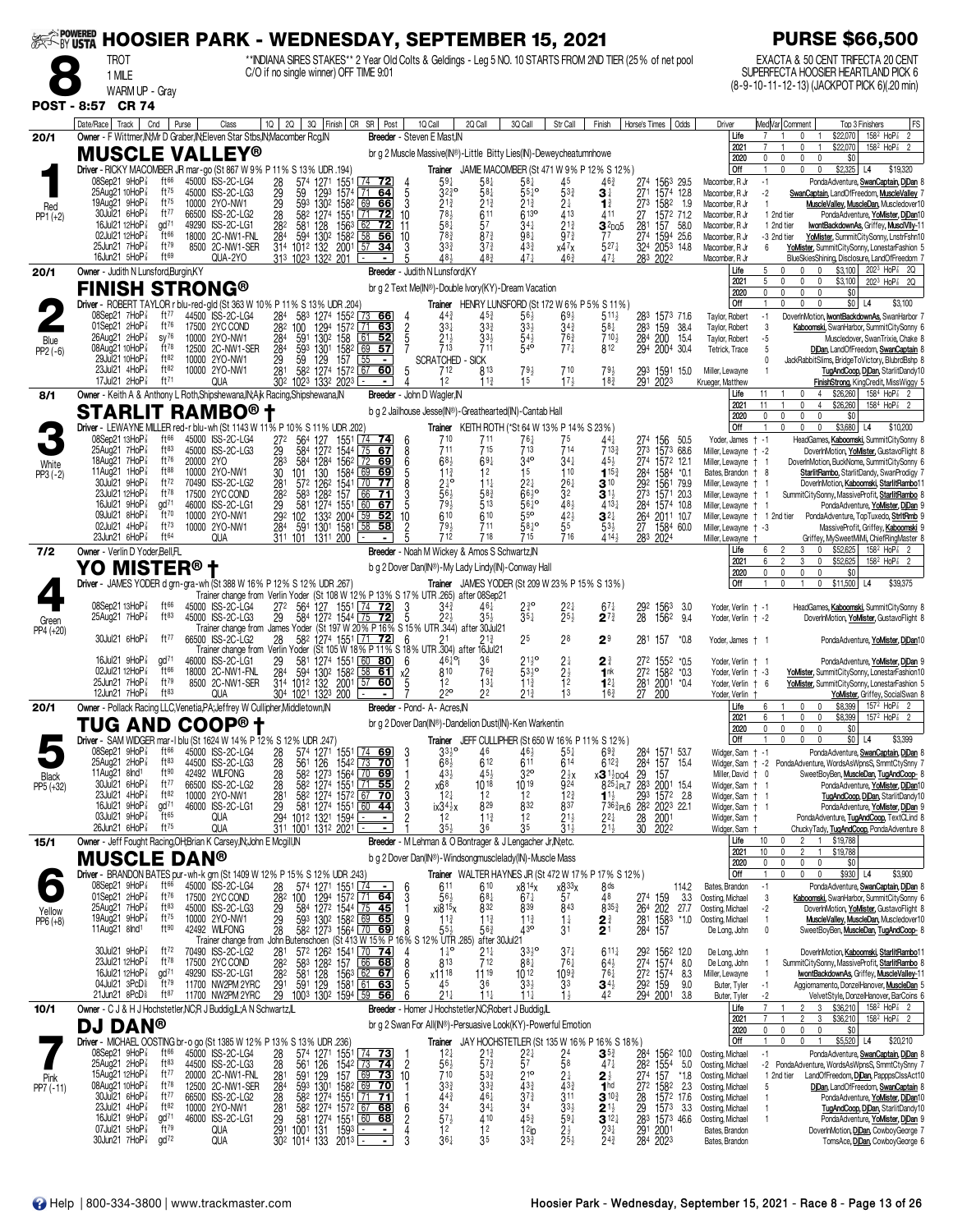| <b>EXAMPOWERED</b>  |                                                                                                                                     |                                                                                                                                                                                                                             | <b>HOOSIER PARK - WEDNESDAY, SEPTEMBER 15, 2021</b>                                                                                                                                                                                           | <b>PURSE \$66,500</b>                                                                                                                                                                                                                                                          |
|---------------------|-------------------------------------------------------------------------------------------------------------------------------------|-----------------------------------------------------------------------------------------------------------------------------------------------------------------------------------------------------------------------------|-----------------------------------------------------------------------------------------------------------------------------------------------------------------------------------------------------------------------------------------------|--------------------------------------------------------------------------------------------------------------------------------------------------------------------------------------------------------------------------------------------------------------------------------|
|                     | <b>TROT</b><br>1 MILE                                                                                                               | C/O if no single winner) OFF TIME 9:01                                                                                                                                                                                      | **INDIANA SIRES STAKES** 2 Year Old Colts & Geldings - Leg 5 NO. 10 STARTS FROM 2ND TIER (25% of net pool                                                                                                                                     | EXACTA & 50 CENT TRIFECTA 20 CENT<br>SUPERFECTA HOOSIER HEARTLAND PICK 6                                                                                                                                                                                                       |
|                     | WARM UP - Gray                                                                                                                      |                                                                                                                                                                                                                             |                                                                                                                                                                                                                                               | (8-9-10-11-12-13) (JACKPOT PICK 6)(.20 min)                                                                                                                                                                                                                                    |
|                     | POST - 8:57 CR 74<br>Date/Race   Track  <br>Cnd<br>Purse                                                                            | 10   20   30   Finish   CR SR   Post<br>Class                                                                                                                                                                               | 10 Call<br>2Q Call<br>3Q Call<br>Str Call<br>Horse's Times   Odds<br>Finish                                                                                                                                                                   | Med Var  Comment<br>FS<br>Driver<br>Top 3 Finishers                                                                                                                                                                                                                            |
| 20/1                | Owner - F Wittmer, IN, Mr D Graber, IN, Eleven Star Stbs, IN, Macomber Rcg, IN                                                      |                                                                                                                                                                                                                             | Breeder - Steven E Mast, IN                                                                                                                                                                                                                   | $158^2$ HoP <sup>2</sup> 2<br>Life<br>\$22,070<br>$\overline{7}$<br>0<br>$\overline{1}$<br>$158^2$ HoP <sup>2</sup> 2<br>2021<br>0<br>\$22,070                                                                                                                                 |
|                     | <b>MUSCLE VALLEY®</b>                                                                                                               | Driver - RICKY MACOMBER JR mar-go (St 867 W 9% P 11% S 13% UDR .194)                                                                                                                                                        | br g 2 Muscle Massive(IN®)-Little Bitty Lies(IN)-Deweycheatumnhowe<br>Trainer JAMIE MACOMBER (St 471 W 9% P 12% S 12%)                                                                                                                        | 0<br>2020<br>0<br>0<br>0<br>\$0<br>Off<br>$\mathbf{0}$<br>$\mathbf 0$<br>$$2,325$ L4<br>$\mathbf{0}$<br>\$19,320                                                                                                                                                               |
|                     | 08Sep21 9HoP <sup>3</sup><br>ft66<br>25Aug21 10HoP <sup>7</sup><br>ft $^{75}$                                                       | 45000 ISS-2C-LG4<br>28<br>574 1271<br>1551<br>$ 74$ 72<br>45000 ISS-2C-LG3<br>1293 1574 71<br>59<br>64<br>5                                                                                                                 | $59\frac{1}{4}$<br>58‡<br>1563 29.5<br>$58\frac{1}{4}$<br>45<br>463<br>274<br>$55^{10}$<br>271 1574 12.8<br>3230<br>581<br>533<br>31                                                                                                          | Macomber, R Jr<br>$-1$<br>PondaAdventure, SwanCaptain, DiDan 8<br>Macomber, R Jr<br>$-2$<br>SwanCaptain, LandOfFreedom, MuscleValley 7                                                                                                                                         |
| Red<br>$PP1 (+2)$   | 19Aug21 $9H_0P_8^T$<br>$ft^{75}$<br>30Jul21 6HoP <sup>3</sup><br>ft77                                                               | 29<br>29<br>28<br>593 1302 1582 69 66<br>3<br>10000 2YO-NW1<br>582 1274 1551<br>66500 ISS-2C-LG2<br><u>72 </u><br>10<br>  71                                                                                                | $2^{1\frac{3}{4}}$<br>21}<br>$2^{1\frac{3}{4}}$<br>273 1582 1.9<br>24<br>$\mathbf{1}^{\frac{3}{4}}$<br>783<br>613 <sup>o</sup><br>413<br>611<br>411<br>27<br>1572 71.2                                                                        | Macomber, R Jr<br>MuscleValley, MuscleDan, Muscledover10<br>$\mathbf{1}$<br>Macomber, R Jr<br>PondaAdventure, YoMister, DiDan10<br>1 2nd tier                                                                                                                                  |
|                     | 16Jul21 12HoP <sup>3</sup><br>$\alpha$ d <sup>71</sup><br>02Jul21 12HoP <sup>3</sup><br>ft66                                        | 282<br>49290 ISS-2C-LG1<br>581<br>128<br>$156^3$ 62<br>$\overline{12}$<br>11<br>$\overline{58}$<br>18000 2C-NW1-FNL<br>594 1302 1582<br>284<br>56<br>10                                                                     | 581<br>57<br>$34\frac{1}{4}$<br>$21\frac{3}{4}$<br>281 157 58.0<br>274 1594 25.6<br>$32$ pos<br>$78^{3}$<br>$97\frac{3}{4}$<br>$8^{73}$<br>98}<br>77                                                                                          | Macomber, R Jr<br>1 2nd tier<br>wontBackdownAs, Griffey, MusclVIIv-11<br>Macomber, R Jr<br>YoMister, SummitCitySonny, LnstrFshn10<br>-3 2nd tier                                                                                                                               |
|                     | 25Jun21 7HoP <sup>3</sup><br>ft79<br>16Jun21 $5H_0P_8^T$<br>$ft^{69}$                                                               | 8500 2C-NW1-SER<br>314 1012 132 2001<br><u>34</u><br>  57<br>QUA-2YO<br>313 1023 1322 201                                                                                                                                   | 33 <sup>3</sup><br>$43\frac{3}{4}$<br>$527\frac{1}{4}$<br>$3^{73}$<br>324 2053 14.8<br>$x4^7x$<br>48}<br>48 <sup>3</sup><br>471<br>283<br>2022<br>46 <sup>3</sup><br>471                                                                      | YoMister, SummitCitySonny, LonestarFashion 5<br>Macomber, R Jr<br>6<br>BlueSkiesShining, Disclosure, LandOfFreedom 7<br>Macomber, R Jr                                                                                                                                         |
| 20/1                | Owner - Judith N Lunsford, Burgin, KY<br><b>FINISH STRONG®</b>                                                                      |                                                                                                                                                                                                                             | <b>Breeder</b> - Judith N Lunsford, KY<br>br g 2 Text Me(IN®)-Double Ivory(KY)-Dream Vacation                                                                                                                                                 | Life<br>0<br>0<br>$$3,100$ 202 <sup>3</sup> HoP <sub>s</sub> 2Q<br>5<br>0<br>2021<br>0<br>0<br>0<br>\$3,100<br>2023 HoP <sup>2</sup> 2Q<br>2020<br>0<br>$\mathbf 0$<br>$\mathbf 0$<br>$\mathbf 0$<br>\$0                                                                       |
|                     | 08Sep21 7HoP <sup>7</sup><br>ft $77$                                                                                                | Driver - ROBERT TAYLOR r blu-red-gld (St 363 W 10% P 11% S 13% UDR .204)                                                                                                                                                    | Trainer HENRY LUNSFORD (St 172 W 6% P 5% S 11%)                                                                                                                                                                                               | <b>Off</b><br>0<br>0<br>$$0$ L4<br>\$3,100<br>1<br>$\mathbf{0}$                                                                                                                                                                                                                |
|                     | 01Sep21 $2HoP\frac{7}{8}$<br>ft $76$<br>$26$ Aug21 $2$ HoP $\frac{7}{8}$<br>$SV^{76}$                                               | 44500 ISS-2C-LG4<br>284 583 1274 1552 73 66<br>$\frac{2}{5}$<br>17500 2YC COND<br>282 100<br>1294<br>1572 L <u>71</u><br><u>63 </u><br>284<br>52<br>10000 2YO-NW1<br>591                                                    | $69\frac{1}{2}$<br>$5^{11}$<br>$44\frac{3}{4}$<br>453<br>283 1573 716<br>56}<br>$3^{3+}$<br>$33\frac{1}{2}$<br>33}<br>$3^{4^{3}}$<br>$58\frac{1}{4}$<br>283<br>159<br>38.4<br>33)<br>763<br>710}                                              | Taylor, Robert<br>$-1$<br>DoverInMotion, <b>IwontBackdownAs</b> , SwanHarbor 7<br>Taylor, Robert<br>3<br>Kaboomski, SwanHarbor, SummitCitySonny 6<br>Taylor, Robert<br>$-5$<br>Muscledover, SwanTrixie, Chake 8                                                                |
| Blue<br>$PP2(-6)$   | $ft^{78}$<br>08Aug21 10HoP <sup>7</sup><br>ft82<br>29Jul21 10HoP <sup>3</sup>                                                       | 130 <sup>2</sup> 158 01<br>1301 1582 09<br>593<br>284<br>12500 2C-NW1-SER<br>57<br>10000 2YO-NW1<br>29<br>157<br>$\overline{55}$<br>59<br>129<br>$\blacksquare$                                                             | $\frac{21\frac{1}{2}}{713}$<br>284 200 15.4<br>294 2004 30.4<br>$5^{4\frac{1}{2}}$<br>$77\frac{1}{4}$<br>812<br>711<br><b>SCRATCHED</b><br>- SICK                                                                                             | 5<br>Tetrick, Trace<br>DiDan, LandOfFreedom, SwanCaptain 8<br>JackRabbitSlims, BridgeToVictory, BlubrdBshp 8                                                                                                                                                                   |
|                     | 23Jul21 4HoP <sup>3</sup><br>ft82<br>17Jul21 2HoP <sup>3</sup><br>$ft^{71}$                                                         | 281<br>582 1274 1572 67 60<br>5<br>10000 2YO-NW1<br>302<br>1023 1332 2023<br>QUA                                                                                                                                            | 712<br>813<br>79}<br>710<br>$79\frac{1}{2}$<br>293<br>1591 15.0<br>15<br>17 <sub>3</sub><br>$18\frac{3}{4}$<br>12<br>$11\frac{3}{4}$<br>291<br>2023                                                                                           | Miller, Lewayne<br>TugAndCoop, DjDan, StarlitDandy10<br>FinishStrong, KingCredit, MissWiggy 5<br>Krueger, Matthew                                                                                                                                                              |
| 8/1                 | Owner - Keith A & Anthony L Roth, Shipshewana, IN; A jk Racing, Shipshewana, IN                                                     |                                                                                                                                                                                                                             | Breeder - John D Wagler, IN                                                                                                                                                                                                                   | \$26,260<br>$158^4$ HoP $\frac{7}{8}$ 2<br>11<br>$\mathbf{0}$<br>$\overline{4}$<br>Life<br>\$26,260<br>2021<br>11<br>0<br>$\overline{4}$<br>1584 HoP <sup>2</sup> <sub>8</sub> 2                                                                                               |
|                     | <b>STARLIT RAMBO® t</b>                                                                                                             | Driver - LEWAYNE MILLER red-r blu-wh (St 1143 W 11% P 10% S 11% UDR .202)                                                                                                                                                   | b g 2 Jailhouse Jesse(IN®)-Greathearted(IN)-Cantab Hall<br>Trainer KEITH ROTH (*St 64 W 13% P 14% S 23%)                                                                                                                                      | 2020<br>0<br>0<br>0<br>0<br>\$0<br>$\mathbf 0$<br>\$3,680 L4<br>Off<br>0<br>0<br>\$10,200                                                                                                                                                                                      |
|                     | 08Sep21 13HoP $\frac{7}{8}$<br>$ft^{66}$<br>$ft^{83}$<br>25Aua21 7HoP <sup>7</sup>                                                  | 45000 ISS-2C-LG4<br>272<br>564 127<br>1551<br>  74<br>6<br>45000 ISS-2C-LG3<br>7567<br>29<br>584 1272 1544<br>8                                                                                                             | 710<br>711<br>$76\frac{1}{4}$<br>75<br>441<br>274<br>156<br>50.5<br>713<br>714<br>715<br>273 1573 68.6<br>711<br>$713\frac{3}{4}$                                                                                                             | HeadGames, Kaboomski, SummitCitySonny 8<br>Yoder, James † -1<br>Miller, Lewayne + -2<br>DoverInMotion, YoMister, GustavoFlight 8                                                                                                                                               |
| White<br>$PP3 (-2)$ | $ft^{76}$<br>18Aug21 7HoP <sup>3</sup><br>20000 2YO<br>$ft^{88}$<br>11Aug21 $1$ HoP $\frac{7}{8}$                                   | 283<br>584 1284<br>156 <sup>2</sup> 72 69<br>6<br>10000 2YO-NW1<br>30<br>130<br>1584 69<br>69<br>101                                                                                                                        | 34 <sup>o</sup><br>68 <sup>3</sup><br>$69\frac{1}{4}$<br>$34\frac{1}{4}$<br>45}<br>274 1572 12.1<br>$11\frac{3}{4}$<br>1 <sub>5</sub><br>110<br>12<br>$115\frac{3}{4}$<br>284 1584 *0.1                                                       | Miller, Lewayne + 1<br>DoverInMotion, BuckNome, SummitCitySonny 6<br>StarlitRambo, StarlitDandy, SwanProdigy 7<br>Bates, Brandon + 8                                                                                                                                           |
|                     | 30Jul21 9HoP <sup>3</sup><br>ft $72$<br>23Jul21 12HoP <sup>3</sup><br>$ft^{78}$<br>$\alpha$ d <sup>71</sup>                         | 281<br>572 1262<br>1541<br>$\boxed{70}$ 77<br>70490 ISS-2C-LG2<br>8<br>28 <sup>2</sup><br>583 1282<br>157<br>17500 2YC COND<br>66<br>-71                                                                                    | $24^{\circ}$<br>$2^{2\frac{1}{4}}$ 6 <sup>61</sup><br>$26\frac{1}{4}$<br>292<br>$11\frac{1}{4}$<br>$3^{10}$<br>1561 79.9<br>32<br>273<br>56}<br>583<br>$\mathbf{3}^{11}$<br>1571 20.3<br>79 <sub>3</sub><br>$56^{10}$                         | Miller, Lewayne + 1<br>DoverInMotion, Kaboomski, StarlitRambo11<br>Miller, Lewayne +<br>SummitCitySonny, MassiveProfit, StarlitRambo 8<br>-1                                                                                                                                   |
|                     | 16Jul21 $9HoP\frac{7}{8}$<br>09Jul21 8HoP <sup>3</sup><br>ft70<br>02Jul21 4HoP <sup>3</sup><br>$ft^{73}$                            | 46000 ISS-2C-LG1<br>29<br>581 1274 1551<br>60<br>67<br>$\sqrt{59}$<br>292 102<br>1332 2004<br>10000 2YO-NW1<br>52<br>10<br>591<br>58<br>284<br>1301 1581<br>58<br>10000 2YO-NW1                                             | $48\frac{1}{2}$<br>513<br>$4^{13}\frac{1}{4}$<br>284<br>1574 10.8<br>$42\frac{1}{2}$<br>55<br>610<br>55 <sup>o</sup><br>610<br>$\mathbf{3}^{2\ddagger}$<br>264 2011 10.7<br>$58^{10}$<br>79}<br>711<br>$53\frac{1}{2}$<br>27 1584 60.0        | PondaAdventure, YoMister, DiDan 9<br>Miller, Lewayne † 1<br>Miller, Lewayne   1 2nd tier<br>PondaAdventure, TopTuxedo, StritRmb 9<br>Miller, Lewayne + -3<br>MassiveProfit, Griffey, Kaboomski 9                                                                               |
|                     | 23Jun21 $6HOP$ <sup>7</sup><br>ft64<br>Owner - Verlin D Yoder, Bell, FL                                                             | QUA<br>311 101 1311 200                                                                                                                                                                                                     | 716<br>712<br>718<br>715<br>$414\frac{1}{2}$<br>283 2024<br>Breeder - Noah M Wickey & Amos S Schwartz, N                                                                                                                                      | Griffey, MySweetMiMi, ChiefRingMaster 8<br>Miller, Lewayne<br>\$52,625<br>$158^2$ HoP $\frac{7}{8}$ 2<br>$\mathbf 0$<br>Life<br>3                                                                                                                                              |
| 7/2                 | YO MISTER®                                                                                                                          |                                                                                                                                                                                                                             | b g 2 Dover Dan(IN®)-My Lady Lindy(IN)-Conway Hall                                                                                                                                                                                            | \$52,625<br>158 <sup>2</sup> HoP <sup>2</sup> 2<br>2021<br>2<br>3<br>0<br>2020<br>0<br>0<br>$\mathbf 0$<br>0<br>\$0                                                                                                                                                            |
|                     |                                                                                                                                     | Driver - JAMES YODER d grn-gra-wh (St 388 W 16% P 12% S 12% UDR .267)<br>Trainer change from Verlin Yoder (St 108 W 12% P 13% S 17% UTR 265) after 08Sep21                                                                  | <b>Trainer</b> JAMES YODER (St 209 W 23% P 15% S 13%)                                                                                                                                                                                         | \$11,500<br><b>Off</b><br>$\mathbf{0}$<br>$\mathbf 0$<br>\$39,375<br>L4                                                                                                                                                                                                        |
| Green               | 08Sep21 13HoP $\frac{7}{8}$<br>$ft^{66}$<br>$ft^{83}$<br>25Aug21 7HoP <sup>3</sup>                                                  | 45000 ISS-2C-LG4<br>272<br>564 127 1551 74<br><u>72 </u><br>-3<br>000 ISS-2C-LG3 29 584 1272 1544 275 722 5 22} 35}<br>Trainer change from James Yoder (St 197 W 20% P 16% S 15% UTR 344) after 30Jul21<br>45000 ISS-2C-LG3 | 34 <sup>3</sup><br>$2^{30}_{4}$<br>464<br>29 <sup>2</sup><br>28<br>1563<br>3.0<br>$2^{2\frac{1}{4}}$<br>25}<br>$35\frac{1}{4}$<br>$2^{73}$<br>1562<br>9.4                                                                                     | HeadGames, Kaboomski, SummitCitySonny 8<br>Yoder, Verlin † -1<br>DoverInMotion, YoMister, GustavoFlight 8<br>Yoder, Verlin † -2                                                                                                                                                |
| PP4 (+20)           | 30Jul21 6HoP <sup>3</sup><br>ft $^{77}$                                                                                             | 66500 ISS-2C-LG2<br>28<br>58 <sup>2</sup> 1274 1551 71 72<br>6                                                                                                                                                              | 25<br>28<br>29<br>281 157<br>*0.8                                                                                                                                                                                                             | PondaAdventure, YoMister, DiDan10<br>Yoder, James † 1                                                                                                                                                                                                                          |
|                     | 16Jul21 $9HOP$ <sup>7</sup><br>gd <sup>71</sup><br>ft66                                                                             | Trainer change from Verlin Yoder (St 105 W 18% P 11% S 18% UTR 304) after 16Jul21<br>46000 ISS-2C-LG1<br>29<br>581 1274 1551 60 80<br>6                                                                                     | $21^{10}_{2}$<br>46 <sup>1</sup> °i<br>36<br>24<br>$2^{\frac{3}{4}}$<br>272 1552 *0.5                                                                                                                                                         | PondaAdventure, YoMister, DiDan 9<br>Yoder, Verlin † 1                                                                                                                                                                                                                         |
|                     | 02Jul21 12HoP $\frac{7}{8}$<br>ft79<br>25Jun21 $7HOP$ $\frac{7}{8}$<br>12Jun21 $7H_0P_8^T$<br>ft83                                  | 594 1302 1582 58 61<br>18000 2C-NW1-FNL<br>284<br>х2<br>$57$ 60<br>314 1012 132 2001<br>8500 2C-NW1-SER<br>5<br>QUA<br>304 1021 1323 200                                                                                    | $53\frac{1}{2}$ <sup>o</sup><br>810<br>763<br>$^{2\frac{1}{2}}$<br>272 1582 *0.3<br>1 <sup>nk</sup><br>$11\frac{3}{4}$<br>281 2001 *0.4<br>12<br>$13\frac{1}{4}$<br>$12\frac{1}{4}$<br>220<br>13<br>22<br>27<br>21}<br>$16\frac{3}{4}$<br>200 | Yoder, Verlin + -3<br>YoMister, SummitCitySonny, LonestarFashion10<br>Yoder, Verlin + 6<br>YoMister, SummitCitySonny, LonestarFashion 5                                                                                                                                        |
| 20/1                | Owner - Pollack Racing LLC, Venetia, PA; Jeffrey W Cullipher, Middletown, IN                                                        |                                                                                                                                                                                                                             | Breeder - Pond- A- Acres.IN                                                                                                                                                                                                                   | YoMister, Griffey, SocialSwan 8<br>Yoder, Verlin<br>$157^2$ HoP <sup><math>7\overline{8}</math></sup> 2<br>Life<br>\$8,399<br>6<br>0<br>$\mathbf{0}$<br>2021<br>6<br>$\mathbf{1}$<br>$\mathbf 0$<br>$\mathbf 0$<br>\$8,399<br>157 <sup>2</sup> HoP <sup>2</sup> <sub>8</sub> 2 |
|                     | TUG AND COOP®†<br>Driver - SAM WIDGER mar-1 blu (St 1624 W 14% P 12% S 12% UDR 247)                                                 |                                                                                                                                                                                                                             | br g 2 Dover Dan(IN®)-Dandelion Dust(IN)-Ken Warkentin<br>Trainer JEFF CULLIPHER (St 650 W 16% P 11% S 12%)                                                                                                                                   | 2020<br>0<br>0<br>0<br>\$0<br>Off<br>\$0 L4<br>\$3,399<br>0<br>0<br>0                                                                                                                                                                                                          |
|                     | 08Sep21 9HoP<br>$ft^{66}$<br>25Aug21 2HoP <sup>3</sup><br>$ft^{83}$                                                                 | 45000 ISS-2C-LG4<br>$\frac{28}{28}$<br>574 1271 1551 74 69<br>561 126 1542 73 70<br>44500 ISS-2C-LG3                                                                                                                        | 33 <sup>10</sup><br>46<br>55‡<br>$69\frac{3}{4}$<br>284 1571 53.7<br>284 157 15.4<br>611<br>68 <sup>1</sup><br>612<br>614<br>$612\frac{3}{4}$                                                                                                 | Widger, Sam + -1<br>PondaAdventure, SwanCaptain, DjDan 8<br>PondaAdventure, WordsAsWpnsS, SmmtCtySnny 7<br>Widger, Sam + -2                                                                                                                                                    |
| Black<br>PP5 (+32)  | ft <sup>90</sup><br>11Aug21 $8nd1$<br>30Jul21 6HoP <sup>3</sup><br>ft77                                                             | 28<br>582 1273 1564 70 69<br>42492 WILFONG<br>66500 ISS-2C-LG2                                                                                                                                                              | 32 <sup>o</sup><br>433<br>454<br>$2\frac{1}{2}x$<br>x3 <sup>1}</sup> <sub>DQ4</sub><br>-29<br>157<br>x68<br>1019<br>1018<br>924                                                                                                               | SweetBoyBen, MuscleDan, TugAndCoop- 8<br>Miller, David + 0<br>PondaAdventure, YoMister, DjDan10<br>Widger, Sam + 1                                                                                                                                                             |
|                     | 23Jul21 4HoP <sup>3</sup><br>ft82<br>16Jul21 9HoP <sup>3</sup><br>gd <sup>71</sup>                                                  | 582 1274 1551 71 55<br>582 1274 1572 67 70<br>28<br>281<br>29<br>2<br>3<br>10000 2YO-NW1<br>46000 ISS-2C-LG1<br>581 1274 1551 60 44                                                                                         | $8^{25\frac{1}{4}}$ PL7 283 2001 15.4<br>11 <sup>1</sup> <sub>2</sub> 293 1572 2.8<br>12 <sub>1</sub><br>12<br>12<br>12 <sup>3</sup> / <sub>4</sub><br>829<br>832<br>837<br>7363 <sub>PL6</sub> 282 2023 22.1<br>$ix34\frac{1}{2}x$           | Widger, Sam $\dagger$ 1<br>TugAndCoop, DjDan, StarlitDandy10<br>PondaAdventure, YoMister, DjDan 9<br>Widger, Sam † 1                                                                                                                                                           |
|                     | $\mathrm{H}$ <sup>65</sup><br>03Jul21 9HoP <sup>3</sup><br>26Jun21 6HoP <sup>3</sup><br>$ft^{75}$                                   | 294 1012 1321 1594<br>311 1001 1312 2021<br>qua<br>QUA                                                                                                                                                                      | 12<br>$11\frac{3}{4}$<br>12<br>$21\frac{1}{2}$<br>2001<br>2022<br>$2^{2}$<br>$\frac{28}{30}$<br>$\bar{3}$ 1 $\bar{4}$<br>35}<br>$21\frac{1}{2}$<br>35<br>36                                                                                   | PondaAdventure, TugAndCoop, TextCLind 8<br>Widger, Sam<br>ChuckyTady, TugAndCoop, PondaAdventure 8<br>Widger, Sam                                                                                                                                                              |
| 15/1                | Owner - Jeff Fought Racing, OH; Brian K Carsey, IN; John E Mcgill, IN<br><b>MUSCLE</b><br><b>DAN®</b>                               |                                                                                                                                                                                                                             | Breeder - M Lehman & O Bontrager & J Lengacher Jr, N; etc.<br>b g 2 Dover Dan(IN®) - Windsongmusclelady(IN) - Muscle Mass                                                                                                                     | Life<br>10<br>$\overline{2}$<br>$\mathbf{1}$<br>\$19,788<br>0<br>\$19,788<br>2021<br>10<br>0<br>$\overline{\mathbf{2}}$<br>$\mathbf{1}$<br>0<br>0                                                                                                                              |
|                     | $ft^{66}$<br>$08$ Sep21 9HoP $\frac{7}{8}$                                                                                          | Driver - BRANDON BATES pur-wh-k grn (St 1409 W 12% P 15% S 12% UDR .243)                                                                                                                                                    | Trainer WALTER HAYNES JR (St 472 W 17% P 17% S 12%)                                                                                                                                                                                           | 2020<br>0<br>\$0<br>0<br>\$3,900<br>Off<br>\$930<br>$\theta$<br>L4                                                                                                                                                                                                             |
|                     | 01Sep21 2HoP <sup>7</sup><br>ft76<br>25Aug21 7HoP <sup>3</sup><br>ft83                                                              | 45000 ISS-2C-LG4<br>28<br>574 1271 1551 74<br>$\frac{28}{29}$<br>29<br>17500 2YC COND<br>00 1294 1572 71 64<br>584 1272 1544 75 45<br>3<br>100<br>45000 ISS-2C-LG3                                                          | 8 <sub>ds</sub><br>611<br>610<br>x8 14x<br>x8 <sup>33</sup> x<br>114.2<br>57<br>$68\frac{1}{4}$<br>$67\frac{1}{4}$<br>48<br>3.3<br>$56\frac{1}{2}$<br>274 159<br>264 202<br>839<br>843<br>832<br>8353<br>xi8 <sup>15</sup> x<br>27.7          | Bates, Brandon<br>$-1$<br>PondaAdventure, SwanCaptain, DjDan 8<br>Oosting, Michael<br>Kaboomski, SwanHarbor, SummitCitySonny 6<br>3<br>Oosting, Michael<br>$-2$<br>DoverInMotion, YoMister, GustavoFlight 8                                                                    |
| Yellow<br>PP6 (+8)  | 19Aug21 9HoP <sup>3</sup><br>$ft^{75}$<br>11Aug21 8lnd <sup>1</sup><br>ft90                                                         | 000 2YO-NW1 29 593 1302 1582 69 65 9<br>492 WILFONG 28 582 1273 1564 70 69 8<br>Trainer change from John Butenschoen (St 413 W 15% P 16% S 12<br>10000 2YO-NW1<br>42492 WILFONG                                             | $11\frac{3}{4}$<br>$11\frac{3}{4}$<br>$11\frac{3}{4}$<br>$1\frac{1}{4}$<br>2∛<br>281 1583<br>*1.0<br>43°<br>2 <sup>1</sup><br>55}<br>31<br>284<br>157<br>$56\frac{3}{4}$                                                                      | Oosting, Michael<br>$\overline{1}$<br><b>MuscleValley, MuscleDan, Muscledover10</b><br>De Long, John<br>$\mathbf{0}$<br>SweetBoyBen, MuscleDan, TugAndCoop- 8                                                                                                                  |
|                     | $30$ Jul21 $9$ HoP $\frac{7}{8}$<br>ft $72$                                                                                         | 70490 ISS-2C-LG2<br>281<br>57 <sup>2</sup> 126 <sup>2</sup> 1541 70 74                                                                                                                                                      | % UTR .285)<br>after 30Jul21<br>$1^{10}$<br>$21\frac{1}{4}$<br>33, 0<br>37‡<br>$611\frac{1}{4}$<br>292<br>1562 12.0                                                                                                                           | De Long, John<br>DoverInMotion, Kaboomski, StarlitRambo11                                                                                                                                                                                                                      |
|                     | 23Jul21 12HoP <sup>3</sup><br>$ft^{78}$<br>16Jul21 12HoP <sup>3</sup><br>gd <sup>71</sup>                                           | 583 1282 157 66 68<br>581 128 1563 62 67<br>282<br>17500 2YC COND<br>49290 ISS-2C-LG1<br>282                                                                                                                                | $\overline{7}$ 12<br>274 1574<br>272 1574<br>813<br>881<br>$76\frac{1}{4}$<br>$64\frac{1}{2}$<br>8.0<br>$109\frac{3}{4}$<br>$76\frac{1}{4}$<br>x11 <sup>18</sup><br>$11^{19}$<br>1012<br>8.3                                                  | De Long, John<br>SummitCitySonny, MassiveProfit, StarlitRambo 8<br>Miller, Lewayne<br>wontBackdownAs, Griffey, MuscleValley-11                                                                                                                                                 |
|                     | 04Jul21 3PcD <sup>§</sup><br>ft79<br>$21$ Jun $21$ 8 $PCD\frac{5}{8}$<br>$ft^{87}$                                                  | 291<br>11700 NW2PM 2YRC<br>591 129<br>1581   61<br><u>63 </u><br>29<br>11700 NW2PM 2YRC<br>1003 1302 1594 59 56                                                                                                             | 45<br>$33\frac{1}{2}$<br>33<br>36<br>$34\frac{1}{2}$<br>292<br>159<br>9.0<br>294 2001<br>$21\frac{1}{4}$<br>$11\frac{1}{4}$<br>$11\frac{1}{4}$<br>$1\frac{1}{2}$<br>42<br>3.8                                                                 | Aggiornamento, DonzelHanover, MuscleDan 5<br>Buter, Tyler<br>-1<br>Buter, Tyler<br>$-2$<br>VelvetStyle, DonzelHanover, BarCoins 6                                                                                                                                              |
| 10/1                | Owner - C J & H J Hochstetler, NC; R J Buddig, IL; A N Schwartz, IL<br><b>DAN®</b><br>DJ                                            |                                                                                                                                                                                                                             | Breeder - Homer J Hochstetler, NC; Robert J Buddig, IL<br>br g 2 Swan For All(IN®)-Persuasive Look(KY)-Powerful Emotion                                                                                                                       | Life<br>\$36,210<br>$158^2$ HoP <sup>7</sup> <sub>8</sub> 2<br>3<br>2<br>\$36,210<br>2021<br>$\overline{2}$<br>3<br>$158^2$ HoP $\frac{7}{8}$ 2                                                                                                                                |
|                     | Driver - MICHAEL OOSTING br-o go (St 1385 W 12% P 13% S 13% UDR .236)                                                               |                                                                                                                                                                                                                             | Trainer JAY HOCHSTETLER (St 135 W 16% P 16% S 18%)                                                                                                                                                                                            | $\mathbf 0$<br>$\mathbf 0$<br>\$0<br>2020<br>$\Omega$<br>0<br>$$5,520$ L4<br><b>Off</b><br>0<br>\$20,210                                                                                                                                                                       |
|                     | 08Sep21 9HoP <sup>3</sup><br>$ft^{66}$<br>$25$ Aug $21$ $2$ HoP $\frac{7}{8}$<br>$ft^{83}$<br>15Aug21 12HoP <sup>3</sup><br>ft $77$ | $\frac{28}{10}$<br>45000 ISS-2C-LG4<br>574 1271<br>1551 74 73<br>28<br>281<br>284<br>$\overline{c}$<br>44500 ISS-2C-LG3<br>561<br>126<br>$154^2$ $73$ <b>74</b><br>10<br>20000 2C-NW1-FNL                                   | $\mathbf{3}^{53}$<br>$12\frac{1}{4}$<br>21}<br>284<br>1562 10.0<br>$\frac{2^{2}}{5^{7}}$<br>58<br>$57\frac{3}{4}$<br>56}<br>$47\frac{1}{4}$<br>282<br>1554<br>5.0<br>710<br>$5^{3}_{4}$<br>*1.8                                               | Oosting, Michael<br>PondaAdventure, SwanCaptain, DjDan 8<br>PondaAdventure, WordsAsWpnsS, SmmtCtySnny 7<br>Oosting, Michael<br>-2<br>1 2nd tier                                                                                                                                |
| Pink<br>PP7 (-11)   | 08Aug21 10HoP <sup>3</sup><br>$ft^{78}$<br>$30$ Jul21 6HoP $\frac{7}{8}$<br>ft77                                                    | $\frac{157}{158^2}$ $\frac{69}{69}$ 73<br>591 129<br>593 1301<br>12500 2C-NW1-SER<br>66500 ISS-2C-LG2<br>58 <sup>2</sup> 1274 1551 71 71                                                                                    | $\frac{216}{43}$<br>274 157<br>272 1582<br>$2\frac{1}{4}$<br>43 <sup>3</sup><br>$33\frac{3}{4}$<br>$3^{3}_{4}$<br>1 <sup>hd</sup><br>2.3<br>311<br>$44\frac{3}{4}$<br>461<br>$3^{73}$<br>$3^{10}$<br>28<br>1572 17.6                          | Oosting, Michael<br>LandOfFreedom, DiDan, PapppsClssAct10<br>Oosting, Michael<br>5<br>DiDan, LandOfFreedom, SwanCaptain 8<br>Oosting, Michael<br>PondaAdventure, YoMister, DjDan10                                                                                             |
|                     | 23Jul21 4HoP <sup>3</sup><br>ft82<br>16Jul21 9HoP <sup>3</sup><br>gd <sup>71</sup>                                                  | 28<br>281<br>291<br>582 1274 1572 67 68<br>10000 2YO-NW1<br>581<br>1274 1551 60 68<br>46000 ISS-2C-LG1                                                                                                                      | 3 <sup>4</sup><br>34<br>$3^{31}_{29}$<br>29 1573 3.3<br>283 1573 46.6<br>$34\frac{1}{4}$<br>$\mathbf{2}_{12}^{11}_{21}$<br>$57\frac{1}{2}$<br>410<br>$45\frac{3}{4}$                                                                          | Oosting, Michael<br>TugAndCoop, DiDan, StarlitDandy10<br>Oosting, Michael<br>PondaAdventure, YoMister, DiDan 9                                                                                                                                                                 |
|                     | ft79<br>07Jul21 $5H_0P_8^7$<br>30Jun21 7HoP <sup>3</sup><br>$\alpha$ d <sup>72</sup>                                                | QUA<br>1593<br>1001 131<br>302 1014 133 2013<br>QUA<br>$\blacksquare$                                                                                                                                                       | 12<br>12<br>2½<br>$2^{3}\frac{1}{4}$<br>291<br>$12$ ip<br>2001<br>361<br>$25\frac{1}{2}$<br>$24\frac{3}{4}$<br>284 2023<br>35<br>$3^{3}_{4}$                                                                                                  | DoverInMotion, DiDan, CowboyGeorge 7<br>Bates, Brandon<br>Bates, Brandon<br>TomsAce, DiDan, CowboyGeorge 6                                                                                                                                                                     |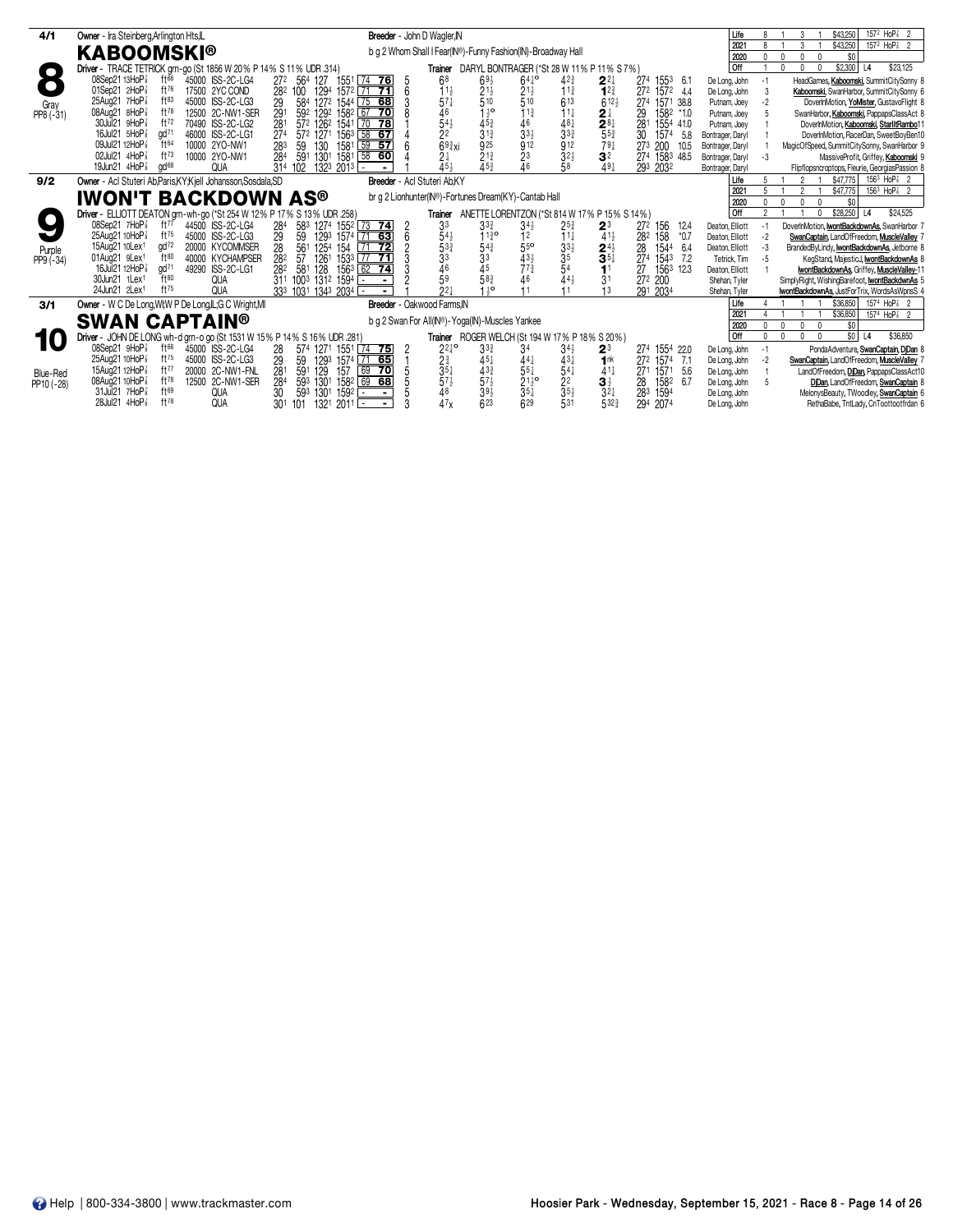| 4/1        | Owner - Ira Steinberg, Arlington Hts, IL                                                                                         | Breeder - John D Wagler, IN                                                                                                                                                                                        | Life                           | $157^2$ HoP <sup>2</sup> <sub>8</sub> 2<br>\$43,250<br>3                                      |
|------------|----------------------------------------------------------------------------------------------------------------------------------|--------------------------------------------------------------------------------------------------------------------------------------------------------------------------------------------------------------------|--------------------------------|-----------------------------------------------------------------------------------------------|
|            |                                                                                                                                  |                                                                                                                                                                                                                    | $202 -$                        | \$43,250<br>$157^2$ HoP <sup>2</sup> <sub>3</sub> 2<br>$\mathcal{R}$                          |
|            | <b>KABOOMSKI®</b>                                                                                                                | b g 2 Whom Shall I Fear(IN®)-Funny Fashion(IN)-Broadway Hall                                                                                                                                                       | 2020                           | \$0<br>$\Omega$<br>$\mathbf{0}$<br><sup>n</sup>                                               |
| $\bullet$  | Driver - TRACE TETRICK grn-go (St 1856 W 20 % P 14 % S 11 % UDR 314)                                                             | DARYL BONTRAGER (*St 28 W 11% P 11% S 7%)<br>Trainer                                                                                                                                                               | <b>Off</b>                     | \$23,125<br>\$2,300<br>L4<br>n.                                                               |
| n          | 08Sep21 13HoP<br>$ft^{66}$<br>45000 ISS-2C-LG4                                                                                   | $64^{10}$<br>68<br>$42\frac{3}{4}$<br>$2^{2}$<br>272 564 127<br>$ 74$ 76<br>$69\frac{1}{2}$<br>27 <sup>4</sup><br>1551<br>1553<br>6.1                                                                              | De Long, John                  | HeadGames, Kaboomski, SummitCitySonny &<br>-1                                                 |
|            | ft76<br>01Sep21 2HoP3<br>17500 2YC COND                                                                                          | 1294 1572 71 <b>71</b><br>$2^{11}_{5}$<br>510<br>$11\frac{3}{4}$<br>282 100<br>$2^{11}_{5}$<br>510<br>$1^{2^{3}}$<br>272 1572 4.4<br>$11\frac{1}{2}$                                                               | De Long, John                  | 3<br>Kaboomski, SwanHarbor, SummitCitySonny 6                                                 |
| Gray       | ft83<br>25Aug21 7HoP<br>45000 ISS-2C-LG3                                                                                         | $57\frac{1}{4}$<br>613<br>$612\frac{1}{2}$<br>584 1272 1544 75 68<br>29<br>274<br>1571 38.8                                                                                                                        | Putnam, Joey                   | $-2$<br>DoverInMotion, YoMister, GustavoFlight &                                              |
| PP8 (-31)  | $ft^{78}$<br>08Aug21 8HoP3<br>12500 2C-NW1-SER                                                                                   | 46<br>$1\frac{1}{2}$ <sup>o</sup><br>11 <sup>3</sup><br>291<br>592 1292 1582 67<br>$\overline{70}$<br>$11\frac{1}{4}$<br>2 <sup>1</sup><br>29<br>1582 *1.0                                                         | Putnam, Joey                   | SwanHarbor, Kaboomski, PappapsClassAct &                                                      |
|            | 30Jul21 9HoP<br>ft72<br>70490 ISS-2C-LG2                                                                                         | $\frac{54}{2}$<br>$48\frac{1}{3}$<br>33 <sup>3</sup><br>$45\frac{3}{4}$<br>31 $\frac{3}{4}$<br>572 1262 1541 70 78<br>$\frac{281}{554}$<br>281<br>46<br>281<br>1554 41.0                                           | Putnam, Joey                   | DoverInMotion, Kaboomski, StarlitRambo11                                                      |
|            | gd71<br>16Jul21 5HoP<br>46000 ISS-2C-LG1                                                                                         | $33\frac{1}{2}$<br>572 1271<br>27 <sup>4</sup><br>$156^3$ 58 67<br>30<br>1574<br>5.8                                                                                                                               | Bontrager, Daryl               | DoverInMotion, RacerDan, SweetBoyBen10                                                        |
|            | 09Jul21 12HoP<br>ft64<br>10000 2YO-NW1                                                                                           | 925<br>$69\frac{3}{4}xi$<br>912<br>912<br>59<br>$-57$<br>$79\frac{1}{4}$<br>130<br>1581<br>283<br>59<br>273 200<br>10.5                                                                                            | Bontrager, Daryl               | MagicOfSpeed, SummitCitySonny, SwanHarbor 9                                                   |
|            | 02Jul21 4HoP<br>ft73<br>10000 2YO-NW1                                                                                            | $2^{13}_{4}$<br>45 <sup>3</sup><br>32 <sub>3</sub><br>1301<br>284<br>$^{23}_{46}$<br>3 <sup>2</sup><br>591<br>1581<br>$58$ 60<br>274 1583 48.5<br>$2\frac{1}{4}$<br>45}                                            | Bontrager, Daryl               | $-3$<br>MassiveProfit, Griffey, Kaboomski 9                                                   |
|            | 19Jun21 4HoP3<br>gd <sup>68</sup><br><b>QUA</b>                                                                                  | 1323 2013<br>58<br>491<br>31 <sup>4</sup><br>293 2032<br>102                                                                                                                                                       | Bontrager, Daryl               | Flipflopsncroptops, Fleurie, GeorgiasPassion &                                                |
| 9/2        | Owner - Acl Stuteri Ab, Paris, KY; Kjell Johansson, Sosdala, SD                                                                  | Breeder - Acl Stuteri Ab.KY                                                                                                                                                                                        | Life                           | $156^3$ HoP $\frac{7}{8}$ 2<br>\$47,775                                                       |
|            | <b>IWON'T BACKDOWN AS®</b>                                                                                                       | br q 2 Lionhunter(IN®)-Fortunes Dream(KY)-Cantab Hall                                                                                                                                                              | 2021                           | $156^3$ HoP $\frac{7}{8}$ 2<br>\$47,775<br>2                                                  |
|            |                                                                                                                                  |                                                                                                                                                                                                                    | 2020                           | \$0<br>$\Omega$<br>$\mathbf{0}$<br><sup>n</sup><br><sup>2</sup>                               |
|            | Driver - ELLIOTT DEATON grn-wh-go (*St 254 W 12% P 17% S 13% UDR .258)                                                           | ANETTE LORENTZON (*St 814 W 17% P 15% S 14%)<br>Trainer                                                                                                                                                            | Off                            | \$28,250<br>\$24,525<br> 4                                                                    |
|            | 08Sep21 7HoP <sup>7</sup><br>ft $77$<br>44500 ISS-2C-LG4                                                                         | 583 1274 1552 73 74<br>33<br>$3^{3}$<br>$34\frac{1}{2}$<br>284<br>$2^{5^3}$<br>27 <sup>2</sup><br>$2^3$<br>156<br>12.4                                                                                             | Deaton, Elliott                | DoverInMotion, IwontBackdownAs, SwanHarbor 7<br>-1                                            |
|            | ft75<br>25Aug21 10HoP <sup>3</sup><br>45000 ISS-2C-LG3                                                                           | 29<br>$11\frac{3}{4}$ <sup>o</sup><br>59<br>1293 1574 71 63<br>12<br>$11\frac{1}{4}$<br>158<br>$*0.7$<br>$41\frac{1}{2}$<br>282                                                                                    | Deaton, Elliott                | $-2$<br>SwanCaptain, LandOfFreedom, MuscleValley 7                                            |
| Purple     | gd72<br>15Aug21 10Lex <sup>1</sup><br>20000 KYCOMMSER<br>ft80                                                                    | 55 <sup>o</sup><br>$3^{3\frac{1}{2}}$<br>$3^{5}$<br>$5^{4}$<br>28<br>561<br>$\frac{2^{4\frac{1}{2}}}{3^{5\frac{1}{4}}}$<br>1254<br>$\overline{72}$<br>28<br>154<br> 71<br>1544<br>6.4                              | Deaton, Elliott                | BrandedByLindy, IwontBackdownAs, Jetborne &                                                   |
| $PP9(-34)$ | 01Aug21 9Lex1<br>40000 KYCHAMPSER<br>gd <sup>71</sup><br>16Jul21 12HoP <sup>3</sup>                                              | $43\frac{1}{2}$<br>$77\frac{3}{4}$<br>282<br>1261<br>57<br>274<br>1533 77<br>$\overline{71}$<br>1543<br>7.2                                                                                                        | Tetrick, Tim                   | $-5$<br>KegStand, MajesticJ, IwontBackdownAs &                                                |
|            | 49290 ISS-2C-LG1<br>$\mathrm{H}^{80}$<br>30Jun21 1Lex1                                                                           | $\frac{54\frac{1}{2}}{53\frac{3}{4}}$<br>$\frac{33}{46}$<br>$\frac{46}{59}$<br>$5^{4^{3}_{4}}$<br>33<br>45<br>58 <sup>3</sup><br>1563 62 74<br>128<br>11<br>27<br>282<br>581<br>1563 12.3<br>$44\frac{1}{2}$<br>46 | Deaton, Elliott                | IwontBackdownAs, Griffey, MuscleValley-11                                                     |
|            | <b>QUA</b><br>24Jun21 2Lex1<br>ft75<br><b>QUA</b>                                                                                | 311 1003 1312 1594<br>3 <sup>1</sup><br>272 200<br>$\blacksquare$<br>$1^{10}$<br>22 <sub>1</sub><br>333 1031 1343 2034<br>13                                                                                       | Shehan, Tyler                  | SimplyRight, WishingBarefoot, wontBackdwnAs 5<br>IwontBackdownAs, JustForTrix, WordsAsWpnsS 4 |
|            |                                                                                                                                  | 291 2034                                                                                                                                                                                                           | Shehan, Tyler                  | $157^4$ HoP <sup>2</sup> <sub>8</sub> 2                                                       |
| 3/1        | Owner - W C De Long, WI; W P De Long, IL; G C Wright, MI                                                                         | Breeder - Oakwood Farms, IN                                                                                                                                                                                        | Life<br>$202 -$                | \$36,850<br>1574 HoP <sup>2</sup> <sub>8</sub> 2<br>\$36,850                                  |
|            | <b>SWAN CAPTAIN®</b>                                                                                                             | b g 2 Swan For All(IN®)-Yoga(IN)-Muscles Yankee                                                                                                                                                                    | 2020                           | \$0<br>$\Omega$                                                                               |
|            |                                                                                                                                  | Trainer ROGER WELCH (St 194 W 17% P 18% S 20%)                                                                                                                                                                     | <b>Off</b>                     | $s$ <sub>0</sub><br>L4<br>\$36,850<br>$\Omega$<br>$\Omega$<br>$\mathbf{0}$<br>$\sqrt{2}$      |
|            | Driver - JOHN DE LONG wh-d grn-o go (St 1531 W 15% P 14% S 16% UDR .281)<br>08Sep21 9HoP<br>ft <sup>66</sup><br>45000 ISS-2C-LG4 |                                                                                                                                                                                                                    |                                |                                                                                               |
|            | 25Aug21 10HoP <sup>3</sup><br>$ft^{75}$<br>45000 ISS-2C-LG3                                                                      | $2^{210}$<br>$74$ 75<br>274 1554 22.0<br>28<br>574 1271 1551<br>$3^{3}$<br>34<br>$2^3$<br>$34\frac{1}{2}$<br>29<br>2∛<br>59<br>451<br>$43\frac{1}{4}$<br>1293<br>1574 71 65<br>441<br>1nk<br>272 1574 7.1          | De Long, John                  | PondaAdventure, SwanCaptain, DjDan 8<br>-1                                                    |
|            | ft77<br>15Aug21 12HoP <sup>3</sup><br>20000 2C-NW1-FNL                                                                           | $35\frac{1}{4}$<br>$43\frac{3}{4}$<br>$55\frac{1}{4}$<br>$54\frac{1}{4}$<br>69<br>281<br>591<br>129<br>70<br>$41\frac{1}{4}$<br>157<br>27 <sup>1</sup><br>1571<br>5.6                                              | De Long, John<br>De Long, John | SwanCaptain, LandOfFreedom, MuscleValley 7<br>$-2$<br>LandOfFreedom, DiDan, PappapsClassAct10 |
| Blue-Red   | $ft^{78}$<br>08Aug21 10HoP <sup>3</sup><br>12500 2C-NW1-SER                                                                      | 284<br>1582 69 68<br>593 1301<br>1582<br>6.7<br>28                                                                                                                                                                 | De Long, John                  | DiDan, LandOfFreedom, SwanCaptain 8<br>-5                                                     |
| PP10 (-28) | ft69<br>31Jul21 7HoP<br><b>QUA</b>                                                                                               | $\frac{57\frac{1}{2}}{48}$<br>$\frac{57\frac{1}{2}}{39\frac{1}{2}}$<br>$\frac{211}{354}$<br>$\frac{2^2}{3^5}$<br>$3\frac{1}{2}$<br>$3\frac{1}{4}$<br>30<br>283<br>1594<br>593<br>1301<br>1592<br>$\sim$            | De Long, John                  | MelonysBeauty, TWoodley, SwanCaptain 6                                                        |
|            | ft78<br>28Jul21 4HoP<br><b>QUA</b>                                                                                               | 47x<br>623<br>5323<br>629<br>531<br>294<br>30 <sup>1</sup><br>1321<br>$2011$ $-$<br>2074<br>101                                                                                                                    | De Long, John                  | RethaBabe, TntLady, CnToottootfrdan 6                                                         |
|            |                                                                                                                                  |                                                                                                                                                                                                                    |                                |                                                                                               |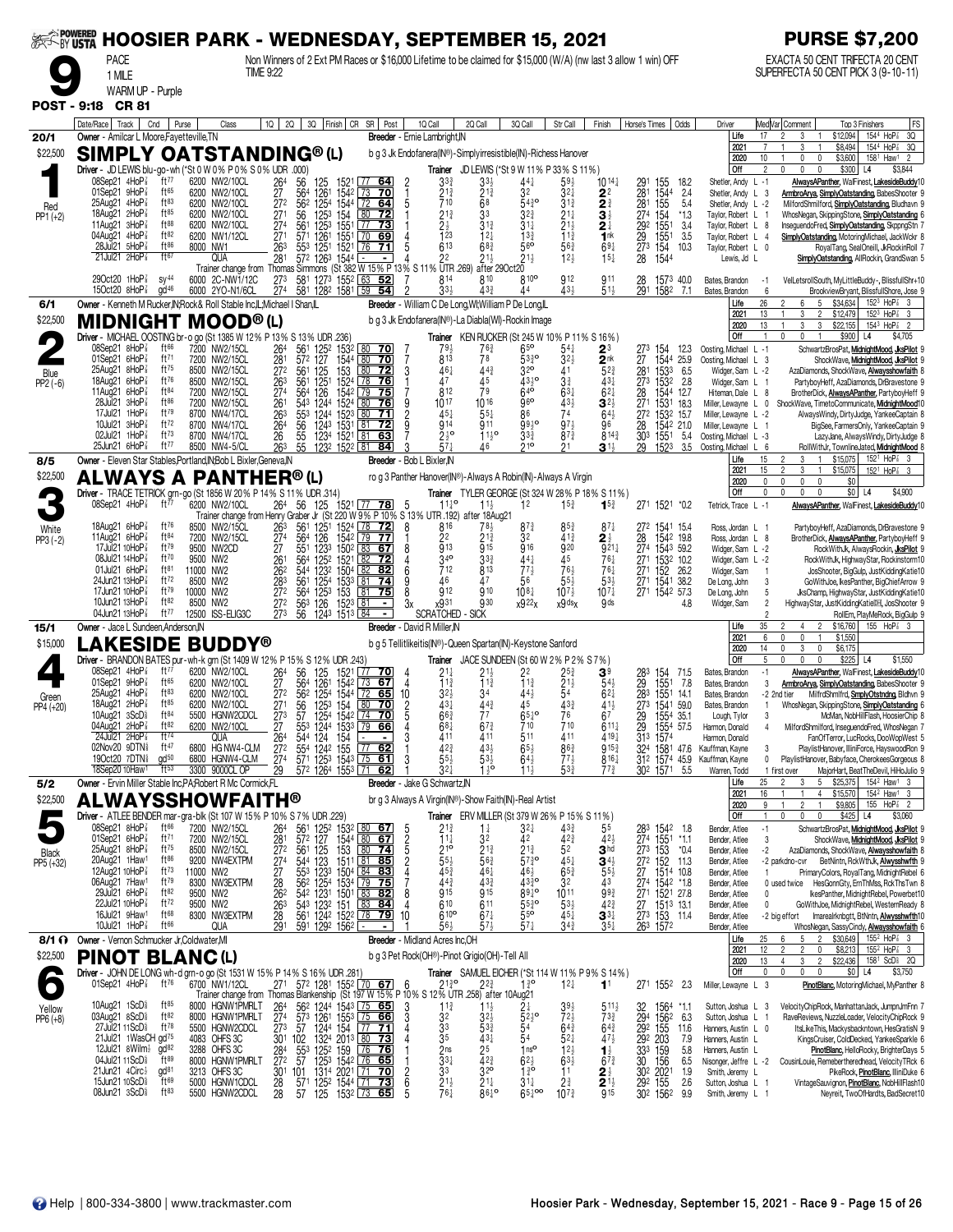|                      | <i>‱</i> powered HOOSIER PARK - WEDNESDAY, SEPTEMBER 15, 2021                                                          |                                     |                                                 |                  |                                                               |                                              |                                                                                                                                                                          |                                               |                                                               |                                                                                                                |                                                           |                                                          |                                                                       |                                                          |                                                      |                                                                  | <b>PURSE \$7,200</b>                                                                                                                                                                                                         |                                                       |
|----------------------|------------------------------------------------------------------------------------------------------------------------|-------------------------------------|-------------------------------------------------|------------------|---------------------------------------------------------------|----------------------------------------------|--------------------------------------------------------------------------------------------------------------------------------------------------------------------------|-----------------------------------------------|---------------------------------------------------------------|----------------------------------------------------------------------------------------------------------------|-----------------------------------------------------------|----------------------------------------------------------|-----------------------------------------------------------------------|----------------------------------------------------------|------------------------------------------------------|------------------------------------------------------------------|------------------------------------------------------------------------------------------------------------------------------------------------------------------------------------------------------------------------------|-------------------------------------------------------|
|                      | <b>PACE</b><br>1 MILE                                                                                                  |                                     |                                                 | <b>TIME 9:22</b> |                                                               |                                              | Non Winners of 2 Ext PM Races or \$16,000 Lifetime to be claimed for \$15,000 (W/A) (nw last 3 allow 1 win) OFF                                                          |                                               |                                                               |                                                                                                                |                                                           |                                                          |                                                                       |                                                          |                                                      |                                                                  | EXACTA 50 CENT TRIFECTA 20 CENT<br>SUPERFECTA 50 CENT PICK 3 (9-10-11)                                                                                                                                                       |                                                       |
|                      | WARM UP - Purple<br>POST - 9:18 CR 81                                                                                  |                                     |                                                 |                  |                                                               |                                              |                                                                                                                                                                          |                                               |                                                               |                                                                                                                |                                                           |                                                          |                                                                       |                                                          |                                                      |                                                                  |                                                                                                                                                                                                                              |                                                       |
| 20/1                 | Date/Race   Track   Cnd   Purse<br>Owner - Amilcar L Moore, Fayetteville, TN                                           |                                     |                                                 | Class            |                                                               |                                              | 1Q 2Q 3Q Finish CR SR Post                                                                                                                                               |                                               | 1Q Call<br>Breeder - Ernie Lambright, IN                      | 2Q Call                                                                                                        | 3Q Call                                                   | Str Call                                                 | Finish                                                                | Horse's Times                                            | Odds                                                 | Driver<br>Life                                                   | MedVar Comment<br>Top 3 Finishers<br>1544 HoP <sup>2</sup><br>\$12,094<br>17<br>2<br>3                                                                                                                                       | FS<br>3Q                                              |
| \$22,500             | <b>SIMPLY OATSTANDING®(L)</b><br>Driver - JD LEWIS blu-go-wh (*St 0 W 0% P 0% S 0% UDR .000)                           |                                     |                                                 |                  |                                                               |                                              |                                                                                                                                                                          |                                               |                                                               | b g 3 Jk Endofanera(IN®)-Simplyirresistible(IN)-Richess Hanover<br>Trainer JD LEWIS (*St 9 W 11% P 33% S 11%)  |                                                           |                                                          |                                                                       |                                                          |                                                      | 2021<br>2020<br>Off                                              | \$8,494<br>3<br>\$3,600<br>158 <sup>1</sup> Haw <sup>1</sup><br>10<br>0<br>$\mathbf{0}$<br>$\mathfrak{p}$<br>\$300<br>$\mathbf{0}$<br>$\mathbf{0}$<br>L <sub>4</sub>                                                         | 1544 HoP <sup>2</sup> 3Q<br>$\overline{2}$<br>\$3,844 |
|                      | 08Sep21 4HoP3<br>01Sep21 9HoP                                                                                          | ft77<br>ft65                        | 6200 NW2/10CL<br>6200 NW2/10CL                  |                  | 264<br>56<br>27<br>564                                        | 125<br>$\frac{126}{125^4}$                   | 1521<br> 7764 <br>1542 73 70                                                                                                                                             |                                               | 33<br>$\frac{213}{710}$                                       | 33}<br>$21\frac{3}{4}$                                                                                         | 44<br>32                                                  | 59}<br>321                                               | $10^{14}$<br>2 <sup>2</sup>                                           | 291<br>$\frac{28}{281}$                                  | 155<br>18.2<br>1544<br>155<br>2.4                    | Shetler, Andy L -1<br>Shetler, Andy L 3                          | AlwaysAPanther, WalFinest, LakesideBuddy10<br>ArmbroArya, SimplyOatstanding, BabesShooter 9                                                                                                                                  |                                                       |
| Red<br>$PP1 (+2)$    | 25Aug21 4HoP <sup>3</sup><br>18Aug21 2HoP<br>11Aug21 $3H_0P_8^7$                                                       | $ft^{83}$<br>$ft^{85}$<br>ft88      | 6200 NW2/10CL<br>6200 NW2/10CL<br>6200 NW2/10CL |                  | 272<br>271<br>56                                              | 562<br>125 <sup>3</sup>                      | 80<br>72<br>154                                                                                                                                                          |                                               | $21\frac{3}{4}$                                               | 68<br>33<br>$31\frac{3}{4}$                                                                                    | $54^{30}$<br>$3^{2^{3}}$<br>$31\frac{1}{4}$               | $31\frac{3}{4}$<br>$21\frac{1}{4}$                       | $\overline{\mathbf{2}}_{\frac{3}{2}}^{\frac{3}{4}}$<br>2 <sup>1</sup> | 274                                                      | 5.4<br>154<br>$*1.3$<br>3.4                          | Shetler, Andy L -2<br>Taylor, Robert L 1<br>Tavlor, Robert L 8   | MilfordShmilford, SimplyOatstanding, Bludhavn 9<br>WhosNegan, SkippingStone, SimplyOatstanding 6<br>InseguendoFred, SimplyOatstanding, SkppngStn 7                                                                           |                                                       |
|                      | 04Aug21 4HoP3<br>28Jul21 5HoP <sup>3</sup>                                                                             | ft82<br>$ft^{86}$                   | 6200 NW1/12CL<br>8000 NW1                       |                  | $\frac{274}{271}$<br>263                                      | 561<br>571<br>1251<br>553                    | 1253 1551 77 73<br>1261 1551 70 69<br>1521<br>76<br>71                                                                                                                   |                                               | $\frac{2}{123}$<br>613                                        | $12\frac{1}{4}$<br>68 <sup>3</sup>                                                                             | $13\frac{3}{4}$<br>56 <sup>o</sup>                        | $\frac{21\frac{1}{2}}{11\frac{3}{4}}$<br>$56\frac{3}{4}$ | 1 <sup>nk</sup><br>$69\frac{1}{4}$                                    | 29 <sup>2</sup><br>29<br>27 <sup>3</sup>                 | $\frac{155}{155}$ <sup>1</sup><br>3.5<br>154<br>10.3 | Taylor, Robert L 4<br>Taylor, Robert L 0                         | SimplyOatstanding, MotoringMichael, JackWckr 8<br>RoyalTang, SealOneill, JkRockinRoll 7                                                                                                                                      |                                                       |
|                      | $21$ Jul $21$ $2$ HoP $\frac{7}{8}$<br>29Oct20 1HoP3                                                                   | $f$ <sup>167</sup><br>$sy^{44}$     | QUA<br>6000 2C-NW1/12C                          |                  | 281<br>273                                                    | 1263 1544<br>572<br>581                      | $\blacksquare$<br>Trainer change from Thomas Simmons (St 382 W 15% P 13% S 11% UTR 269)<br>1273 1552 L63<br>52                                                           |                                               | 22<br>814                                                     | $21\frac{1}{2}$<br>after 29Oct20<br>810                                                                        | $21\frac{1}{2}$<br>810 <sup>o</sup>                       | 12 <sub>3</sub><br>912                                   | $15\frac{1}{4}$<br>911                                                | 28<br>28                                                 | 1544<br>1573 40.0                                    | Lewis, Jd L<br>Bates, Brandon                                    | SimplyOatstanding, AllRockin, GrandSwan 5<br>VelLetsrollSouth, MyLittleBuddy-, BlissfullShr+10<br>$-1$                                                                                                                       |                                                       |
| 6/1                  | 150ct20 $8HoP\frac{7}{8}$<br>Owner - Kenneth M Rucker, IN; Rock & Roll Stable Inc, IL; Michael I Shan, IL              | gd <sup>46</sup>                    | 6000 2YO-N1/6CL                                 |                  | 274                                                           |                                              | 581 1282 1581 59 54                                                                                                                                                      |                                               | 33 <sup>1</sup>                                               | $43\frac{3}{4}$<br>Breeder - William C De Long, WI; William P De Long, IL                                      | 44                                                        | $43\frac{1}{2}$                                          | $51\frac{1}{2}$                                                       |                                                          | 291 1582 7.1                                         | Bates, Brandon<br>Life<br>2021                                   | BrookviewBryant, BlissfullShore, Jose 9<br>6<br>26<br>5<br>\$34,634<br>$152^3$ HoP $\frac{7}{8}$<br>2<br>6<br>13<br>3<br>$\overline{2}$<br>\$12,479<br>$152^3$ HoP $\frac{7}{8}$                                             | 3                                                     |
| \$22,500             | <b>MIDNIGHT MOOD®(L)</b><br>Driver - MICHAEL OOSTING br-o go (St 1385 W 12% P 13% S 13% UDR .236)                      |                                     |                                                 |                  |                                                               |                                              |                                                                                                                                                                          |                                               |                                                               | b g 3 Jk Endofanera(IN®)-La Diabla(WI)-Rockin Image<br><b>Trainer</b> KEN RUCKER (St 245 W 10% P 11% S 16%)    |                                                           |                                                          |                                                                       |                                                          |                                                      | 2020<br>Off                                                      | 13<br>3<br>3<br>\$22,155<br>$154^3$ HoP <sup>2</sup> 2<br>$\mathbf{0}$<br>\$900 L4                                                                                                                                           | \$4,705                                               |
| $\blacktriangledown$ | 08Sep21 8HoP3<br>01Sep21 6HoP $\frac{7}{8}$<br>25Aug21 8HoP3                                                           | ft 66<br>ft71<br>ft75               | 7200 NW2/15CL<br>7200 NW2/15CL<br>8500 NW2/15CL |                  | 264<br>281                                                    | 561<br>572 127                               | 125 <sup>2</sup> 153 <sup>2</sup> 80 70<br>1544<br>80<br>70                                                                                                              | 3                                             | $79\frac{1}{2}$<br>813<br>461                                 | $76\frac{3}{4}$<br>78<br>$44\frac{3}{4}$                                                                       | 65 <sup>o</sup><br>5330<br>32 <sup>o</sup>                | $54\frac{1}{4}$<br>$3^{2}$<br>41                         | $2^3$<br>2 <sup>nk</sup><br>$5^{2^{3}}$                               | 273 154<br>27                                            | 12.3<br>1544 25.9                                    | Oosting, Michael L -1<br>Oosting, Michael L 3                    | SchwartzBrosPat, MidnightMood, JksPilot 9<br>ShockWave, MidnightMood, JksPilot 9                                                                                                                                             |                                                       |
| Blue<br>$PP2(-6)$    | 18Aug21 6HoP<br>11Aug21 6HoP3                                                                                          | ft76<br>$ft^{84}$                   | 8500 NW2/15CL<br>7200 NW2/15CL                  |                  | 27 <sup>2</sup><br>561<br>263<br>561<br>274                   | $\frac{125}{125}$<br>564<br>126              | $\frac{153}{152^4}$<br>$\frac{80}{78}$<br><u>72 </u><br>$\overline{76}$<br>1542 79<br>75                                                                                 |                                               | 47<br>812                                                     | 45<br>79                                                                                                       | 4310<br>$64^{6}$                                          | $3\frac{3}{4}$<br>$63\frac{1}{4}$                        | $43\frac{1}{4}$<br>$6^{2}$                                            | 28                                                       | 281 1533 6.5<br>273 1532 2.8<br>1544 12.7            | Widger, Sam L -2<br>Widger, Sam L 1<br>Hiteman, Dale L 8         | AzaDiamonds, ShockWave, Alwaysshowfaith 8<br>PartyboyHeff, AzaDiamonds, DrBravestone 9<br>BrotherDick, <b>AlwaysAPanther</b> , PartyboyHeff 9                                                                                |                                                       |
|                      | 28Jul21 3HoP3<br>17Jul21 1HoP <sup>3</sup><br>10Jul21 3HoP <sup>3</sup>                                                | $ft^{86}$<br>ft79<br>ft72           | 7200 NW2/15CL<br>8700 NW4/17CL<br>8700 NW4/17CL |                  | 261<br>263<br>264<br>56                                       | 1244<br>543<br>553<br>1244<br>1243 1531      | 1524 80<br>1523 80<br>76<br>71<br>$\lfloor 81$<br><u>72</u>                                                                                                              | $\frac{9}{2}$                                 | 1017<br>$45\frac{1}{4}$<br>914                                | 1016<br>$55\frac{1}{4}$<br>911                                                                                 | 96 <sup>o</sup><br>86<br>9930                             | $43\frac{1}{2}$<br>74<br>$97\frac{1}{2}$                 | $3^{2}$<br>$64\frac{1}{2}$<br>96                                      | 271<br>272<br>28                                         | 1531<br>18.3<br>1532 15.7<br>1542 21.0               | Miller, Lewayne L 0<br>Miller, Lewayne L -2<br>Miller, Lewayne L | ShockWave, TimetoCommunicate, MidnightMood10<br>AlwaysWindy, DirtyJudge, YankeeCaptain 8<br>BigSee, FarmersOnly, YankeeCaptain 9                                                                                             |                                                       |
|                      | 02Jul21 1HoP <sup>3</sup><br>25Jun21 6HoP <sup>7</sup>                                                                 | $ft^{73}$<br>ft77                   | 8700 NW4/17CL<br>8500 NW4-5/CL                  |                  | $\frac{26}{26}$<br>$\frac{55}{55}$                            |                                              | 1234 1521 81<br>1232 1522 81<br>63<br>84                                                                                                                                 |                                               | $2\frac{1}{2}$ <sup>o</sup>                                   | $11^{19}$<br>46                                                                                                | 33 <sup>3</sup><br>010                                    | $87\frac{3}{4}$                                          | $8^{14}$<br>$\mathbf{3}^{1\frac{1}{2}}$                               | 303<br>29                                                | 1551<br>5.4<br>1523<br>3.5                           | Oosting, Michael L -3<br>Oosting, Michael                        | LazyJane, AlwaysWindy, DirtyJudge 8<br>6<br>RollWithJr, TownlineJated, MidnightMood 8                                                                                                                                        |                                                       |
| 8/5<br>\$22,500      | Owner - Eleven Star Stables, Portland, IN: Bob L Bixler, Geneva, IN<br><b>ALWAYS A PANTHER®(L)</b>                     |                                     |                                                 |                  |                                                               |                                              |                                                                                                                                                                          |                                               | Breeder - Bob L Bixler, N                                     | ro g 3 Panther Hanover(IN®)-Always A Robin(IN)-Always A Virgin                                                 |                                                           |                                                          |                                                                       |                                                          |                                                      | Life<br>2021<br>2020                                             | 15<br>\$15,075<br>152 <sup>1</sup> HoP <sup>2</sup> <sub>8</sub> 3<br>$\mathfrak{p}$<br>3<br>$\overline{1}$<br>15<br>\$15,075<br>3<br>152 <sup>1</sup> HoP <sup>2</sup><br>$\mathbf{1}$<br>$\mathbf 0$<br>0<br>0<br>0<br>\$0 |                                                       |
|                      | Driver - TRACE TETRICK grn-go (St 1856 W 20% P 14% S 11% UDR .314)<br>08Sep21 4HoP <sup>3</sup>                        | ft77                                | 6200 NW2/10CL                                   |                  |                                                               |                                              | 200 NW2/10CL 264 56 125 1521 177 78 5 11 <sup>1 0</sup> 1 <sup>1</sup><br>Trainer change from Henry Graber Jr (St 220 W 9% P 10% S 13% UTR 192) after 18Aug21            |                                               |                                                               |                                                                                                                | 1 <sup>2</sup>                                            | $15\frac{3}{4}$                                          | Trainer TYLER GEORGE (St 324 W 28% P 18% S 11%)<br>$1^{5^3}$          |                                                          | 271 1521 *0.2                                        | Off<br>Tetrick, Trace L -1                                       | $$0$ L4<br>$\mathbf 0$<br>$\mathbf 0$<br>0<br><sup>n</sup><br>AlwaysAPanther, WalFinest, LakesideBuddy10                                                                                                                     | \$4,900                                               |
| White<br>$PP3 (-2)$  | 18Aug21 $6H_0P_8^7$<br>11Aug21 $6H_0P_8^7$                                                                             | ft $76$<br>$ft^{84}$                | 8500 NW2/15CL<br>7200 NW2/15CL                  |                  | 263<br>561<br>274<br>564                                      | 1251<br>126                                  | 1524 78 72<br>1542 79<br>77                                                                                                                                              | 8                                             | 816<br>22                                                     | 78}<br>21}                                                                                                     | $8^{73}$<br>32                                            | $85\frac{3}{4}$<br>$41\frac{3}{4}$                       | $87\frac{1}{4}$<br>$2\frac{1}{2}$                                     | 28                                                       | 272 1541 15.4<br>1542 19.8                           | Ross, Jordan L 1<br>Ross, Jordan L 8                             | PartyboyHeff, AzaDiamonds, DrBravestone 9<br>BrotherDick, AlwaysAPanther, PartyboyHeff 9                                                                                                                                     |                                                       |
|                      | 17Jul21 10HoP <sup>7</sup><br>08Jul21 14HoP <sup>3</sup><br>01Jul21 $6H$ o $P_8^7$                                     | ft79<br>ft70<br>$ft^{81}$           | 9500 NW2CD<br>9500 NW2                          |                  | 27<br>551<br>261                                              | 1233 1502<br>564                             | 83 67<br>1252 1521 82 72                                                                                                                                                 | 8                                             | 913<br>34 <sup>o</sup><br>712                                 | 915<br>33 <sup>3</sup><br>813                                                                                  | <b>916</b><br>$44_4$                                      | 920<br>45<br>76}                                         | $921\frac{1}{4}$<br>$76\frac{1}{4}$<br>$76\frac{1}{4}$                |                                                          | 274 1543 59.2<br>271 1532 10.2                       | Widger, Sam L -2<br>Widger, Sam L -2                             | RockWithJk, AlwaysRockin, JksPilot 9<br>RockWithJk, HighwayStar, Rockinstorm10                                                                                                                                               |                                                       |
|                      | 24Jun21 13HoP <sup>7</sup><br>17Jun21 10HoP <sup>7</sup>                                                               | ft72<br>$ft^{79}$                   | 11000 NW2<br>8500 NW2<br>10000 NW2              |                  | 262<br>561<br>283<br>272                                      | 544 1232 1504 82<br>1254 1533<br>1253<br>564 | 82<br>$81$ 74<br>153<br>$\sqrt{81}$<br>75                                                                                                                                | 6                                             | 46<br>912                                                     | 47<br>910                                                                                                      | $77\frac{1}{2}$<br>56<br>$10^{8}$                         | $55\frac{1}{2}$<br>$10^{7\frac{1}{2}}$                   | 53}<br>10 <sup>7</sup>                                                | 271 152<br>271 1541                                      | 26.2<br>38.2<br>271 1542 57.3                        | Widger, Sam<br>De Long, John<br>De Long, John                    | JosShooter, BigGulp, JustKiddingKatie10<br>$\overline{1}$<br>3<br>GoWithJoe, IkesPanther, BigChiefArrow 9<br>JksChamp, HighwayStar, JustKiddingKatie10                                                                       |                                                       |
|                      | 10Jun21 13HoP <sup>7</sup><br>04Jun21 13HoP <sup>3</sup>                                                               | ft82<br>ft77                        | 8500 NW2<br>12500 ISS-ELIG3C                    |                  | 272<br>273<br>56                                              | 126<br>563                                   | 1523<br>$\lfloor 81$<br>$\overline{\phantom{0}}$<br>1243 1513 84                                                                                                         |                                               | <sub>x</sub> 931<br><b>SCRATCHED - SICK</b>                   | 930                                                                                                            | x922x                                                     | x9 <sup>ds</sup> x                                       | 9 <sub>ds</sub>                                                       |                                                          | 4.8                                                  | Widger, Sam<br>Life                                              | HighwayStar, JustKiddingKatiel JosShooter 9<br>RollEm, PlayMeRock, BigGulp 9<br>35<br>\$16,760<br>155 HoP <sup>7</sup> 3<br>$\overline{2}$<br>$\overline{4}$                                                                 |                                                       |
| 15/1<br>\$15,000     | Owner - Jace L Sundeen, Anderson, IN<br><b>LAKESIDE BUDDY®</b>                                                         |                                     |                                                 |                  |                                                               |                                              |                                                                                                                                                                          |                                               | Breeder - David R Miller, IN                                  | b g 5 Tellitlikeitis(IN®)-Queen Spartan(IN)-Keystone Sanford                                                   |                                                           |                                                          |                                                                       |                                                          |                                                      | 2021<br>2020                                                     | 6<br>0<br>0<br>\$1,550<br>$\overline{1}$<br>14<br>$\mathbf 0$<br>3<br>$\mathbf 0$<br>\$6,175                                                                                                                                 |                                                       |
|                      | Driver - BRANDON BATES pur-wh-k grn (St 1409 W 12% P 15% S 12% UDR .243)<br>08Sep21 4HoP <sup>3</sup><br>01Sep21 9HoP3 | ft $77$<br>ft65                     | 6200 NW2/10CL<br>6200 NW2/10CL                  |                  | $\frac{26}{4}$<br>$\frac{56}{56}$                             | $\frac{125}{1261}$                           | 1521 LZZ<br>70                                                                                                                                                           | 4                                             | $2^{11}_{13}$                                                 | Trainer JACE SUNDEEN (St 60 W 2% P 2% S 7%)<br>$11\frac{3}{4}$                                                 | $11\frac{3}{4}$                                           | 25}                                                      | 39<br>$54\frac{1}{2}$                                                 | 29                                                       | $154$<br>$1551$<br>71.5<br>7.8                       | Off<br>Bates, Brandon<br>Bates, Brandon                          | 5<br>\$225<br>$\mathbf{0}$<br>$\mathbf 0$<br>$\mathbf{0}$<br>L4<br>$-1$<br>AlwaysAPanther, WalFinest, LakesideBuddy10<br>3<br>ArmbroArya, SimplyOatstanding, BabesShooter 9                                                  | \$1,550                                               |
| Green<br>PP4 (+20)   | 25Aug21 4HoP3<br>18Aug21 2HoP                                                                                          | $ft^{83}$<br>$ft^{85}$              | 6200 NW2/10CL<br>6200 NW2/10CL                  |                  | $\bar{2}7^2$<br>271<br>56                                     | 562                                          | 1542 73 67<br>1254 1544 72<br>65<br>125 <sup>3</sup> 154 80<br>1254 1542 74<br>70                                                                                        | $\begin{array}{c}\n10 \\ 2 \\ 5\n\end{array}$ | 3 <sup>2</sup><br>$43+$                                       | 34<br>$44\frac{3}{4}$                                                                                          | $44\frac{1}{2}$<br>45                                     | $\frac{21}{5}$<br>$43\frac{3}{4}$                        | $6^{2}$<br>$41\frac{1}{2}$                                            |                                                          | 283 1551 14.1<br>273 1541 59.0                       | Bates, Brandon<br>Bates, Brandon                                 | MilfrdShmlfrd, SmplyOtstndng, Bldhvn 9<br>-2 2nd tier<br>WhosNegan, SkippingStone, SimplyOatstanding 6                                                                                                                       |                                                       |
|                      | 10Aug21 3ScD <sup>§</sup><br>04Aug21 2HoP <sup>3</sup><br>24Jul 21 2HoP <sup>7</sup>                                   | ft84<br>$ft^{82}$<br>ft74           | 5500 HGNW2CDCL<br>6200 NW2/10CL<br>QUA          |                  | 273<br>57<br>27<br>264                                        | 553                                          | 70<br>1244 1533 79 66                                                                                                                                                    |                                               | $66\frac{3}{4}$<br>$68\frac{1}{4}$<br>411                     | 77<br>$6^{73}$<br>411                                                                                          | $65\frac{1}{2}$<br>710<br>511                             | 76<br>710<br>411                                         | 67<br>$6^{11}\frac{1}{4}$<br>$419\frac{1}{4}$                         | 29<br>29<br>313 1574                                     | 1554<br>35.1<br>1554 57.5                            | Lough, Tylor<br>Harmon, Donald<br>Harmon, Donald                 | McMan, NobHillFlash, HoosierChip 8<br>3<br>MilfordShmilford, InseguendoFred, WhosNegan 7<br>FanOfTerror, LucRocks, DooWopWest 5                                                                                              |                                                       |
|                      | 02Nov20 9DTN§<br>19Oct20 7DTN§                                                                                         | ft47<br>gd <sub>50</sub>            | 6800 HG NW4-CLM<br>6800 HGNW4-CLM               |                  | $\overline{27}$ <sup>2</sup><br>274                           |                                              | 544 124 154 - - - - - 554 1242 155 77 62<br>554 1242 155 77 62<br>571 1253 1543 75 61                                                                                    |                                               | 42 <sub>3</sub><br>$55\frac{1}{2}$                            | $43\frac{1}{2}$<br>$53\frac{1}{2}$                                                                             | $65\frac{1}{2}$<br>$64\frac{1}{2}$                        | $86\frac{3}{4}$<br>$77\frac{1}{2}$                       | $915\frac{3}{4}$<br>$8^{16}$                                          |                                                          | 324 1581 47.6<br>312 1574 45.9                       | Kauffman, Kayne<br>Kauffman, Kayne                               | PlaylistHanover, IlliniForce, HayswoodRon 9<br>PlaylistHanover, Babyface, CherokeesGorgeous 8<br>$\mathbf{0}$                                                                                                                |                                                       |
| 5/2                  | 18Sep20 10Haw <sup>1</sup><br>Owner - Ervin Miller Stable Inc.PA:Robert R Mc Cormick.FL                                | $\mathsf{H}^{53}$                   | 3300 9000CL OP                                  |                  | 29                                                            |                                              | 572 1264 1553 71 62                                                                                                                                                      |                                               | 32 <sub>1</sub><br>Breeder - Jake G Schwartz, IN              | $1\overline{4}$                                                                                                | $11\frac{1}{2}$                                           | 533                                                      | 773                                                                   |                                                          | 30 <sup>2</sup> 1571 5.5                             | Warren, Todd<br>Life<br>2021                                     | 1 first over<br>MajorHart, BeatTheDevil, HiHoJulio 9<br>25<br>\$25,375 1542 Haw1 3<br>$\overline{c}$<br>3<br>5 <sub>5</sub><br>16<br>4<br>\$15,570<br>154 <sup>2</sup> Haw <sup>1</sup> 3<br>$\overline{1}$<br>$\mathbf{1}$  |                                                       |
| \$22,500             | ALWAYSSHOWFAITH®<br>Driver - ATLEE BENDER mar-gra-blk (St 107 W 15% P 10% S 7% UDR .229)                               |                                     |                                                 |                  |                                                               |                                              |                                                                                                                                                                          |                                               |                                                               | br g 3 Always A Virgin(IN®)-Show Faith(IN)-Real Artist<br><b>Trainer</b> ERV MILLER (St 379 W 26% P 15% S 11%) |                                                           |                                                          |                                                                       |                                                          |                                                      | 2020<br>Off                                                      | 155 HoP <sup>2</sup> 2<br>9<br>\$9,805<br>\$425<br>0<br>0<br>L4<br>$\mathbf{0}$                                                                                                                                              | \$3,060                                               |
|                      | 08Sep21 8HoP <sup>3</sup><br>01Sep21 6HoP<br>25Aug21 8HoP <sup>3</sup>                                                 | $ft^{66}$<br>$ft^{71}$<br>$ft^{75}$ | 7200 NW2/15CL<br>7200 NW2/15CL<br>8500 NW2/15CL |                  | $\frac{264}{281}$<br>56 <sup>1</sup>                          | 572 127<br>561                               | 1252 1532 80 67<br>1544 80 67                                                                                                                                            | 5<br>250                                      | $2^{1\frac{3}{4}}$<br>$11\frac{1}{4}$                         | 14<br>32                                                                                                       | 32‡<br>42                                                 | $4^{3}$<br>$42\frac{3}{4}$<br>52                         | 55<br>423<br>3 <sup>hd</sup>                                          | 283                                                      | 1542<br>- 1.8<br>274 1551 *1.1                       | Bender, Atlee<br>Bender, Atlee<br>Bender, Atlee                  | SchwartzBrosPat, MidnightMood, JksPilot 9<br>$-1$<br>3<br>ShockWave, MidnightMood, JksPilot 9<br>AzaDiamonds, ShockWave, Alwaysshowfaith 8<br>$-2$                                                                           |                                                       |
| Black<br>PP5 (+32)   | 20Aug21 1Haw1<br>12Aug21 10HoP 3                                                                                       | $ft^{86}$<br>$ft^{73}$              | 9200 NW4EXTPM<br>11000 NW2                      |                  | $\frac{272}{274}$<br>27                                       | $\frac{125}{123}$<br>544<br>553              | 153 80 74<br>1511 81 85<br>1233 1504 84 83                                                                                                                               | 4                                             | $\frac{216}{55}$<br>$45\frac{3}{4}$                           | $2^{13}_{4}$<br>56 <sup>3</sup><br>461                                                                         | $2^{13}_{4}$ o<br>46}                                     | $45\frac{1}{4}$<br>$65\frac{3}{4}$                       | $34\frac{1}{2}$<br>$55\frac{1}{2}$                                    | 27                                                       | 273 153 *0.4<br>272 152 11.3<br>1514 10.8            | Bender, Atlee<br>Bender, Atlee                                   | BetNintn, RckWthJk, Alwysshwfth 9<br>-2 parkdno-cvr<br>PrimaryColors, RoyalTang, MidnightRebel 6                                                                                                                             |                                                       |
|                      | 06Aug21 7Haw1<br>29Jul21 6HoP<br>22Jul21 10HoP <sup>3</sup>                                                            | $ft^{79}$<br>ft82<br>ft72           | 8300 NW3EXTPM<br>9500 NW2<br>9500 NW2           |                  | 28<br>26 <sup>2</sup><br>263                                  | 562<br>542<br>543 1232 151                   | 1254 1534 79 75<br>1231 1501 83 82<br>83 84                                                                                                                              | $\Lambda$                                     | $44\frac{3}{4}$<br>915<br>610                                 | $43\frac{3}{4}$<br><b>915</b><br>611                                                                           | $43\frac{3}{4}$ °<br>89‡°<br>$55\frac{3}{4}$ <sup>o</sup> | 32<br>1011<br>$53\frac{1}{2}$                            | 43<br>$99\frac{3}{4}$<br>42 <sub>4</sub>                              | 27                                                       | 274 1542 *1.8<br>271 1521 27.8<br>1513 13.1          | Bender, Atlee<br>Bender, Atlee<br>Bender, Atlee                  | 0 used twice HesGonnGty, ErnThMss, RckThsTwn 8<br>IkesPanther, MidnightRebel, Powerbet10<br>$\Omega$<br>GoWithJoe, MidnightRebel, WesternReady 8                                                                             |                                                       |
|                      | 16Jul21 9Haw1<br>10Jul21 1HoP <sup>3</sup>                                                                             | $ft^{68}$<br>$ft^{66}$              | 8300 NW3EXTPM<br>QUA                            |                  | $\frac{28}{29}$ 1<br>59 <sup>1</sup>                          | 561                                          | 1242 1522 78 79<br>1292 1562 - -                                                                                                                                         | 10                                            | $610$ <sup>o</sup><br>56}                                     | $67\frac{1}{4}$<br>$57\frac{1}{2}$                                                                             | 55 <sup>o</sup><br>$57+$                                  | 451<br>34 <sup>3</sup>                                   | $3^{3+}$<br>$35\frac{1}{4}$                                           |                                                          | 273 153 11.4<br>263 1572                             | Bender, Atlee<br>Bender, Atlee                                   | -2 big effort Imarealrknbgtt, BtNntn, Alwysshwfth10<br>WhosNegan, SassyCindy, Alwaysshowfaith 6                                                                                                                              |                                                       |
| 8/1 O<br>\$22,500    | Owner - Vernon Schmucker Jr, Coldwater, MI<br><b>PINOT BLANC (L)</b>                                                   |                                     |                                                 |                  |                                                               |                                              |                                                                                                                                                                          |                                               | Breeder - Midland Acres Inc, OH                               | b g 3 Pet Rock(OH®)-Pinot Grigio(OH)-Tell All                                                                  |                                                           |                                                          |                                                                       |                                                          |                                                      | Life<br>2021<br>2020                                             | \$30,649<br>$155^2$ HoP <sup>2</sup> 3<br>25<br>5<br>$\overline{2}$<br>6<br>12<br>$\mathfrak{p}$<br>$\overline{2}$<br>\$8,213<br>$155^2$ HoP <sup>2</sup> 3<br>0<br>\$22,436<br>13<br>$\overline{c}$<br>4<br>3               | 158 <sup>1</sup> ScD <sub>1</sub> 2Q                  |
|                      | Driver - JOHN DE LONG wh-d grn-o go (St 1531 W 15% P 14% S 16% UDR .281)<br>01Sep21 $4HoP\bar{s}$                      | ft $76$                             | 6700 NW1/12CL                                   |                  |                                                               |                                              | 700 NW1/12CL 271 572 1281 1552 [70 67] 6 213 <sup>o</sup> 223 13 <sup>c</sup><br>Trainer change from Thomas Blankenship (St 197 W 15% P 10% S 12% UTR 258) after 10Aug21 |                                               |                                                               |                                                                                                                | $1\frac{3}{4}$ <sup>o</sup>                               | $12\frac{1}{4}$                                          | Trainer SAMUEL EICHER (*St 114 W 11% P 9% S 14%)<br>11                |                                                          | 271 1552 2.3                                         | Off<br>Miller, Lewayne L 3                                       | $\mathbf{0}$<br>\$0<br>L4<br>0<br>$\mathbf{0}$<br>0<br>PinotBlanc, MotoringMichael, MyPanther 8                                                                                                                              | \$3,750                                               |
| Yellow<br>$PP6 (+8)$ | 10Aug21 $1$ ScD <sup>§</sup><br>03Aug21 8ScD <sup>§</sup>                                                              | $ft^{85}$<br>ft82                   | 8000 HGNW1PMRLT<br>8000 HGNW1PMRLT              |                  | $\frac{264}{274}$                                             |                                              | 56 <sup>2</sup> 124 <sup>4</sup> 154 <sup>3</sup> 75 65<br>57 <sup>3</sup> 126 <sup>1</sup> 155 <sup>3</sup> 75 66                                                       | 3                                             | $11\frac{3}{4}$<br>32                                         | $11\frac{1}{2}$<br>$3^{2}$                                                                                     | $2\frac{1}{4}$<br>$\bar{5}2\frac{1}{2}$ <sup>o</sup>      | $39\frac{1}{2}$<br>$72\frac{1}{2}$                       | $5^{11}\frac{1}{2}$<br>$73\frac{3}{4}$                                | $\frac{32}{294}$                                         | 1564 *1.1<br>1562<br>6.3                             | Sutton, Joshua L 3<br>Sutton, Joshua L                           | VelocityChipRock, ManhattanJack, JumpnJmFnn 7<br>RaveReviews, NuzzleLoader, VelocityChipRock 9                                                                                                                               |                                                       |
|                      | 27Jul21 11ScD <sup>§</sup><br>21Jul21 1WasCH gd75<br>12Jul21 $8$ Wilm $\frac{1}{2}$                                    | ft $^{78}$<br>gd <sup>82</sup>      | 5500 HGNW2CDCL<br>4083 OHFS 3C                  |                  | $\frac{273}{301}$<br>57<br>102                                |                                              | 1244 154 77 71<br>1324 2013 80 73                                                                                                                                        |                                               | $\frac{33}{3^5}$                                              | $5^{33}_{4}$<br>43 <sup>1</sup>                                                                                | 54<br>54<br>1 <sup>1</sup>                                | $64\frac{3}{4}$<br>$5^{2}$                               | $6^{43}_{47}$                                                         | $\frac{292}{292}$ $\frac{155}{293}$<br>$\frac{333}{159}$ | 11.6<br>7.9                                          | Hanners, Austin L 0<br>Hanners, Austin L                         | ItsLikeThis, Mackysbackntown, HesGratisN 9<br>KingsCruiser, ColdDecked, YankeeSparkle 6                                                                                                                                      |                                                       |
|                      | 04Jul21 11ScD <sup>§</sup><br>21Jun21 4Circ <sup>1</sup>                                                               | $ft^{89}$<br>$\mathsf{qd}^{81}$     | 3288 OHFS 3C<br>8000 HGNW1PMRLT<br>3213 OHFS 3C |                  | 284<br>553<br>27 <sup>2</sup><br>57<br>30 <sup>1</sup><br>101 | 1252 159                                     | $76$ 76<br>1253 1542 76 65<br>1314 2021 71 70                                                                                                                            |                                               | 2 <sub>ns</sub><br>$\bar{3}^{3\frac{1}{4}}$<br>3 <sup>3</sup> | 25<br>$42\frac{3}{4}$<br>3 <sup>2</sup>                                                                        | $62\frac{1}{2}$<br>$\frac{3}{4}$                          | $12\frac{1}{2}$<br>$63\frac{1}{2}$<br>11                 | $\mathbf{1}_{2}^{1}$<br>$6^{7\frac{3}{4}}$                            | 30 156<br>30 <sup>2</sup> 2021                           | 5.8<br>6.5<br>1.9                                    | Hanners, Austin L<br>Smith, Jeremy L                             | PinotBlanc, HelloRocky, BrighterDays 5<br>Nisonger, Jeffre L -2 CousinLouie, Remebertheredhead, VelocityTRck 6<br>PikeRock, PinotBlanc, IlliniDuke 6                                                                         |                                                       |
|                      | 15Jun21 10ScD <sup>§</sup><br>08Jun21 $3$ ScD $\frac{5}{8}$                                                            | ft69<br>$ft^{83}$                   | 5000 HGNW1CDCL<br>5500 HGNW2CDCL                |                  | 28<br>28<br>571<br>57                                         |                                              | 125 <sup>2</sup> 1544 171<br><u>73 </u><br>125 1532 73 65                                                                                                                |                                               | $21\frac{1}{2}$<br>761                                        | $21\frac{1}{4}$<br>8610                                                                                        | 31‡<br>$65\frac{1}{4}$ 00                                 | $2\frac{3}{4}$<br>$10^{7}$                               | $2\frac{1}{2}$<br>915                                                 | 292 155<br>30 <sup>2</sup> 156 <sup>2</sup>              | 2.6<br>9.9                                           | Sutton, Joshua L 1<br>Smith, Jeremy L 1                          | VintageSauvignon, PinotBlanc, NobHillFlash10<br>Neyreit, TwoOfHardts, BadSecret10                                                                                                                                            |                                                       |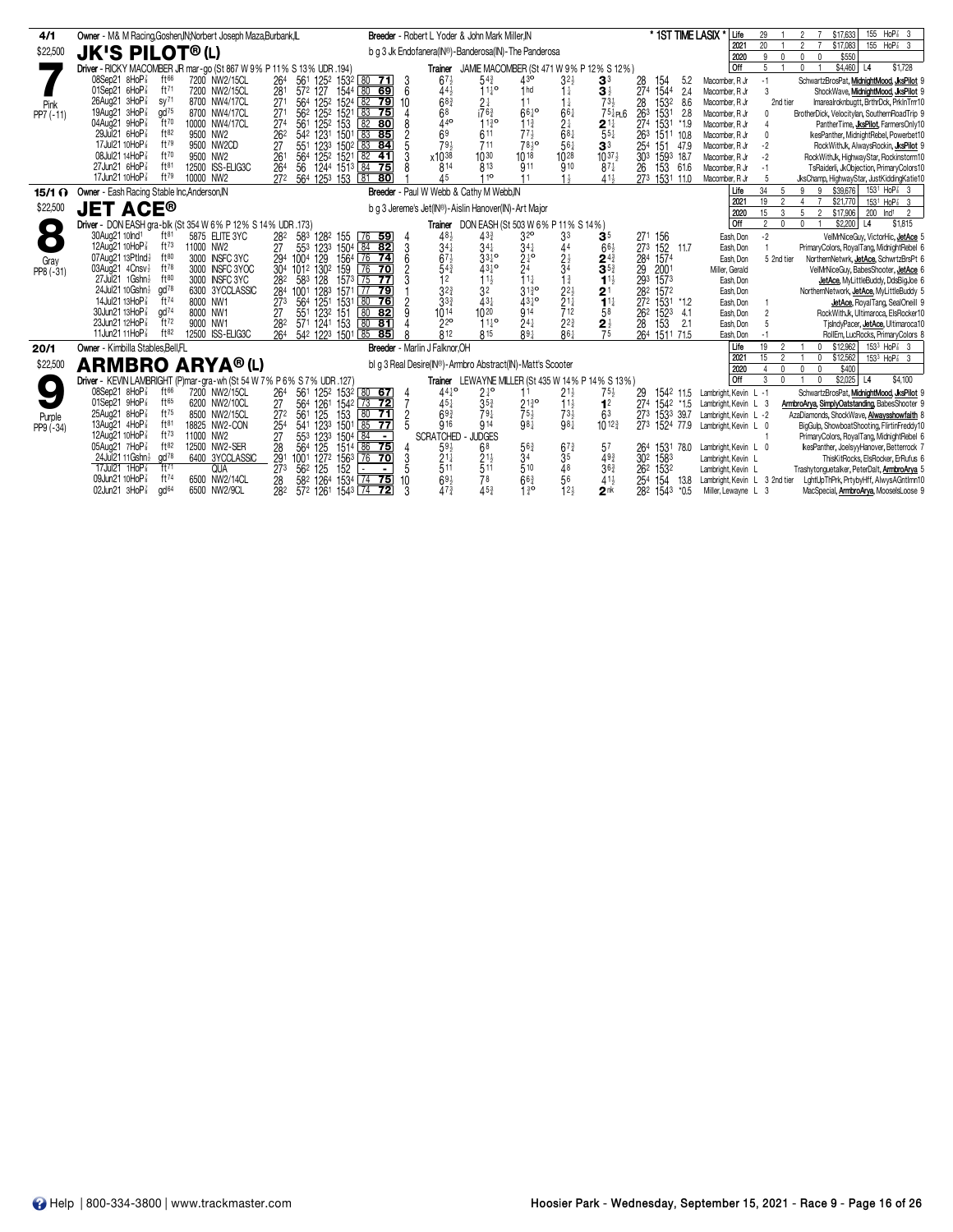| 4/1             | Owner - M& M Racing, Goshen, IN: Norbert Joseph Maza, Burbank, IL                                         |                                                                                           | <b>Breeder</b> - Robert L Yoder & John Mark Miller.IN                                            |                                                                                  | * 1ST TIME LASIX *<br>Life               | $HoP8$ 3<br>155<br>\$17,633<br>29                                                                                                                        |
|-----------------|-----------------------------------------------------------------------------------------------------------|-------------------------------------------------------------------------------------------|--------------------------------------------------------------------------------------------------|----------------------------------------------------------------------------------|------------------------------------------|----------------------------------------------------------------------------------------------------------------------------------------------------------|
| \$22,500        | <b>JK'S PILOT®(L)</b>                                                                                     |                                                                                           | b q 3 Jk Endofanera(IN®)-Banderosa(IN)-The Panderosa                                             |                                                                                  | 2021<br>2020                             | 20 <sup>°</sup><br>\$17,083<br>155 HoP <sup>2</sup> 3<br>$\mathfrak{p}$<br>9<br>\$550<br>$\mathbf{0}$<br>$\Omega$                                        |
|                 | Driver - RICKY MACOMBER JR mar-go (St 867 W 9% P 11% S 13% UDR .194)                                      |                                                                                           | JAMIE MACOMBER (St 471 W 9% P 12% S 12%)<br>Trainer                                              |                                                                                  | Off                                      | 5<br>$\mathbf{0}$<br>\$4,460 L4<br>\$1,728                                                                                                               |
|                 | 08Sep21 8HoP <sup>3</sup><br>ft <sup>66</sup><br>7200 NW2/15CL                                            | 264<br>561 1252 1532 80 71<br>3                                                           | $54\frac{3}{4}$<br>43 <sup>o</sup><br>$67\frac{1}{2}$                                            | $3^{2}$<br>3 <sup>3</sup><br>28<br>154                                           | 5.2<br>Macomber, R Jr                    | SchwartzBrosPat, MidnightMood, JksPilot 9<br>$-1$                                                                                                        |
|                 | ft71<br>01Sep21 6HoP <sup>3</sup><br>7200 NW2/15CL                                                        | $572$ 127<br>281<br>1544 80 69<br>6                                                       | $11^{19}$<br>1 <sub>hd</sub><br>44}                                                              | 274<br>$3\frac{1}{2}$<br>1544<br>$1\frac{1}{2}$                                  | 2.4<br>Macomber, R Jr                    | 3<br>ShockWave, MidnightMood, JksPilot 9                                                                                                                 |
| Pink            | 26Aug21 3HoP<br>SY <sup>71</sup><br>8700 NW4/17CL                                                         | 564 1252 1524 82 79<br>271<br>10                                                          | $68\frac{3}{4}$<br>$2\frac{1}{4}$                                                                | $73\frac{1}{2}$<br>28<br>1532<br>$1\frac{1}{4}$                                  | 8.6<br>Macomber, R Jr                    | Imarealroknbugtt, BrthrDck, PrkInTrrr10<br>2nd tier                                                                                                      |
| PP7 (-11)       | $\alpha$ d <sup>75</sup><br>19Aug21 3HoP <sup>3</sup><br>8700 NW4/17CL                                    | 562 1252<br>271<br>83 75<br>1521                                                          | $i76\frac{3}{4}$<br>68<br>$66^{10}$                                                              | $66\frac{1}{4}$<br>754P16<br>263<br>1531                                         | 2.8<br>Macomber, R Jr                    | BrotherDick, Velocitylan, SouthernRoadTrip 9                                                                                                             |
|                 | ft70<br>04Aug21 9HoP<br>10000 NW4/17CL                                                                    | 27 <sup>4</sup><br>153<br>82 80<br>561<br>1252                                            | 440<br>$11\frac{3}{4}$<br>$11^{30}_{4}$                                                          | $2\frac{1}{4}$<br>274<br>1531<br>$2^{11}$                                        | $*1.9$<br>Macomber, R Jr                 | PantherTime, JksPilot, FarmersOnly10                                                                                                                     |
|                 | ft82<br>29Jul21 6HoP<br>9500 NW2                                                                          | 26 <sup>2</sup><br>542 1231<br>1501<br>83 85                                              | 69<br>611<br>$77\frac{1}{2}$                                                                     | $68\frac{1}{4}$<br>$55\frac{1}{4}$<br>263 1511 10.8                              | Macomber, R Jr                           | IkesPanther, MidnightRebel, Powerbet10<br>$\mathbf{0}$                                                                                                   |
|                 | ft79<br>17Jul21 10HoP <sup>7</sup><br>9500 NW2CD<br>08Jul21 14HoP <sup>3</sup><br>ft70<br>9500 NW2        | 551<br>27<br>1233<br>$150^2$ $83$ <b>84</b>                                               | 79 <sub>3</sub><br>$78\frac{1}{2}$ o<br>711<br>x1038<br>1030<br>10 18                            | $56\frac{1}{4}$<br>3 <sup>3</sup><br>254<br>151<br>1028                          | 47.9<br>Macomber, R Jr                   | $-2$<br>RockWithJk, AlwaysRockin, JksPilot 9                                                                                                             |
|                 | 27Jun21 6HoP <sup>7</sup><br>$ft^{81}$<br>12500 ISS-ELIG3C                                                | 261<br>125 <sup>2</sup> 1521 82 41<br>564<br>1244 1513 84 75<br>264<br>56                 | 814<br>813<br>911                                                                                | $10^{37}$<br>30 <sup>3</sup><br>1593 18.7<br>910<br>26<br>153<br>$87\frac{1}{4}$ | Macomber, R Jr<br>61.6<br>Macomber, R Jr | $-2$<br>RockWithJk, HighwayStar, Rockinstorm10<br>$-1$<br>TsRaiderli, JkObjection, PrimaryColors10                                                       |
|                 | ft79<br>17Jun21 10HoP <sup>3</sup><br>10000 NW2                                                           | 272<br>564 1253 153<br>81<br>80                                                           | 110<br>Δ5<br>11                                                                                  | $41\frac{1}{2}$<br>$1\frac{1}{2}$<br>273 1531 11.0                               | Macomber, R Jr                           | 5<br>JksChamp, HighwayStar, JustKiddingKatie10                                                                                                           |
| $15/1$ $\Omega$ | Owner - Eash Racing Stable Inc, Anderson, IN                                                              |                                                                                           | Breeder - Paul W Webb & Cathy M Webb.IN                                                          |                                                                                  | Life                                     | 153 <sup>1</sup> HoP <sup>7</sup> 3<br>34<br>\$39,676<br>-5<br>9<br>9                                                                                    |
|                 |                                                                                                           |                                                                                           |                                                                                                  |                                                                                  | 2021                                     | 19<br>2<br>\$21,770<br>153 <sup>1</sup> HoP <sup>2</sup> 3<br>$\overline{4}$                                                                             |
| \$22,500        | <b>JET ACE®</b>                                                                                           |                                                                                           | b q 3 Jereme's Jet(IN®)-Aislin Hanover(IN)-Art Major                                             |                                                                                  | 2020                                     | 5<br>15<br>3<br>Ind <sup>1</sup><br>$\mathcal{P}$<br>\$17,906<br>200<br>$\overline{2}$                                                                   |
|                 | Driver - DON EASH gra-blk (St 354 W 6% P 12% S 14% UDR .173)                                              |                                                                                           | Trainer DON EASH (St 503 W 6% P 11% S 14%)                                                       |                                                                                  | l off                                    | 2<br>$\mathbf 0$<br>\$2,200<br>L <sub>4</sub><br>\$1,815<br>$\mathbf{0}$                                                                                 |
| $\bullet$       | 30Aug21 10lnd <sup>1</sup><br>ft <sup>81</sup><br>5875 ELITE 3YC                                          | 583 1282 155<br>282<br>$[76$ 59<br>4<br>3                                                 | 3 <sup>2</sup><br>48 <sub>2</sub><br>$43\frac{3}{4}$                                             | 3 <sup>3</sup><br>3 <sup>5</sup><br>271 156                                      | Eash, Don                                | $-2$<br>VelMrNiceGuy, VictorHic, JetAce 5                                                                                                                |
|                 | 12Aug21 10HoP <sup>3</sup><br>$ft^{73}$<br>11000 NW2                                                      | 553<br>123 <sup>3</sup><br>1504 84 82<br>27                                               | $34\frac{1}{4}$<br>$34\frac{1}{4}$<br>$34\frac{1}{4}$                                            | 152 11.7<br>44<br>663<br>$\overline{27}3$                                        | Eash, Don                                | PrimaryColors, RoyalTang, MidnightRebel 6                                                                                                                |
| Gray            | ft80<br>07Aug21 13Ptlnd}<br>3000 INSFC 3YC<br>ft78<br>3000 INSFC 3YOC<br>03Aug21 4Cnsv <sup>1</sup>       | $76$ 74<br>6<br>1004 129<br>1564<br>294<br>76<br>159<br>$\overline{70}$<br>$\overline{2}$ | $2^{10}$<br>$67\frac{1}{2}$<br>$33^{10}$<br>$\overline{2}$ 4<br>$54\frac{3}{4}$<br>$43^{10}_{4}$ | $\frac{2\frac{1}{2}}{3^4}$<br>$2^{4}$<br>284<br>1574<br>3 <sub>5</sub>           | Eash, Don                                | 5 2nd tier<br>NorthernNetwrk, JetAce, SchwrtzBrsPt 6                                                                                                     |
| PP8 (-31)       | 27Jul 21 1 Gshn }<br>ft80<br>3000 INSFC 3YC                                                               | 304 1012 1302<br>128<br>583<br>282<br>1573<br>75 77                                       | $11\frac{1}{2}$<br>11<br>12                                                                      | 29<br>2001<br>$1\frac{3}{4}$<br>$11\frac{1}{2}$<br>293<br>1573                   | Miller, Gerald<br>Eash, Don              | VelMrNiceGuy, BabesShooter, JetAce 6<br>JetAce, MyLittleBuddy, DdsBigJoe 6                                                                               |
|                 | $\alpha$ d $^{78}$<br>24Jul21 10Gshn}<br>6300 3YCCLASSIC                                                  | 1001 1283<br>284<br>1571 77 79                                                            | $3^{2^{3}}$<br>$31\frac{3}{4}$ <sup>o</sup><br>3 <sup>2</sup>                                    | $2^{2}$<br>1572<br>2 <sup>1</sup><br>282                                         | Eash, Don                                | NorthernNetwork, JetAce, MyLittleBuddy 5                                                                                                                 |
|                 | 14Jul21 13HoP <sup>7</sup><br>ft74<br>8000 NW1                                                            | 80 76<br>273<br>564<br>1251<br>っ<br>1531                                                  | $3^{3}$<br>$43\frac{1}{4}$<br>$43^{10}_{4}$                                                      | $21\frac{1}{4}$<br>$11\frac{1}{4}$<br>272 1531 *1.2                              | Eash, Don                                | JetAce, RoyalTang, SealOneill 9                                                                                                                          |
|                 | 30Jun21 13HoP <sup>3</sup><br>gd <sup>74</sup><br>8000 NW1                                                | 27<br>551 1232 151<br>$\sqrt{80}$<br>82                                                   | 914<br>1014<br>1020                                                                              | $\frac{1}{2}12$<br>262 1523<br>58                                                | 4.1<br>Eash, Don                         | RockWithJk, Ultimaroca, ElsRocker10<br>$\overline{2}$                                                                                                    |
|                 | ft72<br>23Jun21 12HoP <sup>3</sup><br>9000 NW1                                                            | 571 1241 153<br>80 81<br>282                                                              | 22 <sup>o</sup><br>$24\frac{1}{4}$<br>$11^{10}_{4}$                                              | $2^{2^{3}}$<br>$\frac{2\frac{1}{2}}{75}$<br>153<br>28                            | 2.1<br>Eash, Don                         | 5<br>TislndyPacer, <b>JetAce</b> , Ultimaroca10                                                                                                          |
|                 | 11Jun21 11HoP <sup>7</sup><br>ft82<br>12500 ISS-ELIG3C                                                    | 264<br>542 1223 1501 85 85                                                                | $\overline{8}12$<br>R <sub>15</sub><br>$89+$                                                     | $\overline{86}$<br>264 1511 71.5                                                 | Eash, Don                                | RollEm, LucRocks, PrimaryColors &                                                                                                                        |
| 20/1            | Owner - Kimbilla Stables.Bell.FL                                                                          | Breeder - Marlin J Falknor, OH                                                            |                                                                                                  |                                                                                  | Life<br>2021                             | $153^3$ HoP $\frac{7}{8}$ 3<br>19<br>$0$ \$12.962<br>$\overline{2}$                                                                                      |
| \$22,500        | <b>ARMBRO ARYA®(L)</b>                                                                                    |                                                                                           | bl q 3 Real Desire(IN®)-Armbro Abstract(IN)-Matt's Scooter                                       |                                                                                  | 2020                                     | 15<br>$\overline{2}$<br>\$12,562<br>153 <sup>3</sup> HoP <sup>2</sup> <sub>3</sub> 3<br>$\mathbf 0$<br>$\mathsf{n}$<br>$\mathbf{0}$<br>\$400<br>$\Omega$ |
|                 | Driver - KEVIN LAMBRIGHT (P)mar-gra-wh (St 54 W 7% P 6% S 7% UDR .127                                     |                                                                                           | Trainer LEWAYNE MILLER (St 435 W 14% P 14% S 13%)                                                |                                                                                  | <b>Off</b>                               | 3<br>\$2,025<br> 4<br>\$4,100<br>$\mathbf{0}$                                                                                                            |
|                 | $08$ Sep21 $8$ HoP $\frac{7}{8}$<br>ft $66$<br>7200 NW2/15CL                                              | 264<br>561 1252 1532 80 67                                                                | $44^{10}$<br>$2^{10}$<br>11                                                                      | $75\frac{1}{2}$<br>$21\frac{1}{2}$<br>1542 11.5<br>29                            | Lambright, Kevin L -1                    | SchwartzBrosPat, MidnightMood, JksPilot 9                                                                                                                |
|                 | $01$ Sep21 $9$ HoP $\frac{7}{8}$<br>ft65<br>6200 NW2/10CL                                                 | $\frac{4}{7}$<br>27<br>564<br>1261<br>$1542$ 73 72                                        | 2130<br>45}<br>$35\frac{3}{4}$                                                                   | $11\frac{1}{2}$<br>1 <sup>2</sup><br>274 1542 *1.5                               | Lambright, Kevin L 3                     | ArmbroArya, SimplyOatstanding, BabesShooter 9                                                                                                            |
| Purple          | ft75<br>25Aug21 8HoP<br>8500 NW2/15CL                                                                     | $\frac{272}{254}$<br>561 125<br>80, 71<br>153<br>$\frac{2}{5}$                            | $69\frac{3}{4}$<br>$79\frac{1}{4}$<br>$75\frac{1}{2}$<br>98 <sup>1</sup>                         | $7^{31}_{981}$<br>273 1533 39.7<br>63                                            | Lambright, Kevin L -2                    | AzaDiamonds, ShockWave, Alwaysshowfaith 8                                                                                                                |
| $PP9(-34)$      | ft81<br>13Aug21 4HoP <sup>3</sup><br>18825 NW2-CON                                                        | 123 <sup>3</sup><br>541<br>1501<br>85<br>$\overline{77}$                                  | 916<br>914                                                                                       | $10^{12\frac{3}{4}}$<br>273 1524 77.9                                            | Lambright, Kevin L 0                     | BigGulp, ShowboatShooting, FlirtinFreddy10                                                                                                               |
|                 | $ft^{73}$<br>12Aug21 10HoP <sup>3</sup><br>11000 NW2                                                      | $\frac{27}{28}$<br>553<br>84<br>123 <sup>3</sup><br>125<br>1504<br>$\blacksquare$         | <b>SCRATCHED</b><br><b>JUDGES</b>                                                                |                                                                                  |                                          | PrimaryColors, RoyalTang, MidnightRebel 6                                                                                                                |
|                 | ft82<br>05Aug21 7HoP*<br>12500 NW2-SER<br>24Jul 21 11 Gshn<br>$\alpha$ d <sup>78</sup><br>6400 3YCCLASSIC | 564<br>1514 86 75<br>291<br>127 <sup>2</sup><br>3<br>1001<br>$76$ 70                      | 68<br>$59\frac{1}{2}$<br>563<br>$21\frac{1}{4}$<br>34                                            | $67\frac{3}{4}$<br>57<br>264<br>1531<br>3 <sup>5</sup><br>49 <sub>3</sub>        | 78.0<br>Lambright, Kevin L 0             | kesPanther, JoelsyyHanover, Betterrock 7                                                                                                                 |
|                 | $ft^{71}$<br>17Jul21 1HoP <sup>3</sup><br><b>QUA</b>                                                      | 1563<br>273<br>562 125<br>5<br>152<br>$\blacksquare$                                      | $\frac{21}{5}$ <sup>1</sup><br>511<br>510                                                        | 302<br>1583<br>48<br>$36\frac{3}{4}$<br>262<br>1532                              | Lambright, Kevin L<br>Lambright, Kevin L | ThisKitRocks, ElsRocker, ErRufus 6<br>Trashytonguetalker, PeterDalt, ArmbroArya 5                                                                        |
|                 | 09Jun21 10HoP <sup>7</sup><br>ft74<br>6500 NW2/14CL                                                       | 582 1264<br>$74$ 75<br>1534<br>10<br>28                                                   | 78<br>$66\frac{3}{4}$                                                                            | 56<br>$41\frac{1}{2}$<br>154<br>25 <sup>4</sup>                                  | 13.8 Lambright, Kevin L 3 2nd tier       | LghtUpThPrk, PrtybyHff, AlwysAGntlmn10                                                                                                                   |
|                 | gd <sup>64</sup><br>02Jun21 $3HOP\frac{7}{8}$<br>6500 NW2/9CL                                             | 282<br>572 1261 1543 74 72<br>3                                                           | $6\frac{91}{4}$<br>453<br>1 <sup>3</sup>                                                         | 12 <sub>3</sub><br>2 <sup>nk</sup><br>282 1543 *0.5                              | Miller, Lewayne L 3                      | MacSpecial, ArmbroArya, MooselsLoose 9                                                                                                                   |
|                 |                                                                                                           |                                                                                           |                                                                                                  |                                                                                  |                                          |                                                                                                                                                          |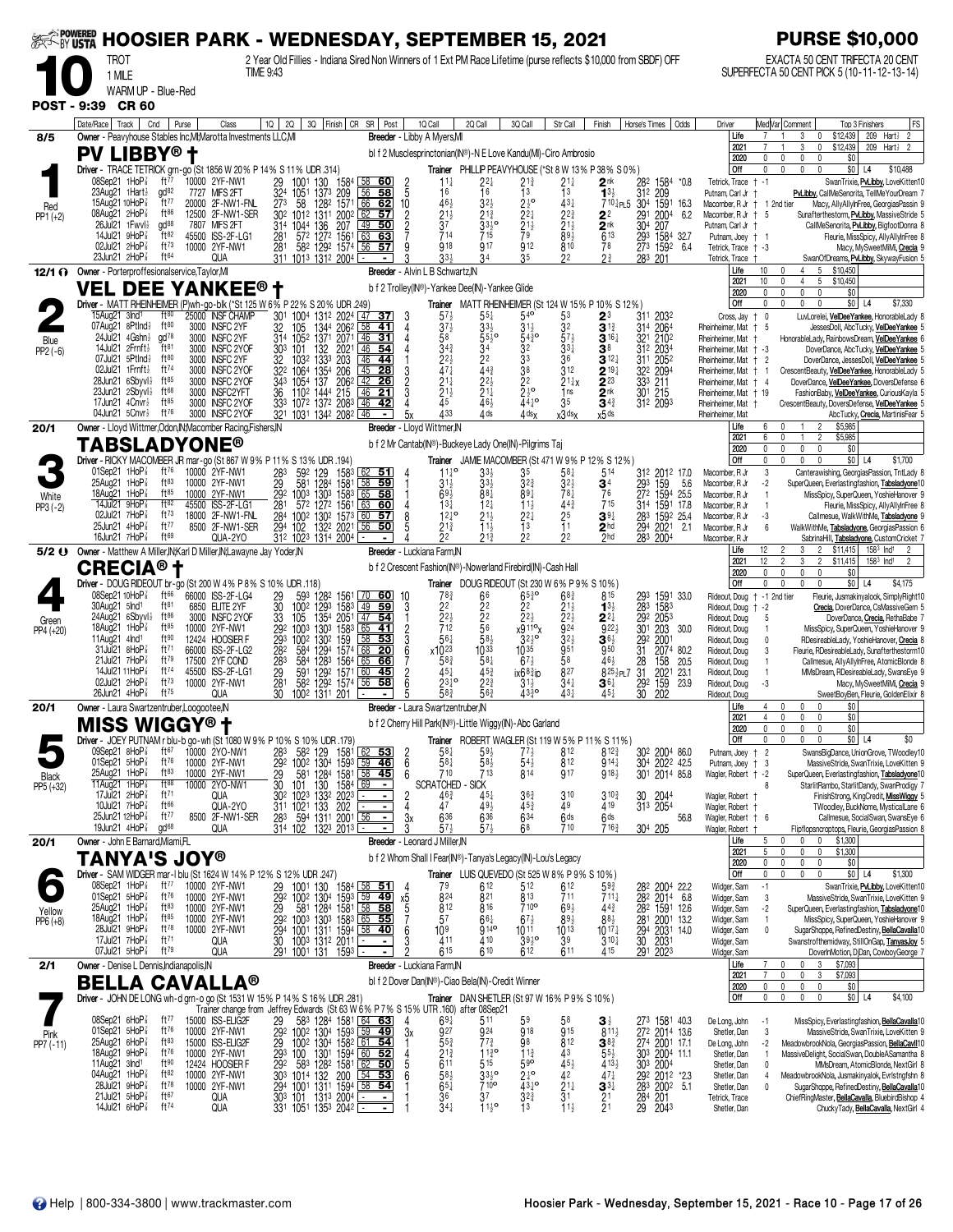| <b>EXTORY USTA</b>   |                                                                                             |                                                                     | <b>HOOSIER PARK - WEDNESDAY, SEPTEMBER 15, 2021</b>                                                                                                                  |                                                     |                                                                                                |                                                                                              |                                                           |                                                                                           |                                                                               |                                                | <b>PURSE \$10,000</b>                                                                                   |                                                                                            |
|----------------------|---------------------------------------------------------------------------------------------|---------------------------------------------------------------------|----------------------------------------------------------------------------------------------------------------------------------------------------------------------|-----------------------------------------------------|------------------------------------------------------------------------------------------------|----------------------------------------------------------------------------------------------|-----------------------------------------------------------|-------------------------------------------------------------------------------------------|-------------------------------------------------------------------------------|------------------------------------------------|---------------------------------------------------------------------------------------------------------|--------------------------------------------------------------------------------------------|
|                      | TROT                                                                                        |                                                                     | 2 Year Old Fillies - Indiana Sired Non Winners of 1 Ext PM Race Lifetime (purse reflects \$10,000 from SBDF) OFF<br><b>TIME 9:43</b>                                 |                                                     |                                                                                                |                                                                                              |                                                           |                                                                                           |                                                                               |                                                | EXACTA 50 CENT TRIFECTA 20 CENT<br>SUPERFECTA 50 CENT PICK 5 (10-11-12-13-14)                           |                                                                                            |
|                      | 1 MILE<br>WARM UP - Blue-Red                                                                |                                                                     |                                                                                                                                                                      |                                                     |                                                                                                |                                                                                              |                                                           |                                                                                           |                                                                               |                                                |                                                                                                         |                                                                                            |
| <b>POST - 9:39</b>   | <b>CR 60</b>                                                                                |                                                                     |                                                                                                                                                                      |                                                     |                                                                                                |                                                                                              |                                                           |                                                                                           |                                                                               |                                                |                                                                                                         |                                                                                            |
|                      | Date/Race   Track<br>Cnd                                                                    | Purse<br>Class                                                      | $1Q$   2Q  <br>3Q   Finish   CR SR   Post                                                                                                                            |                                                     | 1Q Call<br>2Q Call                                                                             | 3Q Call                                                                                      | Str Call                                                  | Finish<br>Horse's Times                                                                   | Odds                                                                          | Driver                                         | Med Var Comment                                                                                         | FS<br>Top 3 Finishers                                                                      |
| 8/5                  | Owner - Peavyhouse Stables Inc, MI; Marotta Investments LLC, MI<br><b>PV LIBBY® t</b>       |                                                                     |                                                                                                                                                                      |                                                     | Breeder - Libby A Myers, MI<br>bl f 2 Musclesprinctonian(IN®)-N E Love Kandu(MI)-Ciro Ambrosio |                                                                                              |                                                           |                                                                                           |                                                                               | Life<br>$202 -$                                | \$12,439<br>3<br>0<br>$\mathbf 0$<br>\$12,439<br>3                                                      | 209 Hart $\frac{1}{2}$<br>$\overline{2}$<br>209 Hart <sup>1</sup> 2                        |
|                      |                                                                                             |                                                                     | Driver - TRACE TETRICK grn-go (St 1856 W 20 % P 14 % S 11 % UDR .314)                                                                                                |                                                     |                                                                                                | Trainer PHILLIP PEAVYHOUSE (*St 8 W 13% P 38% S 0%)                                          |                                                           |                                                                                           |                                                                               | 2020<br>Off                                    | 0<br>0<br>\$0<br>$\mathbf{0}$<br>$\Omega$<br>$\mathbf{0}$<br>$\Omega$                                   | $$0$ L4<br>\$10,488                                                                        |
|                      | $08$ Sep21 1HoP $\frac{7}{8}$<br>23Aug21 1Hart}                                             | ft $77$<br>10000 2YF-NW1<br>$\alpha$ d <sup>82</sup><br>MIFS 2FT    | 29<br>32 <sup>4</sup><br>273<br>1001<br>130<br>1584                                                                                                                  | $\frac{2}{5}$<br>60                                 | $11\frac{1}{4}$<br>16                                                                          | 22‡<br>$\frac{2^{13}}{1^{3}}$<br>$\overline{1}6$                                             | 21‡                                                       | $2^{\mathsf{nk}}$<br>282<br>13 <sub>3</sub>                                               | 1584<br>*0.8                                                                  | Tetrick, Trace + -1                            |                                                                                                         | SwanTrixie, PvLibby, LoveKitten10                                                          |
| Red                  | 15Aug21 10HoP                                                                               | 7727<br>ft77<br>20000 2F-NW1-FNL                                    | $\frac{105}{58}$<br>1373<br>209<br>1282<br>1571                                                                                                                      | 58<br>66<br>62<br>10                                | 463                                                                                            | $2\frac{1}{2}$ <sup>o</sup><br>$3^{2}$                                                       | $\frac{1}{4}$ <sup>3</sup>                                | 312<br>710 PL5 304                                                                        | 209<br>1591 16.3                                                              | Putnam, Carl Jr<br>Macomber, R Jr + 1 2nd tier |                                                                                                         | PvLibby, CallMeSenorita, TellMeYourDream 7<br>Macy, AllyAllyInFree, GeorgiasPassin 9       |
| $PP1 (+2)$           | 08Aug21 2HoP<br>26Jul21 1Fwvl}                                                              | ft86<br>12500 2F-NW1-SER<br>$\alpha$ <sup>88</sup><br>7807 MIFS 2FT | 302 1012 1311 2002 62<br>31 <sup>4</sup>                                                                                                                             | 57<br>$\boxed{49}$<br>50                            | $\frac{2^{1\frac{1}{2}}}{3^{7}}$                                                               | $\frac{2}{2}$<br>$\frac{2}{3}$<br>$\frac{1}{2}$<br>79<br>$2^{1\frac{3}{4}}$<br>$33^{10}_{2}$ | $2^{2^{\frac{3}{4}}}_{2^{1^{\frac{1}{2}}}_{\frac{2}{2}}}$ | 291<br>2004<br>22<br>$\frac{304}{293}$<br>$\frac{2}{6}$ <sup>nk</sup><br>207              | 6.2                                                                           | Macomber, R Jr + 5<br>Putnam, Carl Jr          |                                                                                                         | Sunafterthestorm, PuLibby, MassiveStride 5<br>CallMeSenorita, PvLibby, BigfootDonna 8      |
|                      | 14Jul21 9HoP <sup>3</sup><br>02Jul21 2HoP3                                                  | ft82<br>45500 ISS-2F-LG1<br>$ft^{73}$<br>10000 2YF-NW1              | 1044 136 207<br>572 1272 1561<br>281<br>281 582 1292 1574                                                                                                            | 63<br>63<br>56<br><u>57</u>                         | 714<br>918                                                                                     | 715<br><b>917</b><br>912                                                                     | 810                                                       | 78<br>273 1592                                                                            | 1584 32.7<br>6.4                                                              | Putnam, Joey † 1<br>Tetrick, Trace + -3        |                                                                                                         | Fleurie, MissSpicy, AllyAllyInFree &<br>Macy, MySweetMiMi, Crecia 9                        |
|                      | 23Jun21 $2H_0P_8^2$                                                                         | ft64<br>QUA                                                         | 311 1013 1312 2004                                                                                                                                                   |                                                     | 33 <sub>3</sub>                                                                                |                                                                                              | 22                                                        | $2\frac{3}{4}$<br>283<br>201                                                              |                                                                               | Tetrick, Trace +                               |                                                                                                         | SwanOfDreams, PvLibby, SkywayFusion 5                                                      |
|                      | 12/1 ( Owner - Porterproffesionalservice, Taylor, MI<br><b>VEL DEE YANKEE® t</b>            |                                                                     |                                                                                                                                                                      |                                                     | <b>Breeder</b> - Alvin L B Schwartz, N<br>b f 2 Trolley(IN®) - Yankee Dee(IN) - Yankee Glide   |                                                                                              |                                                           |                                                                                           |                                                                               | Life<br>2021                                   | 5 \$10,450<br>10<br>4<br>0<br>10<br>5<br>\$10,450<br>0<br>$\overline{4}$                                |                                                                                            |
|                      |                                                                                             |                                                                     | Driver - MATT RHEINHEIMER (P)wh-go-blk (*St 125 W 6% P 22 % S 20% UDR .249                                                                                           |                                                     |                                                                                                | Trainer MATT RHEINHEIMER (St 124 W 15% P 10% S 12%)                                          |                                                           |                                                                                           |                                                                               | 2020<br>Off                                    | $\mathbf 0$<br>\$0<br>$\theta$<br>$\mathbf{0}$<br>$\mathbf 0$<br>$\theta$<br>0<br>0<br>$\mathbf{0}$     | $$0$ L4<br>\$7,330                                                                         |
|                      | 15Aug21 3Ind <sup>1</sup><br>07Aug21 8Ptlnd}                                                | $ft^{80}$<br>25000 INSF CHAMP<br>ft $80$<br>3000 INSFC 2YF          | 30 <sup>1</sup><br>1004 1312 2024 47 37<br>32<br>105                                                                                                                 | 3<br>41                                             | $5^{7}$<br>$3^{7}$                                                                             | $54$ <sup>o</sup><br>$55\frac{1}{4}$<br>$33\frac{1}{2}$<br>$31\frac{1}{2}$                   | 53<br>32                                                  | $2^3$<br>311<br>2032<br>$\mathbf{3}^{1\frac{3}{4}}$<br>2064                               |                                                                               | Cross, Jay †                                   | 0                                                                                                       | LuvLorelei, VelDeeYankee, HonorableLady &                                                  |
| Blue                 | 24Jul21 $4Gshn\frac{1}{2}$                                                                  | $\alpha$ d <sup>78</sup><br>3000 INSFC 2YF                          | 1344 2062<br>1371 2071<br>314 1052                                                                                                                                   | $\frac{58}{46}$<br>31                               | 58                                                                                             | $55\frac{1}{2}$ <sup>o</sup><br>$54\frac{3}{4}$ <sup>o</sup>                                 | $57\frac{1}{2}$                                           | 31 <sup>4</sup><br>321 2102<br>312 2034<br>$3^{16}$                                       |                                                                               | Rheinheimer, Mat<br>Rheinheimer, Mat           | - 5<br>HonorableLady, RainbowsDream, VelDeeYankee 6                                                     | JessesDoll, AbcTucky, VelDeeYankee 5                                                       |
| $PP2(-6)$            | 14Jul21 2Frnft}<br>07Jul21 5Ptlnd}                                                          | $ft^{81}$<br>3000 INSFC 2YOF<br>ft80<br>3000 INSFC 2YF              | 101<br>132<br>303<br>2021<br>32<br>1333<br>203<br>1032                                                                                                               | 46<br>54<br>46<br>44                                | $3^{4^{3}}$<br>$2^{2}$                                                                         | 32<br>34<br>$2^2$<br>44 <sup>3</sup>                                                         | $33\frac{1}{4}$<br>36                                     | 38<br>311 2052<br>$3^{12}$                                                                |                                                                               | Rheinheimer, Mat + -3<br>Rheinheimer, Mat + 2  |                                                                                                         | DoverDance, AbcTucky, VelDeeYankee 5<br>DoverDance, JessesDoll, VelDeeYankee 5             |
|                      | 02Jul21 1Frnft}<br>28Jun21 $6$ Sbyvl $\frac{1}{2}$                                          | ft74<br>3000 INSFC 2YOF<br>$ft^{85}$<br>3000 INSFC 2YOF             | 322 1064<br>1354<br>206<br>1054 137 2062<br>343                                                                                                                      | 3<br><u>28</u><br>26                                | $\bar{4}7\bar{4}$<br>$21\frac{1}{4}$                                                           | $\frac{3^3}{3^8}$<br>2 <sup>2</sup><br>$2^{2}$                                               | 312<br>$21\frac{1}{4}x$                                   | $2^{19}\frac{1}{4}$<br>32 <sup>2</sup> 2094<br>33 <sup>3</sup> 211<br>$\overline{2}^{23}$ |                                                                               | Rheinheimer, Mat †<br>Rheinheimer, Mat + 4     | CrescentBeauty, VelDeeYankee, HonorableLady 5<br>-1                                                     | DoverDance, VelDeeYankee, DoversDefense 6                                                  |
|                      | 23Jun21 $2Sbyvl2$<br>17 Jun 21 $4$ Cnvr $\frac{1}{2}$                                       | ft <sup>68</sup><br>3000 INSFC2YFT<br>ft85                          | 1102 1444 215<br>36                                                                                                                                                  | 46<br><u>21</u>                                     | $\frac{21}{45}$                                                                                | $2\frac{1}{2}$ <sup>o</sup><br>$21\frac{1}{4}$<br>$44^{10}$                                  | 1 <sub>ns</sub><br>35                                     | 2 <sup>nk</sup><br>301 215                                                                |                                                                               | Rheinheimer, Mat + 19                          |                                                                                                         | FashionBaby, VelDeeYankee, CuriousKayla 5                                                  |
|                      | 04Jun21 $5$ Cnvr $\frac{1}{2}$                                                              | 3000 INSFC 2YOF<br>$ft^{76}$<br>3000 INSFC 2YOF                     | 333<br>1072 1372 2083<br>321 1031 1342 2082 46                                                                                                                       | 46<br><u>42</u>                                     | 433                                                                                            | $46\frac{1}{2}$<br>$\overline{\Delta}$ ds<br>$4$ ds $x$                                      | x3 dsx                                                    | $\mathbf{3}^{4\frac{3}{4}}$<br>312 2093<br>x5ds                                           |                                                                               | Rheinheimer, Mat<br>Rheinheimer, Mat           | CrescentBeauty, DoversDefense, VelDeeYankee 5                                                           | AbcTucky, Crecia, MartinisFear 5                                                           |
| 20/1                 | Owner - Lloyd Wittmer, Odon, IN, Macomber Racing, Fishers, IN                               |                                                                     |                                                                                                                                                                      |                                                     | Breeder - Lloyd Wittmer, IN                                                                    |                                                                                              |                                                           |                                                                                           |                                                                               | Life<br>2021                                   | \$5,985<br>$\overline{2}$<br>0<br>\$5,985<br>$\mathbf{0}$<br>$\overline{2}$                             |                                                                                            |
|                      | TABSLADYONE®                                                                                |                                                                     | Driver - RICKY MACOMBER JR mar-go (St 867 W 9% P 11% S 13% UDR .194)                                                                                                 |                                                     | b f 2 Mr Cantab(IN®)-Buckeye Lady One(IN)-Pilgrims Taj                                         | Trainer JAMIE MACOMBER (St 471 W 9% P 12% S 12%)                                             |                                                           |                                                                                           |                                                                               | 2020<br>  Off                                  | 0<br>0<br>$\mathbf{0}$<br>\$0<br>$\mathbf 0$<br>\$0 <br>0<br>$\mathbf{0}$<br>0                          | \$1,700<br>L4                                                                              |
|                      | 01Sep21 1HoP <sup>3</sup>                                                                   | ft $76$<br>10000 2YF-NW1                                            |                                                                                                                                                                      | $158^3 \mid 62$ 51<br>-4                            | $11^{10}$                                                                                      | $33\frac{1}{2}$<br>35                                                                        | 58‡                                                       | 514                                                                                       | 312 2012 17.0                                                                 | Macomber, R Jr                                 | 3                                                                                                       | Canterawishing, GeorgiasPassion, TntLady &                                                 |
| White                | 25Aug21 1HoP3<br>18Aug21 1HoP                                                               | ft83<br>10000 2YF-NW1<br>$ft^{85}$<br>10000 2YF-NW1                 | 283 592 129<br>29 581 1284<br>292 1003 1303<br>1581<br>1583                                                                                                          | 58<br>59<br>65 58                                   | $31\frac{1}{2}$<br>$69\frac{1}{2}$                                                             | $33\frac{1}{2}$<br>32}<br>$88\frac{1}{4}$<br>$89\frac{1}{4}$                                 | $3^{2}$<br>$78\frac{1}{4}$                                | 159<br>34<br>293<br>272<br>76                                                             | 5.6<br>1594 25.5                                                              | Macomber, R Jr<br>Macomber, R Jr               | $-2$<br>$\overline{1}$                                                                                  | SuperQueen, Everlastingfashion, Tabsladyone10<br>MissSpicy, SuperQueen, YoshieHanover 9    |
| $PP3 (-2)$           | 14Jul21 9HoP <sup>3</sup><br>02Jul21 7HoP <sup>3</sup>                                      | ft $82$<br>45500 ISS-2F-LG1<br>$ft^{73}$<br>18000 2F-NW1-FNL        | 572 1272 1561<br>281                                                                                                                                                 | 60<br>57                                            | $13\frac{1}{4}$<br>$12^{10}$                                                                   | $11\frac{1}{2}$<br>$12\frac{1}{4}$<br>$21\frac{1}{2}$                                        | $44\frac{3}{4}$                                           | 715<br>314<br>$\mathbf{3}$ $9\frac{1}{4}$                                                 | 1591 17.8<br>1592 25.4                                                        | Macomber, R Jr<br>Macomber, R Jr               | $-3$                                                                                                    | Fleurie, MissSpicy, AllyAllyInFree &<br>Callmesue, WalkWithMe, Tabsladyone 9               |
|                      | 25Jun21 4HoP3<br>16Jun21 $7H_0P_8^7$                                                        | ft77<br>8500 2F-NW1-SER<br>ft <sup>69</sup><br>QUA-2YO              | $\frac{284}{294}$<br>100 <sup>2</sup> 130 <sup>2</sup> 157 <sup>3</sup> 60<br>102 132 <sup>2</sup> 2021 56<br>312 1023 1314 2004                                     | 50                                                  | $2^{1\frac{3}{4}}$<br>22                                                                       | $\frac{2^{2\frac{1}{4}}}{1^{3}}$<br>$\bar{1}$<br>22<br>$21\frac{3}{4}$                       | $\frac{25}{11}$<br>2 <sup>2</sup>                         | 283<br>294<br>2 <sup>hd</sup><br>2 <sub>hd</sub><br>283                                   | 2021<br>2.1                                                                   | Macomber, R Jr                                 | 6                                                                                                       | WalkWithMe, Tabsladyone, GeorgiasPassion 6                                                 |
|                      | 5/2 . Owner - Matthew A Miller, IN; Karl D Miller, IN; Lawayne Jay Yoder, IN                |                                                                     |                                                                                                                                                                      |                                                     | Breeder - Luckiana Farm.IN                                                                     |                                                                                              |                                                           | 2004                                                                                      |                                                                               | Macomber, R Jr<br>Life                         | 12<br>2<br>3<br>$\overline{2}$<br>\$11,415                                                              | SabrinaHill, Tabsladyone, CustomCricket 7<br>$158^3$ Ind <sup>1</sup><br>$\overline{c}$    |
|                      | <b>CRECIA® †</b>                                                                            |                                                                     |                                                                                                                                                                      |                                                     | b f 2 Crescent Fashion(IN®)-Nowerland Firebird(IN)-Cash Hall                                   |                                                                                              |                                                           |                                                                                           |                                                                               | 2021<br>2020                                   | 12<br>2<br>\$11,415<br>3<br>$\overline{2}$<br>$\mathbf 0$<br>$\mathbf 0$<br>\$0<br>0<br>0               | $158^3$ Ind <sup>1</sup><br>2                                                              |
|                      | Driver - DOUG RIDEOUT br-go (St 200 W 4% P 8% S 10% UDR .118)<br>08Sep21 10HoP <sup>7</sup> | ft $66$<br>66000 ISS-2F-LG4                                         | 593<br>1561                                                                                                                                                          | <u>170 601</u><br>-10                               | $78\frac{3}{4}$                                                                                | Trainer DOUG RIDEOUT (St 230 W 6% P 9% S 10%)<br>$65\frac{3}{4}$ <sup>o</sup><br>66          | $68\frac{3}{4}$                                           | 815<br>293                                                                                | 1591 33.0                                                                     | Off                                            | 0<br>0<br>0<br>$+ -1$ 2nd tier                                                                          | $$0$ L4<br>\$4,175<br>Fleurie, Jusmakinyalook, SimplyRight10                               |
|                      | 30Aug21 5lnd <sup>1</sup>                                                                   | ft $81$<br>6850 ELITE 2YF                                           | 29<br>1282<br>30<br>33<br>100 <sup>2</sup> 129 <sup>3</sup> 158 <sup>3</sup> 49<br>105 1354 2051 47                                                                  | [49, 59]<br>3                                       | 2 <sup>2</sup>                                                                                 | $\frac{2^2}{2^2}$<br>22                                                                      |                                                           | 283<br>1583<br>$13\frac{1}{2}$                                                            |                                                                               | Rideout, Doug<br>Rideout, Doug                 | $-2$                                                                                                    | Crecia, DoverDance, CsMassiveGem 5                                                         |
| Green<br>PP4 (+20)   | $24$ Aug $21$ 6Sbyvl $\frac{1}{2}$<br>18Aug21 1HoP                                          | 3000 INSFC 2YOF<br>$ft^{86}$<br>$ft^{85}$<br>10000 2YF-NW1          | 1583<br>292<br>1003<br>1303                                                                                                                                          | 54<br>65<br><u>41</u>                               | $\frac{22}{7}$<br>$\frac{2}{12}$                                                               | $\bar{2}^{2\frac{1}{2}}$<br>56<br>$x\overline{9}$ <sup>110</sup> x                           | $\bar{2}^{2\frac{1}{2}}$<br>924                           | $\frac{55}{29}$<br>2053<br>221<br>301 203<br>9223                                         | 30.0                                                                          | Rideout, Doug<br>Rideout, Doug                 | 5                                                                                                       | DoverDance, Crecia, RethaBabe 7<br>MissSpicy, SuperQueen, YoshieHanover 9                  |
|                      | 11Aug <sub>21</sub> $41$<br>31Jul21 8HoP3                                                   | ft90<br>12424 HOOSIER F<br>ft71<br>66000 ISS-2F-LG2                 | 1302<br>159<br>1574<br>1002<br>$\frac{1}{28}$ <sup>2</sup><br>584<br>1294                                                                                            | 53<br>$\frac{58}{56}$<br>68<br>20                   | 561<br>$x10^{23}$                                                                              | $58\frac{1}{2}$<br>$3^{210}$<br>$10^{35}$<br>$10^{33}$                                       | $3^{21}_{951}$                                            | 292<br>2001<br>2074<br>$\mathbf{3}$ 6 $\frac{1}{2}$<br>950<br>31                          | 80.2                                                                          | Rideout, Doug<br>Rideout, Doug                 | 0<br>3                                                                                                  | RDesireableLady, YoshieHanover, Crecia 8<br>Fleurie, RDesireableLady, Sunafterthestorm10   |
|                      | 21Jul21 7HoP<br>14Jul21 11HoP <sup>3</sup>                                                  | $ft^{79}$<br>17500 2YF COND<br>$ft^{74}$<br>45500 ISS-2F-LG1        | 283<br>584<br>1283<br>1564<br>1292                                                                                                                                   | 65<br>66<br>60<br><u>45</u>                         | $58\frac{3}{4}$<br>451                                                                         | $58\frac{1}{4}$<br>$67\frac{1}{2}$<br>$45\frac{3}{4}$                                        | 58<br>827                                                 | 46}<br>28<br>158<br>825 FPL7                                                              | 20.5                                                                          | Rideout, Doug                                  |                                                                                                         | Callmesue, AllyAllyInFree, AtomicBlonde &                                                  |
|                      | 02Jul21 2HoP3                                                                               | $ft^{73}$<br>10000 2YF-NW1                                          | $\frac{29}{28}$<br>1571<br>591<br>$582 + 292$<br>1574                                                                                                                | 56<br>58                                            | $23^{10}$                                                                                      | $\frac{1}{3}$ ix $\frac{6}{3}$ is a set of $\frac{3}{2}$<br>$2^{2^{3}}$                      | $34\frac{1}{4}$                                           | $\frac{31}{29^2}$<br>2021<br>159<br>$\mathbf{3}$ <sup>6</sup>                             | 23.1<br>23.9                                                                  | Rideout, Doug<br>Rideout, Doug                 | -1<br>$-3$                                                                                              | MMsDream, RDesireableLady, SwansEye 9<br>Macy, MySweetMiMi, Crecia 9                       |
| 20/1                 | 26Jun21 4HoP <sup>3</sup><br>Owner - Laura Swartzentruber, Loogootee, IN                    | $ft^{75}$<br>QUA                                                    | 30<br>100 <sup>2</sup> 1311 201                                                                                                                                      |                                                     | 58}<br>Breeder - Laura Swartzentruber.IN                                                       | 56<br>4330                                                                                   | 43 <sub>7</sub>                                           | 45 <sup>1</sup><br>30<br>202                                                              |                                                                               | Rideout, Doug<br>Life                          | 0<br>$\mathbf 0$<br>\$0                                                                                 | SweetBoyBen, Fleurie, GoldenElixir &                                                       |
|                      | <b>MISS WIGGY® +</b>                                                                        |                                                                     |                                                                                                                                                                      |                                                     | b f 2 Cherry Hill Park(IN®)-Little Wiggy(IN)-Abc Garland                                       |                                                                                              |                                                           |                                                                                           |                                                                               | 2021<br>2020                                   | $\overline{4}$<br>0<br>0<br>0<br>\$0<br>\$0<br>0<br>0<br>$\mathbf 0$                                    |                                                                                            |
|                      |                                                                                             |                                                                     | Driver - JOEY PUTNAM r blu-b go-wh (St 1080 W 9% P 10% S 10% UDR .179)                                                                                               |                                                     | Trainer                                                                                        | ROBERT WAGLER (St 119 W 5% P 11% S 11%)                                                      |                                                           |                                                                                           |                                                                               | Off                                            | 0<br>$\mathbf 0$<br>$\mathbf{0}$<br>0                                                                   | $$0$ L4<br>\$0                                                                             |
|                      | 09Sep21 8HoP <sup>3</sup><br>01Sep21 5HoP <sup>3</sup>                                      | ft67<br>10000 2YO-NW1<br>ft $76$<br>10000 2YF-NW1                   | 283 582 129<br>292 1002 1304<br>1581 62<br>1593 59                                                                                                                   | <u>53</u><br>$\frac{2}{6}$<br>$\overline{59}$<br>46 | $5^{8\frac{1}{4}}$                                                                             | $5\frac{91}{2}$<br>$7^{7\frac{1}{2}}$<br>54 <sup>1</sup>                                     | 812<br>$\tilde{8}$ 12                                     | $8^{12}$<br>$914\frac{1}{4}$<br>304 2022 42.5                                             | 30 <sup>2</sup> 200 <sup>4</sup> 86.0                                         | Putnam, Joey<br>Putnam, Joey                   | $\overline{2}$<br>Ť.<br>-3<br>$\top$                                                                    | SwansBigDance, UnionGrove, TWoodley10<br>MassiveStride, SwanTrixie, LoveKitten 9           |
| Black<br>PP5 (+32)   | 25Aug21 1HoP<br>11Aug21 1HoP <sup>3</sup>                                                   | $ft^{83}$<br>10000 2YF-NW1<br>$ft^{88}$<br>10000 2YO-NW1            | 29 581 1284 1581 58<br>30 101 130 1584 69<br>30 <sup>2</sup> 102 <sup>3</sup> 133 <sup>2</sup> 2023 <u>-</u>                                                         | 6<br><u>45 </u><br>$\blacksquare$                   | 710<br><b>SCRATCHED</b><br>- SICK                                                              | 713<br>814                                                                                   | 917                                                       | $918\frac{1}{2}$                                                                          | 301 2014 85.8                                                                 | Wagler, Robert + -2                            |                                                                                                         | SuperQueen, Everlastingfashion, Tabsladyone10<br>StarlitRambo, StarlitDandy, SwanProdigy 7 |
|                      | 17Jul21 2HoP <sup>3</sup><br>10Jul21 7HoP <sup>3</sup>                                      | ft71<br>QUA<br>ft66<br>QUA-2YO                                      | 311 1021                                                                                                                                                             | 2                                                   | 463<br>47                                                                                      | $45\frac{1}{4}$<br>36 <sub>4</sub><br>493                                                    | 310<br>49                                                 | $3^{10}$<br>30<br>2044<br>313 2054<br>419                                                 |                                                                               | Wagler, Robert +<br>Wagler, Robert +           |                                                                                                         | FinishStrong, KingCredit, MissWiggy 5                                                      |
|                      | 25Jun21 12HoP <sup>3</sup>                                                                  | ft77<br>8500 2F-NW1-SER                                             | 133<br>202<br>283 594 1311 2001<br>314 102 1323 2013                                                                                                                 | $\frac{56}{56}$<br>Ξ                                | 636                                                                                            | $45\frac{3}{4}$<br>636<br>634                                                                | 6 <sup>ds</sup>                                           | 6 <sup>ds</sup>                                                                           | 56.8                                                                          | Wagler, Robert + 6                             |                                                                                                         | TWoodley, BuckNome, MysticalLane 6<br>Callmesue, SocialSwan, SwansEye 6                    |
| 20/1                 | 19Jun21 4HoP <sup>3</sup><br>Owner - John E Barnard, Miami, FL                              | gd <sup>68</sup><br>QUA                                             |                                                                                                                                                                      |                                                     | 57}<br>Breeder - Leonard J Miller, IN                                                          | $57\frac{1}{2}$<br>68                                                                        | 710                                                       | 7163<br>304 205                                                                           |                                                                               | Wagler, Robert<br>Life                         | $\mathbf 0$<br>$\mathbf{0}$<br>0<br>\$1,300                                                             | Flipflopsncroptops, Fleurie, GeorgiasPassion &                                             |
|                      | TANYA'S JOY®                                                                                |                                                                     |                                                                                                                                                                      |                                                     | b f 2 Whom Shall I Fear(IN®) - Tanya's Legacy(IN) - Lou's Legacy                               |                                                                                              |                                                           |                                                                                           |                                                                               | 2021<br>2020                                   | \$1,300<br>5<br>0<br>0<br>0<br>$\theta$<br>0<br>0<br>$\mathbf{0}$<br>\$0                                |                                                                                            |
|                      | Driver - SAM WIDGER mar-I blu (St 1624 W 14% P 12% S 12% UDR 247)                           |                                                                     |                                                                                                                                                                      |                                                     |                                                                                                | Trainer LUIS QUEVEDO (St 525 W 8% P 9% S 10%)                                                |                                                           |                                                                                           |                                                                               | Off                                            | $\mathbf 0$<br>$\mathbf 0$<br>$\mathbf{0}$                                                              | $$0$ L4<br>\$1,300                                                                         |
|                      | 08Sep21 1HoP <sup>7</sup><br>01Sep21 5HoP <sup>3</sup>                                      | ft77<br>10000 2YF-NW1<br>ft $76$<br>10000 2YF-NW1                   | 29<br>29 <sup>2</sup><br>29<br>1001 130 1584 58 51<br>100 <sup>2</sup> 130 <sup>4</sup> 159 <sup>3</sup> 59 49<br>581 1284 1581 58 58                                | $x_5$ <sup>5</sup>                                  | 79<br>824                                                                                      | 612<br>512<br>813<br>821                                                                     | 612<br>711                                                | $59\frac{3}{4}$<br>$711\frac{1}{4}$                                                       | 28 <sup>2</sup> 200 <sup>4</sup> 22.2<br>28 <sup>2</sup> 201 <sup>4</sup> 6.8 | Widger, Sam<br>Widger, Sam                     | $-1$<br>3                                                                                               | SwanTrixie, PvLibby, LoveKitten10<br>MassiveStride, SwanTrixie, LoveKitten 9               |
| Yellow<br>$PP6 (+8)$ | 25Aug21 1HoP <sup>3</sup><br>18Aug21 1HoP <sup>3</sup>                                      | $ft^{83}$<br>10000 2YF-NW1<br>$ft^{85}$<br>10000 2YF-NW1            | 292 1003 1303 1583 65 55                                                                                                                                             |                                                     | 812<br>57                                                                                      | 816<br>710 <sup>o</sup><br>$66\frac{1}{4}$<br>$67\frac{1}{2}$                                | $69\frac{1}{2}$<br>$89\frac{1}{2}$                        | $44\frac{3}{4}$<br>$88\frac{1}{2}$                                                        | 282 1591 12.6                                                                 | Widger, Sam<br>Widger, Sam                     | $-2$<br>$\overline{1}$                                                                                  | SuperQueen, Everlastingfashion, Tabsladyone10<br>MissSpicy, SuperQueen, YoshieHanover 9    |
|                      | 28Jul21 9HoP <sup>3</sup><br>17Jul21 7HoP <sup>3</sup>                                      | $ft^{78}$<br>10000 2YF-NW1<br>ft <sup>71</sup><br>QUA               | $\frac{1001}{1001}$ 1311 1594 58 40<br>$\frac{29}{30}$                                                                                                               | 6                                                   | 109<br>411                                                                                     | $914^{\circ}$<br>1011<br>410<br>$39\frac{1}{2}$ <sup>o</sup>                                 | 1013<br>39                                                | $10^{17}$<br>$3^{10}$                                                                     | 281 2001 13.2<br>294 2031 14.0<br>30 2031                                     | Widger, Sam                                    | $\mathbf 0$                                                                                             | SugarShoppe, RefinedDestiny, BellaCavalla10                                                |
|                      | 07Jul21 5HoP <sup>3</sup>                                                                   | ft79<br>qua                                                         | 291 1001 131 1593 -                                                                                                                                                  |                                                     | 615                                                                                            | 610<br>612                                                                                   | 611                                                       | 415<br>291 2023                                                                           |                                                                               | Widger, Sam<br>Widger, Sam                     |                                                                                                         | Swanstrofthemidway, StillOnGap, TanyasJoy 5<br>DoverInMotion, DiDan, CowboyGeorge 7        |
| 2/1                  | Owner - Denise L Dennis, Indianapolis, IN                                                   |                                                                     |                                                                                                                                                                      |                                                     | Breeder - Luckiana Farm, IN                                                                    |                                                                                              |                                                           |                                                                                           |                                                                               | Life<br>$202 -$                                | \$7,093<br>3<br>$\mathbf{0}$<br>0<br>0<br>0<br>3<br>\$7,093                                             |                                                                                            |
|                      | <b>BELLA CAVALLA®</b>                                                                       |                                                                     | Driver - JOHN DE LONG wh-d grn-o go (St 1531 W 15% P 14% S 16% UDR .281)                                                                                             |                                                     | bl f 2 Dover Dan(IN®)-Ciao Bela(IN)-Credit Winner                                              | <b>Trainer</b> DAN SHETLER (St97 W 16% P9% S 10%)                                            |                                                           |                                                                                           |                                                                               | 2020<br>  Off                                  | $\mathbf 0$<br>$\pmb{0}$<br>\$0<br>0<br>$\mathbf{0}$<br>$\theta$<br>$\mathbf{0}$<br>0<br>0              | $$0$ L4<br>\$4,100                                                                         |
|                      |                                                                                             |                                                                     | Trainer change from Jeffrey Edwards (St 63 W 6% P 7% S 15% UTR .160) after 08Sep21                                                                                   |                                                     |                                                                                                |                                                                                              |                                                           |                                                                                           |                                                                               |                                                |                                                                                                         |                                                                                            |
| Pink                 | 08Sep21 6HoP<br>01Sep21 $5H_0P_8^7$                                                         | ft $77$<br>15000 ISS-ELIG2F<br>ft $76$<br>10000 2YF-NW1             | 583 1284 1581 64 63<br>29<br>29 <sup>2</sup> 100 <sup>2</sup> 130 <sup>4</sup> 159 <sup>3</sup> 59 49<br>29 100 <sup>2</sup> 130 <sup>4</sup> 158 <sup>2</sup> 61 54 | 4<br>3x<br><u>49</u>                                | $69\frac{1}{4}$<br>927                                                                         | 511<br>59<br>924<br>918                                                                      | 915                                                       | 3†<br>$811\frac{1}{2}$                                                                    | 273 1581 40.3<br>272 2014 13.6                                                | De Long, John<br>Shetler, Dan                  | $-1$<br>3                                                                                               | MissSpicy, Everlastingfashion, BellaCavalla10<br>MassiveStride, SwanTrixie, LoveKitten 9   |
| PP7 (-11)            | 25Aug21 6HoP<br>18Aug21 9HoP                                                                | ft83<br>15000 ISS-ELIG2F<br>$ft^{76}$<br>10000 2YF-NW1              | 29 <sub>3</sub><br>100 1301 1594 60 52                                                                                                                               |                                                     | $5^{5^{3}}$<br>21 <sub>3</sub>                                                                 | 773<br>98<br>$11\frac{3}{4}$ <sup>o</sup><br>$11\frac{3}{4}$                                 | 812<br>43                                                 | 274 2001 17.1<br>$3^{8}$<br>$55\frac{1}{2}$<br>303 2004 11.1                              |                                                                               | De Long, John<br>Shetler, Dan                  | MeadowbrookNola, GeorgiasPassion, BellaCavII10<br>$-2$<br>MassiveDelight, SocialSwan, DoubleASamantha 8 |                                                                                            |
|                      | 11Aug21 3Ind <sup>1</sup><br>04Aug21 1HoP                                                   | ft 90<br>12424 HOOSIER F<br>ft82<br>10000 2YF-NW1                   | 292 583 1282 1581 62 50<br>303 1014 132 200 54 53<br>294 1001 1311 1594 58 54                                                                                        | 6                                                   | 611<br>$58\frac{1}{2}$                                                                         | 515<br>590<br>$2^{10}$<br>$33\frac{1}{2}$ <sup>o</sup>                                       | $rac{4}{4}$ <sup>5<math>rac{1}{2}</math></sup>            | $413\frac{1}{2}$<br>303 2004<br>$47\frac{1}{4}$<br>292 2012 *2.3                          |                                                                               | Shetler, Dan<br>Shetler, Dan                   | 0                                                                                                       | MMsDream, AtomicBlonde, NextGirl 8                                                         |
|                      | 28Jul21 9HoP                                                                                | $ft^{78}$<br>10000 2YF-NW1                                          |                                                                                                                                                                      |                                                     | $65\frac{1}{4}$                                                                                | $710$ <sup>o</sup><br>$\overline{4}3\overline{4}$ <sup>o</sup>                               | $21\frac{1}{4}$                                           | 283 2002<br>$\mathbf{3}^{3\ddagger}$                                                      | 5.1                                                                           | Shetler, Dan                                   | MeadowbrookNola, Jusmakinyalok, Evrlstngfshn &<br>$\mathbf{0}$                                          | SugarShoppe, RefinedDestiny, BellaCavalla10                                                |
|                      | $21$ Jul $21$ 5HoP $\frac{7}{8}$<br>14Jul21 6HoP <sup>3</sup>                               | ft67<br>QUA<br>ft74<br>QUA                                          | 1313 2004<br>303 101<br>331 1051 1353 2042 -                                                                                                                         | $\blacksquare$<br>$\blacksquare$                    | 36                                                                                             | 37<br>$3^{2^{3}}$<br>$11^{10}_{2}$<br>1 <sup>3</sup>                                         | 31<br>$11\frac{1}{2}$                                     | 2 <sup>1</sup><br>284<br>201<br>2 <sup>1</sup><br>29 2043                                 |                                                                               | Tetrick, Trace<br>Shetler, Dan                 |                                                                                                         | ChiefRingMaster, BellaCavalla, BluebirdBishop 4<br>ChuckyTady, BellaCavalla, NextGirl 4    |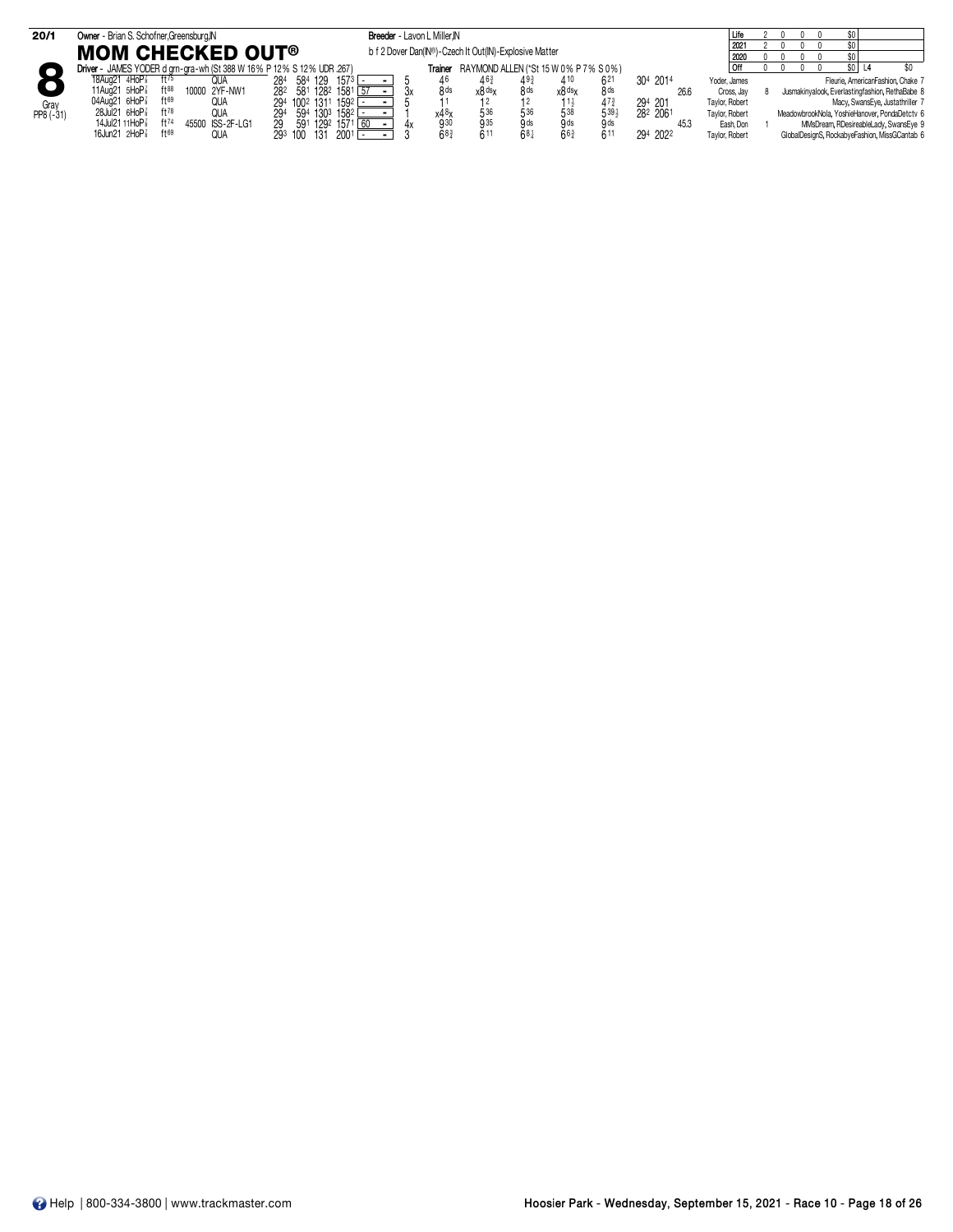| 20/1      | Owner - Brian S. Schofner, Greensburg, IN                             | Breeder - Lavon L Miller, IN |                                                        |                 |                                       |          | Life           |  |                                                 |
|-----------|-----------------------------------------------------------------------|------------------------------|--------------------------------------------------------|-----------------|---------------------------------------|----------|----------------|--|-------------------------------------------------|
|           | <b>MOM CHECKED OUT®</b>                                               |                              | b f 2 Dover Dan(IN®)-Czech It Out(IN)-Explosive Matter |                 |                                       |          | 2021<br>2020   |  |                                                 |
|           | Driver - JAMES YODER d grn-gra-wh (St 388 W 16% P 12% S 12% UDR .267) |                              | Trainer RAYMOND ALLEN (*St 15 W 0% P 7% S 0%)          |                 |                                       |          |                |  |                                                 |
|           | ft75<br>18Aug21 4HoP<br>QUA                                           | 284 584 129 1573 L           |                                                        |                 | 621                                   | 304 2014 | Yoder, James   |  | Fleurie, AmericanFashion, Chake 7               |
|           | 11Aug21 5HoP <sup>3</sup><br>ft88<br>10000 2YF-NW1                    | 282 581 1282 1581            | 8 <sub>ds</sub><br>x8 <sup>ds</sup> x                  | 8 <sub>ds</sub> | 8 <sub>ds</sub><br>x8 <sup>ds</sup> x | -26.6    | Cross, Jay     |  | Jusmakinyalook, Everlastingfashion, RethaBabe 8 |
| Gray      | ft69<br>04Aug21 6HoP<br>QUA                                           | 294 1002 1311 1592 -         |                                                        |                 | 473                                   | 294 201  | Taylor, Robert |  | Macy, SwansEye, Justathriller 7                 |
| PP8 (-31) | 28Jul21 6HoP<br>ft78<br>QUA                                           | 594 1303 1582 L<br>294       | 536<br>x4 <sup>8</sup>                                 | 536             | 5393                                  | 282 2061 | Taylor, Robert |  | MeadowbrookNola, YoshieHanover, PondaDetctv 6   |
|           | 14Jul21 11HoP<br>ft74<br>45500 ISS-2F-LG1                             | 591 1292 1571 60<br>29.      | 935<br>930                                             | 9 ds            | 9 <sub>ds</sub><br>.g ds              |          | Eash, Don      |  | MMsDream, RDesireableLady, SwansEye 9           |
|           | 16Jun21 $2H$ o $P_8^7$<br>ft69<br>QUA                                 | 2001<br>293 100 131          | 611<br>68                                              | 681             | 611<br>$66\frac{3}{4}$                | 294 2022 | Taylor, Robert |  | GlobalDesignS, RockabyeFashion, MissGCantab 6   |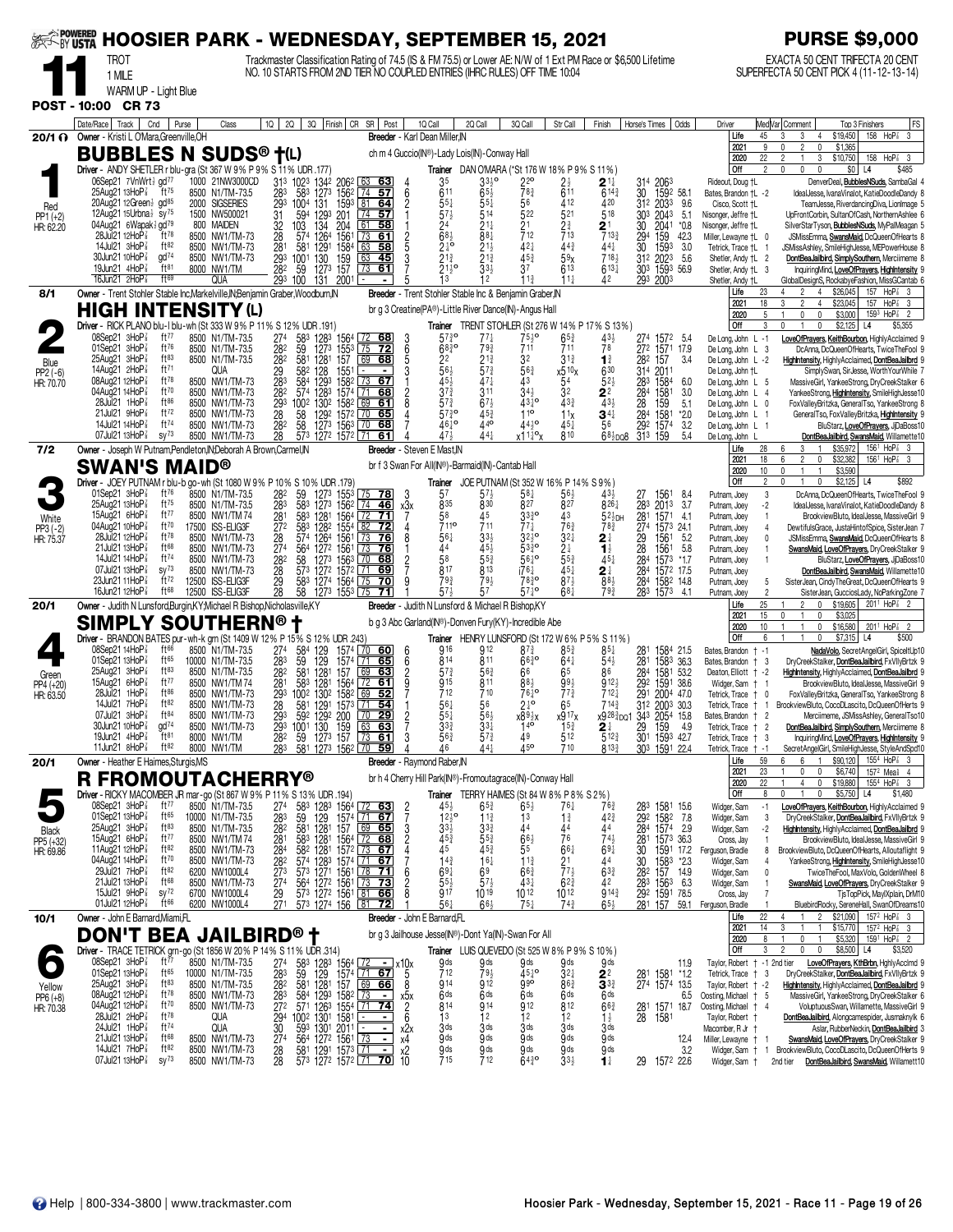| <b>EXAMPOWERED</b>              |                                                                                                          |                                      | <b>HOOSIER PARK - WEDNESDAY, SEPTEMBER 15, 2021</b>                                                                                                                                          |                                                                                                |                                                                                 |                                                                                                                        | <b>PURSE \$9,000</b>                                                                                                                                     |                                                                             |
|---------------------------------|----------------------------------------------------------------------------------------------------------|--------------------------------------|----------------------------------------------------------------------------------------------------------------------------------------------------------------------------------------------|------------------------------------------------------------------------------------------------|---------------------------------------------------------------------------------|------------------------------------------------------------------------------------------------------------------------|----------------------------------------------------------------------------------------------------------------------------------------------------------|-----------------------------------------------------------------------------|
|                                 | <b>TROT</b>                                                                                              |                                      | Trackmaster Classification Rating of 74.5 (IS & FM 75.5) or Lower AE: N/W of 1 Ext PM Race or \$6,500 Lifetime<br>NO. 10 STARTS FROM 2ND TIER NO COUPLED ENTRIES (IHRC RULES) OFF TIME 10:04 |                                                                                                |                                                                                 |                                                                                                                        | EXACTA 50 CENT TRIFECTA 20 CENT<br>SUPERFECTA 50 CENT PICK 4 (11-12-13-14)                                                                               |                                                                             |
|                                 | 1 MILE<br>WARM UP - Light Blue                                                                           |                                      |                                                                                                                                                                                              |                                                                                                |                                                                                 |                                                                                                                        |                                                                                                                                                          |                                                                             |
|                                 | POST - 10:00 CR 73                                                                                       |                                      |                                                                                                                                                                                              |                                                                                                |                                                                                 |                                                                                                                        |                                                                                                                                                          |                                                                             |
|                                 | Date/Race   Track  <br>Cnd<br>20/1 ? Owner - Kristi L O'Mara, Greenville, OH                             | Purse<br>Class                       | $1Q$   2Q  <br>3Q Finish CR SR Post                                                                                                                                                          | 1Q Call<br>2Q Call<br>Breeder - Karl Dean Miller.IN                                            | 3Q Call<br>Str Call                                                             | Finish<br>Horse's Times  <br>Odds                                                                                      | Med Var  Comment<br>Driver<br>Top 3 Finishers<br>\$19,450<br>Life<br>45<br>3<br>3<br>$\overline{4}$                                                      | FS<br>158 HoP <sup>3</sup> 3                                                |
|                                 | <b>BUBBLES N SUDS® †(L)</b>                                                                              |                                      |                                                                                                                                                                                              | ch m 4 Guccio(IN®)-Lady Lois(IN)-Conway Hall                                                   |                                                                                 |                                                                                                                        | \$1,365<br>2021<br>9<br>$\overline{2}$<br>$\mathbf{0}$<br>22<br>3<br>\$10,750<br>158<br>2020<br>$\overline{2}$                                           | HoP <sub>8</sub><br>-3                                                      |
|                                 | Driver - ANDY SHETLER r blu-gra (St 367 W 9% P 9% S 11% UDR .177)                                        |                                      |                                                                                                                                                                                              |                                                                                                | Trainer DAN O'MARA (*St 176 W 18% P 9% S 11%)                                   |                                                                                                                        | Off<br>\$0<br>$\overline{2}$<br>0<br>$\mathbf 0$<br>$\mathbf{0}$<br>L4                                                                                   | \$485                                                                       |
|                                 | 06Sep21 7VnWrt2 gd77<br>$25$ Aug $21$ 13HoP $\frac{7}{8}$<br>ft $^{75}$                                  | 1000 21NW3000CD<br>8500 N1/TM-73.5   | 313 1023 1342 2062<br>63 63<br>583<br>1273 1562 74 57<br>283                                                                                                                                 | 3330<br>35<br>611<br>$65\frac{1}{2}$<br>6                                                      | $22^{\circ}$<br>$2\frac{1}{2}$<br>$78\frac{3}{4}$<br>611                        | $2^{11}$<br>314 2063<br>30<br>$6^{14\frac{3}{4}}$<br>1592 58.1                                                         | Rideout, Doug +L<br>DenverDeal, BubblesNSuds, SambaGal<br>Bates, Brandon +L -2<br>IdealJesse, IvanaVinalot, KatieDoodleDandy 8                           |                                                                             |
| Red<br>PP1 (+2)                 | 20Aug21 12Green 3 gd <sup>85</sup><br>12Aug21 15Urbna <sup>1</sup> sy <sup>75</sup>                      | 2000 SIGSERIES<br>1500 NW500021      | 1593 81<br>$\overline{29}$ <sup>3</sup><br>1004 131<br>-64<br>201<br>7457<br>31<br>594<br>1293                                                                                               | $55\frac{1}{4}$<br>551<br>$57\frac{1}{2}$<br>514                                               | 56<br>412<br>522<br>521                                                         | $31^2$ 203 <sup>3</sup><br>420<br>518<br>303 2043                                                                      | 9.6<br>Cisco, Scott +L<br>TeamJesse, RiverdancingDiva, Lionlmage 5<br>5.1<br>Nisonger, Jeffre +L<br>UpFrontCorbin, SultanOfCash, NorthernAshlee 6        |                                                                             |
| HR: 62.20                       | 04Aug21 6Wapak 3 gd <sup>79</sup><br>28Jul21 12HoP <sup>3</sup><br>$ft^{78}$                             | 800 MAIDEN<br>8500 NW1/TM-73         | 204<br>1561<br>32<br>28<br>103<br>574<br>$134$<br>$1264$<br>61<br>-58<br>73<br>61                                                                                                            | 24<br>$\bar{6}83$<br>88 <sub>1</sub>                                                           | 21<br>$2\frac{3}{4}$<br>713<br>712                                              | $\frac{30}{294}$<br>$\frac{2}{7}^{1}_{13\frac{3}{4}}$<br>2041<br>159                                                   | *0.8<br>SilverStarTyson, BubblesNSuds, MyPalMeagan 5<br>Nisonger, Jeffre +L<br>42.3<br>Miller, Lewayne +L 0<br>JSMissEmma, SwansMaid, DcQueenOfHearts 8  |                                                                             |
|                                 | ft82<br>14Jul21 3HoP <sup>7</sup><br>$\alpha$ d <sup>74</sup><br>30Jun21 10HoP                           | 8500 NW1/TM-73<br>8500 NW1/TM-73     | 281<br>581<br>1291<br>1584<br>63<br>-58<br>63<br>293<br>1001<br>45                                                                                                                           | $2\frac{1}{4}$ <sup>o</sup><br>$21\frac{1}{2}$<br>$21\frac{3}{4}$<br>$21\frac{3}{4}$           | 421<br>$44\frac{3}{4}$<br>453<br>5 <sup>9</sup>                                 | 30<br>441<br>1593<br>7184<br>312 2023                                                                                  | 3.0<br>Tetrick, Trace +L 1<br>JSMissAshley, SmileHighJesse, MEPowerHouse 8<br>5.6<br>Shetler, Andy †L 2<br>DontBeaJailbird, SimplySouthern, Merciimeme 8 |                                                                             |
|                                 | 19Jun21 4HoP <sup>3</sup><br>ft81<br>ft69<br>16Jun21 $2H$ o $P_8^7$                                      | 8000 NW1/TM<br><b>QUA</b>            | 130 159<br>127 <sup>3</sup> 157<br>$\overline{73}$<br>282<br>59<br>61<br>293 100<br>131<br>2001<br>$\blacksquare$                                                                            | $21\frac{1}{2}$ <sup>o</sup><br>33}<br>13<br>12<br>5                                           | 613<br>37<br>$11\frac{1}{2}$<br>11 <sup>3</sup>                                 | $6^{13\frac{1}{4}}$<br>303 1593 56.9<br>42<br>293 2003                                                                 | Shetler, Andy †L 3<br>InquiringMind, LoveOfPrayers, HighIntensity 9<br>GlobalDesignS, RockabyeFashion, MissGCantab 6<br>Shetler, Andy †L                 |                                                                             |
| 8/1                             | Owner - Trent Stohler Stable Inc, Markelville, IN; Benjamin Graber, Woodburn, IN                         |                                      |                                                                                                                                                                                              | Breeder - Trent Stohler Stable Inc & Benjamin Graber, IN                                       |                                                                                 |                                                                                                                        | 23<br>\$26,045<br>Life<br>4<br>$\mathfrak{D}$<br>$\overline{4}$                                                                                          | 157 HoP <sup>2</sup> 3                                                      |
|                                 | HIGH INTENSITY (L)                                                                                       |                                      |                                                                                                                                                                                              | br g 3 Creatine(PA®)-Little River Dance(IN)-Angus Hall                                         |                                                                                 |                                                                                                                        | 2021<br>18<br>3<br>\$23,045<br>157<br>2<br>4<br>2020<br>5<br>0<br>0<br>\$3,000                                                                           | $HoP8$ 3<br>1593 HoP <sup>7</sup><br>$\overline{2}$                         |
|                                 | Driver - RICK PLANO blu-I blu-wh (St 333 W 9% P 11% S 12% UDR .191)<br>08Sep21 3HoP <sup>7</sup><br>ft77 | 8500 N1/TM-73.5                      | 27 <sup>4</sup><br>583<br>1283 1564<br>68                                                                                                                                                    | $57\frac{3}{4}$ <sup>o</sup><br>77‡                                                            | <b>Trainer</b> TRENT STOHLER (St 276 W 14% P 17% S 13%)<br>$65\frac{3}{4}$      | $43\frac{1}{2}$                                                                                                        | Off<br>\$2,125<br>3<br>0<br>$\mathbf{1}$<br>0<br>L4<br>LoveOfPrayers, KeithBourbon, HighlyAcclaimed 9<br>De Long, John L -1                              | \$5,355                                                                     |
| Blue                            | 01Sep21 3HoP<br>ft76<br>$ft^{83}$<br>$25$ Aua $21$ $3$ HoP $\frac{7}{8}$                                 | 8500 N1/TM-73.5<br>8500 N1/TM-73.5   | $\frac{72}{75}$<br>59<br>1273 1553<br>$\overline{72}$<br>282<br>282<br>581<br>1281 157<br>69<br>68                                                                                           | $\frac{3}{6}$<br>$68\frac{3}{4}$ <sup>o</sup><br>79}<br>5<br>2 <sup>2</sup><br>$21\frac{3}{4}$ | $75\frac{1}{2}$ <sup>o</sup><br>711<br>711<br>32<br>$3^{13}$                    | 274 1572 5.4<br>272 1571 17.9<br>78<br>282 157<br>$\mathbf{1}^{\frac{3}{4}}$                                           | De Long, John L 3<br>DcAnna, DcQueenOfHearts, TwiceTheFool<br>3.4<br>De Long, John L -2<br>HighIntensity, HighlyAcclaimed, DontBeaJailbrd 9              |                                                                             |
| PP2 (-6)<br>HR: 70.70           | 14Aug21 2HoP<br>ft <sup>71</sup><br>08Aug21 12HoP <sup>3</sup><br>$ft^{78}$                              | QUA<br>8500 NW1/TM-73                | 29<br>128 1551<br>1293 1582<br>582<br>283<br>584<br>7367                                                                                                                                     | 3<br>$\frac{56}{45}$<br>$57\frac{3}{4}$<br>47 <sub>7</sub>                                     | $56\frac{3}{4}$<br>$x_{54}^{510}x$<br>$\tilde{4}3$                              | 630<br>31 <sup>4</sup><br>2011<br>$52\frac{1}{2}$<br>283<br>1584                                                       | De Long, John †L<br>SimplySwan, SirJesse, WorthYourWhile 7<br>6.0<br>MassiveGirl, YankeeStrong, DryCreekStalker 6<br>De Long, John L 5                   |                                                                             |
|                                 | ft70<br>04Aug21 14HoP3<br>28Jul21 1HoP <sup>3</sup><br>$ft^{86}$                                         | 8500 NW1/TM-73<br>8500 NW1/TM-73     | 282<br>574 1283 1574<br>68<br>  71<br>293<br>1002<br>1302 1582<br>69<br>61                                                                                                                   | $3^{73}$<br>$\overline{2}$<br>311<br>8<br>$57\frac{3}{4}$<br>$67\frac{1}{2}$                   | 34 <sup>1</sup><br>32<br>$43\frac{3}{4}$<br>$43^{10}$                           | 284<br>$2^2$<br>1581<br>433<br>159                                                                                     | 3.0<br>De Long, John L 4<br>YankeeStrong, Highlntensity, SmileHighJesse10<br>5.1<br>De Long, John L 0<br>FoxValleyBritzka, GeneralTso, YankeeStrong 8    |                                                                             |
|                                 | ft72<br>21Jul21 9HoP <sup>3</sup><br>$ft^{74}$<br>14Jul21 14HoP <sup>3</sup>                             | 8500 NW1/TM-73                       | 70<br>28<br>58<br>1292 1572<br>65<br>$\sqrt{70}$                                                                                                                                             | $57\frac{3}{4}$ <sup>o</sup><br>45 <sup>3</sup><br>4610<br>440                                 | 110<br>1 <sup>1</sup><br>$44^{10}$<br>45,                                       | $\frac{28}{284}$<br>1581<br>$34\frac{1}{4}$                                                                            | *2.0<br>De Long, John L 1<br>GeneralTso, FoxValleyBritzka, HighIntensity 9                                                                               |                                                                             |
|                                 | 07Jul21 13HoP <sup>3</sup><br>$SV^{73}$                                                                  | 8500 NW1/TM-73<br>8500 NW1/TM-73     | 282<br>58<br>1273 1563<br>68<br>28<br>573 1272 1572 71<br>61                                                                                                                                 | 471<br>441                                                                                     | x11 <sup>1</sup> <sup>o</sup> x<br>810                                          | 292<br>56<br>1574<br>$68\frac{1}{2}$ po8<br>313 159                                                                    | 3.2<br>De Long, John L 1<br>BluStarz, LoveOfPrayers, JjDaBoss10<br>5.4<br>De Long, John<br>DontBeaJailbird, SwansMaid, Willamette10                      |                                                                             |
| 7/2                             | Owner - Joseph W Putnam, Pendleton, IN; Deborah A Brown, Carmel, IN<br><b>SWAN'S MAID®</b>               |                                      |                                                                                                                                                                                              | <b>Breeder</b> - Steven E Mast.IN<br>br f 3 Swan For All(IN®)-Barmaid(IN)-Cantab Hall          |                                                                                 |                                                                                                                        | 28<br>\$35,972<br>Life<br>6<br>3<br>18<br>$\overline{2}$<br>2021<br>6<br>0<br>\$32,382                                                                   | 156 <sup>1</sup> HoP <sup>2</sup> <sub>8</sub> 3<br>1561 HoP <sup>3</sup> 3 |
|                                 |                                                                                                          |                                      | Driver - JOEY PUTNAM r blu-b go-wh (St 1080 W 9% P 10% S 10% UDR .179)                                                                                                                       | Trainer                                                                                        | JOE PUTNAM (St 352 W 16% P 14% S 9%)                                            |                                                                                                                        | 10<br>$\mathbf{0}$<br>\$3,590<br>2020<br>$\mathbf{1}$<br>  Off<br>0<br>0<br>\$2,125<br>L4<br>2                                                           | \$892                                                                       |
|                                 | 01Sep21 3HoP <sup>3</sup><br>ft $76$<br>ft75<br>25Aug21 13HoP <sup>3</sup>                               | 8500 N1/TM-73.5<br>8500 N1/TM-73.5   | 59<br>282<br>1273 1553<br>75<br>-78<br>583<br>283<br>1273 1562<br>  74<br>46                                                                                                                 | 5 <sup>7</sup><br>$57\frac{1}{2}$<br>3<br>835<br>830<br>x3x                                    | $58\frac{1}{4}$<br>56<br>827<br>827                                             | 43,<br>1561<br>27<br>8261<br>283<br>2013                                                                               | 8.4<br>3<br>Putnam, Joey<br>DcAnna, DcQueenOfHearts, TwiceTheFool 9<br>3.7<br>Putnam, Joey<br>-2<br>IdealJesse, IvanaVinalot, KatieDoodleDandy 8         |                                                                             |
| White<br>PP3 (-2)               | 15Aug21 6HoP <sup>3</sup><br>ft77<br>04Aug21 10HoP <sup>3</sup><br>ft70                                  | 8500 NW1/TM 74<br>17500 ISS-ELIG3F   | 1281 1564<br>$\frac{72}{82}$<br>281<br>583<br>71<br>272<br>583<br>1282 1554<br>72                                                                                                            | $\frac{58}{711}$<br>45<br>711                                                                  | 33 <sub>4</sub> <sup>3</sup><br>43<br>771<br>$76\frac{3}{4}$                    | 281 1571 41<br>274 1573 241<br>$52\frac{1}{2}$ DH<br>$78\frac{3}{4}$                                                   | Putnam, Joey<br>BrookviewBluto, IdealJesse, MassiveGirl 9<br>$\overline{1}$<br>DewtifulsGrace, JustaHintofSpice, SisterJean 7<br>Putnam, Joey<br>4       |                                                                             |
| HR: 75.37                       | $ft^{78}$<br>28Jul21 12HoP <sup>3</sup><br>21Jul21 13HoP <sup>3</sup><br>ft68                            | 8500 NW1/TM-73<br>8500 NW1/TM-73     | 574 1264 1561<br><u>  73</u><br>76<br>28<br>$\sqrt{73}$<br>274<br>564<br><u>76</u>                                                                                                           | $56\frac{1}{4}$<br>$33\frac{1}{2}$<br>8<br>44<br>453                                           | $3^{2}$<br>$3^{210}$<br>5330                                                    | 29<br>28<br>28 <sup>4</sup><br>1561<br>$2^{\frac{1}{4}}$<br>1561<br>$\mathbf{1}_{2}^{1}$                               | 5.2<br>Putnam, Joey<br>0<br>JSMissEmma, SwansMaid, DcQueenOfHearts 8<br>5.8<br>SwansMaid, LoveOfPrayers, DryCreekStalker 9<br>Putnam, Joey               |                                                                             |
|                                 | ft74<br>14Jul21 14HoP <sup>3</sup><br>07Jul21 13HoP <sup>7</sup><br>SV <sup>73</sup>                     | 8500 NW1/TM-73<br>8500 NW1/TM-73     | 127 <sup>2</sup> 1561<br>127 <sup>3</sup> 1563<br>282<br>58<br>68<br>70<br>28<br>573 1272 1572 11<br>69                                                                                      | 58<br>$55\frac{3}{4}$<br>817<br>813                                                            | $2\frac{1}{3}$<br>553<br>$56^{10}$<br>$45\frac{1}{4}$<br>i76‡                   | $45\frac{1}{4}$<br>1573<br>284                                                                                         | *1.7<br>Putnam, Joey<br>BluStarz, LoveOfPrayers, JiDaBoss10<br>DontBeaJailbird, SwansMaid, Willamette10                                                  |                                                                             |
|                                 | 23Jun21 11HoP <sup>7</sup><br>ft72<br>16Jun21 12HoP <sup>7</sup><br>$ft^{68}$                            | 12500 ISS-ELIG3F<br>12500 ISS-ELIG3F | 29<br>28<br>1274 1564<br>$\sqrt{75}$<br>583<br>70<br>1273 1553<br>58<br><b>175</b>                                                                                                           | 794<br>793<br>g<br>57<br>57                                                                    | $87\frac{1}{2}$<br>$78^{30}_{4}$<br>$571$ °<br>681                              | $2^{\frac{1}{4}}$<br>1572 17.5<br>883<br>284<br>1582 14.8<br>793<br>283 1573                                           | Putnam, Joey<br>SisterJean, CindyTheGreat, DcQueenOfHearts 9<br>Putnam, Joey<br>5<br>4.1<br>$\overline{\phantom{a}}$                                     |                                                                             |
| 20/1                            | Owner - Judith N Lunsford, Burgin, KY, Michael R Bishop, Nicholasville, KY                               |                                      |                                                                                                                                                                                              | <b>Breeder</b> - Judith N Lunsford & Michael R Bishop, KY                                      |                                                                                 |                                                                                                                        | SisterJean, GucciosLady, NoParkingZone 7<br>Putnam, Joey<br>25<br>$\overline{2}$<br>Life<br>$\mathbf 0$<br>\$19,605                                      | 2011 HoP <sup>2</sup> 2                                                     |
|                                 | SIMPLY SOUTHERN® t                                                                                       |                                      |                                                                                                                                                                                              | b g 3 Abc Garland(IN®)-Donven Fury(KY)-Incredible Abe                                          |                                                                                 |                                                                                                                        | 15<br>0<br>\$3,025<br>2021<br>0<br>10<br>$\mathbf 0$<br>\$16,580<br>2020<br>$\mathbf{1}$                                                                 | 201 <sup>1</sup> HoP <sup>2</sup> <sub>8</sub> 2                            |
|                                 | 08Sep2114HoP <sup>7</sup><br>ft $66$                                                                     | 8500 N1/TM-73.5                      | Driver - BRANDON BATES pur-wh-k grn (St 1409 W 12% P 15% S 12% UDR .243)<br>584<br>274<br>1574 70<br><u>60</u>                                                                               | 916<br>912<br>6                                                                                | Trainer HENRY LUNSFORD (St 172 W 6% P 5% S 11%)<br>$8^{7.3}$<br>$85\frac{3}{4}$ | $85\frac{1}{4}$<br>1584 21.5<br>281                                                                                    | Off<br>\$7,315<br>6<br>$\mathbf{1}$<br>$\overline{1}$<br>$\mathbf 0$<br>L4<br>NadaVolo, SecretAngelGirl, SpiceltUp10<br>Bates, Brandon + -1              | \$500                                                                       |
|                                 | 01Sep21 13HoP<br>ft65<br>$ft^{83}$<br>$25$ Aug21 $3$ HoP $\frac{7}{8}$                                   | 10000 N1/TM-73.5<br>8500 N1/TM-73.5  | 129<br>129<br>$\sqrt{71}$<br>65<br>283<br>59<br>1574<br>1281<br>69<br>282<br>581<br>63<br>157                                                                                                | 814<br>811<br>6<br>$5^{7}$<br>56 <sup>3</sup>                                                  | $66\frac{3}{4}$<br>$64\frac{1}{4}$<br>66<br>65                                  | 281 1583 36.3<br>$54\frac{1}{2}$<br>1581 53.2<br>86                                                                    | Bates, Brandon + 3<br>DryCreekStalker, DontBeaJailbird, FxVIIyBrtzk 9<br>Deaton, Elliott + -2<br>HighIntensity, HighIyAcclaimed, DontBeaJailbrd 9        |                                                                             |
| Green<br>PP4 (+20)<br>HR: 63.50 | ft77<br>15Aug21 $6H_0P_8^7$<br>ft86<br>28Jul21<br>$1H$ o $P_8^7$                                         | 8500 NW1/TM 74<br>8500 NW1/TM-73     | 281<br>583<br>1281<br>1564<br>$\sqrt{72}$<br>61<br>69<br>1002 1302 1582<br>52<br>293                                                                                                         | 915<br>811<br>712<br>710                                                                       | 993<br>88}<br>$77\frac{3}{4}$<br>$76\frac{1}{4}$ <sup>o</sup>                   | 284<br>292<br>1591<br>$912\frac{1}{2}$<br>38.6<br>712 <sub>1</sub><br>291<br>2004 47.0                                 | Widger, Sam + 1<br>BrookviewBluto, IdealJesse, MassiveGirl 9<br>Tetrick, Trace + 0<br>FoxValleyBritzka, GeneralTso, YankeeStrong 8                       |                                                                             |
|                                 | ft82<br>14Jul21 7HoP<br>07Jul21 3HoP <sup>3</sup><br>$ft^{84}$                                           | 8500 NW1/TM-73<br>8500 NW1/TM-73     | 28<br>581<br>1291 1573 71 54<br>293<br>592 1292 200<br> 70<br>29                                                                                                                             | 561<br>56<br>$55\frac{1}{4}$<br>$56\frac{1}{2}$                                                | $2^{10}$<br>65<br>x917x<br>$x89\frac{1}{2}x$                                    | $714\frac{3}{7}$<br>312 2003 30.3<br>x9 <sup>283</sup> <sub>DQ</sub> 1 34 <sup>3</sup> 2054 15.8                       | BrookviewBluto, CocoDLascito, DcQueenOfHerts 9<br>Tetrick, Trace † 1<br>Merciimeme, JSMissAshley, GeneralTso10<br>Bates, Brandon † 2                     |                                                                             |
|                                 | 30Jun21 10HoP <sup>3</sup><br>gd <sup>74</sup><br>$ft^{81}$<br>19Jun21 $4HOP\frac{7}{8}$                 | 8500 NW1/TM-73                       | 293<br>1001 130 159<br><u>ಂತ</u><br>28 <sup>2</sup>                                                                                                                                          | $3^{3}_{4}$<br>563                                                                             | $15^{3}$<br>512<br>49                                                           | $2\frac{1}{2}$<br>512 <sup>3</sup>                                                                                     | Tetrick, Trace<br>DontBeaJailbird, SimplySouthern, Merciimeme 8                                                                                          |                                                                             |
|                                 | $ft^{82}$<br>11Jun21 $8HOP\frac{7}{8}$                                                                   | 8000 NW1/TM<br>8000 NW1/TM           | 59 1273 157 73 61<br>581 1273 1562 70 59<br>283                                                                                                                                              | $5^{7}$<br>46<br>441                                                                           | <i>i</i> 5∘<br>710                                                              | 29 159 4.9<br>301 1593 42.7<br>303 1591 22.4<br>813 <sup>3</sup>                                                       | Tetrick, Trace   3<br>InquiringMind, LoveOfPrayers, HighIntensity 9<br>Tetrick, Trace<br>SecretAngelGirl, SmileHighJesse, StyleAndSpd10<br>$+ -1$        |                                                                             |
| 20/1                            | Owner - Heather E Haimes, Sturgis, MS<br><b>R FROMOUTACHERRY®</b>                                        |                                      |                                                                                                                                                                                              | Breeder - Raymond Raber, IN<br>br h 4 Cherry Hill Park(IN®)-Fromoutagrace(IN)-Conway Hall      |                                                                                 |                                                                                                                        | 59<br>\$90,120<br>Life<br>6<br>6<br>$\mathbf{1}$<br>2021<br>23<br>\$6,740<br>0<br>0                                                                      | $155^4$ HoP <sup>2</sup> 3<br>157 <sup>2</sup> Mea <sup>§</sup> 4           |
|                                 | Driver - RICKY MACOMBER JR mar-go (St 867 W 9% P 11%                                                     |                                      | S 13% UDR 194)                                                                                                                                                                               |                                                                                                | Trainer TERRY HAIMES (St 84 W 8% P 8% S 2%)                                     |                                                                                                                        | 2020<br>22<br>$\overline{4}$<br>$\mathbf 0$<br>\$19,880<br>  Off<br>U<br>\$5,750<br>R<br>$\mathbf 0$<br>L4                                               | 1554 HoP <sup>3</sup> 3<br>\$1,480                                          |
|                                 | 08Sep21 3HoP <sup>3</sup><br>ft77<br>01Sep21 13HoP <sup>3</sup><br>ft65                                  | 8500 N1/TM-73.5<br>10000 N1/TM-73.5  | 583 1283 1564<br>59 129 1574<br>274<br><u> 72 </u><br><u>63</u><br>283                                                                                                                       | $45\frac{1}{2}$<br>$\frac{2}{7}$<br>65∛<br>$12\frac{1}{2}$<br>11 <sup>3</sup>                  | $65\frac{1}{2}$<br>$76\frac{1}{4}$<br>1 <sup>3</sup><br>$1\frac{3}{4}$          | $76\frac{3}{4}$<br>1581 15.6<br>283<br>$4^{2^{3}}$                                                                     | LoveOfPrayers, KeithBourbon, HighlyAcclaimed 9<br>Widger, Sam<br>-1<br>DryCreekStalker, DontBeaJailbird, FxVIIyBrtzk 9<br>Widger, Sam<br>3               |                                                                             |
| <b>Black</b>                    | 25Aug21 3HoP <sup>3</sup><br>$ft^{83}$<br>15Aug21 6HoP <sup>3</sup><br>ft77                              | 8500 N1/TM-73.5<br>8500 NW1/TM 74    | 39 129 1574 71 67<br>581 1281 157 69 65<br>583 1281 1564 72 68<br>$\overline{28}$ <sup>2</sup><br>281                                                                                        | $\frac{3}{2}$<br>$3^{3\frac{1}{2}}$<br>$3^{3}_{4}$<br>$45\frac{5}{4}$<br>$55\frac{3}{4}$       | 44<br>44<br>$66\frac{1}{2}$<br>76                                               | 29 <sup>2</sup> 158 <sup>2</sup> 7.8<br>28 <sup>4</sup> 157 <sup>4</sup> 2.9<br>44<br>$74\frac{1}{2}$<br>281 1573 36.3 | Widger, Sam<br>$-2$<br>HighIntensity, HighIyAcclaimed, DontBeaJailbrd 9<br>Cross, Jay<br>BrookviewBluto, IdealJesse, MassiveGirl 9<br>$\mathbf{1}$       |                                                                             |
| PP5 (+32)<br>HR: 69.86          | ft82<br>11Aug21 12HoP <sup>3</sup><br>04Aug21 14HoP <sup>3</sup><br>ft70                                 | 8500 NW1/TM-73<br>8500 NW1/TM-73     | 582 1281 1572 73 67<br>574 1283 1574 71 67<br>284<br>$\overline{28}$ <sup>2</sup>                                                                                                            | 45<br>$45\frac{3}{4}$<br>16 <sub>1</sub><br>$14\frac{3}{4}$                                    | $\overline{55}$<br>661<br>$11\frac{3}{4}$                                       | $69\frac{1}{4}$<br>$\begin{array}{c} 30 \\ 30 \end{array}$<br>1591 17.2<br>$158^3$ *2.3<br>44                          | Ferguson, Bradle<br>BrookviewBluto, DcQueenOfHearts, Alloutaflight 9<br>8<br>Widger, Sam<br>YankeeStrong, HighIntensity, SmileHighJesse10<br>4           |                                                                             |
|                                 | 29Jul21 7HoP <sup>3</sup><br>ft82<br>21Jul21 13HoP <sup>3</sup><br>ft <sup>68</sup>                      | 6200 NW1000L4                        | $\sqrt{78}$<br>273<br>573 1271 1561<br>71                                                                                                                                                    | $69\frac{1}{4}$<br>6 <sup>9</sup><br>6<br>$57\frac{1}{2}$                                      | $\frac{21}{77\frac{1}{2}}$<br>$66\frac{3}{4}$<br>$43\frac{1}{4}$<br>$6^{23}$    | $63\frac{3}{4}$<br>282 157 14.9<br>42                                                                                  | Widger, Sam<br>0<br>TwiceTheFool, MaxVolo, GoldenWheel 8<br>SwansMaid, LoveOfPrayers, DryCreekStalker 9                                                  |                                                                             |
|                                 | 15Jul21 9HoP <sup>3</sup><br>$sy^{72}$                                                                   | 8500 NW1/TM-73<br>6700 NW1000L4      | 564 1272 1561 73 73<br>573 1272 1561 81 66<br>27 <sup>4</sup><br>29                                                                                                                          | $5^{51}_{917}$<br>1019                                                                         | $10^{12}$<br>$10^{12}$                                                          | 283 1563 6.3<br>292 1591 78.5<br>$914\frac{3}{4}$                                                                      | Widger, Sam<br>$\overline{1}$<br>Cross, Jay<br>7                                                                                                         | TjsTopPick, MaylXplain, DrM10                                               |
| 10/1                            | 01Jul21 12HoP <sup>3</sup><br>ft <sup>66</sup><br>Owner - John E Barnard, Miami, FL                      | 6200 NW1000L4                        | 27 <sup>1</sup><br>573 1274 156 81<br>-72                                                                                                                                                    | 561<br>66}<br>Breeder - John E Barnard,FL                                                      | $75\frac{1}{4}$<br>74 <sup>3</sup>                                              | $65\frac{1}{2}$<br>281 157                                                                                             | 59.1<br>Ferguson, Bradle<br>BluebirdRocky, SereneHall, SwanOfDreams10<br>22<br>\$21,090<br>Life<br>$\overline{2}$<br>4                                   | $157^2$ HoP <sup>2</sup> 3                                                  |
|                                 | DON'T BEA JAILBIRD® †                                                                                    |                                      |                                                                                                                                                                                              | br g 3 Jailhouse Jesse(IN®)-Dont Ya(IN)-Swan For All                                           |                                                                                 |                                                                                                                        | \$15,770<br>2021<br>14<br>3<br>1<br>$\overline{1}$<br>2020<br>8<br>0<br>\$5,320<br>$\overline{1}$                                                        | $157^2$ HoP $\frac{7}{8}$ 3<br>1591 HoP <sup>2</sup> <sub>8</sub> 2         |
|                                 | Driver - TRACE TETRICK grn-go (St 1856 W 20% P 14% S 11% UDR .314)<br>08Sep21 $3H_0P_8^T$<br>ft $77$     | 8500 N1/TM-73.5                      |                                                                                                                                                                                              | $=$ x10x                                                                                       | Trainer LUIS QUEVEDO (St 525 W 8% P 9% S 10%)<br>9 ds<br>9ds                    | 9ds                                                                                                                    | Off<br>3<br>2<br>$\mathbf{0}$<br>$\mathbf 0$<br>\$8,500<br>L4<br>$+ -1$ 2nd tier<br>LoveOfPrayers, KthBrbn, HghlyAcclmd 9<br>11.9<br>Taylor, Robert      | \$3,520                                                                     |
|                                 | 01Sep21 13HoP <sup>3</sup><br>ft65<br>25Aug21 $3HoP\frac{7}{8}$<br>$ft^{83}$                             | 10000 N1/TM-73.5<br>8500 N1/TM-73.5  | $^{274}_{283}$<br>58 <sup>3</sup> 128 <sup>3</sup> 156 <sup>4</sup> 72 -<br>59 129 1574 71 67<br>282<br>581<br>1281 157 69 66                                                                | $\frac{9}{7}$ ds<br>$\frac{9}{7}$ <sup>9<math>\frac{1}{2}</math></sup><br>5<br>914<br>8<br>912 | $45\frac{1}{4}$ <sup>o</sup><br>$32\frac{1}{4}$<br>990<br>$86\frac{3}{4}$       | 2 <sup>2</sup><br>1581 *1.2<br>281<br>$3^{3}$<br>274 1574 13.5                                                         | DryCreekStalker, DontBeaJailbird, FxVIIyBrtzk 9<br>Tetrick, Trace † 3<br>Taylor, Robert + -2<br>HighIntensity, HighlyAcclaimed, DontBeaJailbrd 9         |                                                                             |
| Yellow<br>PP6 (+8)<br>HR: 70.38 | $ft^{78}$<br>08Aug21 12HoP <sup>7</sup><br>04Aug21 12HoP <sup>3</sup><br>ft70                            | 8500 NW1/TM-73<br>8500 NW1/TM-73     | 584 1293 1582 73 -<br>571 1263 1554 71 74<br>283<br>272                                                                                                                                      | 6 <sub>ds</sub><br>6 <sup>ds</sup><br>$x_2$ 5x<br>6<br>814<br>914                              | 6 <sup>ds</sup><br>6 <sup>ds</sup><br>912<br>812                                | 6 <sup>ds</sup><br>$66\frac{3}{4}$                                                                                     | Oosting, Michael + 5<br>MassiveGirl, YankeeStrong, DryCreekStalker 6<br>6.5<br>Oosting, Michael + 4                                                      |                                                                             |
|                                 | $ft^{78}$<br>28Jul21 2HoP <sup>3</sup><br>ft74                                                           | QUA                                  | 294<br>1002 1301 1581<br>$\blacksquare$                                                                                                                                                      | 13<br>12                                                                                       | 12<br>12                                                                        | 281 1571 18.7<br>$1\frac{1}{2}$<br>1581<br>28                                                                          | VoluptuousSwan, Willamette, MassiveGirl 9<br>Taylor, Robert<br>DontBeaJailbird, Alongcamespider, Jusmaknylk 6                                            |                                                                             |
|                                 | 24Jul21 1HoP <sup>3</sup><br>21Jul21 13HoP <sup>3</sup><br>ft68                                          | QUA<br>8500 NW1/TM-73                | $\frac{30}{274}$<br>593<br>564<br>$\overline{\phantom{0}}$                                                                                                                                   | 3 <sub>ds</sub><br>3 <sub>ds</sub><br>x2x<br>ğds<br>9 <sub>ds</sub><br>χ4                      | 3 <sub>ds</sub><br>3 <sub>ds</sub><br>9 <sub>ds</sub><br>9 <sub>ds</sub>        | 3ds<br>9 <sub>ds</sub>                                                                                                 | Macomber, R Jr +<br>Aslar, RubberNeckin, DontBeaJailbird 3<br>SwansMaid, LoveOfPrayers, DryCreekStalker 9<br>12.4<br>Miller, Lewayne + 1                 |                                                                             |
|                                 | ft82<br>14Jul21 7HoP <sup>3</sup><br>07Jul21 13HoP $\frac{7}{8}$<br>$sy^{73}$                            | 8500 NW1/TM-73<br>8500 NW1/TM-73     | 28<br>1291 1573 71<br>581<br>28<br>573 1272 1572 71 70                                                                                                                                       | 9 <sub>ds</sub><br>9 <sub>ds</sub><br>x2<br>715<br>712<br>-10                                  | 9 ds<br>9 <sub>ds</sub><br>6430<br>$33\frac{1}{2}$                              | 9 <sub>ds</sub><br>29 1572 22.6<br>$\mathbf{1}^{\ddagger}$                                                             | 3.2<br>BrookviewBluto, CocoDLascito, DcQueenOfHerts 9<br>Widger, Sam † 1<br>DontBeaJailbird, SwansMaid, Willamett10<br>Widger, Sam +<br>2nd tier         |                                                                             |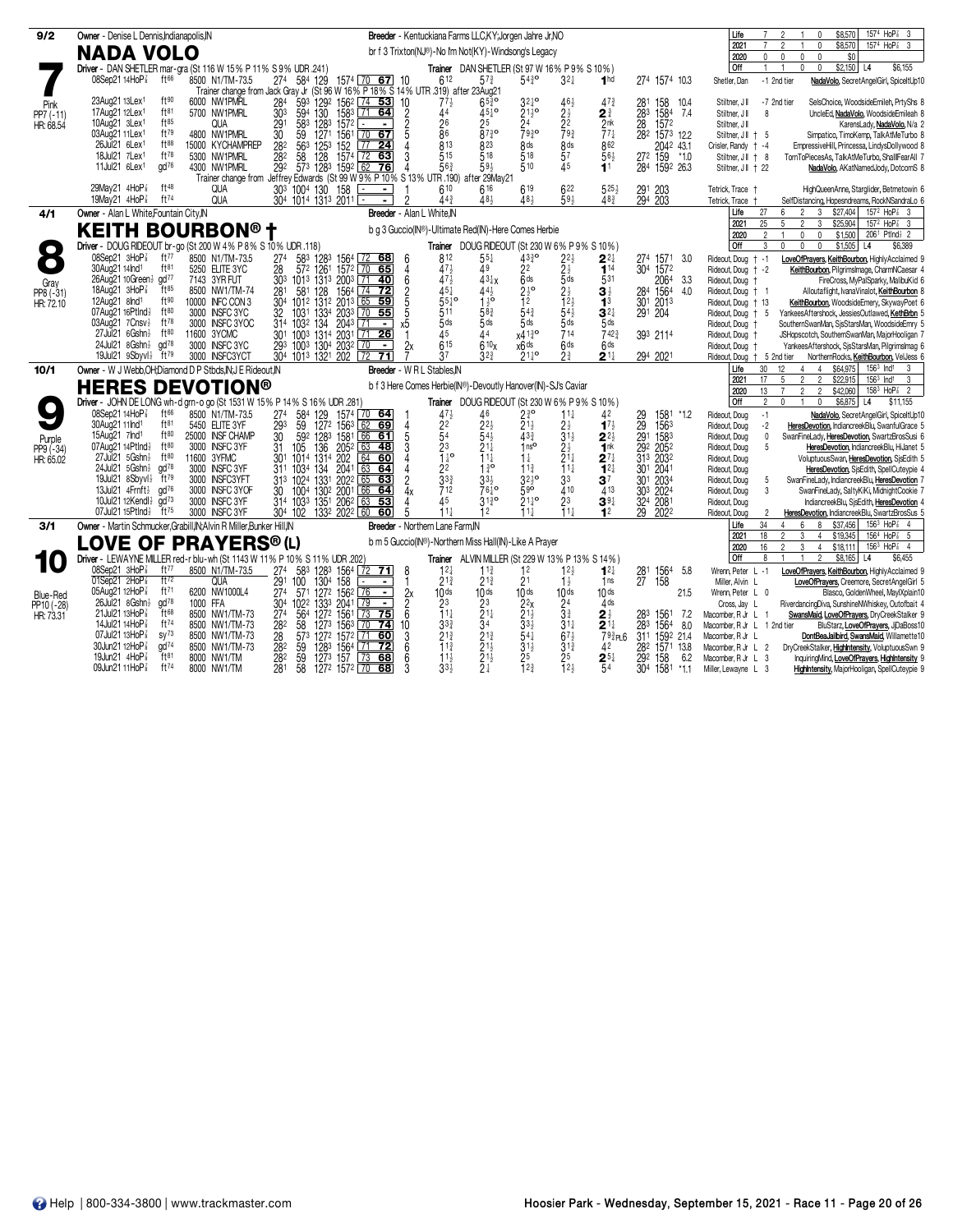|                 |                                                                                                               |                                                                                                                                 | Breeder - Kentuckiana Farms LLC, KY: Jorgen Jahre Jr, NO                                                  |                                                                                                      |                              |                                                                      |                                                                                                                                                                                                                                      |  |
|-----------------|---------------------------------------------------------------------------------------------------------------|---------------------------------------------------------------------------------------------------------------------------------|-----------------------------------------------------------------------------------------------------------|------------------------------------------------------------------------------------------------------|------------------------------|----------------------------------------------------------------------|--------------------------------------------------------------------------------------------------------------------------------------------------------------------------------------------------------------------------------------|--|
| 9/2             | Owner - Denise L Dennis, Indianapolis, IN                                                                     |                                                                                                                                 | 1574 HoP <sup>2</sup> 3<br>\$8,570<br>Life<br>2021<br>2<br>\$8,570<br>1574 HoP <sup>2</sup> 3<br>$\Omega$ |                                                                                                      |                              |                                                                      |                                                                                                                                                                                                                                      |  |
|                 | <b>NADA VOLO</b>                                                                                              |                                                                                                                                 | br f 3 Trixton(NJ®)-No I'm Not(KY)-Windsong's Legacy                                                      |                                                                                                      |                              |                                                                      | 2020<br>$\mathbf 0$<br>$\mathbf 0$<br>$\mathbf 0$<br>\$0<br>$\Omega$                                                                                                                                                                 |  |
|                 | Driver - DAN SHETLER mar-gra (St 116 W 15% P 11% S 9% UDR .241)                                               |                                                                                                                                 |                                                                                                           | Trainer DAN SHETLER (St 97 W 16% P 9% S 10%)                                                         |                              |                                                                      | Off<br>$\mathbf{1}$<br>$$2,150$ L4<br>\$6,155<br>$\overline{1}$<br>$\mathbf 0$<br>$\mathbf 0$                                                                                                                                        |  |
|                 | 08Sep21 14HoP <sup>7</sup><br>ft66<br>8500 N1/TM-73.5                                                         | 274<br>584 129<br>1574 70 67 10<br>Trainer change from Jack Gray Jr (St 96 W 16% P 18% S 14% UTR 319) after 23Aug21             | 612<br>$57\frac{3}{4}$                                                                                    | $54\frac{3}{4}$ <sup>o</sup><br>$32\frac{1}{4}$                                                      | 1 <sub>hd</sub>              | 274 1574 10.3                                                        | -1 2nd tier<br>NadaVolo, SecretAngelGirl, SpiceltUp10<br>Shetler, Dan                                                                                                                                                                |  |
| Pink            | ft90<br>23Aug21 13Lex <sup>1</sup><br>6000 NW1PMRL                                                            | 284<br>593 1292 1562 74 53                                                                                                      | $65\frac{3}{4}$ <sup>o</sup><br>$77\frac{1}{2}$<br>10                                                     | $32\frac{1}{4}$ <sup>o</sup><br>$46\frac{1}{2}$                                                      | $47\frac{3}{4}$              | 281<br>158<br>10.4                                                   | -7 2nd tier<br>SelsChoice, WoodsideEmileh, PrtyShs &<br>Stiltner, JI                                                                                                                                                                 |  |
| PP7 (-11)       | ft81<br>17Aug21 12Lex <sup>1</sup><br>5700 NW1PMRL                                                            | 1583 71 64<br>303<br>594<br>130                                                                                                 | 44<br>$45^{10}$<br>2                                                                                      | $21\frac{1}{2}$ <sup>o</sup><br>$2\frac{1}{2}$                                                       | $2^{\frac{3}{4}}$            | 283<br>1584<br>7.4                                                   | Stiltner, J II<br>$\mathbf{a}$<br>UncleEd, NadaVolo, WoodsideEmileah &                                                                                                                                                               |  |
| HR: 68.54       | ft85<br>10Aug21 3Lex <sup>1</sup><br><b>QUA</b>                                                               | $\frac{29}{30}$<br>$\frac{583}{59}$<br>1283<br>1271<br>$157^2$ $-$<br>$156^1$ $\overline{70}$ 67                                | $\frac{2}{5}$<br>26<br>86<br>25                                                                           | $\frac{24}{793}$ o<br>22                                                                             | $\frac{2}{7}$ <sup>nk</sup>  | 28<br>1572                                                           | Stiltner, J II<br>KarensLady, NadaVolo, N/a 2                                                                                                                                                                                        |  |
|                 | ft79<br>4800 NW1PMRL<br>03Aug21 11Lex <sup>1</sup><br>ft88                                                    |                                                                                                                                 | 8730                                                                                                      | 793                                                                                                  |                              | 282 1573 12.2                                                        | Stiltner, J     5<br>Simpatico, TimoKemp, TalkAtMeTurbo &                                                                                                                                                                            |  |
|                 | 26Jul21 6Lex <sup>1</sup><br>15000 KYCHAMPREP<br>18Jul21 7Lex1<br>ft78<br>5300 NW1PMRL                        | 28 <sup>2</sup><br>563<br>$\sqrt{77}$<br>152<br>24<br>282<br>$1574$ $\overline{72}$<br>63                                       | 813<br>823<br>515<br>518                                                                                  | 8 <sub>ds</sub><br>8 <sub>ds</sub><br>$\overline{5}$ <sup>7</sup><br>518                             | 862<br>56}                   | 2042 43.1<br>272 159<br>$*1.0$                                       | EmpressiveHill, Princessa, LindysDollywood 8<br>Crisler, Randy + -4<br>TornToPiecesAs, TalkAtMeTurbo, ShallIFearAll 7<br>Stiltner, J    + 8                                                                                          |  |
|                 | 11Jul21 6Lex1<br>$\alpha$ d $76$<br>4300 NW1PMRL                                                              | 125 <sup>3</sup><br>128<br>128 <sup>3</sup><br>$\frac{58}{573}$<br>$1592$ 62<br>292<br> 76                                      | 56 <sup>3</sup><br>$59\frac{1}{2}$<br>Δ                                                                   | 510<br>$\overline{45}$                                                                               | 11                           | 284 1592 26.3                                                        | Stiltner, J   + 22<br>NadaVolo, AKatNamedJody, DotcomS 8                                                                                                                                                                             |  |
|                 |                                                                                                               | Trainer change from Jeffrey Edwards (St 99 W 9% P 10% S 13% UTR 190) after 29May21                                              |                                                                                                           |                                                                                                      |                              |                                                                      |                                                                                                                                                                                                                                      |  |
|                 | 29May21 4HoP3<br>ft48<br><b>QUA</b>                                                                           | 30 <sup>3</sup> 100 <sup>4</sup> 130 158                                                                                        | 610<br>616                                                                                                | 619<br>622                                                                                           | $525\frac{1}{2}$             | 291 203<br>294 203                                                   | HighQueenAnne, Starglider, Betmetowin 6<br>Tetrick, Trace +                                                                                                                                                                          |  |
|                 | <b>QUA</b><br>19May21 4HoP <sup>3</sup><br>ft74                                                               |                                                                                                                                 | 44 <sup>3</sup><br>481                                                                                    | 59 <sub>3</sub><br>481                                                                               | 48 <sub>3</sub>              |                                                                      | SelfDistancing, Hopesndreams, RockNSandraLo 6<br>Tetrick, Trace                                                                                                                                                                      |  |
| 4/1             | Owner - Alan L White, Fountain City, IN                                                                       |                                                                                                                                 | Breeder - Alan L White.IN                                                                                 |                                                                                                      |                              |                                                                      | $157^2$ HoP <sup><math>7\overline{3}</math></sup> 3<br>Life<br>27<br>6<br>3<br>\$27,404<br>2021<br>25<br>5<br>\$25,904<br>157 <sup>2</sup> HoP <sup>2</sup> <sub>8</sub> 3<br>3<br>$\mathfrak{p}$                                    |  |
|                 | <b>KEITH BOURBON®</b> †                                                                                       |                                                                                                                                 | b g 3 Guccio(IN®)-Ultimate Red(IN)-Here Comes Herbie                                                      |                                                                                                      |                              |                                                                      | 2020<br>2<br>$\mathbf 0$<br>$\mathbf{0}$<br>\$1,500<br>2061 Ptlnd} 2<br>$\mathbf{1}$                                                                                                                                                 |  |
|                 | Driver - DOUG RIDEOUT br-go (St 200 W 4% P 8% S 10% UDR .118)                                                 |                                                                                                                                 |                                                                                                           | Trainer DOUG RIDEOUT (St 230 W 6% P 9% S 10%)                                                        |                              |                                                                      | Off<br>U<br>$\mathbf{0}$<br>$\mathbf{0}$<br>\$1,505<br>3<br>L <sub>4</sub><br>\$6,389                                                                                                                                                |  |
|                 | 08Sep21 3HoP <sup>3</sup><br>ft77<br>8500 N1/TM-73.5                                                          | 583 1283 1564 72 68<br>274                                                                                                      | 812<br>$55\frac{1}{4}$<br>6                                                                               | $43\frac{3}{4}$ <sup>o</sup>                                                                         | $2^{2}$                      | 274 1571<br>3.0                                                      | Rideout, Doug<br>$† -1$<br>LoveOfPrayers, KeithBourbon, HighlyAcclaimed 9                                                                                                                                                            |  |
|                 | 30Aug21 14Ind <sup>1</sup><br>ft81<br>5250 ELITE 3YC                                                          | 28<br>572 1261<br>1572 70 65                                                                                                    | 471<br>49<br>4                                                                                            | $2^{2\frac{1}{2}}$<br>$2^{\frac{1}{2}}$<br>$5^{\frac{1}{3}}$<br>$2^{2}$                              | $\overline{1}$ <sup>14</sup> | 304 1572                                                             | Rideout, Doug + -2<br>KeithBourbon, PilgrimsImage, CharmNCaesar 4                                                                                                                                                                    |  |
| Gray            | $\alpha$ d $\frac{77}{2}$<br>26Aug21 10Green}<br>7143 3YR FUT                                                 | 303<br>1013 1313 2003 71 40                                                                                                     | 6<br>47<br>$43\frac{1}{4}x$                                                                               | 6 <sup>ds</sup>                                                                                      | 531                          | 2064<br>3.3                                                          | Rideout, Doug<br>FireCross, MyPalSparky, MalibuKid 6                                                                                                                                                                                 |  |
| PP8 (-31)       | $ft^{85}$<br>18Aug21 $3H_0P_8^7$<br>8500 NW1/TM-74                                                            | 581 128<br>281<br>1564 74 72                                                                                                    | 451<br>$44\frac{1}{2}$                                                                                    | $2\frac{1}{2}$ <sup>o</sup><br>$2\frac{1}{2}$                                                        | 31                           | 284 1564<br>4.0                                                      | Rideout, Doug<br>Alloutaflight, IvanaVinalot, KeithBourbon 8                                                                                                                                                                         |  |
| HR: 72.10       | ft90<br>12Aug21 8Ind <sup>1</sup><br>10000 INFC CON 3<br>ft80<br>07Aug21 16Ptlnd}<br>3000 INSFC 3YC           | 2013 65 59<br>304<br>1012 1312<br>32<br>2033<br>70, 55<br>1031<br>1334                                                          | $\begin{array}{c}\n2 \\ 5 \\ 5\n\end{array}$<br>5510<br>$1\frac{1}{2}$<br>511<br>$58^{3}$                 | $\overline{12}$<br>$12\frac{1}{2}$<br>$54\frac{1}{2}$<br>54 <sup>3</sup>                             | 1 <sup>3</sup><br>$3^{2}$    | 301 2013<br>291 204                                                  | KeithBourbon, WoodsideEmery, SkywayPoet 6<br>Rideout, Doug + 13<br>YankeesAftershock, JessiesOutlawed, KethBrbn 5<br>-5                                                                                                              |  |
|                 | $ft^{78}$<br>3000 INSFC 3YOC<br>03Aug21 7Cnsv}                                                                | 314 1032 134<br>2043                                                                                                            | $\bar{5}$ ds<br>$5$ ds<br>х5                                                                              | 5ds<br>5ds                                                                                           | 5ds                          |                                                                      | Rideout, Doug<br>SouthernSwanMan, SisStarsMan, WoodsideEmry 5<br>Rideout, Doug                                                                                                                                                       |  |
|                 | ft80<br>$27$ Jul $21$ 6 Gshn $\frac{1}{2}$<br>11600 3YCMC                                                     | 1003 1314<br>30 <sup>1</sup><br>2031 71 26                                                                                      | 45<br>44                                                                                                  | 714<br>x413°                                                                                         | 7423                         | 393 2114                                                             | Rideout, Doug<br>JSHopscotch, SouthernSwanMan, MajorHooligan 7                                                                                                                                                                       |  |
|                 | 24Jul21 8Gshn}<br>$\alpha$ d $^{78}$<br>3000 INSFC 3YC                                                        | 293<br>1003 1304 2032<br>$\sqrt{70}$<br>$\blacksquare$                                                                          | 615<br>$\alpha$<br>610 <sub>x</sub>                                                                       | 6 <sub>ds</sub><br>x6 <sup>ds</sup>                                                                  | 6 <sup>ds</sup>              |                                                                      | YankeesAftershock, SisStarsMan, PilgrimsImag 6<br>Rideout, Doug                                                                                                                                                                      |  |
|                 | 19Jul21 9Sbyvl}<br>$ft^{79}$<br>3000 INSFC3YCT                                                                | 304 1013 1321 202 72<br>$\overline{71}$                                                                                         | 37<br>$3^{2^{3}}$                                                                                         | $21^{10}_{4}$<br>2 <sup>3</sup>                                                                      | $2^{11}$                     | 294 2021                                                             | Rideout, Doug<br>+ 5 2nd tier<br>NorthernRocks, KeithBourbon, VelJess 6                                                                                                                                                              |  |
| 10/1            | Owner - W J Webb.OH:Diamond D P Stbds.IN:J E Rideout.IN                                                       |                                                                                                                                 | Breeder - W R L Stables.IN                                                                                |                                                                                                      |                              |                                                                      | \$64,975<br>$156^3$ Ind <sup>1</sup><br>Life<br>30<br>12<br>$\overline{4}$<br>3<br>$\overline{4}$                                                                                                                                    |  |
|                 | <b>HERES DEVOTION®</b>                                                                                        |                                                                                                                                 | b f 3 Here Comes Herbie(IN®)-Devoutly Hanover(IN)-SJ's Caviar                                             |                                                                                                      |                              |                                                                      | $\overline{2}$<br>\$22.915<br>2021<br>17<br>5<br>$\mathfrak{p}$<br>$156^3$ Ind <sup>1</sup><br>3<br>158 <sup>3</sup> HoP <sup>2</sup> <sub>8</sub> 2<br>2020<br>13<br>$\overline{7}$<br>$\overline{2}$<br>$\overline{2}$<br>\$42,060 |  |
|                 | Driver - JOHN DE LONG wh-d grn-o go (St 1531 W 15% P 14% S 16% UDR .281)                                      |                                                                                                                                 |                                                                                                           | Trainer DOUG RIDEOUT (St 230 W 6% P 9% S 10%)                                                        |                              |                                                                      | Off<br>$\mathfrak{p}$<br>$\mathbf{0}$<br>$\mathbf 0$<br>\$6,875 L4<br>\$11,155<br>$\overline{1}$                                                                                                                                     |  |
|                 | 08Sep21 14HoP <sup>3</sup><br>f166<br>8500 N1/TM-73.5                                                         | 274<br>1574 70 64                                                                                                               | 46                                                                                                        | $2\frac{3}{4}$<br>$21\frac{1}{2}$<br>$11\frac{1}{4}$                                                 | 42                           | $*1.2$                                                               | Rideout, Doug<br>$-1$<br>NadaVolo, SecretAngelGirl, SpiceltUp10                                                                                                                                                                      |  |
|                 | 30Aug21 11Ind <sup>1</sup><br>ft81<br>5450 ELITE 3YF                                                          | $\frac{58^4}{59}$<br>129<br>1272<br>293<br>62<br>69<br>1563                                                                     | $4712$<br>$22254$<br>$2^{2}$<br>$\overline{4}$                                                            | $2\frac{1}{2}$<br>3 <sup>1</sup> $\frac{1}{2}$                                                       | $17\frac{1}{2}$              | 29 1581<br>29 1563<br>291 1583                                       | Rideout, Doug<br>$-2$<br>HeresDevotion, IndiancreekBlu, SwanfulGrace 5                                                                                                                                                               |  |
| Purple          | 15Aug21 7Ind <sup>1</sup><br>ft80<br>25000 INSF CHAMP                                                         | 592 1283<br>1581 66 61<br>30                                                                                                    | $\bar{5}4\bar{1}$<br>5                                                                                    | $43\frac{3}{4}$                                                                                      | 22}                          |                                                                      | Rideout, Doug<br>0<br>SwanFineLady, HeresDevotion, SwartzBrosSusi 6                                                                                                                                                                  |  |
| PP9 (-34)       | 07Aug21 14Ptlnd}<br>ft80<br>3000 INSFC 3YF<br>$27$ Jul $21$ 5 Gshn $\frac{1}{2}$<br>ft80<br>11600 3YFMC       | 31<br>105<br>1014<br>136<br>131 <sup>4</sup><br>205 <sup>2</sup><br>202<br>63<br>48<br>30 <sup>1</sup><br>$\overline{64}$<br>60 | $\frac{2^3}{1^{\frac{1}{4}}}$<br>3<br>$21\frac{1}{4}$<br>ĭ<br>$11\frac{1}{4}$                             | 1 <sup>0</sup><br>$2\frac{1}{2}$<br>2 <sup>1</sup><br>$1\frac{1}{4}$                                 | 1nk<br>$2^{7}$               | 29 <sup>2</sup> 205 <sup>2</sup><br>31 <sup>3</sup> 203 <sup>2</sup> | Rideout, Doug<br>5<br>HeresDevotion, IndiancreekBlu, HiJanet 5                                                                                                                                                                       |  |
| HR: 65.02       | 24Jul21 5Gshn}<br>$\alpha$ d $78$<br>3000 INSFC 3YF                                                           | 311 1034 134<br>2041<br>63<br>64                                                                                                | 130<br>2 <sup>2</sup><br>4                                                                                | $11\frac{1}{4}$<br>$11\frac{3}{4}$                                                                   | $1^{2}$                      | 301 2041                                                             | Rideout, Doug<br>VoluptuousSwan, HeresDevotion, SisEdith 5<br>Rideout, Doug<br>HeresDevotion, SisEdith, SpellCuteypie 4                                                                                                              |  |
|                 | 19Jul21 8Sbyvl}<br>ft79<br>3000 INSFC3YFT                                                                     | 1331<br>65 63<br>313 1024<br>2022                                                                                               | 33 <sup>3</sup><br>$\overline{2}$<br>$3^{3}\frac{1}{2}$                                                   | $32^{10}$<br>3 <sup>3</sup>                                                                          | 37                           | 301<br>2034                                                          | Rideout, Doug<br>SwanFineLady, IndiancreekBlu, HeresDevotion 7<br>-5                                                                                                                                                                 |  |
|                 | 13Jul21 $4F$ mft $\frac{1}{2}$<br>gd <sup>76</sup><br>3000 INSFC 3YOF                                         | 1004 1302 2001<br>66 64<br>30                                                                                                   | 712<br>76 -ূ¤<br>4x                                                                                       | 590<br>410                                                                                           | 413                          | 303 2024                                                             | 3<br>SwanFineLady, SaltyKiKi, MidnightCookie 7<br>Rideout, Doug                                                                                                                                                                      |  |
|                 | 3000 INSFC 3YF<br>10Jul21 12Kendl}<br>$\alpha$ d $^{73}$                                                      | 314 1033 1351 2062 63<br>53                                                                                                     | 45<br>$31\frac{3}{4}$ <sup>o</sup>                                                                        | $21\frac{1}{4}$ <sup>o</sup><br>2 <sup>3</sup>                                                       | $39\frac{1}{4}$              | 324 2081                                                             | IndiancreekBlu, SisEdith, HeresDevotion 4<br>Rideout, Doug                                                                                                                                                                           |  |
|                 | 07Jul21 15Ptlnd}<br>$ft^{75}$<br>3000 INSFC 3YF                                                               | 304 102 1332 2022 60<br>60                                                                                                      | 5<br>$11\frac{1}{2}$<br>12                                                                                | $11+$<br>$11\frac{1}{2}$                                                                             | 12                           | $\overline{29}$<br>2022                                              | Rideout, Doug<br>2<br>HeresDevotion, IndiancreekBlu, SwartzBrosSus 5                                                                                                                                                                 |  |
| 3/1             | Owner - Martin Schmucker, Grabill, IN; Alvin R Miller, Bunker Hill, IN                                        |                                                                                                                                 | Breeder - Northern Lane Farm.IN                                                                           |                                                                                                      |                              |                                                                      | 34<br>8<br>\$37,456<br>$156^3$ HoP <sup>2</sup> 4<br>Life<br>6<br>$\Delta$<br>2021<br>18<br>$\mathfrak{p}$<br>\$19,345<br>1564 HoP <sup>2</sup> 5<br>3<br>4                                                                          |  |
|                 | LOVE OF PRAYERS® (L)                                                                                          |                                                                                                                                 | b m 5 Guccio(IN®)-Northern Miss Hall(IN)-Like A Prayer                                                    |                                                                                                      |                              |                                                                      | 16<br>3<br>$156^3$ HoP $\frac{7}{8}$ 4<br>2020<br>$\overline{c}$<br>$\overline{4}$<br>\$18,111                                                                                                                                       |  |
|                 | Driver - LEWAYNE MILLER red-r blu-wh (St 1143 W 11% P 10% S 11% UDR .202)                                     |                                                                                                                                 |                                                                                                           | Trainer ALVIN MILLER (St 229 W 13% P 13% S 14%)                                                      |                              |                                                                      | Off<br>$\overline{2}$<br>\$8,165 L4<br>\$6,455<br>8                                                                                                                                                                                  |  |
|                 | 08Sep21 3HoP<br>ft $77$<br>8500 N1/TM-73.5                                                                    | $^{274}_{291}$<br>583<br>1283<br>$\frac{1564}{158}$ $\frac{72}{158}$ $\frac{71}{158}$                                           | 8<br>12 <sub>1</sub><br>$11\frac{3}{4}$                                                                   | $12\frac{1}{2}$<br>12                                                                                | $12\frac{1}{4}$              | 1564<br>5.8<br>$^{281}_{27}$                                         | Wrenn, Peter L -1<br>LoveOfPrayers, KeithBourbon, HighlyAcclaimed 9                                                                                                                                                                  |  |
|                 | 01Sep21 2HoP <sup>7</sup><br>ft72<br><b>QUA</b>                                                               | 100<br>130 <sup>4</sup>                                                                                                         | $2^{13}$<br>$21\frac{3}{4}$                                                                               | 2 <sup>1</sup><br>$1\frac{1}{2}$                                                                     | 1ns                          | 158                                                                  | LoveOfPrayers, Creemore, SecretAngelGirl 5<br>Miller, Alvin L                                                                                                                                                                        |  |
| <b>Blue-Red</b> | 05Aug21 12HoP <sup>3</sup><br>ft71<br>6200 NW1000L4<br>$\alpha$ d <sup>78</sup><br>26Jul21 8Gshn}<br>1000 FFA | 27 <sup>4</sup><br>1272 1562 76<br>571<br>$\blacksquare$<br>304<br>133 <sup>3</sup><br>$\sqrt{79}$<br>$\overline{\phantom{a}}$  | 2x<br>10 <sub>ds</sub><br>10 <sub>ds</sub>                                                                | 10 <sub>ds</sub><br>10ds                                                                             | 10 <sub>ds</sub><br>$4$ ds   | 21.5                                                                 | Blasco, GoldenWheel, MaylXplain10<br>Wrenn, Peter L 0                                                                                                                                                                                |  |
| PP10 (-28)      | 21Jul21 13HoP 3<br>ft68<br>8500 NW1/TM-73                                                                     | $\frac{1022}{564}$<br>2041<br>$\frac{274}{5}$<br>1272 1561<br>$\sqrt{73}$<br>75                                                 | 2 <sup>3</sup><br>$\frac{2^3}{2^1}$<br>$\frac{2}{6}$<br>$\bar{1}1\frac{1}{4}$                             | $\frac{24}{3}$                                                                                       | $2\frac{1}{2}$               | 283<br>1561<br>7.2                                                   | RiverdancingDiva, SunshineNWhiskey, Outofbait 4<br>Cross, Jay L<br>SwansMaid, LoveOfPrayers, DryCreekStalker 9<br>Macomber, R Jr L<br>-1                                                                                             |  |
| HR: 73.31       | 14Jul21 14HoP<br>ft74<br>8500 NW1/TM-73                                                                       | 282<br>58<br>1563<br>127 <sup>3</sup><br>74<br>l 70                                                                             | 333<br>34<br>10                                                                                           | $\frac{2}{2}$<br>$\frac{2}{3}$<br>$\frac{3}{4}$<br>$\frac{1}{4}$<br>$\frac{1}{4}$<br>$31\frac{1}{4}$ | $2^{11}$                     | 283<br>1564<br>8.0                                                   | BluStarz, LoveOfPrayers, JjDaBoss10<br>Macomber, R Jr L 1 2nd tier                                                                                                                                                                   |  |
|                 | 07Jul21 13HoP <sup>3</sup><br>$SV^{73}$<br>8500 NW1/TM-73                                                     | $\frac{28}{28}$<br>573<br>127 <sup>2</sup><br>1572 71<br>60                                                                     | $\frac{2}{2}$ <sup>13</sup> / <sub>4</sub><br>$2^{13}_{4}$<br>11 <sup>3</sup><br>$\frac{3}{6}$            | $67\frac{1}{2}$                                                                                      | $793$ PL6                    | 311 1592 21.4                                                        | DontBeaJailbird, SwansMaid, Willamette10<br>Macomber, R Jr L                                                                                                                                                                         |  |
|                 | $\alpha$ d <sup>74</sup><br>30Jun21 12HoP<br>8500 NW1/TM-73                                                   | 59<br>1283<br>72<br>1564<br>$\sqrt{71}$                                                                                         |                                                                                                           | $\frac{3}{2}$ <sup>1<math>\frac{1}{2}</math></sup><br>$3^{13}$                                       | 42                           | 282<br>1571<br>13.8                                                  | DryCreekStalker, HighIntensity, VoluptuousSwn 9<br>Macomber, R Jr L 2                                                                                                                                                                |  |
|                 | 19Jun21 4HoP <sup>7</sup><br>ft81<br>8000 NW1/TM<br>ft74                                                      | 282<br>59<br>$\sqrt{73}$<br>1273 157<br>68                                                                                      | $\bar{2}^{1\bar{1}}$<br>11 <sub>3</sub><br>6                                                              | 25                                                                                                   | $2^{5}$                      | 158<br>292<br>6.2                                                    | InquiringMind, LoveOfPrayers, HighIntensity 9<br>Macomber, R Jr L<br>-3                                                                                                                                                              |  |
|                 | 09Jun21 11HoP <sup>7</sup><br>8000 NW1/TM                                                                     | 281<br>58<br>1272 1572 70 68                                                                                                    | 3<br>33 <sup>1</sup><br>$2\frac{1}{4}$                                                                    | 12 <sup>3</sup><br>12 <sub>3</sub>                                                                   | 54                           | 304<br>1581<br>*1.1                                                  | HighIntensity, MajorHooligan, SpellCuteypie 9<br>Miller, Lewayne L 3                                                                                                                                                                 |  |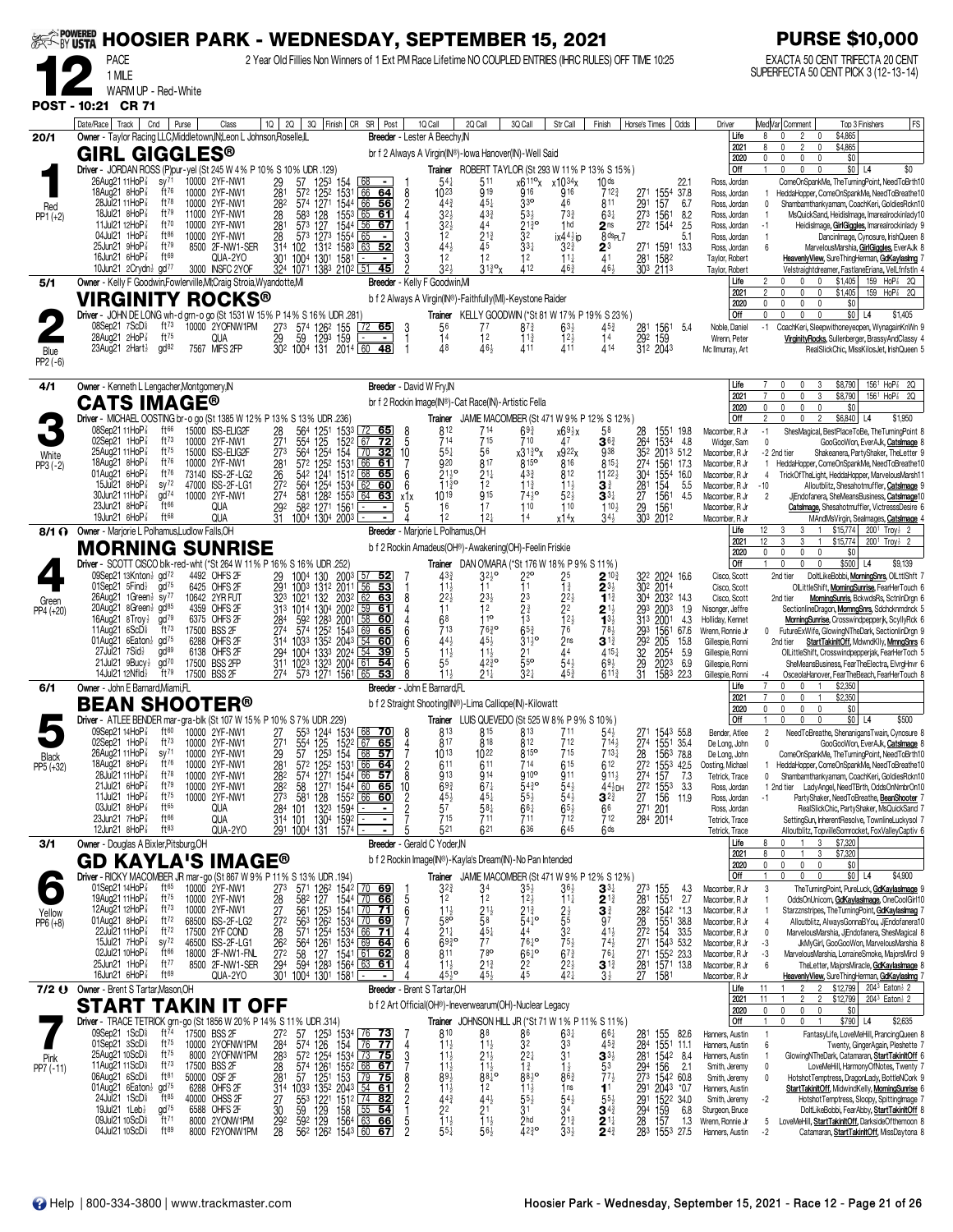| <b>EXAMPOWERED</b>    |                                                                                                                                                                      |                                                                                                                                                  |                                          | <b>HOOSIER PARK - WEDNESDAY, SEPTEMBER 15, 2021</b>                                                                                    |                                   |                                                                                                                                 |                                                             |                                                                           |                                                                       |                                                                            |                                                                              | <b>PURSE \$10,000</b>                                                                                                                                                                                                                                     |
|-----------------------|----------------------------------------------------------------------------------------------------------------------------------------------------------------------|--------------------------------------------------------------------------------------------------------------------------------------------------|------------------------------------------|----------------------------------------------------------------------------------------------------------------------------------------|-----------------------------------|---------------------------------------------------------------------------------------------------------------------------------|-------------------------------------------------------------|---------------------------------------------------------------------------|-----------------------------------------------------------------------|----------------------------------------------------------------------------|------------------------------------------------------------------------------|-----------------------------------------------------------------------------------------------------------------------------------------------------------------------------------------------------------------------------------------------------------|
|                       | <b>PACE</b><br>1 MILE                                                                                                                                                |                                                                                                                                                  |                                          | 2 Year Old Fillies Non Winners of 1 Ext PM Race Lifetime NO COUPLED ENTRIES (IHRC RULES) OFF TIME 10:25                                |                                   |                                                                                                                                 |                                                             |                                                                           |                                                                       |                                                                            |                                                                              | EXACTA 50 CENT TRIFECTA 20 CENT<br>SUPERFECTA 50 CENT PICK 3 (12-13-14)                                                                                                                                                                                   |
|                       | WARM UP - Red-White                                                                                                                                                  |                                                                                                                                                  |                                          |                                                                                                                                        |                                   |                                                                                                                                 |                                                             |                                                                           |                                                                       |                                                                            |                                                                              |                                                                                                                                                                                                                                                           |
|                       | POST - 10:21 CR 71<br>Date/Race   Track  <br>Cnd                                                                                                                     | Purse<br>Class                                                                                                                                   | $10 \mid 20 \mid$                        | 3Q Finish CR SR Post                                                                                                                   | 1Q Call                           | 2Q Call                                                                                                                         | 3Q Call                                                     | Str Call                                                                  | Finish                                                                | Horse's Times   Odds                                                       | Driver                                                                       | FS<br>Med Var  Comment<br>Top 3 Finishers                                                                                                                                                                                                                 |
| 20/1                  | Owner - Taylor Racing LLC, Middletown, IN; Leon L Johnson, Roselle, IL<br><b>GIRL GIGGLES®</b><br>Driver - JORDAN ROSS (P)pur-yel (St 245 W 4% P 10% S 10% UDR .129) |                                                                                                                                                  |                                          |                                                                                                                                        | Breeder - Lester A Beechv.IN      | br f 2 Always A Virgin(IN®)-lowa Hanover(IN)-Well Said<br>Trainer ROBERT TAYLOR (St 293 W 11% P 13% S 15%)                      |                                                             |                                                                           |                                                                       |                                                                            | Life<br>2021<br>2020<br>Off                                                  | \$4,865<br>8<br>$\mathbf{0}$<br>$\overline{2}$<br>0<br>$\overline{c}$<br>0<br>\$4,865<br>0<br>0<br>0<br>0<br>$\mathbf{0}$<br>\$0<br><sup>0</sup><br>$\mathbf{0}$<br>\$0 <br>\$0<br>$\Omega$<br>L4                                                         |
| Red<br>PP1 (+2)       | 26Aug21 11HoP <sup>3</sup><br>18Aug21 $8H_0P_8^7$<br>28Jul21 11HoP <sup>7</sup><br>18Jul21 8HoP<br>11Jul21 12HoP <sup>3</sup>                                        | $SV^{71}$<br>10000 2YF-NW1<br>$ft^{76}$<br>10000 2YF-NW1<br>$ft^{78}$<br>10000 2YF-NW1<br>$ft^{79}$<br>11000 2YF-NW1<br>ft $70$<br>10000 2YF-NW1 | 29<br>$\frac{28}{28}$ <sup>1</sup><br>28 | 57<br>1253 154<br>68<br>572 1252 1531 66 64<br>574 1271 1544 66 56<br>1553<br>583<br>128<br>  65<br>61<br>573<br>56<br>67              | $\frac{8}{4}$<br>1023             | 511<br>54<br>919<br>$45\frac{1}{4}$<br>$44\frac{3}{4}$<br>3 <sub>2</sub><br>433<br>3 <sub>2</sub>                               | $x6^{11}$ ° x 10 <sup>34</sup> x<br>916<br>$3^{30}$<br>53}  | 916<br>46<br>733<br>1 <sub>hd</sub>                                       | 10ds<br>712 <sub>4</sub><br>811<br>$63\frac{1}{4}$<br>2 <sub>ns</sub> | 22.1<br>271 1554 37.8<br>291 157 6.7<br>273 1561<br>8.2<br>272 1544<br>2.5 | Ross, Jordan<br>Ross, Jordan<br>Ross, Jordan<br>Ross, Jordan<br>Ross, Jordan | ComeOnSpankMe, TheTurningPoint, NeedToBrth10<br>HeddaHopper, ComeOnSpankMe, NeedToBreathe10<br>Shambamthankyamam, CoachKeri, GoldiesRckn10<br>0<br>MsQuickSand, Heidislmage, Imarealrockinlady10<br>Heidislmage, GirlGiggles, Imarealrockinlady 9<br>$-1$ |
|                       | 04Jul21 1HoP <sup>3</sup><br>25Jun21 9HoP<br>16Jun21 6HoP $\frac{7}{8}$<br>10Jun21 2Crydn <sub>2</sub> gd <sup>77</sup>                                              | $ft^{86}$<br>10000 2YF-NW1<br>$ft^{79}$<br>8500 2F-NW1-SER<br>ft69<br>QUA-2YO<br>3000 INSFC 2YOF                                                 | $\frac{28}{28}$ <sup>1</sup>             | $\frac{127}{127^3}$ $\frac{154}{155^4}$<br>65<br>573<br>$\blacksquare$<br>314 102 1312 1583<br>52<br>63<br>301 1004 1301 1581<br>$-45$ |                                   | 12<br>$21\frac{3}{4}$<br>443<br>45<br>12<br>12<br>32 <sub>3</sub><br>$31\frac{3}{4}$ <sup>o</sup>                               | $\frac{21\frac{3}{4}}{32}$<br>$33\frac{1}{4}$<br>12<br>412  | $ix44\frac{1}{2}$ ip<br>$3^{2^{3}}$<br>$11\frac{1}{4}$<br>46 <sup>3</sup> | 8 <sup>dspL7</sup><br>$2^3$<br>41<br>461                              | 5.1<br>271 1591<br>13.3<br>281 1582<br>303 2113                            | Ross, Jordan<br>Ross, Jordan<br>Taylor, Robert<br>Taylor, Robert             | Dancinlmage, Cynosure, IrishQueen 8<br>MarvelousMarshia, GirlGiggles, EverAJk 8<br>HeavenlyView, SureThingHerman, GdKaylaslmg<br>Velstraightdreamer, FastlaneEriana, VelLfnfstln                                                                          |
| 5/1                   | Owner - Kelly F Goodwin, Fowlerville, MI; Craig Stroia, Wyandotte, MI<br><b>VIRGINITY ROCKS®</b>                                                                     |                                                                                                                                                  |                                          |                                                                                                                                        | Breeder - Kelly F Goodwin, MI     | b f 2 Always A Virgin(IN®)-Faithfully(MI)-Keystone Raider                                                                       |                                                             |                                                                           |                                                                       |                                                                            | Life<br>2021                                                                 | \$1,405<br>159 HoP <sup>2</sup> 2Q<br>0<br>0<br>\$1,405<br>159 HoP <sup>2</sup> 2Q<br>2<br>0<br>0<br>0                                                                                                                                                    |
|                       | Driver - JOHN DE LONG wh-d gm-o go (St 1531 W 15% P 14% S 16% UDR 281)                                                                                               |                                                                                                                                                  |                                          |                                                                                                                                        |                                   | Trainer KELLY GOODWIN (*St 81 W 17% P 19% S 23%)                                                                                |                                                             |                                                                           |                                                                       |                                                                            | 2020<br>  Off                                                                | 0<br>0<br>0<br>$\mathbf{0}$<br>\$0<br>$\mathbf{0}$<br>$\mathbf 0$<br>$\mathbf{0}$<br>$\mathbf{0}$<br>\$0<br>\$1,405<br>L4                                                                                                                                 |
| Z<br>Blue<br>PP2 (-6) | 08Sep21 7ScD <sup>§</sup><br>28Aug21 2HoP3<br>23Aug21 $2$ Hart $\frac{1}{2}$                                                                                         | $ft^{73}$<br>10000 2YOFNW1PM<br>ft75<br>QUA<br>gd <sup>82</sup><br>7567 MIFS 2FP                                                                 | 273                                      | 574 1262 155<br>172<br><u>65 </u><br>1293 159<br>$\frac{29}{30^2}$ 59 1293 159 -<br>302 1004 131 2014 60<br>-48                        | 3                                 | 56<br>77<br>14<br>12<br>48<br>46}                                                                                               | $8^{73}$<br>$11\frac{3}{4}$<br>411                          | $63\frac{1}{2}$<br>$12\frac{1}{2}$<br>411                                 | $45\frac{3}{4}$<br>14<br>414                                          | 281<br>1561 5.4<br>29 <sup>2</sup> 159<br>31 <sup>2</sup> 204 <sup>3</sup> | Noble, Daniel<br>Wrenn, Peter<br>Mc Ilmurray, Art                            | $-1$<br>CoachKeri, Sleepwithoneyeopen, WynagainKnWn 9<br>VirginityRocks, Sullenberger, BrassyAndClassy 4<br>RealSlickChic, MissKilosJet, IrishQueen 5                                                                                                     |
| 4/1                   | Owner - Kenneth L Lengacher, Montgomery, IN                                                                                                                          |                                                                                                                                                  |                                          |                                                                                                                                        | Breeder - David W Fry, IN         |                                                                                                                                 |                                                             |                                                                           |                                                                       |                                                                            | Life<br>2021                                                                 | \$8,790<br>156 <sup>1</sup> HoP <sup>2</sup> 2Q<br>\$8,790<br>156 <sup>1</sup> HoP <sup>2</sup> 2Q<br>0<br>$\mathbf{0}$<br>3                                                                                                                              |
|                       | <b>CATS IMAGE®</b><br>Driver - MICHAEL OOSTING br-o go (St 1385 W 12% P 13% S 13% UDR .236)                                                                          |                                                                                                                                                  |                                          |                                                                                                                                        | Trainer                           | br f 2 Rockin Image(IN®)-Cat Race(IN)-Artistic Fella                                                                            | JAMIE MACOMBER (St 471 W 9% P 12% S 12%)                    |                                                                           |                                                                       |                                                                            | 2020<br>Off                                                                  | $\mathbf{0}$<br>$\mathsf{0}$<br>0<br>$\mathbf{0}$<br>\$0<br>\$6,840<br>$\overline{c}$<br>$\mathbf{0}$<br>0<br>$\mathfrak{p}$<br>L4<br>\$1,950                                                                                                             |
|                       | 08Sep21 11HoP <sup>7</sup><br>02Sep21 1HoP                                                                                                                           | ft $66$<br>15000 ISS-ELIG2F<br>$ft^{73}$<br>10000 2YF-NW1                                                                                        | $\frac{28}{271}$                         | $\frac{564}{554}$<br>1251<br>125<br>1533<br>$_{172}$<br>$\frac{65}{72}$<br>1522<br>67                                                  | $\frac{8}{5}$                     | $8^{12}_{714}$<br>714<br>715                                                                                                    | $69\frac{3}{4}$<br>710                                      | $x69\frac{1}{2}x$<br>47                                                   | 58<br>$\mathbf{3}$ 6}                                                 | $\frac{28}{264}$<br>1551<br>1534<br>19.8<br>- 4.8                          | Macomber, R Jr<br>Widger, Sam                                                | $-1$<br>ShesMagical, BestPlaceToBe, TheTurningPoint 8<br>$\mathbf{0}$<br>GooGooWon, EverAJk, Catslmage 8                                                                                                                                                  |
| White<br>$PP3 (-2)$   | 25Aug21 11HoP <sup>3</sup><br>18Aug21 8HoP <sup>3</sup>                                                                                                              | $ft^{75}$<br>15000 ISS-ELIG2F<br>ft76<br>10000 2YF-NW1                                                                                           | 273                                      | 1254<br>564<br>154<br>$ 70\rangle$<br>32 <br>572 1252 1531 66 61<br>542 1241 1512 68 65                                                | 10                                | $55\frac{1}{4}$<br>56<br>920<br>817                                                                                             | $x313^{\circ}x$<br>8 <sub>15</sub> o                        | x922x<br>816                                                              | 938<br>$815\frac{1}{4}$                                               | 352 2013 51.2<br>27 <sup>4</sup><br>1561 17.3                              | Macomber, R Jr<br>Macomber, R Jr                                             | -2 2nd tier<br>Shakeanera, PartyShaker, TheLetter 9<br>HeddaHopper, ComeOnSpankMe, NeedToBreathe10<br>$\overline{1}$                                                                                                                                      |
|                       | 01Aug21 6HoP<br>15Jul21 $8H$ o $P_8^7$                                                                                                                               | ft $76$<br>73140 ISS-2F-LG2<br>$sy^{72}$<br>47000 ISS-2F-LG1<br>gd <sup>74</sup>                                                                 | 281<br>26<br>272                         | 564<br>1254 1534<br>62<br>60                                                                                                           | 6<br>6                            | $21\frac{1}{2}$ <sup>o</sup><br>$21\frac{1}{4}$<br>$11\frac{3}{4}$ <sup>o</sup><br>12                                           | $43\frac{3}{4}$<br>$11\frac{3}{4}$                          | 812<br>11                                                                 | $11^{22}$<br>3∛                                                       | 30 <sup>4</sup><br>1554<br>16.0<br>281<br>154<br>5.5                       | Macomber, R Jr<br>Macomber, R Jr                                             | TrickOfTheLight, HeddaHopper, MarvelousMarsh11<br>4<br>$-10$<br>Alloutblitz, Shesahotmuffler, Catslmage 9                                                                                                                                                 |
|                       | 30Jun21 11HoP <sup>3</sup><br>23Jun21 8HoP <sup>7</sup><br>19 $J$ un21 6Ho $P_8^7$                                                                                   | 10000 2YF-NW1<br>$f$ ft <sup>66</sup><br>QUA<br>ft <sup>68</sup><br>QUA                                                                          | $\frac{274}{292}$                        | 128 <sup>2</sup> 1553<br>1271 1561<br>581<br>64<br>63<br>582                                                                           | x1x                               | 1019<br><b>915</b><br>17<br>16<br>12<br>12 <sub>1</sub>                                                                         | $743^{\circ}$<br>110<br>14                                  | $52\frac{1}{2}$<br>$\overline{1}10$                                       | $3^{3}{}_{7}$<br>110 <sub>3</sub><br>$34\frac{1}{2}$                  | $\frac{27}{29}$<br>1561<br>4.5<br>1561<br>303 2012                         | Macomber, R Jr<br>Macomber, R Jr                                             | $\overline{2}$<br>JiEndofanera, SheMeansBusiness, Catsimage10<br>Catsimage, Shesahotmuffler, VictresssDesire 6                                                                                                                                            |
|                       | 8/1 O Owner - Marjorie L Polhamus, Ludlow Falls, OH                                                                                                                  |                                                                                                                                                  | 31                                       | 1004 1304 2003                                                                                                                         | Breeder - Marjorie L Polhamus, OH |                                                                                                                                 |                                                             | x1 <sup>4</sup> x                                                         |                                                                       |                                                                            | Macomber, R Jr<br>Life                                                       | MAndMsVirgin, Sealmages, Catslmage<br>12<br>\$15,774<br>$200^{\frac{1}{2}}$ Troy $\frac{1}{2}$ 2<br>3<br>$\overline{1}$<br>3                                                                                                                              |
|                       | <b>MORNING SUNRISE</b>                                                                                                                                               |                                                                                                                                                  |                                          |                                                                                                                                        |                                   | b f 2 Rockin Amadeus(OH®)-Awakening(OH)-Feelin Friskie                                                                          |                                                             |                                                                           |                                                                       |                                                                            | 2021<br>2020<br>Off                                                          | 12<br>3<br>3<br>\$15,774<br>$200^1$ Troy $\frac{1}{2}$ 2<br>$\mathbf{0}$<br>$\mathbf 0$<br>$\mathbf{0}$<br>\$0<br>$\mathbf{0}$<br>$\mathbf{0}$<br>\$500<br>L4<br>\$9,139<br>$\mathbf{0}$<br>$\mathbf{0}$                                                  |
|                       | Driver - SCOTT CISCO blk-red-wht (*St 264 W 11% P 16% S 16% UDR .252)<br>09Sep21 13Knton <sup>3</sup> gd <sup>72</sup><br>01Sep21 $5$ Find $\frac{1}{2}$             | 4492 OHFS 2F<br>gd <sup>75</sup>                                                                                                                 | 29                                       | 1004 130<br>2003<br><u>52</u><br>56                                                                                                    |                                   | Trainer DAN O'MARA (*St 176 W 18% P 9% S 11%)<br>32½°<br>$43\frac{3}{4}$                                                        | $2^{20}$                                                    | 25                                                                        | $2^{10\frac{3}{4}}$                                                   | 322 2024 16.6                                                              | Cisco, Scott                                                                 | DoltLikeBobbi, MorningSnrs, OlLttlShft 7<br>2nd tier                                                                                                                                                                                                      |
| Green                 | $26$ Aug21 1 Green $\frac{1}{2}$ sy $77$<br>20Aug21 8Green <sup>3</sup> gd <sup>85</sup>                                                                             | 6425 OHFS 2F<br>10642 2YR FUT<br>4359 OHFS 2F                                                                                                    | $\frac{29}{32^3}$                        | 1312 2011<br>53<br>1003<br>63<br>1021<br>132<br>203 <sup>2</sup><br>200 <sup>2</sup><br>62<br>313 1014 1304<br>$\sqrt{59}$<br>61       | 8                                 | 11<br>11<br>$2^{2}$<br>$2^{3}\frac{1}{2}$<br>$\overline{1}2$<br>11                                                              | 11<br>$2^3$<br>$2^3$<br>$1^3$                               | $1\frac{3}{4}$<br>$\frac{2^{2\frac{1}{2}}}{2^{2}}$                        | $2^{3}\frac{1}{2}$<br>$1^{13}$                                        | 30 <sup>2</sup> 2014<br>304 2032 14.3<br>293                               | Cisco, Scott<br>Cisco, Scott                                                 | OlLittleShift, MorningSunrise, FearHerTouch 6<br>MorningSunris, BckwdsRs, SctnInDrgn 6<br>2nd tier                                                                                                                                                        |
| PP4 (+20)             | 16Aug21 8Troy $\frac{1}{2}$<br>11Aug21 $6$ ScD $\frac{2}{3}$                                                                                                         | gd <sup>79</sup><br>6375 OHFS 2F<br>ft $^{73}$<br>17500 BSS 2F                                                                                   | 284<br>274                               | 592<br>58<br>-60<br>1283 2001<br>574 1252 1543<br>  69<br>65                                                                           |                                   | 6 <sup>8</sup><br>110<br>713<br>$76\frac{3}{4}$ <sup>o</sup>                                                                    | $65\frac{3}{4}$                                             | $\frac{1}{7}$ <sup>2</sup> <sup>2</sup>                                   | $2^{1}$<br>$1^{3}$<br>$78\frac{1}{2}$                                 | 2003<br>1.9<br>313 2001<br>4.3<br>293<br>1561 67.6                         | Nisonger, Jeffre<br>Holliday, Kennet<br>Wrenn, Ronnie Jr                     | SectionlineDragon, MorningSnrs, Sdchcknmdnck 5<br>MorningSunrise, Crosswindpepperjk, ScyllyRck 6<br>FutureExWife, GlowingNTheDark, SectionlinDrgn 9<br>0                                                                                                  |
|                       | 01Aug21 6Eaton ad <sup>75</sup><br>$27$ Jul $21$ $7$ Sid $\frac{1}{2}$                                                                                               | 6288 OHFS 2F<br>gd <sup>89</sup><br>6138 OHFS 2F                                                                                                 | 314 1033<br>294 1004                     | 1352 2043<br>$\overline{54}$<br>60<br>1333 2024<br>54<br>39                                                                            | 6                                 | 44}<br>$45\frac{1}{2}$<br>$11\frac{1}{2}$<br>$11\frac{1}{2}$                                                                    | $3^{110}$<br>21                                             | 2 <sub>ns</sub><br>$\overline{4}$ 4                                       | $3^{13}$<br>$415\frac{1}{4}$                                          | 292<br>205<br>15.8<br>5.9<br>2054                                          | Gillespie, Ronni<br>Gillespie, Ronni                                         | StartTakinitOff, MdwndKlly, MrnngSnrs 6<br>2nd tier<br>OlLittleShift, Crosswindpepperjak, FearHerToch 5                                                                                                                                                   |
|                       | 21Jul21 $9Bucy2$<br>14Jul21 12Nfld}                                                                                                                                  | gd <sup>70</sup><br>17500 BSS 2FP<br>$ft^{79}$<br>17500 BSS 2F                                                                                   |                                          | 311 1023 1323 2004 61 54<br>274 573 1271 1561 65 53                                                                                    |                                   | $42\frac{3}{4}$ <sup>o</sup><br>55<br>21 <sub>1</sub><br>11                                                                     | $55^{\circ}$<br>321                                         | $54\frac{1}{2}$<br>$45\frac{3}{7}$                                        | $69\frac{1}{2}$<br>$611\frac{3}{4}$                                   | $\frac{32}{29}$<br>31<br>2023<br>6.9<br>1583<br>22.3                       | Gillespie, Ronni<br>Gillespie, Ronni                                         | SheMeansBusiness, FearTheElectra, ElvrgHnvr 6<br>-4<br>OsceolaHanover, FearTheBeach, FearHerTouch 8                                                                                                                                                       |
| 6/1                   | Owner - John E Barnard, Miami, FL                                                                                                                                    |                                                                                                                                                  |                                          |                                                                                                                                        | Breeder - John E Barnard.FL       |                                                                                                                                 |                                                             |                                                                           |                                                                       |                                                                            | Life<br>2021                                                                 | U<br>\$2,350<br>$\mathbf{0}$<br>\$2,350<br>0<br>0<br>$\overline{1}$                                                                                                                                                                                       |
|                       | <b>BEAN SHOOTER®</b><br>Driver - ATLEE BENDER mar-gra-blk (St 107 W 15% P 10% S 7% UDR .229)                                                                         |                                                                                                                                                  |                                          |                                                                                                                                        |                                   | b f 2 Straight Shooting(IN®)-Lima Calliope(IN)-Kilowatt<br>Trainer LUIS QUEVEDO (St 525 W 8% P 9% S 10%)                        |                                                             |                                                                           |                                                                       |                                                                            | 2020<br><b>Off</b>                                                           | \$0<br>0<br>$\mathbf{0}$<br>0<br>$\mathbf{0}$<br>$\mathbf 0$<br>\$0<br>\$500<br>$\Omega$<br>$\mathbf{0}$<br>L4                                                                                                                                            |
|                       | 09Sep21 14HoP <sup>3</sup><br>02Sep21 $1H$ oP $\frac{7}{8}$                                                                                                          | ft60<br>10000 2YF-NW<br>$ft^{73}$<br>10000 2YF-NW1                                                                                               | 271                                      | 553<br>1534 68 70<br>1522 67 65<br>154 68 57<br>1244<br>554                                                                            |                                   | 815<br>813<br>817<br>818                                                                                                        | 813<br>812                                                  | 711<br>712                                                                | $54\frac{1}{2}$<br>$714\frac{1}{2}$                                   | 271<br>1543 55.8<br>274<br>1551<br>35.4                                    | Bender, Atlee<br>De Long, John                                               | NeedToBreathe, ShenanigansTwain, Cynosure 8<br>2<br>GooGooWon, EverAJk, Catslmage 8<br>$\mathbf{0}$                                                                                                                                                       |
| Black                 | 26Aug21 11HoP <sup>3</sup><br>18Aug21 8HoP                                                                                                                           | SV <sup>71</sup><br>10000 2YF-NW1<br>$ft^{76}$<br>10000 2YF-NW1                                                                                  | 29                                       | $\frac{125}{125^3}$<br>57<br>$125^2$<br>1531 66 64<br>572                                                                              |                                   | $10^{22}$<br>1013<br>611<br>611                                                                                                 | 815°<br>714                                                 | 715<br>615                                                                | $713\frac{1}{4}$<br>612                                               | 28<br>1563 78.8<br>1553 42.5<br>272                                        | De Long, John<br>Oosting, Michael                                            | ComeOnSpankMe, TheTurningPoint, NeedToBrth10<br>HeddaHopper, ComeOnSpankMe, NeedToBreathe10                                                                                                                                                               |
| PP5 (+32)             | 28Jul21 11HoP <sup>3</sup><br>21Jul21 6HoP3                                                                                                                          | $ft^{78}$<br>10000 2YF-NW1<br>ft79<br>10000 2YF-NW1                                                                                              | $\frac{28}{28}$ <sup>1</sup><br>282      | 1271 1544 66 57<br>1271 1544 60 65<br>574<br>58                                                                                        | $\frac{2}{8}$<br>10               | 913<br><b>914</b><br>693<br>$67\frac{1}{4}$                                                                                     | 910 <sup>o</sup><br>$54^{30}_{4}$                           | 911<br>$54\frac{1}{2}$                                                    | $911\frac{1}{2}$<br>$44\frac{1}{2}$ DH                                | 274<br>157<br>7.3<br>272 1553<br>3.3                                       | Tetrick, Trace<br>Ross, Jordan                                               | Shambamthankyamam, CoachKeri, GoldiesRckn10<br>0<br>1 2nd tier LadyAngel, NeedTBrth, OddsOnNmbrOn10                                                                                                                                                       |
|                       | 11Jul21 1HoP<br>03Jul21 $8H$ o $P_8^7$                                                                                                                               | $ft^{75}$<br>10000 2YF-NW1<br>ft65<br>QUA                                                                                                        | 273<br>284                               | 128<br>1552<br>$66$ 60<br>581<br>1323 1594<br>101                                                                                      |                                   | 45}<br>451<br>57<br>$58\frac{1}{4}$                                                                                             | $55\frac{1}{2}$<br>661                                      | 543<br>$65\frac{1}{2}$                                                    | $3^{23}$<br>66                                                        | $\frac{27}{27}$ 1<br>156<br>11.9<br>201                                    | Ross, Jordan<br>Ross, Jordan                                                 | $-1$<br>PartyShaker, NeedToBreathe, BeanShooter 7<br>RealSlickChic, PartyShaker, MsQuickSand 7                                                                                                                                                            |
|                       | 23Jun21 7HoP <sup>7</sup><br>12Jun21 8HoP <sup>3</sup>                                                                                                               | ft66<br>QUA<br>$ft^{83}$<br>QUA-2YO                                                                                                              | 314 101                                  | 1304 1592<br>291 1004 131<br>1574<br>$\blacksquare$                                                                                    | 5                                 | 715<br>711<br>621<br>521                                                                                                        | 711<br>636                                                  | 712<br>645                                                                | 712<br>6ds                                                            | 284 2014                                                                   | Tetrick, Trace<br>Tetrick, Trace                                             | SettingSun, InherentResolve, TownlineLuckysol 7<br>Alloutblitz, TopvilleSomrocket, FoxValleyCaptiv 6                                                                                                                                                      |
| 3/1                   | Owner - Douglas A Bixler, Pitsburg, OH                                                                                                                               |                                                                                                                                                  |                                          |                                                                                                                                        | Breeder - Gerald C Yoder.IN       |                                                                                                                                 |                                                             |                                                                           |                                                                       |                                                                            | Life<br>2021                                                                 | 8<br>0<br>$\mathbf{1}$<br>3<br>\$7,320<br>8<br>0<br>3<br>\$7,320                                                                                                                                                                                          |
|                       | <b>GD KAYLA'S IMAGE®</b><br>Driver - RICKY MACOMBER JR mar-go (St 867 W 9% P 11% S 13% UDR .194)                                                                     |                                                                                                                                                  |                                          |                                                                                                                                        | Trainer                           | b f 2 Rockin Image(IN®)-Kayla's Dream(IN)-No Pan Intended                                                                       | JAMIE MACOMBER (St 471 W 9% P 12% S 12%)                    |                                                                           |                                                                       |                                                                            | 2020<br>Off                                                                  | $\mathbf{0}$<br>$\mathbf{0}$<br>$\mathbf{0}$<br>$\mathbf{0}$<br>\$0<br>\$0<br>\$4,900<br>$\mathbf{0}$<br>$\mathbf 0$<br>$\mathbf{0}$<br>1<br>L4                                                                                                           |
|                       | 01Sep21 14HoP <sup>3</sup><br>19Aug21 11HoP <sup>3</sup>                                                                                                             | ft65<br>10000 2YF-NW1<br>$ft^{75}$<br>10000 2YF-NW                                                                                               | 27 <sup>3</sup><br>28                    | 571 1262 1542 70 69<br>582 127 1544 70 66                                                                                              | 5                                 | $3^{2^{3}}$<br>34<br>12<br>12                                                                                                   | 3 <sup>5</sup><br>$12\frac{1}{2}$                           | $36\frac{1}{2}$<br>$11\frac{1}{4}$                                        | $\mathbf{3}^{3\ddagger}$<br>$2^{13}$                                  | 273<br>155<br>4.3<br>281 1551<br>2.7                                       | Macomber, R Jr<br>Macomber, R Jr                                             | The TurningPoint, PureLuck, GdKaylasImage 9<br>3<br>OddsOnUnicorn, GdKaylaslmage, OneCoolGirl10                                                                                                                                                           |
| Yellow<br>PP6 (+8)    | 12Aug21 12HoP <sup>3</sup><br>01Aug21 8HoP <sup>3</sup>                                                                                                              | $ft^{73}$<br>10000 2YF-NW1<br>$ft^{72}$<br>68500 ISS-2F-LG2                                                                                      | 27<br>$\overline{272}$                   | 561 1253 1541 70 71<br>563 1262 1534 70 69<br>571 1254 1534 66 71                                                                      | 6                                 | $11\frac{1}{2}$<br>$\frac{21}{5}$ <sup>1</sup><br>$58\overline{9}$                                                              | $21\frac{3}{4}$<br>$\overline{5}4\overline{4}$ <sup>o</sup> | $2\frac{1}{2}$<br>55                                                      | $\mathbf{3}^{\frac{3}{4}}$<br>97                                      | 1542 *1.3<br>282<br>28<br>1551<br>38.8                                     | Macomber, R Jr<br>Macomber, R Jr                                             | Starzznstripes, The TurningPoint, GdKaylaslmag 7<br>Alloutblitz, AlwaysGonnaBYou, JjEndofanera10<br>4                                                                                                                                                     |
|                       | 22Jul21 11HoP<br>15Jul21 7HoP <sup>3</sup>                                                                                                                           | ft72<br>17500 2YF COND<br>$sy^{72}$<br>46500 ISS-2F-LG1                                                                                          | 28<br>262                                | 564                                                                                                                                    | 6                                 | $21\frac{1}{4}$<br>451<br>77<br>6930                                                                                            | 44<br>76 <sup>1</sup> °                                     | 3 <sup>2</sup><br>75                                                      | $41\frac{1}{2}$<br>$74\frac{1}{2}$                                    | 272 154<br>33.5<br>271 1543 53.2                                           | Macomber, R Jr<br>Macomber, R Jr                                             | MarvelousMarshia, JjEndofanera, ShesMagical 8<br>0<br>JkMyGirl, GooGooWon, MarvelousMarshia 8<br>-3                                                                                                                                                       |
|                       | 02Jul21 10HoP <sup>3</sup><br>25Jun21 1HoP <sup>3</sup>                                                                                                              | ft <sup>66</sup><br>18000 2F-NW1-FNL<br>ft77<br>8500 2F-NW1-SER                                                                                  | 272<br>294                               | 1261 1534 69 64<br>127 1541 61 62<br>58<br>594<br>1283 1564<br><u>6361</u>                                                             |                                   | 811<br>780<br>$21\frac{3}{4}$<br>$11\frac{1}{2}$                                                                                | $66^{10}$<br>22                                             | $67\frac{3}{4}$<br>$2^{2}$                                                | $76\frac{1}{4}$<br>$3^{13}$                                           | $\overline{27}$ <sup>1</sup><br>1552 23.3<br>281 1571 13.8                 | Macomber, R Jr<br>Macomber, R Jr                                             | -3<br>MarvelousMarshia, LorraineSmoke, MajorsMircl 9<br>$6\phantom{1}$<br>TheLetter, MajorsMiracle, GdKaylaslmage 8                                                                                                                                       |
| 7/2 O                 | 16Jun21 6HoP <sup>3</sup><br>Owner - Brent S Tartar, Mason, OH                                                                                                       | ft <sup>69</sup><br>QUA-2YO                                                                                                                      |                                          | 301 1004 1301 1581                                                                                                                     | Breeder - Brent S Tartar, OH      | $45\frac{1}{2}$<br>454                                                                                                          | 45                                                          | 421                                                                       | $3\frac{1}{2}$                                                        | 27<br>1581                                                                 | Macomber, R Jr<br>Life                                                       | HeavenlyView, SureThingHerman, GdKaylasimg<br>11<br>$\overline{2}$<br>$\overline{2}$<br>\$12,799<br>2043 Eaton $\frac{1}{2}$ 2                                                                                                                            |
|                       | <b>START TAKIN IT OFF</b>                                                                                                                                            |                                                                                                                                                  |                                          |                                                                                                                                        |                                   | b f 2 Art Official(OH®)-lneverwearum(OH)-Nuclear Legacy                                                                         |                                                             |                                                                           |                                                                       |                                                                            | 2021<br>2020                                                                 | 11<br>$\overline{c}$<br>$\overline{2}$<br>\$12,799<br>2043 Eaton} 2<br>$\mathbf{0}$<br>$\mathsf{O}$<br>$\mathbf{0}$<br>$\mathbf 0$<br>\$0                                                                                                                 |
|                       | Driver - TRACE TETRICK grn-go (St 1856 W 20% P 14% S 11% UDR 314)<br>1958 - 09Sep21 1ScD <sup>§</sup> ft <sup>74</sup> 17500 BSS 2F 272 57                           | 17500 BSS 2F                                                                                                                                     | 272                                      | 1253 1534<br>57<br><u>76</u> 73                                                                                                        | Trainer                           | JOHNSON HILL JR (*St 71 W 1% P 11% S 11%)<br>810<br>88                                                                          | 86                                                          | $63\frac{1}{4}$                                                           | $66\frac{1}{4}$                                                       | 281<br>155<br>82.6                                                         | Off<br>Hanners, Austin                                                       | \$790 L4<br>\$2,635<br>0<br>$\mathbf{0}$<br>FantasyLife, LoveMeHill, PrancingQueen 8                                                                                                                                                                      |
| Pink                  | 01Sep21 3ScD <sup>§</sup><br>25Aug21 10ScD <sup>§</sup>                                                                                                              | $ft^{75}$<br>10000 2YOFNW1PM<br>$ft^{75}$<br>8000 2YOFNW1PM                                                                                      | 284                                      | 126<br>154<br>574<br>76 77                                                                                                             | 4<br>$\frac{3}{7}$                | $11\frac{1}{2}$<br>11<br>$21\frac{1}{2}$<br>$11\frac{1}{2}$                                                                     | 32<br>$2^{2}$                                               | 33<br>31                                                                  | 453<br>$3^{3}$                                                        | 1551 11.1<br>284<br>1542 8.4                                               | Hanners, Austin<br>Hanners, Austin                                           | 6<br>Twenty, GingerAgain, Pleshette 7<br>GlowingNTheDark, Catamaran, StartTakinItOff 6                                                                                                                                                                    |
| PP7 (-11)             | 11Aug21 11ScD <sup>§</sup><br>06Aug21 6ScD <sup>§</sup>                                                                                                              | $ft^{73}$<br>17500<br>BSS 2F<br>ft <sup>81</sup><br>50000 OSF 2F                                                                                 | 28 <sup>3</sup><br>28<br>281             | 57 <sup>2</sup> 125 <sup>4</sup> 153 <sup>4</sup> 73 75<br>574 1261 1552 68 67<br>1251<br>153<br>79<br><u>75</u><br>57                 | 8                                 | iij<br>$\bar{1}$<br>893<br>88 <sup>10</sup>                                                                                     | $1\frac{3}{4}$<br>8810                                      | $1\frac{1}{2}$<br>$86\frac{3}{4}$                                         | 53<br>$77\frac{1}{2}$                                                 | 281<br>294<br>156<br>2.1<br>273 1542 60.8                                  | Smith, Jeremy<br>Smith, Jeremy                                               | LoveMeHill, HarmonyOfNotes, Twenty 7<br>0<br>0<br>HotshotTemptress, DragonLady, BottleNCork 9                                                                                                                                                             |
|                       | 01Aug21 6Eaton}<br>24Jul21 1ScD <sup>§</sup>                                                                                                                         | $\mathrm{gd}^{75}$<br>6288 OHFS 2F<br>$ft^{85}$<br>40000 OHSS 2F                                                                                 | 314<br>27                                | 1033<br>135 <sup>2</sup> 2043 54 61<br>122 <sup>1</sup> 151 <sup>2</sup> 74 82<br>553                                                  |                                   | 12<br>11<br>$44\bar{3}$<br>$44\frac{1}{2}$                                                                                      | $11\frac{1}{2}$<br>$55\frac{1}{2}$                          | 1ns<br>$54\frac{1}{2}$                                                    | 1 <sup>1</sup><br>$55\frac{1}{2}$                                     | 2043 *0.7<br>$^{291}_{291}$<br>1522 34.0                                   | Hanners, Austin<br>Smith, Jeremy                                             | StartTakinltOff, MidwindKelly, MorningSunrise 6<br>HotshotTemptress, Sloopy, SpittingImage 7<br>$-2$                                                                                                                                                      |
|                       | 19Jul21 $1$ Leb $\frac{1}{2}$<br>09Jul21 10ScD <sup>§</sup>                                                                                                          | $\mathrm{gd}^{75}$<br>6588 OHFS 2F<br>$ft^{71}$<br>8000 2YONW1PM                                                                                 | 30<br>$\frac{29^2}{28}$                  | 129<br>59<br>158<br>$\frac{55}{54}$<br>592<br>129 1564 63 66<br>126 <sup>2</sup> 154 <sup>3</sup> 60 67                                | 5                                 | 2 <sup>2</sup><br>2 <sup>1</sup><br>$\frac{1}{3}$ <sup>1</sup> $\frac{1}{2}$<br>5 <sup>5</sup> $\frac{1}{4}$<br>$\frac{11}{56}$ | 31<br>2 <sub>hd</sub>                                       | 34<br>$21\frac{3}{4}$                                                     | $3^{43}$<br>$2^{11}_{43}$                                             | 294<br>159<br>6.8<br>28 157 1.3<br>28 <sup>3</sup> 155 <sup>3</sup> 27.5   | Sturgeon, Bruce<br>Wrenn, Ronnie Jr                                          | DoltLikeBobbi, FearAbby, StartTakinItOff 8<br>LoveMeHill, StartTakinItOff, DarksideOfthemoon 8<br>5                                                                                                                                                       |
|                       | 04Jul21 10ScD <sup>§</sup>                                                                                                                                           | $ft^{89}$<br>8000 F2YONW1PM                                                                                                                      |                                          | 56 <sup>2</sup>                                                                                                                        |                                   |                                                                                                                                 | $\bar{4}2\frac{3}{4}$ o                                     | $33\frac{1}{2}$                                                           |                                                                       |                                                                            | Hanners, Austin                                                              | $-2$<br>Catamaran, StartTakinitOff, MissDaytona 8                                                                                                                                                                                                         |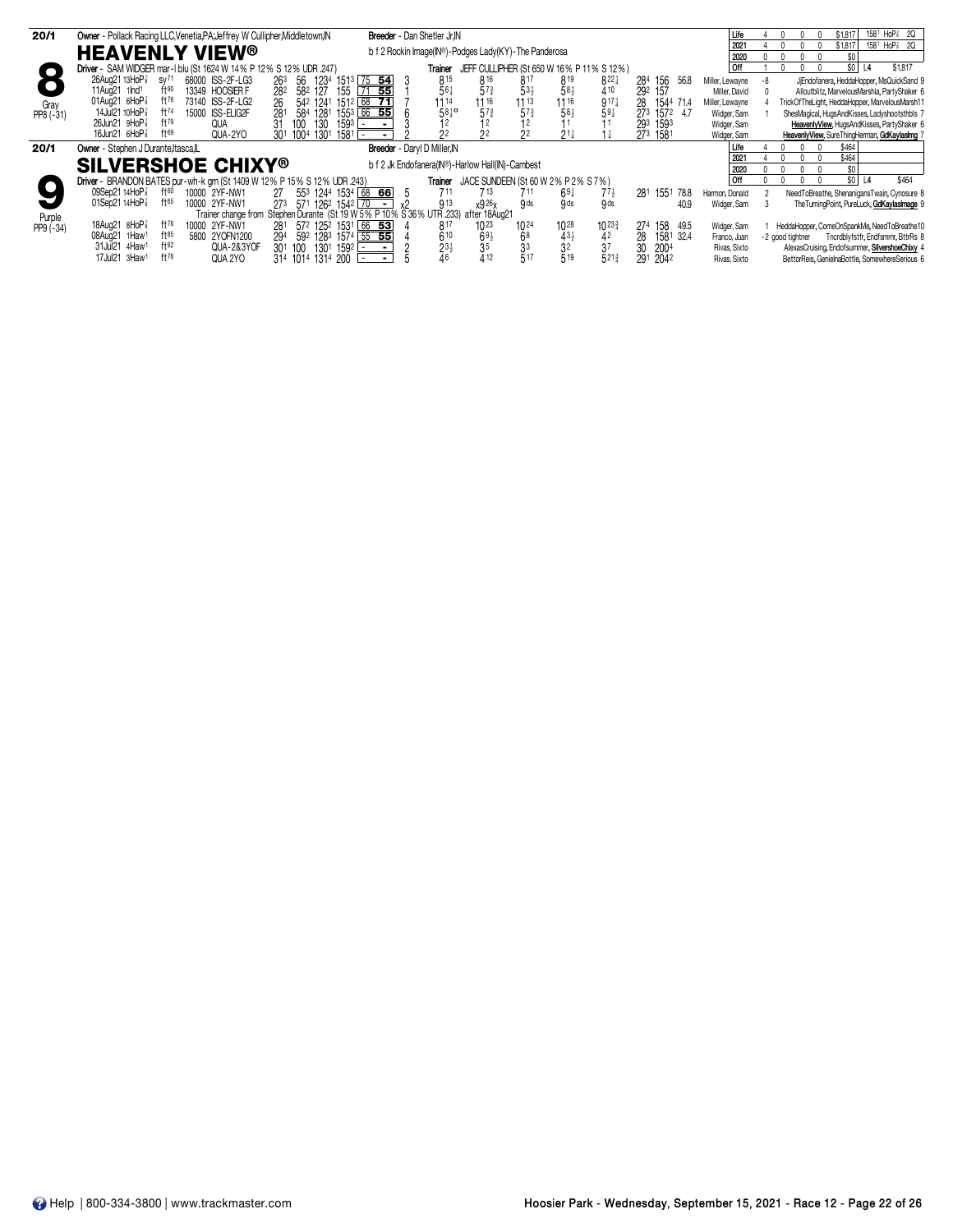| 20/1        | Owner - Pollack Racing LLC, Venetia, PA; Jeffrey W Cullipher, Middletown, IN |                                                                                    | Breeder - Dan Shetler Jr.IN  |                                                       |                                    |                  |                    | Life            | 158 <sup>1</sup> HoP <sup>2</sup> 2Q<br>\$1.81        |
|-------------|------------------------------------------------------------------------------|------------------------------------------------------------------------------------|------------------------------|-------------------------------------------------------|------------------------------------|------------------|--------------------|-----------------|-------------------------------------------------------|
|             |                                                                              |                                                                                    |                              |                                                       |                                    |                  |                    | 2021            | 158 <sup>1</sup> HoP <sup>2</sup> 2Q<br>\$1,817       |
|             | <b>HEAVENLY VIEW<sup>®</sup></b>                                             |                                                                                    |                              | b f 2 Rockin Image(IN®)-Podges Lady(KY)-The Panderosa |                                    |                  |                    | 2020            | \$O I                                                 |
| ⌒           | Driver - SAM WIDGER mar-1 blu (St 1624 W 14% P 12% S 12% UDR 247)            |                                                                                    | Trainer                      | JEFF CULLIPHER (St 650 W 16% P 11% S 12%)             |                                    |                  |                    | l Off           | \$1,817<br>\$0<br>L <sub>4</sub>                      |
|             | 26Aug21 13HoP <sup>7</sup><br>68000 ISS-2F-LG3<br>SV <sup>71</sup>           | $151^3$ 75 54<br>1234<br>263 56                                                    | 815                          | 816                                                   | 817<br>819                         | $8^{22}$         | 284 156<br>56.8    | Miller, Lewayne | JiEndofanera, HeddaHopper, MsQuickSand 9<br>-8        |
|             | $ft^{90}$<br>$11$ Aug $21$ 1 $lnd1$<br>13349 HOOSIER F                       | 582 127<br>155<br>55<br>282                                                        | 561                          | $5^{73}$                                              | $53\frac{1}{2}$<br>$58\frac{1}{2}$ | 410              | 292 157            | Miller, David   | Alloutblitz, MarvelousMarshia, PartyShaker 6          |
| Grav        | 01Aug21 $6HoP\bar{s}$<br>$ft^{76}$<br>73140 ISS-2F-LG2                       | $1512$ 68 71<br>542 1241<br>26                                                     | 1114                         | 1116                                                  | $11^{13}$<br>$11^{16}$             | $917\frac{1}{4}$ | 1544 71.4<br>28    | Miller, Lewayne | TrickOfTheLight, HeddaHopper, MarvelousMarsh11        |
| PP8 (-31)   | 14Jul21 10HoP <sup>3</sup><br>ft74<br>15000 ISS-ELIG2F                       | 1553 66 55<br>281<br>584 1281                                                      | $58^{10}$                    | $57\frac{3}{4}$                                       | 573<br>$58\frac{1}{2}$             | $59\frac{1}{4}$  | 1572 4.7<br>273    | Widger, Sam     | ShesMagical, HugsAndKisses, Ladyshootsthbls 7         |
|             | $26$ Jun $21$ 9HoP $\frac{7}{8}$<br>ft79<br>QUA                              | 130<br>1593<br>100<br>$\overline{\phantom{a}}$                                     |                              |                                                       |                                    |                  | 293<br>1593        | Widger, Sam     | HeavenlyView, HugsAndKisses, PartyShaker 6            |
|             | 16Jun21 $6HOP\frac{7}{8}$<br>QUA-2YO<br>f169                                 | 1301<br>1004<br>1581 -<br>30 <sup>1</sup>                                          |                              |                                                       | $21\frac{1}{2}$                    |                  | 273 1581           | Widger, Sam     | HeavenlyView, SureThingHerman, GdKaylasImg            |
| 20/1        | Owner - Stephen J Durante, Itasca, L                                         |                                                                                    | Breeder - Daryl D Miller, IN |                                                       |                                    |                  |                    | Life            | \$464                                                 |
|             |                                                                              |                                                                                    |                              |                                                       |                                    |                  |                    | 2021            | \$464                                                 |
|             | <b>SILVERSHOE CHIXY®</b>                                                     |                                                                                    |                              | b f 2 Jk Endofanera(IN®)-Harlow Hall(IN)-Cambest      |                                    |                  |                    | 2020            | \$O I                                                 |
|             | Driver - BRANDON BATES pur-wh-k grn (St 1409 W 12% P 15% S 12% UDR .243)     |                                                                                    | Trainer                      | JACE SUNDEEN (St 60 W 2% P 2% S 7%)                   |                                    |                  |                    | l Off           | \$464<br>\$0 <br>$\overline{14}$                      |
|             | 09Sep2114HoP<br>$f$ † $60$<br>10000 2YF-NW1                                  | 553 1244 1534 68 66<br>27                                                          | 711                          | 713                                                   | 711<br>$69\frac{1}{4}$             | $77\frac{1}{2}$  | 281 1551 78.8      | Harmon, Donald  | NeedToBreathe, ShenanigansTwain, Cynosure 8           |
|             | ft65<br>01Sep21 14HoP <sup>3</sup><br>10000 2YF-NW1                          | 273 571 1262 1542 70<br>$\sim$ $-$                                                 | 913                          | x926x                                                 | <b>g</b> ds<br>9 <sub>ds</sub>     | 9 <sub>ds</sub>  | 40.9               | Widger, Sam     | The Turning Point, PureLuck, GdKaylaslmage 9          |
| Purple      |                                                                              | Trainer change from Stephen Durante (St 19 W 5% P 10% S 36% UTR 233) after 18Aug21 |                              |                                                       |                                    |                  |                    |                 |                                                       |
| $PP9 (-34)$ | 18Aug21 8HoP<br>10000 2YF-NW1<br>ft <sup>76</sup>                            | 572 1252 1531 66 53<br>281                                                         | 817                          | 1023                                                  | 1028<br>$10^{24}$                  | 10233            | 274<br>158<br>49.5 | Widger, Sam     | HeddaHopper, ComeOnSpankMe, NeedToBreathe10           |
|             | $ft^{85}$<br>08Aug21 1Haw1<br>5800 2YOFN1200                                 | 592 1283 1574 55 55<br>294                                                         | 610                          |                                                       | 68                                 | 42               | 28<br>1581 32.4    | Franco, Juan    | Tncrdblyfstfr, Endfsmmr, BttrRs 8<br>-2 good tightner |
|             | ft82<br>31Jul21 4Haw1<br>QUA-2&3YOF                                          | 1301 1592 -<br>301 100                                                             | $23\frac{1}{2}$              | $6^{91}_{35}$                                         | $3^{31}_{2}$                       | 37               | 30<br>2004         | Rivas, Sixto    | AlexasCruising, Endofsummer, SilvershoeChixy 4        |
|             | 17Jul21 3Haw1<br>QUA 2YO                                                     | 314 1014 1314 200                                                                  |                              | 412                                                   | 517<br>519                         | 5213             | 291 2042           | Rivas, Sixto    | BettorReis, GenielnaBottle, SomewhereSerious 6        |
|             |                                                                              |                                                                                    |                              |                                                       |                                    |                  |                    |                 |                                                       |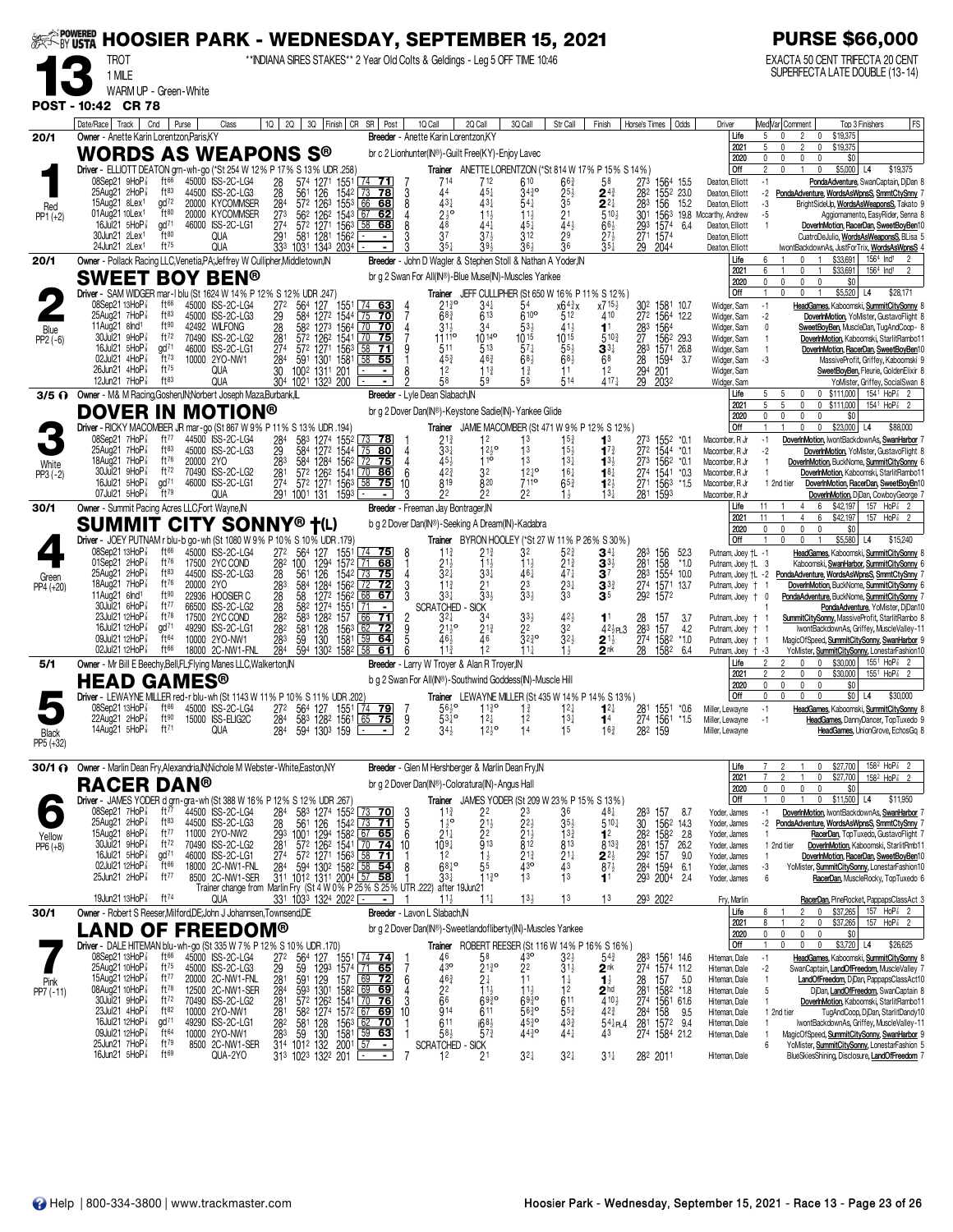| <b><i>SEE</i></b> POWERED |                                                                                                             |                                  |           | <b>HOOSIER PARK - WEDNESDAY, SEPTEMBER 15, 2021</b>            |                       |                                                                                       |                                                         |                                      |               |                                                                                                       |                                                 |                                                                                   |                                       |                                                                                      |                        |                                                                                               |                                                   |                     | <b>PURSE \$66,000</b>                                                                                  |                                                                                       |
|---------------------------|-------------------------------------------------------------------------------------------------------------|----------------------------------|-----------|----------------------------------------------------------------|-----------------------|---------------------------------------------------------------------------------------|---------------------------------------------------------|--------------------------------------|---------------|-------------------------------------------------------------------------------------------------------|-------------------------------------------------|-----------------------------------------------------------------------------------|---------------------------------------|--------------------------------------------------------------------------------------|------------------------|-----------------------------------------------------------------------------------------------|---------------------------------------------------|---------------------|--------------------------------------------------------------------------------------------------------|---------------------------------------------------------------------------------------|
|                           | TROT                                                                                                        |                                  |           |                                                                |                       |                                                                                       |                                                         |                                      |               | **INDIANA SIRES STAKES** 2 Year Old Colts & Geldings - Leg 5 OFF TIME 10:46                           |                                                 |                                                                                   |                                       |                                                                                      |                        |                                                                                               |                                                   |                     | EXACTA 50 CENT TRIFECTA 20 CENT<br>SUPERFECTA LATE DOUBLE (13-14)                                      |                                                                                       |
|                           | 1 MILE<br>WARM UP - Green-White                                                                             |                                  |           |                                                                |                       |                                                                                       |                                                         |                                      |               |                                                                                                       |                                                 |                                                                                   |                                       |                                                                                      |                        |                                                                                               |                                                   |                     |                                                                                                        |                                                                                       |
|                           | POST - 10:42 CR 78                                                                                          |                                  |           |                                                                |                       |                                                                                       |                                                         |                                      |               |                                                                                                       |                                                 |                                                                                   |                                       |                                                                                      |                        |                                                                                               |                                                   |                     |                                                                                                        |                                                                                       |
|                           | Date/Race   Track                                                                                           | Cnd                              | Purse     | Class                                                          | 2Q<br>1Q              |                                                                                       |                                                         | 3Q Finish CR SR Post                 |               | 1Q Call                                                                                               | 2Q Call                                         | 3Q Call                                                                           | Str Call                              | Finish                                                                               |                        | Horse's Times   Odds                                                                          | Driver                                            |                     | Med Var  Comment                                                                                       | FS<br>Top 3 Finishers                                                                 |
| 20/1                      | Owner - Anette Karin Lorentzon, Paris.KY<br>WORDS AS WEAPONS S®                                             |                                  |           |                                                                |                       |                                                                                       |                                                         |                                      |               | Breeder - Anette Karin Lorentzon, KY<br>br c 2 Lionhunter(IN®)-Guilt Free(KY)-Enjoy Lavec             |                                                 |                                                                                   |                                       |                                                                                      |                        |                                                                                               | Life<br>2021                                      | 5                   | $\overline{2}$<br>\$19,375<br>$\mathbf{0}$<br>$\mathbf 0$<br>\$19,375<br>0<br>2                        |                                                                                       |
|                           | Driver - ELLIOTT DEATON grn-wh-go (*St 254 W 12% P 17% S 13% UDR .258)                                      |                                  |           |                                                                |                       |                                                                                       |                                                         |                                      |               |                                                                                                       |                                                 |                                                                                   |                                       | Trainer ANETTE LORENTZON (*St 814 W 17% P 15% S 14%)                                 |                        |                                                                                               | 2020<br><b>Off</b>                                | $\mathfrak{p}$      | \$0<br>0<br>0<br>$$5,000$ L4<br>0<br>0                                                                 | \$19,375                                                                              |
|                           | 08Sep21 9HoP<br>25Aug21 2HoP3                                                                               | ft66<br>$ft^{83}$                |           | 45000 ISS-2C-LG4<br>44500 ISS-2C-LG3                           | 28<br>28<br>284       | 574 1271 1551 74 71                                                                   | 1542                                                    | <u>  73</u><br><u>78</u>             |               | 714<br>44                                                                                             | 712<br>$45\frac{1}{4}$                          | 610<br>3430                                                                       | $66\frac{3}{4}$                       | 58<br>$\mathbf{2}^{4\frac{3}{4}}$                                                    | 273<br>282             | 1564 15.5                                                                                     | Deaton, Elliott<br>Deaton, Elliott                | $-1$<br>-2          | PondaAdventure, WordsAsWpnsS, SmmtCtySnny                                                              | PondaAdventure, SwanCaptain, DjDan 8                                                  |
| Red                       | 15Aug21 8Lex <sup>1</sup>                                                                                   | $\frac{1}{2}$                    |           | 20000 KYCOMMSER                                                |                       | 561 126<br>572 1263                                                                   | 1553                                                    | 66<br>68                             | $\frac{3}{8}$ | $43\frac{1}{4}$                                                                                       | 431                                             | $54\frac{1}{4}$                                                                   | $\frac{25}{3^{5}}$                    | $2^{2\frac{1}{4}}$                                                                   | 283                    | 155 <sup>2</sup> 23.0<br>156 15.2                                                             | Deaton, Elliott                                   | -3                  |                                                                                                        | BrightSideUp, WordsAsWeaponsS, Takato 9                                               |
| $PP1 (+2)$                | 01Aug21 10Lex <sup>1</sup><br>16Jul21 5HoP <sup>3</sup>                                                     | ft80<br>$\alpha$ d <sup>71</sup> |           | 20000 KYCOMMSER<br>46000 ISS-2C-LG1                            | $27^{3}$<br>274       | 562 1262 1543 67<br>572 1271 1563<br>581 1281 1562                                    |                                                         | 62<br>58 68                          |               | $2\frac{1}{2}$ <sup>o</sup><br>48                                                                     | $11\frac{1}{2}$<br>441                          | 11<br>451                                                                         | 2 <sup>1</sup><br>443                 | $5^{10\frac{1}{2}}$<br>$66\frac{1}{2}$                                               | 293                    | 1574<br>6.4                                                                                   | 301 1563 19.8 Mccarthy, Andrew<br>Deaton, Elliott | -5                  |                                                                                                        | Aggiornamento, EasyRider, Senna ε<br>DoverInMotion, RacerDan, SweetBoyBen10           |
|                           | 30Jun21 2Lex1<br>24Jun21 2Lex <sup>1</sup>                                                                  | ft80<br>$ft^{75}$                |           | <b>QUA</b><br><b>QUA</b>                                       | 291                   | 333 1031 1343 2034                                                                    |                                                         |                                      |               | 37                                                                                                    | 394                                             | 312<br>36}                                                                        | 29<br>$\overline{3}6$                 | $27\frac{1}{2}$<br>$35\frac{1}{4}$                                                   | 271<br>29              | 1574<br>2044                                                                                  | Deaton, Elliott<br>Deaton, Elliott                |                     | lwontBackdownAs, JustForTrix, WordsAsWpnsS 4                                                           | CuatroDeJulio, WordsAsWeaponsS, BLisa 5                                               |
| 20/1                      | Owner - Pollack Racing LLC, Venetia, PA; Jeffrey W Cullipher, Middletown, IN                                |                                  |           |                                                                |                       |                                                                                       |                                                         |                                      |               | Breeder - John D Wagler & Stephen Stoll & Nathan A Yoder, IN                                          |                                                 |                                                                                   |                                       |                                                                                      |                        |                                                                                               | Life                                              | 6                   | \$33,691<br>\$33,691                                                                                   | 156 <sup>4</sup> Ind <sup>1</sup>                                                     |
|                           | <b>SWEET BOY BEN®</b>                                                                                       |                                  |           |                                                                |                       |                                                                                       |                                                         |                                      |               | br g 2 Swan For All(IN®)-Blue Muse(IN)-Muscles Yankee                                                 |                                                 |                                                                                   |                                       |                                                                                      |                        |                                                                                               | 2021<br>2020                                      | 0                   | 0<br>$\mathbf 0$<br>\$0<br>0<br>$\Omega$                                                               | 156 <sup>4</sup> Ind <sup>1</sup>                                                     |
|                           | Driver - SAM WIDGER mar-1 blu (St 1624 W 14% P 12% S 12% UDR 247)<br>08Sep21 13HoP 3                        | ft66                             |           | 45000 ISS-2C-LG4                                               | 272                   | 564<br>127                                                                            | 1551 <u>  74 63</u>                                     |                                      |               | $21\frac{3}{4}$ <sup>o</sup>                                                                          | 34‡                                             | 54                                                                                | x643x                                 | Trainer JEFF CULLIPHER (St 650 W 16% P 11% S 12%)<br>x715}                           | 302                    | 1581 10.7                                                                                     | Off<br>Widger, Sam                                | $-1$                | \$5,520<br>$\mathbf{0}$                                                                                | L4<br>\$28,171<br>HeadGames, Kaboomski, SummitCitySonny 8                             |
|                           | $25$ Aug $21$ 7HoP $\frac{7}{8}$<br>11Aug21 $8nd1$                                                          | $ft^{83}$<br>ft90                |           | 45000 ISS-2C-LG3<br>42492 WILFONG                              | 29<br>28              | 584 1272 1544 75 70<br>582 1273 1564 70 70                                            |                                                         |                                      |               | $68\frac{3}{4}$<br>$31\frac{1}{2}$                                                                    | 613<br>34                                       | $610$ <sup>o</sup><br>$53\frac{1}{2}$                                             | 512<br>41}                            | 410<br>11                                                                            | 283                    | 272 1564 12.2<br>1564                                                                         | Widger, Sam<br>Widger, Sam                        | $-2$<br>0           |                                                                                                        | DoverInMotion, YoMister, GustavoFlight &<br>SweetBoyBen, MuscleDan, TugAndCoop- 8     |
| Blue<br>$PP2(-6)$         | 30Jul21 9HoP<br>16Jul21 $5H$ o $P_8^7$                                                                      | ft72<br>$\alpha$ d <sup>71</sup> |           | 70490 ISS-2C-LG2                                               | $28^{\circ}$          | 572 1262                                                                              | $1541$ $70$                                             | 75                                   |               | 1111 <sup>o</sup>                                                                                     | $10^{149}$                                      | $10^{15}$                                                                         | 1015                                  | $5^{10}$                                                                             |                        | 27 1562 29.3                                                                                  | Widger, Sam                                       |                     |                                                                                                        | DoverInMotion, Kaboomski, StarlitRambo11                                              |
|                           | 02Jul21 4HoP3                                                                                               | $ft^{73}$                        |           | 46000 ISS-2C-LG1<br>10000 2YO-NW1                              | 274<br>284            | 572 1271 1563<br>591                                                                  | 1301 1581                                               | 58<br>-71<br>58 55                   | g             | 511<br>45 <sup>3</sup>                                                                                | 513<br>463                                      | $57\frac{1}{4}$<br>$68\frac{1}{2}$                                                | $55\frac{1}{2}$<br>$68\frac{1}{2}$    | $\mathbf{3}^{3\ddagger}$<br>68                                                       | 283<br>28              | 1571 26.8<br>1594<br>-3.7                                                                     | Widger, Sam<br>Widger, Sam                        | -1<br>-3            |                                                                                                        | DoverInMotion, RacerDan, SweetBoyBen10<br>MassiveProfit, Griffey, Kaboomski 9         |
|                           | 26Jun21 4HoP3<br>12Jun21 7HoP <sup>7</sup>                                                                  | $ft^{75}$<br>ft83                |           | QUA<br><b>QUA</b>                                              | 30                    | 1002 1311 201<br>304 1021 1323 200                                                    |                                                         |                                      |               | 12<br>58                                                                                              | $11\frac{3}{4}$<br>59                           | $1\frac{3}{4}$                                                                    | 11<br>514                             | 1 <sup>2</sup><br>$417\frac{1}{4}$                                                   | 294<br>$\overline{29}$ | 201<br>2032                                                                                   | Widger, Sam<br>Widger, Sam                        |                     |                                                                                                        | SweetBoyBen, Fleurie, GoldenElixir &<br>YoMister, Griffey, SocialSwan &               |
|                           | 3/5 O Owner - M& M Racing, Goshen, IN; Norbert Joseph Maza, Burbank, IL                                     |                                  |           |                                                                |                       |                                                                                       |                                                         |                                      |               | Breeder - Lyle Dean Slabach, IN                                                                       |                                                 |                                                                                   |                                       |                                                                                      |                        |                                                                                               | Life<br>2021                                      |                     | \$111,000<br>0<br>$^{\circ}$<br>5<br>0<br>0<br>\$111,000                                               | 1541 HoP <sup>2</sup><br>1541 HoP                                                     |
|                           | <b>DOVER IN MOTION®</b>                                                                                     |                                  |           |                                                                |                       |                                                                                       |                                                         |                                      |               | br g 2 Dover Dan(IN®)-Keystone Sadie(IN)-Yankee Glide                                                 |                                                 |                                                                                   |                                       |                                                                                      |                        |                                                                                               | 2020                                              | $\mathbf{0}$        | 0<br>$\mathbf 0$<br>$\mathbf{0}$<br>\$0                                                                |                                                                                       |
|                           | Driver - RICKY MACOMBER JR mar-go (St 867 W 9% P 11% S 13% UDR .194)<br>08Sep21 7HoP                        | ft $77$                          |           | 44500 ISS-2C-LG4                                               | 284                   | 583 1274 1552 73 78                                                                   |                                                         |                                      |               | Trainer<br>$2^{1\frac{3}{4}}$                                                                         | 12                                              | 1 <sup>3</sup>                                                                    | $15\frac{3}{4}$                       | JAMIE MACOMBER (St 471 W 9% P 12% S 12%)<br>1 <sup>3</sup>                           |                        | 273 1552 *0.1                                                                                 | <b>Off</b><br>Macomber, R Jr                      | $-1$                | \$23,000<br>$\mathbf 0$<br>$\mathbf{0}$<br>DoverInMotion, IwontBackdownAs, SwanHarbor 7                | \$88,000<br>L4                                                                        |
|                           | $25$ Aug $21$ 7HoP $\frac{7}{8}$<br>18Aug21 7HoP <sup>3</sup>                                               | $ft^{83}$<br>ft76                | 20000 2YO | 45000 ISS-2C-LG3                                               | $\frac{29}{283}$      | 584<br>584                                                                            | $\frac{1272}{1284}$ $\frac{1544}{156}$ $\frac{75}{128}$ | 80<br>75                             |               | $33\frac{1}{4}$<br>45                                                                                 | $12^{10}$<br>$1^{10}$                           | 13<br>13                                                                          | $15\frac{1}{2}$<br>$13\frac{1}{4}$    | $1^{73}$                                                                             | 272<br>273             | 1544 *0.1<br>1562 *0.1                                                                        | Macomber, R Jr                                    | -2                  |                                                                                                        | DoverInMotion, YoMister, GustavoFlight &                                              |
| White<br>PP3 (-2)         | 30Jul21 9HoP <sup>3</sup>                                                                                   | ft72                             |           | 70490 ISS-2C-LG2                                               | 281                   | 572 1262 1541                                                                         |                                                         | $\overline{70}$<br>86                | 6             | 42 <sup>3</sup>                                                                                       | 32                                              | $12^{10}$                                                                         | $16\frac{1}{4}$                       | $1^{3}$<br>$18\frac{1}{4}$                                                           |                        | 274 1541 *0.3                                                                                 | Macomber, R Jr<br>Macomber, R Jr                  |                     | DoverInMotion, BuckNome, SummitCitySonny 6                                                             | DoverInMotion, Kaboomski, StarlitRambo11                                              |
|                           | 16Jul21 5HoP3<br>07Jul21 $5H_0P_8^7$                                                                        | $\frac{1}{2}$<br>$ft^{79}$       |           | 46000 ISS-2C-LG1<br><b>QUA</b>                                 | 274                   | 572 1271 1563<br>291 1001 131                                                         | 1593 ⊡                                                  | 58<br><u>75 </u>                     | 10            | 819<br>22                                                                                             | 820<br>22                                       | 7110<br>22                                                                        | $65\frac{3}{4}$                       | $1^{2\frac{1}{2}}$<br>$13\frac{1}{4}$                                                | 281                    | 271 1563<br>*1.5<br>1593                                                                      | Macomber, R Jr<br>Macomber, R Jr                  | 1 2nd tier          |                                                                                                        | DoverInMotion, RacerDan, SweetBoyBn10<br>DoverInMotion, DjDan, CowboyGeorge 7         |
| 30/1                      | Owner - Summit Pacing Acres LLC, Fort Wayne, IN                                                             |                                  |           |                                                                |                       |                                                                                       |                                                         |                                      |               | Breeder - Freeman Jay Bontrager, IN                                                                   |                                                 |                                                                                   |                                       |                                                                                      |                        |                                                                                               | Life<br>2021                                      | 11<br>11            | \$42,197<br>\$42,197<br>6                                                                              | 157<br>HoP <sup>3</sup><br>157 HoP <sup>2</sup>                                       |
|                           | <b>SUMMIT</b>                                                                                               |                                  |           | <b>CITY SONNY® †(L)</b>                                        |                       |                                                                                       |                                                         |                                      |               | b g 2 Dover Dan(IN®)-Seeking A Dream(IN)-Kadabra                                                      |                                                 |                                                                                   |                                       |                                                                                      |                        |                                                                                               | 2020                                              |                     | $\mathbf 0$<br>$\Omega$<br>\$0<br>0                                                                    |                                                                                       |
|                           | Driver - JOEY PUTNAM r blu-b go-wh (St 1080 W 9% P 10% S 10% UDR .179)<br>$08$ Sep21 13HoP $\frac{7}{8}$    | ft 66                            |           | 45000 ISS-2C-LG4                                               |                       | 272 564 127                                                                           | 1551                                                    | $\sqrt{74}$ 75                       | 8             | $11\frac{3}{4}$                                                                                       | 21}                                             | 32                                                                                | 52}                                   | <b>Trainer</b> BYRON HOOLEY (*St 27 W 11% P 26% S 30%)<br>$\mathbf{3}^{4\downarrow}$ | 283                    | 156<br>52.3                                                                                   | Off<br>Putnam, Joey +L -1                         |                     | \$5,580                                                                                                | \$15,240<br>L4<br>HeadGames, Kaboomski, SummitCitySonny &                             |
|                           | 01Sep21 $2HoP_8$<br>$25$ Aug $21$ $2$ HoP $\frac{7}{8}$                                                     | ft76<br>ft83                     |           | 17500 2YC COND<br>44500 ISS-2C-LG3                             |                       | 282 100<br>1294<br>126                                                                | 1572<br>1542                                            | 71<br><u>68</u><br>$\sqrt{73}$<br>75 |               | $21\frac{1}{2}$<br>$3^{21}$                                                                           | $11\frac{1}{2}$                                 | $11\frac{1}{2}$<br>461                                                            | $2^{1\frac{3}{4}}$<br>$47\frac{1}{4}$ | $\mathbf{3}^{3\frac{1}{2}}$<br>37                                                    | 281 158                | $*1.0$                                                                                        | Putnam, Joey +L 3                                 |                     |                                                                                                        | Kaboomski, SwanHarbor, SummitCitySonny                                                |
| Green<br>PP4 (+20)        | 18Aug21 7HoP                                                                                                | ft76                             | 20000 2YO |                                                                | 28<br>283             | 561<br>584<br>1284                                                                    | 1562                                                    | 72                                   |               | $11\frac{3}{4}$                                                                                       | $33\frac{1}{4}$<br>21                           | 23                                                                                | $\frac{2^{3\frac{1}{4}}}{3^{3}}$      | $3^{3}$                                                                              |                        | 283 1554 10.0<br>274 1571 13.7                                                                | Putnam, Joey †L -2<br>Putnam, Joey † 1            |                     | PondaAdventure, WordsAsWpnsS, SmmtCtySnny<br>DoverInMotion, BuckNome, SummitCitySonny                  |                                                                                       |
|                           | 11Aug21 6lnd <sup>1</sup><br>30Jul21 6HoP                                                                   | ft90<br>ft77                     |           | 22936 HOOSIER C<br>66500 ISS-2C-LG2                            | 28<br>$\frac{28}{28}$ | 58<br>1274<br>582                                                                     | 1272 1562<br>1551                                       | 68<br>67                             |               | $3^{3}\frac{1}{4}$<br><b>SCRATCHED</b>                                                                | $33\frac{1}{2}$<br><b>SICK</b>                  | $33\frac{1}{2}$                                                                   |                                       | 35                                                                                   | 292 1572               |                                                                                               | Putnam, Joey + 0                                  |                     | PondaAdventure, BuckNome, SummitCitySonny                                                              | PondaAdventure, YoMister, DjDan10                                                     |
|                           | 23Jul21 12HoP <sup>3</sup><br>16Jul21 12HoP                                                                 | $ft^{78}$<br>gd <sup>71</sup>    |           | 17500 2YC COND<br>49290 ISS-2C-LG1                             | 282                   | 583<br>1282<br>581<br>128                                                             | 157<br>1563                                             | 66<br>71<br><u>72</u>                |               | $3^{2+}$<br>$21\frac{1}{2}$ <sup>o</sup>                                                              | 34<br>213                                       | $33\frac{1}{2}$<br>22                                                             | $42\frac{1}{2}$<br>32                 | 1 <sup>1</sup><br>$42\frac{1}{2}$ PL3                                                | 28<br>283              | 157<br>3.7<br>157<br>4.2                                                                      | Putnam, Joey †<br>Putnam, Joey +                  |                     | SummitCitySonny, MassiveProfit, StarlitRambo &                                                         | IwontBackdownAs, Griffey, MuscleValley-11                                             |
|                           | 09Jul21 12HoP                                                                                               | $ft^{64}$<br>ft66                |           | 10000 2YO-NW1<br>18000 2C-NW1-FNL                              | 283                   | 130<br>59                                                                             | 1581                                                    | 59<br>64                             |               | 464                                                                                                   |                                                 | $\overline{3}2\overline{3}$ <sup>o</sup>                                          | $32\frac{1}{2}$                       | $2^{1\frac{1}{2}}$                                                                   | $\frac{274}{28}$       | $*1.0$<br>1582                                                                                | Putnam, Joey †                                    | -1                  | MagicOfSpeed, SummitCitySonny, SwanHarbor 9                                                            |                                                                                       |
| 5/1                       | 02Jul21 12HoP <sup>3</sup><br>Owner - Mr Bill E Beechy, Bell, FL; Flying Manes LLC, Walkerton, IN           |                                  |           |                                                                | 284                   | 594                                                                                   | 130 <sup>2</sup> 1582                                   | 58<br>61                             |               | 11 <sup>3</sup><br>Breeder - Larry W Troyer & Alan R Troyer, IN                                       |                                                 | 111                                                                               |                                       | 2 <sup>nk</sup>                                                                      |                        | 1582<br>6.4                                                                                   | Putnam, Joey + -3<br>Life                         |                     | YoMister, SummitCitySonny, LonestarFashion10<br>\$30,000<br>0                                          | $155^{\circ}$ HoP <sup>2</sup>                                                        |
|                           | <b>HEAD GAMES®</b>                                                                                          |                                  |           |                                                                |                       |                                                                                       |                                                         |                                      |               | b g 2 Swan For All(IN®)-Southwind Goddess(IN)-Muscle Hill                                             |                                                 |                                                                                   |                                       |                                                                                      |                        |                                                                                               | 2021<br>2020                                      | $\mathbf{0}$        | \$30,000<br>$\mathbf{0}$<br>0<br>0<br>$\mathbf{0}$<br>\$0<br>0                                         | 155 <sup>1</sup> HoP <sup>2</sup>                                                     |
|                           | Driver - LEWAYNE MILLER red-r blu-wh (St 1143 W 11% P 10% S 11% UDR .202)<br>$08$ Sep21 13HoP $\frac{7}{8}$ | ft66                             |           | 45000 ISS-2C-LG4                                               |                       |                                                                                       |                                                         |                                      |               | $56\frac{1}{2}$                                                                                       |                                                 |                                                                                   |                                       | <b>Trainer</b> LEWAYNE MILLER (St 435 W 14% P 14% S 13%)                             |                        |                                                                                               | Off                                               |                     | $\mathbf 0$<br>\$0 <br>$\Omega$<br>$\mathbf{0}$                                                        | L4<br>\$30,000                                                                        |
|                           | 22Aug21 2HoP <sup>3</sup>                                                                                   | ft90                             |           | 15000 ISS-ELIG2C                                               | 272<br>284            | 564 127 1551 74 79<br>583 1282 1561 65 75                                             |                                                         |                                      | 9             | $53\bar{4}$ <sup>o</sup>                                                                              | $11\frac{3}{4}$ <sup>o</sup><br>$12\frac{1}{4}$ | $1\frac{3}{4}$<br>12                                                              | $12\frac{1}{4}$<br>$13\frac{1}{4}$    | $12\frac{1}{4}$<br>1 <sup>4</sup>                                                    |                        | 281 1551 *0.6<br>274 1561 *1.5                                                                | Miller, Lewayne<br>Miller, Lewayne                | $-1$<br>$-1$        |                                                                                                        | HeadGames, Kaboomski, SummitCitySonny &<br>HeadGames, DannyDancer, TopTuxedo 9        |
| <b>Black</b><br>PP5 (+32) | 14Aug21 5HOP៖                                                                                               | $ft^{71}$                        |           | QUA                                                            | 284                   | 594                                                                                   | 1303 159                                                | ∸                                    | 2             | $34\frac{1}{2}$                                                                                       | $12\frac{1}{2}$ <sup>o</sup>                    |                                                                                   | 15                                    | 10 <sub>4</sub>                                                                      | $282$ 159              |                                                                                               | Miller, Lewayne                                   |                     |                                                                                                        | HeadGames, UnionGrove, EchosGq &                                                      |
|                           |                                                                                                             |                                  |           |                                                                |                       |                                                                                       |                                                         |                                      |               |                                                                                                       |                                                 |                                                                                   |                                       |                                                                                      |                        |                                                                                               |                                                   |                     | 2                                                                                                      | $158^2$ HoP <sup><math>7\frac{7}{8}</math></sup> 2                                    |
|                           | 30/1 ( Owner - Marlin Dean Fry Alexandria, IN: Nichole M Webster-White, Easton, NY<br><b>RACER DAN®</b>     |                                  |           |                                                                |                       |                                                                                       |                                                         |                                      |               | Breeder - Glen M Hershberger & Marlin Dean Fry, IN<br>br g 2 Dover Dan(IN®)-Coloratura(IN)-Angus Hall |                                                 |                                                                                   |                                       |                                                                                      |                        |                                                                                               | Life<br>2021                                      |                     | \$27,700<br>$\mathbf{0}$<br>$\mathbf 0$<br>\$27,700                                                    | $158^2$ HoP <sup>2</sup>                                                              |
|                           | Driver - JAMES YODER d grn-gra-wh (St 388 W 16% P 12% S 12% UDR .267)                                       |                                  |           |                                                                |                       |                                                                                       |                                                         |                                      |               |                                                                                                       |                                                 |                                                                                   |                                       | Trainer JAMES YODER (St 209 W 23% P 15% S 13%)                                       |                        |                                                                                               | 2020<br>Off                                       | $\mathbf{0}$        | $\mathbf 0$<br>\$0<br>0<br>$\mathbf{0}$<br>$\mathbf 0$<br>$\mathbf 0$<br>\$11,500 L4<br>$\overline{1}$ | \$11,950                                                                              |
|                           | 08Sep21 7HoP <sup>3</sup><br>25Aug21 2HoP <sup>3</sup>                                                      | ftЙ<br>ft 83                     |           | 44500 ISS-2C-LG4<br>44500 ISS-2C-LG3                           | 28 <sup>4</sup><br>28 | 583 1274 1552 $\frac{73}{73}$ 70                                                      |                                                         |                                      | 3<br>5        | $1^{13}_{2}$<br>$1^{13}_{2}$                                                                          | $2^{2}_{2^{1}\frac{1}{2}}$<br>2 <sup>2</sup>    |                                                                                   | 36<br>$35\frac{1}{2}$                 | 481<br>$5^{10}$                                                                      | $\frac{28^3}{30}$      | 157<br>8.7<br>1562 14.3                                                                       | Yoder, James<br>Yoder, James                      | $-1$<br>-2          | DoverInMotion, IwontBackdownAs, SwanHarbor 7<br>PondaAdventure, WordsAsWpnsS, SmmtCtySnny 7            |                                                                                       |
| Yellow                    | 15Aug21 $8H_0P_8^7$                                                                                         | ft $77$                          |           | 11000 2YO-NW2                                                  |                       |                                                                                       |                                                         |                                      | 6             | $21\frac{1}{4}$                                                                                       |                                                 | $2^{3}_{2^{2}_{1^{2}_{2}}}$<br>$2^{1^{1}_{2}}_{1^{2}_{2}}$<br>$8^{1^{2}_{1^{2}}}$ | $13\frac{3}{4}$                       | 1 <sup>2</sup>                                                                       |                        | 2.8                                                                                           | Yoder, James                                      | $\overline{1}$      |                                                                                                        | RacerDan, TopTuxedo, GustavoFlight 7                                                  |
| $PP6 (+8)$                | 30Jul21 9HoP <sup>3</sup><br>16Jul21 5HoP <sup>3</sup>                                                      | $ft^{72}$<br>gd <sup>71</sup>    |           | 70490 ISS-2C-LG2<br>46000 ISS-2C-LG1                           |                       | 293 1001 1294 1582 67 65<br>281 572 1262 1582 67 65<br>274 572 1262 1541 70 <b>74</b> |                                                         |                                      | 10            | $109\frac{1}{4}$<br>1 <sup>2</sup>                                                                    | $\overline{9}$ 13<br>$1\frac{1}{2}$             | $\frac{2^{13}}{4^{30}}$                                                           | 813<br>$\frac{21}{4}$                 | $8^{13\frac{3}{4}}$<br>$2^{21}$                                                      |                        | 28 <sup>2</sup> 158 <sup>2</sup><br>28 <sup>1</sup> 157<br>29 <sup>2</sup> 157<br>26.2<br>9.0 | Yoder, James<br>Yoder, James                      | 1 2nd tier<br>-1    |                                                                                                        | DoverInMotion, Kaboomski, StarlitRmb11<br>DoverInMotion, RacerDan, SweetBoyBen10      |
|                           | 02Jul21 12HoP <sup>3</sup><br>25Jun21 2HoP <sup>3</sup>                                                     | ft66<br>ft77                     |           | 18000 2C-NW1-FNL<br>8500 2C-NW1-SER                            |                       | 284 594 1302 1582 58 54<br>311 1012 1311 2004 57 58                                   |                                                         |                                      | 8             | $68^{10}_{4}$<br>$33\frac{1}{4}$                                                                      | 55<br>$11\frac{3}{4}$ <sup>o</sup>              | 13                                                                                | 13                                    | $87\frac{1}{2}$<br>1 <sup>1</sup>                                                    | 284<br>293 2004        | 1594<br>6.1<br>2.4                                                                            | Yoder, James<br>Yoder, James                      | -3<br>6             | YoMister, SummitCitySonny, LonestarFashion10                                                           | RacerDan, MuscleRocky, TopTuxedo 6                                                    |
|                           |                                                                                                             |                                  |           | Trainer change from Marlin Fry (St 4 W 0% P 25% S 25% UTR 222) |                       |                                                                                       |                                                         |                                      |               | after 19Jun21                                                                                         |                                                 |                                                                                   |                                       |                                                                                      |                        |                                                                                               |                                                   |                     |                                                                                                        |                                                                                       |
| 30/1                      | 19Jun21 13HoP <sup>3</sup><br>Owner - Robert S Reeser, Milford, DE; John J Johannsen, Townsend, DE          | ft $^{74}$                       |           | <b>QUA</b>                                                     |                       | 331 1033 1324 2022 Leu                                                                |                                                         | $\blacksquare$                       |               | $11\frac{1}{2}$<br>Breeder - Lavon L Slabach, IN                                                      | $11\frac{1}{4}$                                 | $13\frac{1}{2}$                                                                   | 1 <sup>3</sup>                        | 1 <sup>3</sup>                                                                       | 293 2022               |                                                                                               | Fry, Marlin<br>Life                               | 8                   | $\mathbf 0$<br>\$37,265<br>$\overline{2}$<br>$\mathbf{1}$                                              | RacerDan, PineRocket, PappapsClassAct 3<br>157 HoP <sup>2</sup> <sub>8</sub> 2        |
|                           | LAND OF                                                                                                     |                                  |           | <b>FREEDOM®</b>                                                |                       |                                                                                       |                                                         |                                      |               | br g 2 Dover Dan(IN®)-Sweetlandofliberty(IN)-Muscles Yankee                                           |                                                 |                                                                                   |                                       |                                                                                      |                        |                                                                                               | 2021<br>2020                                      | 8<br>0              | \$37,265<br>$\overline{c}$<br>0<br>$\mathbf{0}$<br>$\mathbf 0$<br>\$0<br>$\mathbf{0}$                  | 157 HoP <sup>2</sup> <sub>8</sub> 2                                                   |
|                           | Driver - DALE HITEMAN blu-wh-go (St 335 W 7% P 12% S 10% UDR .170)                                          |                                  |           |                                                                |                       |                                                                                       |                                                         |                                      |               |                                                                                                       |                                                 |                                                                                   |                                       | <b>Trainer</b> ROBERT REESER (St 116 W 14% P 16% S 16%)                              |                        |                                                                                               | Off                                               | $\mathbf{1}$        | \$3,720 L4<br>$\mathbf 0$<br>$\mathbf 0$<br>$\mathbf 0$                                                | \$26,625                                                                              |
|                           | 08Sep21 13HoP 3<br>25Aug21 10HoP <sup>3</sup>                                                               | ft66<br>$ft^{75}$                |           | 45000 ISS-2C-LG4<br>45000 ISS-2C-LG3                           | $^{272}_{29}$         | 564 127<br>59 1293                                                                    | 127 1551 74 <b>74</b><br>1293 1574 71 <b>65</b>         |                                      |               | $rac{46}{430}$                                                                                        | $5^8$<br>$2^{13}$ °                             | 43 <sup>o</sup><br>2 <sup>2</sup>                                                 | $3^{2}\frac{1}{2}$<br>$31\frac{1}{2}$ | $54\frac{3}{4}$<br>2 <sup>nk</sup>                                                   |                        | 283 1561 14.6<br>274 1574 11.2                                                                | Hiteman, Dale<br>Hiteman, Dale                    | $-1$<br>$-2$        |                                                                                                        | HeadGames, Kaboomski, SummitCitySonny 8<br>SwanCaptain, LandOfFreedom, MuscleValley 7 |
| Pink                      | 15Aug21 12HoP <sup>7</sup><br>08Aug21 10HoP <sup>3</sup>                                                    | ft77<br>$ft^{78}$                |           | 20000 2C-NW1-FNL<br>12500 2C-NW1-SER                           | 281                   | 591 129 157 69 72<br>593 1301 1582 69 69<br>572 1262 1541 70 76                       |                                                         |                                      | 6<br>Δ        | $46\frac{3}{4}$                                                                                       | 21<br>$11\frac{1}{2}$                           | 11<br>$11\frac{1}{2}$                                                             | $1\frac{1}{4}$<br>1 <sup>2</sup>      | $\mathbf{1}\frac{1}{2}$                                                              |                        | 28 157 5.0<br>281 1582 *1.8<br>274 1561 61.6                                                  | Hiteman, Dale<br>Hiteman, Dale                    | $\overline{1}$<br>5 |                                                                                                        | LandOfFreedom, DjDan, PappapsClassAct10<br>DjDan, LandOfFreedom, SwanCaptain 8        |
| PP7 (-11)                 | 30Jul21 9HoP <sup>3</sup>                                                                                   | $ft^{72}$                        |           | 70490 ISS-2C-LG2                                               | $^{284}_{281}$        |                                                                                       |                                                         |                                      | 3             | $\frac{2^2}{6^6}$                                                                                     | $69\frac{3}{4}$ <sup>o</sup>                    | $69\frac{3}{4}$ <sup>o</sup>                                                      | 611                                   | $2^{hd}_{410\frac{1}{2}}$                                                            |                        |                                                                                               | Hiteman, Dale                                     |                     |                                                                                                        | DoverInMotion, Kaboomski, StarlitRambo11                                              |
|                           | 23Jul21 $4H_0P_8^7$<br>16Jul21 12HoP <sup>3</sup>                                                           | $ft^{82}$<br>$\frac{1}{2}$       |           | 10000 2YO-NW1<br>49290 ISS-2C-LG1                              | 281<br>282            | 582 1274 1572 67<br>581                                                               |                                                         | <u>69 </u>                           | 10            | 914<br>611                                                                                            | 611<br>$168\frac{1}{2}$                         | $56\frac{3}{4}$ <sup>o</sup><br>$45\frac{3}{4}$ <sup>o</sup>                      | $55\frac{3}{4}$<br>$43\frac{3}{4}$    | $42\frac{3}{4}$<br>$544$ PL4                                                         |                        | 284 158 9.5<br>281 1572 9.4<br>274 1584 21.2                                                  | Hiteman, Dale<br>Hiteman, Dale                    | 1 2nd tier          |                                                                                                        | TugAndCoop, DjDan, StarlitDandy10<br>IwontBackdownAs, Griffey, MuscleValley-11        |
|                           | 09Jul21 12HoP <sup>3</sup><br>25Jun21 $7H_0P_8^7$                                                           | ft64<br>ft <sup>79</sup>         |           | 10000 2YO-NW1<br>8500 2C-NW1-SER                               | 283                   | 128<br>130<br>59                                                                      |                                                         | $156^3$ 62 70<br>$\blacksquare$      |               | 58}<br><b>SCRATCHED</b>                                                                               | $57\frac{3}{4}$<br>- SICK                       | $44^{30}_{4}$                                                                     | $44\frac{1}{4}$                       | 43                                                                                   |                        |                                                                                               | Hiteman, Dale                                     | 6                   | MagicOfSpeed, SummitCitySonny, SwanHarbor 9<br>YoMister, SummitCitySonny, LonestarFashion 5            |                                                                                       |
|                           | 16Jun21 5HoP <sup>3</sup>                                                                                   | ft69                             |           | QUA-2YO                                                        |                       | 314 1012 132<br>313 1023 1322 201                                                     | 2001 57<br>l -                                          | $\overline{\phantom{a}}$             |               | 1 <sup>2</sup>                                                                                        | 2 <sup>1</sup>                                  | $3^{2+}$                                                                          | $3^{2+}$                              | $31\frac{1}{4}$                                                                      | 282 2011               |                                                                                               | Hiteman, Dale                                     |                     | BlueSkiesShining, Disclosure, LandOfFreedom 7                                                          |                                                                                       |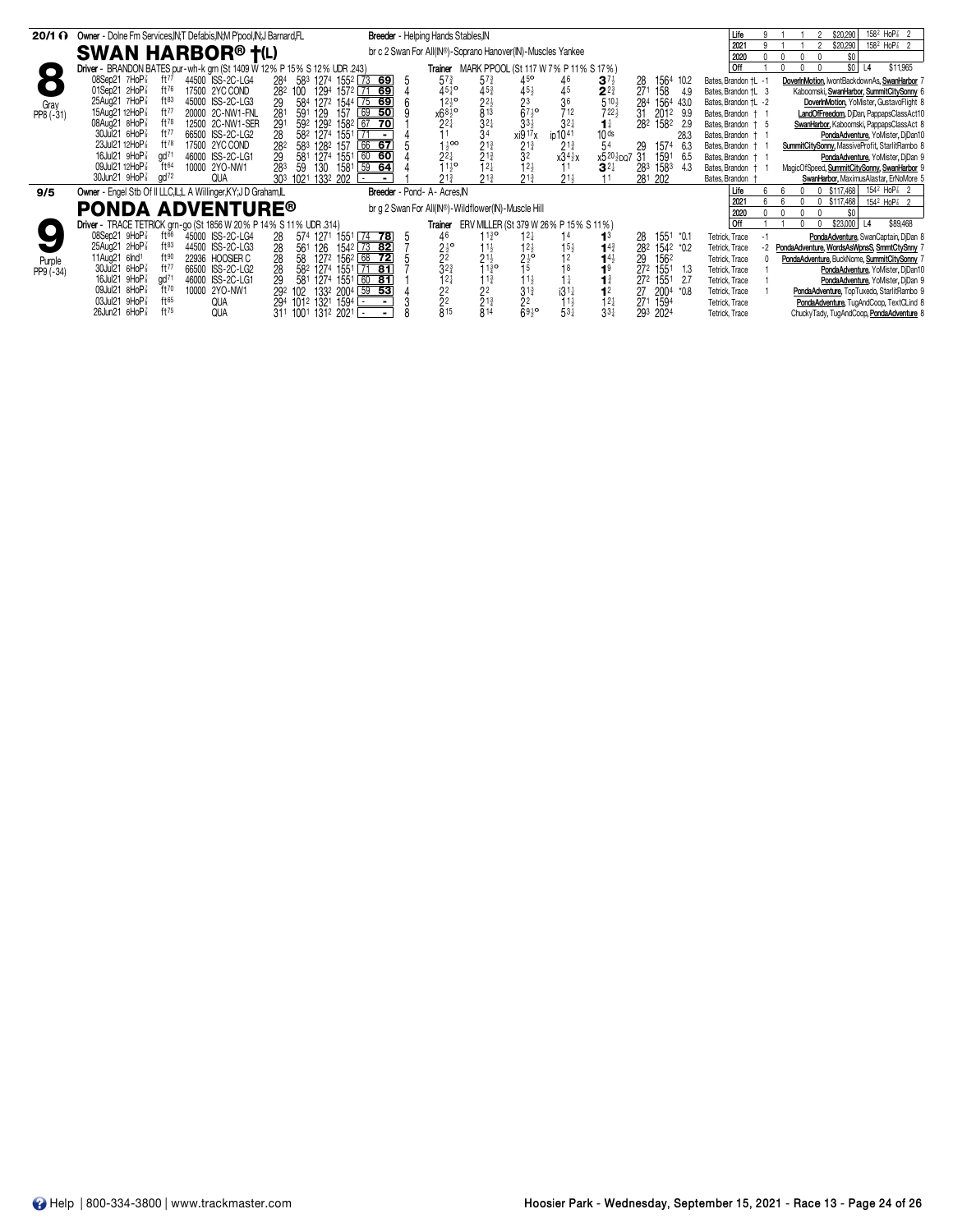| $20/1 \Omega$ | Owner - Dolne Fm Services, IN, T Defabis, IN, M Ppool, IN, J Barnard, FL |                                               | Breeder - Helping Hands Stables, IN                                                            |                                                   |                                                                   | Life                 | 158 <sup>2</sup> HoP <sup>7</sup> <sub>8</sub> 2<br>\$20,290    |
|---------------|--------------------------------------------------------------------------|-----------------------------------------------|------------------------------------------------------------------------------------------------|---------------------------------------------------|-------------------------------------------------------------------|----------------------|-----------------------------------------------------------------|
|               | <b>SWAN HARBOR® †(L)</b>                                                 |                                               | br c 2 Swan For All(IN®)-Soprano Hanover(IN)-Muscles Yankee                                    |                                                   |                                                                   | $202 -$              | $158^2$ HoP $\frac{7}{8}$ 2<br>\$20,290                         |
|               |                                                                          |                                               |                                                                                                |                                                   |                                                                   | 2020                 | \$0                                                             |
|               | Driver - BRANDON BATES pur-wh-k grn (St 1409 W 12% P 15% S 12% UDR .243) |                                               | <b>Trainer</b> MARK PPOOL (St 117 W 7% P 11% S 17%)                                            |                                                   |                                                                   | Off                  | \$O<br>\$11,965<br>L4                                           |
|               | 08Sep21 7HoP <sup>3</sup><br>ft77<br>44500 ISS-2C-LG4                    | 284 583 1274 1552 73 69                       | $5^{7}$<br>$57\frac{3}{4}$                                                                     | 45 <sup>o</sup><br>46<br>$3^{7}\frac{1}{2}$       | 1564 10.2<br>28                                                   | Bates, Brandon +L -1 | DoverInMotion, IwontBackdownAs, SwanHarbor 7                    |
|               | 01Sep21 2HoP<br>ft76<br>17500 2YC COND                                   | 1294 1572 71 69<br>282 100                    | $45^{10}_{4}$                                                                                  | $\frac{45}{2}$<br>$\frac{45}{36}$                 | $2^{2^{\frac{3}{4}}}_{5^{10^{\frac{1}{2}}}}$<br>271<br>158<br>4.9 | Bates, Brandon +L 3  | Kaboomski, SwanHarbor, SummitCitySonny 6                        |
| Gray          | 25Aug21 7HoP <sup>3</sup><br>$ft^{83}$<br>45000 ISS-2C-LG3               | 584 1272 1544 75 69<br>29                     | $12^{10}_{2}$                                                                                  |                                                   | 284<br>1564 43.0                                                  | Bates, Brandon †L -2 | DoverInMotion, YoMister, GustavoFlight 8                        |
| PP8 (-31)     | 15Aug21 12HoP <sup>3</sup><br>ft77<br>20000 2C-NW1-FNL                   | 281<br>69<br>157<br>$-50$<br>591<br>129       | $45\frac{3}{4}$<br>$22\frac{1}{2}$<br>$32\frac{1}{4}$<br>$34$<br>$x68\frac{1}{2}$ <sup>o</sup> | $67\frac{1}{2}$ <sup>o</sup><br>712               | $722\frac{1}{2}$<br>31<br>2012<br>9.9                             | Bates, Brandon + 1   | LandOfFreedom, DjDan, PappapsClassAct10                         |
|               | $ft^{78}$<br>08Aug21 8HoP <sup>3</sup><br>12500 2C-NW1-SER               | 291<br>592 1292 1582 67 70                    | $2^{2}$                                                                                        | $33\frac{1}{2}$<br>$3^{2}$<br>$1\frac{1}{4}$      | 1582<br>282<br>-2.9                                               | Bates, Brandon + 5   | SwanHarbor, Kaboomski, PappapsClassAct 8                        |
|               | 30Jul21 6HoP <sup>3</sup><br>ft77<br>66500 ISS-2C-LG2                    | 28<br>582 1274 1551                           |                                                                                                | 10 <sub>ds</sub><br>xi9 17 x<br>ip1041            | 28.3                                                              | Bates, Brandon +     | PondaAdventure, YoMister, DjDan10                               |
|               | 23Jul21 12HoP <sup>3</sup><br>$ft^{78}$<br>17500 2YC COND                | 66 67<br>282<br>583 1282 157                  | $1\frac{1}{2}$ 00<br>$2^{13}_{4}$<br>$2^{13}_{4}$<br>$1^{24}_{4}$                              | $2^{13}$<br>54<br>$2^{1\frac{3}{4}}$              | 1574<br>6.3<br>29                                                 | Bates, Brandon +     | SummitCitySonny, MassiveProfit, StarlitRambo 8                  |
|               | gd <sup>71</sup><br>16Jul21 9HoP <sup>3</sup><br>46000 ISS-2C-LG1        | 60<br>29<br>1551<br>-60<br>581<br>1274        | $2^{2}$                                                                                        | 32<br>$x34\frac{1}{2}x$                           | x520}po7 31<br>1591<br>6.5                                        | Bates, Brandon + 1   | PondaAdventure, YoMister, DjDan 9                               |
|               | 09Jul21 12HoP <sup>3</sup><br>ft64<br>10000 2YO-NW1                      | 283<br>59<br>[59 64]<br>130<br>1581           | $\frac{1}{2}$ <sup>1</sup> / <sub>2</sub> <sup>o</sup>                                         | $12\frac{1}{2}$<br>$3^{2+}$                       | 1583<br>283<br>4.3                                                | Bates, Brandon +     | MagicOfSpeed, SummitCitySonny, SwanHarbor 9                     |
|               | 30Jun21 9HoP <sup>3</sup><br>$\alpha$ d $^{72}$<br><b>QUA</b>            | 303 1021 1332 202<br>$\overline{\phantom{a}}$ | $21\frac{3}{4}$                                                                                | $21\frac{3}{4}$<br>$21\frac{1}{2}$                | 281 202                                                           | Bates, Brandon       | SwanHarbor, MaximusAlastar, ErNoMore 5                          |
| 9/5           | Owner - Engel Stb Of II LLC, IL, LA Willinger, KY; J D Graham, IL        |                                               | Breeder - Pond- A- Acres.IN                                                                    |                                                   |                                                                   | Life                 | 154 <sup>2</sup> HoP <sup>2</sup> <sub>8</sub> 2<br>0 \$117,468 |
|               |                                                                          |                                               | br g 2 Swan For All(IN®)-Wildflower(IN)-Muscle Hill                                            |                                                   |                                                                   | $202 -$              | $154^2$ HoP $\frac{7}{8}$ 2<br>$0$ \$117,468                    |
|               | <b>PONDA ADVENTURE®</b>                                                  |                                               |                                                                                                |                                                   |                                                                   | 2020                 | \$0                                                             |
|               | Driver - TRACE TETRICK grn-go (St 1856 W 20 % P 14 % S 11 % UDR 314)     |                                               | Trainer                                                                                        | ERV MILLER (St 379 W 26% P 15% S 11%)             |                                                                   | Off                  | \$23,000<br>\$89,468<br>L <sub>4</sub>                          |
|               | $08$ Sep21 9HoP $\frac{7}{8}$<br>45000 ISS-2C-LG4<br>$ft^{66}$           | $\sqrt{74}$<br>78<br>28<br>574 1271<br>1551   | 1130<br>46                                                                                     | $12\frac{1}{4}$<br>13                             | 1551 *0.1<br>28                                                   | Tetrick, Trace       | PondaAdventure, SwanCaptain, DjDan 8                            |
|               | $ft^{83}$<br>25Aug21 2HoP <sup>3</sup><br>44500 ISS-2C-LG3               | 1542 73 82<br>28<br>561 126                   | $\frac{21}{2}$ <sup>o</sup><br>$11\frac{1}{2}$                                                 | $12\frac{1}{2}$<br>$1^{4^{3}}$<br>$15\frac{1}{2}$ | 282<br>1542 *0.2                                                  | Tetrick, Trace       | PondaAdventure, WordsAsWpnsS, SmmtCtySnny 7                     |
| Purple        | ft90<br>22936 HOOSIER C<br>11Aug21 6lnd <sup>1</sup>                     | 28<br>1272 1562 68<br>58<br>$\overline{72}$   | $21\frac{1}{2}$                                                                                | $2\frac{1}{2}$ <sup>o</sup>                       | $14\frac{1}{2}$<br>29<br>1562                                     | Tetrick, Trace       | PondaAdventure, BuckNome, SummitCitySonny 7                     |
| PP9 (-34)     | 30Jul21 6HoP <sup>3</sup><br>ft77<br>66500 ISS-2C-LG2                    | 28<br>582 1274 1551<br>71 81                  |                                                                                                | 15<br>18<br>1 <sup>9</sup>                        | 272<br>1551<br>1.3                                                | Tetrick, Trace       | PondaAdventure, YoMister, DjDan10                               |
|               | 16Jul21 9HoP <sup>3</sup><br>gd <sup>71</sup><br>46000 ISS-2C-LG1        | 29<br>$60$ 81<br>581<br>1274 1551             | $\frac{3^{23}}{1^{24}}$<br>$\frac{1}{3}$ <sup>13</sup> <sup>o</sup><br>1 <sup>3</sup>          | 11}<br>$1\frac{1}{4}$<br>$\mathbf{1}^3$           | 272<br>1551<br>- 2.7                                              | Tetrick, Trace       | PondaAdventure, YoMister, DjDan 9                               |
|               | 09Jul21 8HoP3<br>ft70<br>10000 2YO-NW1                                   | 133 <sup>2</sup> 2004 59 53<br>292 102        | 2 <sup>2</sup><br>22                                                                           | $3^{13}$<br>1 <sup>2</sup><br>$i31\frac{1}{4}$    | 27<br>2004<br>$^*0.8$                                             | Tetrick, Trace       | PondaAdventure, TopTuxedo, StarlitRambo 9                       |
|               | 03Jul21 9HoP<br>ft65<br>QUA                                              | 294 1012 1321 1594                            |                                                                                                | 2 <sup>2</sup><br>$11\frac{1}{2}$                 | $12\frac{1}{4}$<br>271<br>1594                                    | Tetrick, Trace       | PondaAdventure, TugAndCoop, TextCLind &                         |
|               | ft75<br>26Jun21 6HoP <sup>7</sup><br><b>QUA</b>                          | 311 1001 1312 2021 -                          | $\frac{2}{8}^{2}_{15}$<br>$\frac{2}{8}$ <sup>13</sup> <sub>4</sub>                             | 6930<br>$53\frac{1}{4}$                           | $33\frac{1}{4}$<br>293 2024                                       | Tetrick, Trace       | ChuckyTady, TugAndCoop, PondaAdventure &                        |
|               |                                                                          |                                               |                                                                                                |                                                   |                                                                   |                      |                                                                 |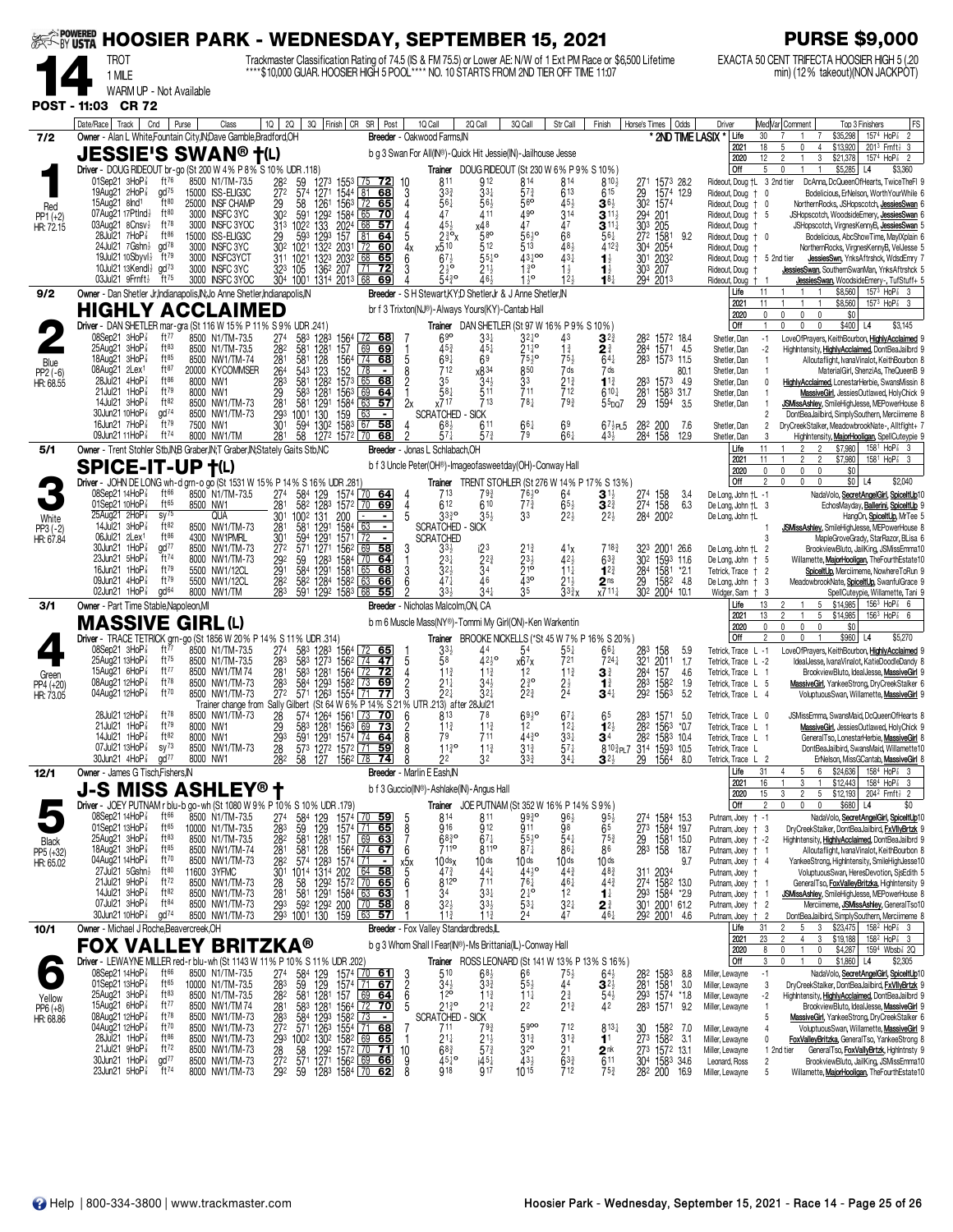| <b>EXAMPOWERED</b>                |                                                                                                                                 |                                                                      | <b>HOOSIER PARK - WEDNESDAY, SEPTEMBER 15, 2021</b>                                                                                                                                                      |                                                                                                                                                |                                                                                           |                                                                                                               | <b>PURSE \$9,000</b>                                                                                                                                                                                                                                                  |
|-----------------------------------|---------------------------------------------------------------------------------------------------------------------------------|----------------------------------------------------------------------|----------------------------------------------------------------------------------------------------------------------------------------------------------------------------------------------------------|------------------------------------------------------------------------------------------------------------------------------------------------|-------------------------------------------------------------------------------------------|---------------------------------------------------------------------------------------------------------------|-----------------------------------------------------------------------------------------------------------------------------------------------------------------------------------------------------------------------------------------------------------------------|
|                                   | TROT<br>1 MILE                                                                                                                  |                                                                      | Trackmaster Classification Rating of 74.5 (IS & FM 75.5) or Lower AE: N/W of 1 Ext PM Race or \$6,500 Lifetime<br>**** \$10,000 GUAR. HOOSIER HIGH 5 POOL**** NO. 10 STARTS FROM 2ND TIER OFF TIME 11:07 |                                                                                                                                                |                                                                                           |                                                                                                               | EXACTA 50 CENT TRIFECTA HOOSIER HIGH 5 (.20<br>min) (12% takeout) (NON JACKPOT)                                                                                                                                                                                       |
|                                   | WARM UP - Not Available                                                                                                         |                                                                      |                                                                                                                                                                                                          |                                                                                                                                                |                                                                                           |                                                                                                               |                                                                                                                                                                                                                                                                       |
|                                   | POST - 11:03 CR 72<br>Date/Race   Track  <br>Cnd                                                                                | Purse<br>Class                                                       | 3Q Finish CR SR Post<br>10 <sup>1</sup><br>2Q                                                                                                                                                            | 1Q Call<br>2Q Call                                                                                                                             | 3Q Call<br>Str Call                                                                       | Finish<br>Odds<br>Horse's Times                                                                               | FS<br>Med Var Comment<br>Driver<br>Top 3 Finishers                                                                                                                                                                                                                    |
| 7/2                               | Owner - Alan L White, Fountain City, IN; Dave Gamble, Bradford, OH<br><b>JESSIE'S SWAN® †(L)</b>                                |                                                                      |                                                                                                                                                                                                          | Breeder - Oakwood Farms.IN<br>b g 3 Swan For All(IN®)-Quick Hit Jessie(IN)-Jailhouse Jesse                                                     |                                                                                           | * 2ND TIME LASIX *                                                                                            | \$35,298<br>1574 HoP <sup>3</sup><br>$\overline{2}$<br>Life<br>30<br>\$13,920<br>$201^3$ Frnft $\frac{1}{2}$ 3<br>2021<br>18<br>5<br>0<br>$\overline{4}$                                                                                                              |
|                                   | Driver - DOUG RIDEOUT br-go (St 200 W 4% P 8% S 10% UDR .118)                                                                   |                                                                      |                                                                                                                                                                                                          |                                                                                                                                                | Trainer DOUG RIDEOUT (St 230 W 6% P 9% S 10%)                                             |                                                                                                               | 2020<br>12<br>$\overline{c}$<br>3<br>\$21,378<br>1574 HoP <sup>3</sup><br>1<br>$\overline{2}$<br>Off<br>5<br>\$5,285<br>\$3,360<br>$\mathbf{0}$<br>L4                                                                                                                 |
|                                   | ft76<br>01Sep21 $3H_0P_8^T$<br>19Aug21 2HoP<br>$\alpha$ d $^{75}$<br>ft80<br>15Aug21 8lnd <sup>1</sup>                          | 8500 N1/TM-73.5<br>15000 ISS-ELIG3C<br>25000 INSF CHAMP              | 1273 1553 75 72<br>282<br>59<br>272<br>574<br>1271<br>1544 81 68<br>156 <sup>3</sup> 72 65<br>68                                                                                                         | 811<br>912<br>10<br>3 <sup>3</sup><br>$33\frac{1}{4}$<br>3<br>Δ                                                                                | 814<br>814<br>$5^{73}$<br>613<br>$56$ <sup>o</sup><br>45 <sub>3</sub>                     | 810}<br>271<br>1573 28.2<br>615<br>29<br>1574 12.9                                                            | Rideout, Doug +L 3 2nd tier<br>DcAnna, DcQueenOfHearts, TwiceTheFI 9<br>Rideout, Doug +<br>Bodelicious, ErNelson, Worth YourWhile 6<br>0                                                                                                                              |
| Red<br>PP1 (+2)<br>HR: 72.15      | 07Aug21 17Ptlnd}<br>ft80<br>03Aug21 8Cnsv $\frac{1}{2}$<br>ft $^{78}$                                                           | 3000 INSFC 3YC<br>3000 INSFC 3YOC                                    | 29<br>58<br>1261<br>302<br>591<br>1292 1584 65 70<br>313 1022<br>133<br>57                                                                                                                               | 56‡<br>$56\frac{1}{2}$<br>47<br>411<br>454<br>χ48                                                                                              | $49^{\rm o}$<br>314<br>À7<br>47                                                           | 302 1574<br>$\mathbf{3}$ 6 $\frac{1}{2}$<br>$3^{11}$<br>294 201<br>$3^{11}\frac{1}{4}$                        | Rideout, Doug + 0<br>NorthernRocks, JSHopscotch, JessiesSwan 6<br>Rideout, Doug + 5<br>JSHopscotch, WoodsideEmery, JessiesSwan 6<br>Rideout, Doug<br>JSHopscotch, VirgnesKennyB, JessiesSwan 5                                                                        |
|                                   | 28Jul21 7HoP <sup>3</sup><br>ft $86$<br>gd <sup>78</sup><br>24Jul21 7Gshn}                                                      | 15000 ISS-ELIG3C<br>3000 INSFC 3YC                                   | 2024 68<br>593<br>1293<br>29<br>81 64<br>1322 2031<br>302<br>1021<br>  72<br>60                                                                                                                          | 5<br>$2\frac{3}{4}$ %<br>58 <sup>o</sup><br>x510<br>512<br>4x                                                                                  | 5610<br>68<br>513<br>48 <sub>3</sub>                                                      | 30 <sup>3</sup> 205<br>27 <sup>2</sup> 1581<br>$56\frac{1}{4}$<br>9.2<br>4123<br>304 2054                     | Rideout, Doug + 0<br>Bodelicious, AbcShowTime, MaylXplain 6<br>NorthernRocks, VirgnesKennyB, VelJesse 5<br>Rideout, Doug                                                                                                                                              |
|                                   | $ft^{79}$<br>19Jul21 10Sbyvl}<br>10Jul21 13Kendl $\frac{1}{2}$ gd <sup>73</sup>                                                 | 3000 INSFC3YCT<br>3000 INSFC 3YC                                     | 1323<br>1021<br>2032<br>68<br>65<br>311<br>1362 207<br>323 105<br>$\overline{72}$<br>71                                                                                                                  | $67\frac{1}{2}$<br>$55^{10}$<br>6<br>$2\frac{1}{2}$ <sup>o</sup><br>$21\frac{1}{2}$                                                            | $43\frac{1}{2}$ 00<br>$43\frac{1}{4}$<br>$1\frac{3}{4}$<br>$1\frac{1}{2}$                 | 30 <sup>1</sup><br>2032<br>$\mathbf{1}_{2}^{1}$<br>303 207<br>$\mathbf{1}_{2}^{1}$                            | JessiesSwn, YnksAftrshck, WdsdEmry 7<br>Rideout, Doug + 5 2nd tier<br>JessiesSwan, SouthernSwanMan, YnksAftrshck 5<br>Rideout, Doug                                                                                                                                   |
| 9/2                               | $03$ Jul21 $9$ Frnft $\frac{1}{2}$<br>ft $^{75}$<br>Owner - Dan Shetler Jr, Indianapolis, IN; Jo Anne Shetler, Indianapolis, IN | 3000 INSFC 3YOC                                                      | 304 1001 1314 2013 68<br>69                                                                                                                                                                              | $54^{30}$<br>464<br>Breeder - S H Stewart, KY; D ShetlerJr & J Anne Shetler, IN                                                                | $1^{10}$<br>12 <sub>3</sub>                                                               | $18\frac{1}{4}$<br>294 2013                                                                                   | JessiesSwan, WoodsideEmery-, TufStuff+ 5<br>Rideout, Doug † 1<br>\$8,560<br>$157^3$ HoP $\frac{7}{8}$ 3<br>Life<br>11<br>$\mathbf{1}$<br>$\overline{1}$                                                                                                               |
|                                   | <b>HIGHLY ACCLAIMED</b><br>Driver - DAN SHETLER mar-gra (St 116 W 15% P 11% S 9% UDR .241)                                      |                                                                      |                                                                                                                                                                                                          | br f 3 Trixton(NJ®)-Always Yours(KY)-Cantab Hall                                                                                               | Trainer DAN SHETLER (St 97 W 16% P 9% S 10%)                                              |                                                                                                               | \$8,560<br>$157^3$ HoP <sup><math>7\overline{3}</math></sup> 3<br>2021<br>11<br>0<br>$\mathbf 0$<br>\$0<br>2020<br>0<br>$\mathbf 0$<br>Off<br>$\mathbf 0$<br>$\mathbf 0$<br>\$400 L4<br>\$3,145<br>U                                                                  |
|                                   | 08Sep21 3HoP <sup>3</sup><br>ft77<br>$25$ Aug21 $3$ HoP $\frac{7}{8}$<br>$ft^{83}$                                              | 8500 N1/TM-73.5<br>8500 N1/TM-73.5                                   | $\frac{583}{581}$<br>274<br>282<br>1283<br>1281<br>156 <sup>4</sup><br>157<br>68<br>69 69                                                                                                                | 690<br>$33\frac{1}{4}$<br>$45\frac{3}{4}$<br>$45\frac{1}{4}$                                                                                   | $32\frac{1}{4}$<br>43<br>$21\frac{1}{4}$ <sup>o</sup><br>$1\frac{3}{4}$                   | 282 1572 18.4<br>$\mathbf{3}^{2\frac{3}{4}}$<br>284 1571 4.5<br>21                                            | Shetler, Dan<br>$-1$<br>LoveOfPrayers, KeithBourbon, HighlyAcclaimed 9<br>$-2$<br>Shetler, Dan<br>HighIntensity, HighlyAcclaimed, DontBeaJailbrd 9                                                                                                                    |
| Blue<br>$PP2(-6)$                 | ft <sub>85</sub><br>18Aug21 3HoP<br>ft87<br>08Aug21 2Lex <sup>1</sup>                                                           | 8500 NW1/TM-74<br>20000 KYCOMMSER                                    | 128<br>281<br>581<br>1564 74 68<br>264<br>543<br>$\sim$                                                                                                                                                  | $69\frac{1}{4}$<br>5<br>712<br>x834                                                                                                            | $75\frac{1}{2}$ <sup>o</sup><br>$75\frac{1}{2}$<br>850<br>7 ds                            | $64\frac{1}{4}$<br>283 1573 11.5<br>7 ds<br>80.1                                                              | Shetler, Dan<br>Alloutaflight, IvanaVinalot, KeithBourbon 8<br>$\overline{1}$<br>Shetler, Dan<br>MaterialGirl, ShenziAs, TheQueenB 9<br>$\overline{1}$                                                                                                                |
| HR: 68.55                         | 28Jul21 4HoP <sup>3</sup><br>ft86<br>$ft^{79}$<br>$21$ Jul $21$ 1HoP $\frac{7}{8}$                                              | 8000 NW1<br>8000 NW1                                                 | $\frac{123}{128^2}$<br>$\frac{152}{1573}$<br>283<br>65<br>581<br>68<br>29<br>583<br>1281<br>1563<br>  69<br><u>64</u>                                                                                    | 35<br>$\overline{c}$<br>$34\frac{1}{2}$<br>581<br>511                                                                                          | 33<br>$21\frac{3}{4}$<br>711<br>712                                                       | $1^{13}$<br>283 1573 4.9<br>$6^{10\frac{1}{4}}$<br>1583 31.7<br>281                                           | Shetler, Dan<br>HighlyAcclaimed, LonestarHerbie, SwansMissin 8<br>$\Omega$<br>Shetler, Dan<br>MassiveGirl, JessiesOutlawed, HolyChick 9<br>$\overline{1}$                                                                                                             |
|                                   | 14Jul21 3HoP <sup>3</sup><br>ft82<br>$\frac{1}{2}$<br>30Jun21 10HoP <sup>3</sup><br>ft79<br>16Jun21 7HoP                        | 8500 NW1/TM-73<br>8500 NW1/TM-73                                     | 281<br>293<br>581<br>1291<br>$\frac{1584}{159}$ 63<br>57<br>130<br>1001<br>$\blacksquare$                                                                                                                | 713<br>2x<br>x717<br><b>SCRATCHED - SICK</b>                                                                                                   | $78+$<br>793                                                                              | $\overline{29}$<br>1594<br>$55$ po $7$<br>-3.5                                                                | Shetler, Dan<br>JSMissAshley, SmileHighJesse, MEPowerHouse 8<br>$\overline{2}$<br>DontBeaJailbird, SimplySouthern, Merciimeme 8                                                                                                                                       |
|                                   | ft <sup>74</sup><br>09Jun21 11HoP <sup>7</sup>                                                                                  | 7500 NW1<br>8000 NW1/TM                                              | 301<br>58<br>594<br>130 <sup>2</sup> 158 <sup>3</sup> 67<br>281<br>58<br>1272 1572 70 68                                                                                                                 | $68\frac{1}{2}$<br>611<br>$57\frac{3}{4}$<br>57)                                                                                               | 66‡<br>69<br>661<br>79                                                                    | $67\frac{1}{2}$ PL $5$<br>282<br>200<br>7.6<br>158<br>434<br>284<br>12.9                                      | Shetler, Dan<br>DryCreekStalker, MeadowbrookNate-, Alltflght+ 7<br>2<br>Shetler, Dan<br>$\mathcal{R}$<br>HighIntensity, MajorHooligan, SpellCuteypie 9<br>11<br>\$7,980<br>158 <sup>1</sup> HoP <sup>7</sup> 3<br>Life<br>$\mathfrak{p}$<br>$\overline{2}$            |
| 5/1                               | Owner - Trent Stohler Stb, IN; B Graber, IN; T Graber, IN; Stately Gaits Stb, NC<br><b>SPICE-IT-UP T(L)</b>                     |                                                                      |                                                                                                                                                                                                          | Breeder - Jonas L Schlabach, OH<br>b f 3 Uncle Peter(OH®)-Imageofasweetday(OH)-Conway Hall                                                     |                                                                                           |                                                                                                               | 11<br>2021<br>$\overline{2}$<br>$\overline{2}$<br>\$7,980<br>$158^1$ HoP $\frac{7}{8}$ 3<br>0<br>$\mathbf 0$<br>\$0<br>2020<br>0<br>$\mathbf{0}$                                                                                                                      |
|                                   | 08Sep21 14HoP <sup>3</sup><br>ft $66$                                                                                           | 8500 N1/TM-73.5                                                      | Driver - JOHN DE LONG wh-d grn-o go (St 1531 W 15% P 14% S 16% UDR .281)<br>274<br>584<br>129<br>1574 70 64                                                                                              | 713<br>793                                                                                                                                     | Trainer TRENT STOHLER (St 276 W 14% P 17% S 13%)<br>$76\frac{1}{2}$ <sup>o</sup><br>64    | $\mathbf{3}^{1\frac{1}{2}}$<br>274<br>158<br>34                                                               | Off<br>\$0<br>$\overline{2}$<br>0<br>$\mathbf 0$<br>$\mathbf 0$<br>L4<br>\$2,040<br>De Long, John +L -1<br>NadaVolo, SecretAngelGirl, SpiceltUp10                                                                                                                     |
| White                             | 01Sep21 10HoP <sup>7</sup><br>$ft^{65}$<br>25Aug21 2HoP<br>SV <sup>75</sup>                                                     | 8500 NW1<br>QUA                                                      | 281<br>582<br>1283 1572 70 69<br>301<br>1002<br>131<br>200<br>$\blacksquare$                                                                                                                             | 612<br>610<br>4<br>$35\frac{1}{2}$<br>$33^{30}_{4}$<br>5                                                                                       | $7^{3}$<br>$65\frac{1}{2}$<br>$2^{2\frac{1}{2}}$<br>33                                    | 274 158<br>$3^{23}$<br>6.3<br>$2^{2}$<br>284 2002                                                             | De Long, John +L 3<br>EchosMayday, Ballerini, SpiceltUp 9<br>De Long, John †L<br>HangOn, SpiceltUp, MrTee 5                                                                                                                                                           |
| $PP3(-2)$<br>HR: 67.84            | ft82<br>14Jul21 $3H_0P_8^2$<br>$ft^{86}$<br>06Jul21 2Lex1<br>30Jun21 1HoP <sup>3</sup><br>$\frac{1}{2}$                         | 8500 NW1/TM-73<br>4300 NW1PMRL<br>8500 NW1/TM-73                     | 281<br>581<br>1291<br>1584<br>63<br>$\blacksquare$<br>301<br>594<br>1291<br>1571<br>  72<br>$\blacksquare$<br>69<br>1271<br>58                                                                           | <b>SCRATCHED</b><br><b>SICK</b><br><b>SCRATCHED</b>                                                                                            |                                                                                           | 7183                                                                                                          | JSMissAshley, SmileHighJesse, MEPowerHouse 8<br>MapleGroveGrady, StarRazor, BLisa 6<br>3                                                                                                                                                                              |
|                                   | ft74<br>$23$ Jun $21$ 5HoP $\frac{7}{8}$<br>16Jun21 $1$ HoP $\frac{7}{8}$<br>ft $79$                                            | 8000 NW1/TM-73<br>5500 NW1/12CL                                      | 272<br>571<br>1562<br>292<br>59<br>1283 1584 70<br>64<br>291<br>1291<br>584<br>1581 L65<br>68                                                                                                            | 33}<br>$2^{2^{3}}$<br>$2^{3}$<br>$3^{2}$<br>34<br>3                                                                                            | 4 <sup>1</sup><br>$23\frac{1}{2}$<br>423<br>210<br>$11\frac{1}{4}$                        | 323<br>2001 26.6<br>302 1593 11.6<br>$63\frac{3}{4}$<br>$1^{2^{3}}$<br>284 1581 *2.1                          | De Long, John †L 2<br>BrookviewBluto, JailKing, JSMissEmma10<br>De Long, John + 5<br>Willamette, MajorHooligan, TheFourthEstate10<br>Tetrick, Trace † 2<br>SpiceltUp, Merciimeme, NowhereToRun 9                                                                      |
|                                   | 09Jun21 4HoP3<br>ft79<br>02Jun21 $1$ HoP $\frac{7}{8}$<br>gd <sup>64</sup>                                                      | 5500 NW1/12CL<br>8000 NW1/TM                                         | 63<br>282<br>582<br>1284 1582<br>66<br>283<br>591 1292 1583 68<br>55                                                                                                                                     | 6<br>$47\frac{1}{4}$<br>46<br>$33\frac{1}{2}$<br>$34\frac{1}{4}$                                                                               | $\overline{4}3^{\circ}$<br>$21\frac{1}{2}$<br>35<br>$\bar{3}3\overline{3}x$               | 29<br>1582 4.8<br>2 <sub>ns</sub><br>30 <sup>2</sup> 2004 10.1<br>x711}                                       | De Long, John $\uparrow$ 3<br>MeadowbrookNate, SpiceltUp, SwanfulGrace 9<br>Widger, Sam †<br>SpellCuteypie, Willamette, Tani 9<br>-3                                                                                                                                  |
| 3/1                               | Owner - Part Time Stable, Napoleon, MI<br><b>MASSIVE</b>                                                                        | GIRL(L)                                                              |                                                                                                                                                                                                          | Breeder - Nicholas Malcolm, ON, CA<br>b m 6 Muscle Mass(NY®)-Tommi My Girl(ON)-Ken Warkentin                                                   |                                                                                           |                                                                                                               | Life<br>13<br>5<br>\$14,985<br>$156^3$ HoP $\frac{7}{8}$ 6<br>$\overline{1}$<br>\$14,985<br>2021<br>13<br>$\overline{c}$<br>5<br>$156^3$ HoP $\frac{7}{8}$ 6<br>1                                                                                                     |
|                                   | Driver - TRACE TETRICK grn-go (St 1856 W 20 % P 14 % S 11 % UDR .314)                                                           |                                                                      |                                                                                                                                                                                                          |                                                                                                                                                | Trainer BROOKE NICKELLS (*St 45 W 7% P 16% S 20%)                                         |                                                                                                               | 0<br>2020<br>0<br>0<br>$\mathbf 0$<br>\$0<br>Off<br>$\overline{c}$<br>0<br>\$960<br>\$5,270<br>0<br>L4                                                                                                                                                                |
|                                   | 08Sep21 3HoP<br>ft $^{77}$<br>25Aug21 13HoP 3<br>$ft^{75}$<br>ft $77$<br>15Aug21 6HoP                                           | 8500 N1/TM-73.5<br>8500 N1/TM-73.5<br>8500 NW1/TM74                  | 274<br>583<br>128 <sup>3</sup> 1564 72 65<br>283<br>583<br>1273 1562 74 47<br>1281 1564 72 72<br>281<br>583                                                                                              | $33\frac{1}{2}$<br>44<br>58<br>$42^{10}$<br>5<br>$11\frac{3}{4}$<br>$11\frac{3}{4}$<br>4                                                       | 54<br>$55\frac{1}{4}$<br>721<br>x67x<br>$11\frac{3}{4}$<br>12                             | $66\frac{1}{4}$<br>283<br>158<br>5.9<br>$724\frac{1}{4}$<br>321 2011<br>1.7<br>284<br>157<br>4.6<br>3∛        | Tetrick, Trace L -1<br>LoveOfPrayers, KeithBourbon, HighlyAcclaimed 9<br>Tetrick, Trace L -2<br>IdealJesse, IvanaVinalot, KatieDoodleDandy 8<br>Tetrick. Trace L 1<br>BrookviewBluto, IdealJesse, MassiveGirl 9                                                       |
| Green<br>PP4 (+20)<br>HR: 73.05   | $ft^{78}$<br>08Aug21 12HoP <sup>3</sup><br>ft70<br>04Aug21 12HoP <sup>3</sup>                                                   | 8500 NW1/TM-73<br>8500 NW1/TM-73                                     | 283<br>584 1293 1582 73<br>571 1263 1554 71<br>69<br>272<br>77                                                                                                                                           | $\frac{2}{3}$<br>21‡<br>34 <sub>3</sub><br>$22\frac{1}{4}$<br>$32\frac{1}{4}$                                                                  | 230<br>$\frac{2\frac{1}{2}}{2^4}$<br>$2^{2^{3}}$                                          | $\overline{28}$ <sup>3</sup><br>1582<br>$\mathbf{1}^3$<br>1.9<br>292 1563<br>5.2<br>$\mathbf{3}$ 4 $\ddagger$ | Tetrick, Trace L 5<br>MassiveGirl, YankeeStrong, DryCreekStalker 6<br>Tetrick, Trace L 4<br>VoluptuousSwan, Willamette, MassiveGirl 9                                                                                                                                 |
|                                   | 28Jul21 12HoP <sup>3</sup><br>ft $78$                                                                                           | 8500 NW1/TM-73                                                       | Trainer change from Sally Gilbert (St 64 W 6% P 14% S 21% UTR 213) after 28Jul21<br>574 1264 1561 73 70<br>28                                                                                            | 6<br>813<br>78                                                                                                                                 | 6910<br>$67\frac{1}{4}$                                                                   | 65<br>283 1571 5.0                                                                                            | Tetrick, Trace L 0<br>JSMissEmma, SwansMaid, DcQueenOfHearts 8                                                                                                                                                                                                        |
|                                   | 21Jul21 $1H_0P_8^7$<br>$ft^{79}$<br>ft82<br>14Jul21 1HoP <sup>3</sup>                                                           | 8000 NW1<br>8000 NW1                                                 | 583 1281 1563 69 73<br>591 1291 1574 74 64<br>573 1272 1572 71 59<br>29<br>29 <sup>3</sup><br>28                                                                                                         | $11\frac{3}{4}$<br>$11\frac{3}{4}$<br>79<br>711                                                                                                | 1 <sup>2</sup><br>$12\frac{1}{4}$<br>$44^{30}_{4}$<br>$3^{3\frac{1}{4}}$                  | $12\frac{1}{2}$<br>282 1563 *0.7<br>282 1583 10.4<br>34                                                       | Tetrick, Trace L 1<br>MassiveGirl, JessiesOutlawed, HolyChick 9<br>GeneralTso, LonestarHerbie, MassiveGirl 8<br>Tetrick, Trace L 1                                                                                                                                    |
|                                   | $sy^{73}$<br>07Jul21 13HoP <sup>3</sup><br>$30$ Jun21 $4$ HoP $\frac{7}{8}$<br>gd <sub>77</sub>                                 | 8500 NW1/TM-73<br>8000 NW1                                           | 282<br>58 127<br>1562 78<br>74                                                                                                                                                                           | $11\frac{3}{4}$ <sup>o</sup><br>$11\frac{3}{4}$<br>22<br>32                                                                                    | $3^{13}$<br>33 <sup>3</sup><br>$34\frac{1}{4}$                                            | 8103PL7 314 1593 10.5<br>$3^{2}$<br>29 1564 8.0                                                               | DontBeaJailbird, SwansMaid, Willamette10<br>Tetrick, Trace L<br>Tetrick, Trace L<br>$\overline{2}$<br>ErNelson, MissGCantab, MassiveGirl 8<br>1584 HoP <sup>2</sup> 3<br>Life<br>6<br>\$24,636<br>31<br>5                                                             |
| 12/1                              | Owner - James G Tisch, Fishers, IN<br><b>J-S MISS ASHLEY® †</b>                                                                 |                                                                      |                                                                                                                                                                                                          | Breeder - Marlin E Eash, IN<br>b f 3 Guccio(IN®)-Ashlake(IN)-Angus Hall                                                                        |                                                                                           |                                                                                                               | 2021<br>16<br>3<br>\$12,443<br>1584 HoP <sup>2</sup> 3<br>1<br>15<br>5<br>$204^2$ Frnft $\frac{1}{2}$ 2<br>2020<br>3<br>$\overline{c}$<br>\$12,193                                                                                                                    |
|                                   | 08Sep21 14HoP <sup>3</sup><br>ft66                                                                                              | 8500 N1/TM-73.5                                                      | Driver - JOEY PUTNAM r blu-b go-wh (St 1080 W 9% P 10% S 10% UDR .179)<br>$^{274}_{283}$<br>$\frac{58^4}{59}$<br>129<br>129                                                                              | 814<br>811<br>5                                                                                                                                | Trainer JOE PUTNAM (St 352 W 16% P 14% S 9%)<br>9930<br>96                                | 95}                                                                                                           | $\mathfrak{p}$<br>Off<br>$\mathbf{0}$<br>\$680<br>0<br>$\mathbf{0}$<br>L4<br>\$0<br>Putnam, Joey<br>NadaVolo, SecretAngelGirl, SpiceltUp10<br>$+ -1$                                                                                                                  |
| <b>Black</b>                      | 01Sep21 13HoP <sup>3</sup><br>ft65<br>25Aug21 3HoP <sup>3</sup><br>$ft^{83}$                                                    | 10000 N1/TM-73.5<br>8500 N1/TM-73.5                                  | 1574 70 59<br>1574 71 65<br>282<br>581 1281 157 69 63                                                                                                                                                    | 8<br>$\bar{9}$ 16<br>912<br>$68^{30}_{4}$<br>$67\frac{1}{4}$                                                                                   | ğ11.<br>98<br>$54\frac{1}{4}$<br>$55\frac{1}{2}$                                          | 274<br>273<br>1584 15.3<br>1584 19.7<br>6 <sup>5</sup><br>$75\frac{3}{4}$<br>29<br>1581 15.0                  | Putnam, Joey + 3<br>DryCreekStalker, DontBeaJailbird, FxVIIyBrtzk 9<br>Putnam, Joey + -2<br>HighIntensity, Highly Acclaimed, DontBeaJailbrd 9                                                                                                                         |
| PP5 (+32)<br>HR: 65.02            | 18Aug21 3HoP <sup>3</sup><br>$ft^{85}$<br>04Aug21 14HoP <sup>3</sup><br>ft70<br>27Jul21 5Gshn}<br>$ft^{80}$                     | 8500 NW1/TM-74<br>8500 NW1/TM-73                                     | 281<br>282<br>128 1564 74 67<br>1283 1574 71 -<br>581<br>574<br>1014 1314 202 64 58                                                                                                                      | 7110<br>8110<br>6<br>10 <sub>ds</sub><br>$10$ ds $x$<br>х5х<br>5<br>$47\frac{3}{4}$<br>$44\frac{1}{4}$                                         | 87‡<br>$86\frac{1}{4}$<br>10 <sub>ds</sub><br>$10$ ds<br>$44^{10}_{2}$<br>$44\frac{3}{4}$ | 283 158<br>86<br>18.7<br>10 <sub>ds</sub><br>9.7<br>48 <sub>4</sub>                                           | Alloutaflight, IvanaVinalot, KeithBourbon 8<br>Putnam, Joey † 1<br>Putnam, Joey + 4<br>YankeeStrong, HighIntensity, SmileHighJesse10                                                                                                                                  |
|                                   | 21Jul21 9HoP <sup>3</sup><br>ft72<br>14Jul21 3HoP <sup>3</sup><br>ft82                                                          | 11600 3YFMC<br>8500 NW1/TM-73<br>8500 NW1/TM-73                      | 301<br>$\frac{28}{28}$<br>$\frac{58}{581}$<br>129 <sup>2</sup> 157 <sup>2</sup> 70 65<br>1291 1584 63 63                                                                                                 | 8 <sub>12</sub> °<br>711<br>$\overline{3}4$<br>$33\frac{1}{4}$                                                                                 | $76\frac{1}{4}$<br>461<br>$2\ddot{1}$ <sup>o</sup><br>12                                  | 311 2034<br>$44\frac{3}{4}$<br>274 1582 13.0<br>293 1584 *2.9<br>$1\frac{1}{4}$                               | VoluptuousSwan, HeresDevotion, SisEdith 5<br>Putnam, Joey<br>GeneralTso, FoxValleyBritzka, HighIntensity 9<br>Putnam, Joey + 1<br>JSMissAshley, SmileHighJesse, MEPowerHouse 8<br>Putnam, Joey † 1                                                                    |
|                                   | 07Jul21 3HoP <sup>3</sup><br>$ft^{84}$<br>30Jun21 10HoP <sup>3</sup><br>gd <sup>74</sup>                                        | 8500 NW1/TM-73<br>8500 NW1/TM-73                                     | 293<br>1292 200 70 58<br>592<br>293 1001 130 159 63<br>57                                                                                                                                                | 3 <sup>2</sup><br>33 <sup>1</sup><br>$11\frac{3}{4}$<br>$11\frac{3}{4}$                                                                        | $53\frac{1}{4}$<br>$3^{2}$<br>24<br>47                                                    | 2∛<br>301 2001 61.2<br>$46\frac{1}{4}$<br>292 2001 4.6                                                        | Putnam, Joey † 2<br>Merciimeme, JSMissAshley, GeneralTso10<br>$+2$<br>DontBeaJailbird, SimplySouthern, Merciimeme 8<br>Putnam, Joey                                                                                                                                   |
| 10/1                              | Owner - Michael J Roche, Beavercreek, OH<br><b>FOX VALLEY</b>                                                                   |                                                                      | <b>BRITZKA®</b>                                                                                                                                                                                          | Breeder - Fox Valley Standardbreds,IL<br>b g 3 Whom Shall I Fear(IN®)-Ms Brittania(IL)-Conway Hall                                             |                                                                                           |                                                                                                               | 31<br>\$23,475<br>158 <sup>2</sup> HoP <sup>2</sup> 3<br>Life<br>2<br>5<br>3<br>23<br>2021<br>2<br>4<br>3<br>\$19,188<br>158 <sup>2</sup> HoP <sup>2</sup> 3                                                                                                          |
|                                   |                                                                                                                                 |                                                                      | Driver - LEWAYNE MILLER red-r blu-wh (St 1143 W 11% P 10% S 11% UDR .202)                                                                                                                                |                                                                                                                                                | Trainer ROSS LEONARD (St 141 W 13% P 13% S 16%)                                           |                                                                                                               | 1594 Wbsb <sup>2</sup> 2Q<br>$\mathbf{0}$<br>$\mathbf{1}$<br>$\mathbf 0$<br>\$4,287<br>2020<br>8<br>Off<br>3<br>0<br>0<br>\$1,860<br>\$2,305<br>L4                                                                                                                    |
| $\bullet$                         | 08Sep21 14HoP 3<br>$ft^{66}$<br>01Sep21 13HoP <sup>3</sup><br>ft65<br>$ft^{83}$<br>$25$ Aug21 $3$ HoP $\frac{7}{8}$             | 8500 N1/TM-73.5<br>10000 N1/TM-73.5<br>8500 N1/TM-73.5               | 274<br>58 <sup>4</sup><br>59<br>129<br>129<br>1574 70 61<br>283<br>1574 71 67<br>282                                                                                                                     | 510<br>$68\frac{1}{2}$<br>$\overline{2}$<br>$34\frac{1}{2}$<br>$3^{3}_{4}$<br>6<br>12 <sup>o</sup><br>$11\frac{3}{4}$                          | 66<br>$75\frac{1}{2}$<br>44<br>$55\frac{1}{2}$<br>$11\frac{1}{4}$                         | $64\frac{1}{2}$<br>28 <sup>2</sup> 1583<br>8.8<br>$3^{2}\frac{1}{2}$<br>281<br>1581<br>3.0<br>$*1.8$          | $-1$<br>Miller, Lewayne<br>NadaVolo, <u>SecretAngelGirl, SpiceltUp</u> 10<br>Miller, Lewayne<br>3<br>DryCreekStalker, DontBeaJailbird, FxVllyBrtzk 9<br>Miller, Lewayne<br>$-2$<br>HighIntensity, Highly Acclaimed, DontBeaJailbrd 9                                  |
| Yellow<br>$PP6 (+8)$<br>HR: 68.86 | 15Aug21 6HoP3<br>ft77                                                                                                           | 8500 NW1/TM74                                                        | 581 1281 157 69 64<br>583 1281 1564 72 70<br>281                                                                                                                                                         | $21\frac{3}{4}$ <sup>o</sup><br>$2^{1\frac{3}{4}}$                                                                                             | $2\frac{3}{4}$<br>21 <sup>3</sup><br>$2^{2}$                                              | $\frac{54\frac{1}{2}}{42}$<br>293 1574<br>283 1571<br>9.2                                                     | Miller, Lewayne<br>$\mathbf{1}$<br>BrookviewBluto, IdealJesse, MassiveGirl 9                                                                                                                                                                                          |
|                                   | 08Aug21 12HoP <sup>3</sup><br>$ft^{78}$                                                                                         |                                                                      |                                                                                                                                                                                                          |                                                                                                                                                |                                                                                           |                                                                                                               | 5                                                                                                                                                                                                                                                                     |
|                                   | 04Aug21 12HoP <sup>3</sup><br>ft70<br>28Jul21 1HoP<br>$ft^{86}$<br>ft72<br>21Jul21 9HoP                                         | 8500 NW1/TM-73<br>8500 NW1/TM-73<br>8500 NW1/TM-73<br>8500 NW1/TM-73 | 283<br>584 1293 1582 73<br>$\frac{272}{293}$<br>571 1263 1554 71 68<br>28<br>58 1292 1572 70 71<br>571 1271 1562 69 66<br>59 1283 1584 70 62                                                             | <b>SCRATCHED</b><br><b>SICK</b><br>$79\frac{3}{4}$<br>711<br>$21\frac{1}{4}$<br>$2^{1\frac{1}{2}}$<br>5 <sup>73</sup><br>$68\frac{3}{4}$<br>10 | $5^{900}$<br>712<br>$3^{13}$<br>$31\frac{3}{4}$<br>32 <sup>o</sup><br>2 <sup>1</sup>      | $813\frac{1}{4}$<br>30 1582<br>273 1582<br>7.0<br>11<br>-3.1<br>$2^{\mathsf{nk}}$<br>273 1572 13.1            | MassiveGirl, YankeeStrong, DryCreekStalker 6<br>VoluptuousSwan, Willamette, MassiveGirl 9<br>Miller, Lewayne<br>4<br>Miller, Lewayne<br>0<br>FoxValleyBritzka, GeneralTso, YankeeStrong 8<br>Miller, Lewayne<br>GeneralTso, FoxVallyBrtzk, HghIntnsty 9<br>1 2nd tier |